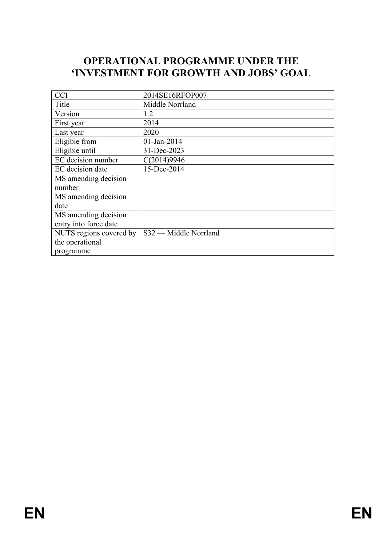# **OPERATIONAL PROGRAMME UNDER THE 'INVESTMENT FOR GROWTH AND JOBS' GOAL**

| <b>CCI</b>              | 2014SE16RFOP007       |
|-------------------------|-----------------------|
| Title                   | Middle Norrland       |
| Version                 | 1.2                   |
| First year              | 2014                  |
| Last year               | 2020                  |
| Eligible from           | $01$ -Jan-2014        |
| Eligible until          | 31-Dec-2023           |
| EC decision number      | C(2014)9946           |
| EC decision date        | 15-Dec-2014           |
| MS amending decision    |                       |
| number                  |                       |
| MS amending decision    |                       |
| date                    |                       |
| MS amending decision    |                       |
| entry into force date   |                       |
| NUTS regions covered by | S32 — Middle Norrland |
| the operational         |                       |
| programme               |                       |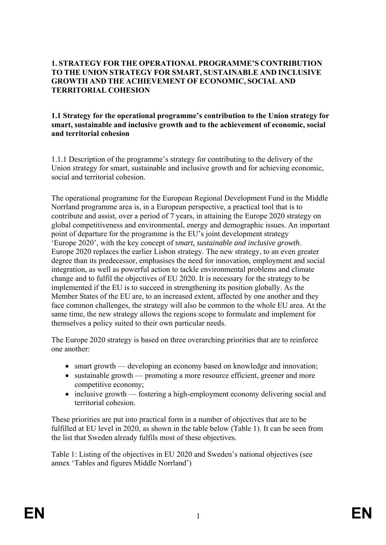### **1. STRATEGY FOR THE OPERATIONAL PROGRAMME'S CONTRIBUTION TO THE UNION STRATEGY FOR SMART, SUSTAINABLE AND INCLUSIVE GROWTH AND THE ACHIEVEMENT OF ECONOMIC, SOCIAL AND TERRITORIAL COHESION**

### **1.1 Strategy for the operational programme's contribution to the Union strategy for smart, sustainable and inclusive growth and to the achievement of economic, social and territorial cohesion**

1.1.1 Description of the programme's strategy for contributing to the delivery of the Union strategy for smart, sustainable and inclusive growth and for achieving economic, social and territorial cohesion.

The operational programme for the European Regional Development Fund in the Middle Norrland programme area is, in a European perspective, a practical tool that is to contribute and assist, over a period of 7 years, in attaining the Europe 2020 strategy on global competitiveness and environmental, energy and demographic issues. An important point of departure for the programme is the EU's joint development strategy 'Europe 2020', with the key concept of *smart, sustainable and inclusive growth*. Europe 2020 replaces the earlier Lisbon strategy. The new strategy, to an even greater degree than its predecessor, emphasises the need for innovation, employment and social integration, as well as powerful action to tackle environmental problems and climate change and to fulfil the objectives of EU 2020. It is necessary for the strategy to be implemented if the EU is to succeed in strengthening its position globally. As the Member States of the EU are, to an increased extent, affected by one another and they face common challenges, the strategy will also be common to the whole EU area. At the same time, the new strategy allows the regions scope to formulate and implement for themselves a policy suited to their own particular needs.

The Europe 2020 strategy is based on three overarching priorities that are to reinforce one another:

- smart growth developing an economy based on knowledge and innovation;
- sustainable growth promoting a more resource efficient, greener and more competitive economy;
- inclusive growth fostering a high-employment economy delivering social and territorial cohesion.

These priorities are put into practical form in a number of objectives that are to be fulfilled at EU level in 2020, as shown in the table below (Table 1). It can be seen from the list that Sweden already fulfils most of these objectives.

Table 1: Listing of the objectives in EU 2020 and Sweden's national objectives (see annex 'Tables and figures Middle Norrland')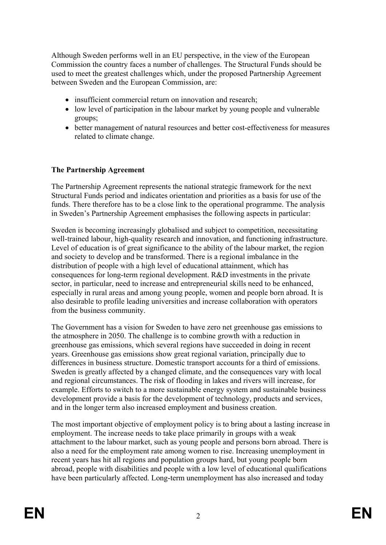Although Sweden performs well in an EU perspective, in the view of the European Commission the country faces a number of challenges. The Structural Funds should be used to meet the greatest challenges which, under the proposed Partnership Agreement between Sweden and the European Commission, are:

- insufficient commercial return on innovation and research;
- low level of participation in the labour market by young people and vulnerable groups;
- better management of natural resources and better cost-effectiveness for measures related to climate change.

## **The Partnership Agreement**

The Partnership Agreement represents the national strategic framework for the next Structural Funds period and indicates orientation and priorities as a basis for use of the funds. There therefore has to be a close link to the operational programme. The analysis in Sweden's Partnership Agreement emphasises the following aspects in particular:

Sweden is becoming increasingly globalised and subject to competition, necessitating well-trained labour, high-quality research and innovation, and functioning infrastructure. Level of education is of great significance to the ability of the labour market, the region and society to develop and be transformed. There is a regional imbalance in the distribution of people with a high level of educational attainment, which has consequences for long-term regional development. R&D investments in the private sector, in particular, need to increase and entrepreneurial skills need to be enhanced, especially in rural areas and among young people, women and people born abroad. It is also desirable to profile leading universities and increase collaboration with operators from the business community.

The Government has a vision for Sweden to have zero net greenhouse gas emissions to the atmosphere in 2050. The challenge is to combine growth with a reduction in greenhouse gas emissions, which several regions have succeeded in doing in recent years. Greenhouse gas emissions show great regional variation, principally due to differences in business structure. Domestic transport accounts for a third of emissions. Sweden is greatly affected by a changed climate, and the consequences vary with local and regional circumstances. The risk of flooding in lakes and rivers will increase, for example. Efforts to switch to a more sustainable energy system and sustainable business development provide a basis for the development of technology, products and services, and in the longer term also increased employment and business creation.

The most important objective of employment policy is to bring about a lasting increase in employment. The increase needs to take place primarily in groups with a weak attachment to the labour market, such as young people and persons born abroad. There is also a need for the employment rate among women to rise. Increasing unemployment in recent years has hit all regions and population groups hard, but young people born abroad, people with disabilities and people with a low level of educational qualifications have been particularly affected. Long-term unemployment has also increased and today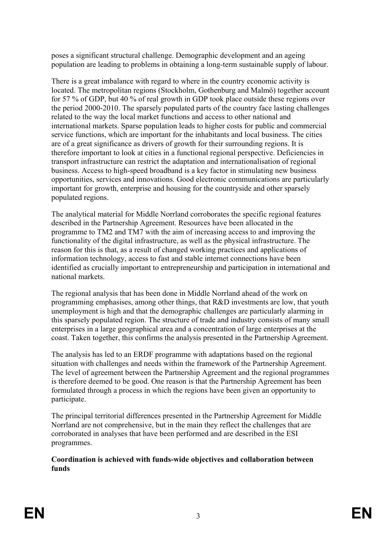poses a significant structural challenge. Demographic development and an ageing population are leading to problems in obtaining a long-term sustainable supply of labour.

There is a great imbalance with regard to where in the country economic activity is located. The metropolitan regions (Stockholm, Gothenburg and Malmö) together account for 57 % of GDP, but 40 % of real growth in GDP took place outside these regions over the period 2000-2010. The sparsely populated parts of the country face lasting challenges related to the way the local market functions and access to other national and international markets. Sparse population leads to higher costs for public and commercial service functions, which are important for the inhabitants and local business. The cities are of a great significance as drivers of growth for their surrounding regions. It is therefore important to look at cities in a functional regional perspective. Deficiencies in transport infrastructure can restrict the adaptation and internationalisation of regional business. Access to high-speed broadband is a key factor in stimulating new business opportunities, services and innovations. Good electronic communications are particularly important for growth, enterprise and housing for the countryside and other sparsely populated regions.

The analytical material for Middle Norrland corroborates the specific regional features described in the Partnership Agreement. Resources have been allocated in the programme to TM2 and TM7 with the aim of increasing access to and improving the functionality of the digital infrastructure, as well as the physical infrastructure. The reason for this is that, as a result of changed working practices and applications of information technology, access to fast and stable internet connections have been identified as crucially important to entrepreneurship and participation in international and national markets.

The regional analysis that has been done in Middle Norrland ahead of the work on programming emphasises, among other things, that R&D investments are low, that youth unemployment is high and that the demographic challenges are particularly alarming in this sparsely populated region. The structure of trade and industry consists of many small enterprises in a large geographical area and a concentration of large enterprises at the coast. Taken together, this confirms the analysis presented in the Partnership Agreement.

The analysis has led to an ERDF programme with adaptations based on the regional situation with challenges and needs within the framework of the Partnership Agreement. The level of agreement between the Partnership Agreement and the regional programmes is therefore deemed to be good. One reason is that the Partnership Agreement has been formulated through a process in which the regions have been given an opportunity to participate.

The principal territorial differences presented in the Partnership Agreement for Middle Norrland are not comprehensive, but in the main they reflect the challenges that are corroborated in analyses that have been performed and are described in the ESI programmes.

**Coordination is achieved with funds-wide objectives and collaboration between funds**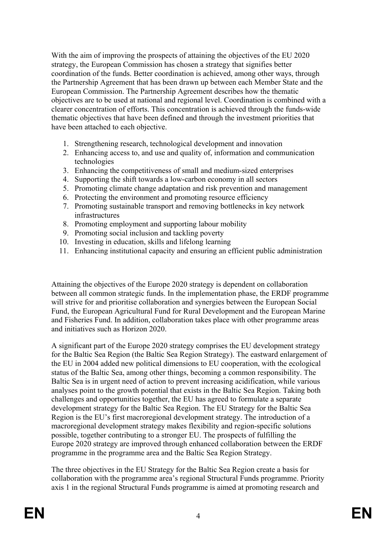With the aim of improving the prospects of attaining the objectives of the EU 2020 strategy, the European Commission has chosen a strategy that signifies better coordination of the funds. Better coordination is achieved, among other ways, through the Partnership Agreement that has been drawn up between each Member State and the European Commission. The Partnership Agreement describes how the thematic objectives are to be used at national and regional level. Coordination is combined with a clearer concentration of efforts. This concentration is achieved through the funds-wide thematic objectives that have been defined and through the investment priorities that have been attached to each objective.

- 1. Strengthening research, technological development and innovation
- 2. Enhancing access to, and use and quality of, information and communication technologies
- 3. Enhancing the competitiveness of small and medium-sized enterprises
- 4. Supporting the shift towards a low-carbon economy in all sectors
- 5. Promoting climate change adaptation and risk prevention and management
- 6. Protecting the environment and promoting resource efficiency
- 7. Promoting sustainable transport and removing bottlenecks in key network infrastructures
- 8. Promoting employment and supporting labour mobility
- 9. Promoting social inclusion and tackling poverty
- 10. Investing in education, skills and lifelong learning
- 11. Enhancing institutional capacity and ensuring an efficient public administration

Attaining the objectives of the Europe 2020 strategy is dependent on collaboration between all common strategic funds. In the implementation phase, the ERDF programme will strive for and prioritise collaboration and synergies between the European Social Fund, the European Agricultural Fund for Rural Development and the European Marine and Fisheries Fund. In addition, collaboration takes place with other programme areas and initiatives such as Horizon 2020.

A significant part of the Europe 2020 strategy comprises the EU development strategy for the Baltic Sea Region (the Baltic Sea Region Strategy). The eastward enlargement of the EU in 2004 added new political dimensions to EU cooperation, with the ecological status of the Baltic Sea, among other things, becoming a common responsibility. The Baltic Sea is in urgent need of action to prevent increasing acidification, while various analyses point to the growth potential that exists in the Baltic Sea Region. Taking both challenges and opportunities together, the EU has agreed to formulate a separate development strategy for the Baltic Sea Region. The EU Strategy for the Baltic Sea Region is the EU's first macroregional development strategy. The introduction of a macroregional development strategy makes flexibility and region-specific solutions possible, together contributing to a stronger EU. The prospects of fulfilling the Europe 2020 strategy are improved through enhanced collaboration between the ERDF programme in the programme area and the Baltic Sea Region Strategy.

The three objectives in the EU Strategy for the Baltic Sea Region create a basis for collaboration with the programme area's regional Structural Funds programme. Priority axis 1 in the regional Structural Funds programme is aimed at promoting research and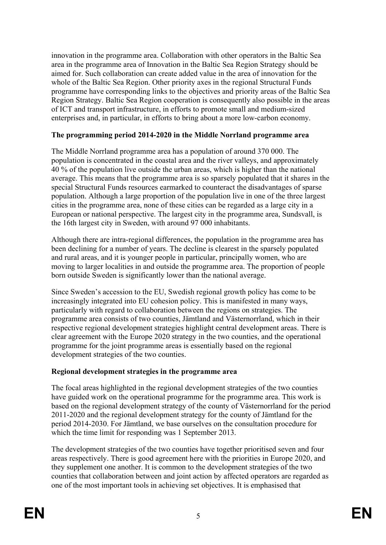innovation in the programme area. Collaboration with other operators in the Baltic Sea area in the programme area of Innovation in the Baltic Sea Region Strategy should be aimed for. Such collaboration can create added value in the area of innovation for the whole of the Baltic Sea Region. Other priority axes in the regional Structural Funds programme have corresponding links to the objectives and priority areas of the Baltic Sea Region Strategy. Baltic Sea Region cooperation is consequently also possible in the areas of ICT and transport infrastructure, in efforts to promote small and medium-sized enterprises and, in particular, in efforts to bring about a more low-carbon economy.

## **The programming period 2014-2020 in the Middle Norrland programme area**

The Middle Norrland programme area has a population of around 370 000. The population is concentrated in the coastal area and the river valleys, and approximately 40 % of the population live outside the urban areas, which is higher than the national average. This means that the programme area is so sparsely populated that it shares in the special Structural Funds resources earmarked to counteract the disadvantages of sparse population. Although a large proportion of the population live in one of the three largest cities in the programme area, none of these cities can be regarded as a large city in a European or national perspective. The largest city in the programme area, Sundsvall, is the 16th largest city in Sweden, with around 97 000 inhabitants.

Although there are intra-regional differences, the population in the programme area has been declining for a number of years. The decline is clearest in the sparsely populated and rural areas, and it is younger people in particular, principally women, who are moving to larger localities in and outside the programme area. The proportion of people born outside Sweden is significantly lower than the national average.

Since Sweden's accession to the EU, Swedish regional growth policy has come to be increasingly integrated into EU cohesion policy. This is manifested in many ways, particularly with regard to collaboration between the regions on strategies. The programme area consists of two counties, Jämtland and Västernorrland, which in their respective regional development strategies highlight central development areas. There is clear agreement with the Europe 2020 strategy in the two counties, and the operational programme for the joint programme areas is essentially based on the regional development strategies of the two counties.

## **Regional development strategies in the programme area**

The focal areas highlighted in the regional development strategies of the two counties have guided work on the operational programme for the programme area. This work is based on the regional development strategy of the county of Västernorrland for the period 2011-2020 and the regional development strategy for the county of Jämtland for the period 2014-2030. For Jämtland, we base ourselves on the consultation procedure for which the time limit for responding was 1 September 2013.

The development strategies of the two counties have together prioritised seven and four areas respectively. There is good agreement here with the priorities in Europe 2020, and they supplement one another. It is common to the development strategies of the two counties that collaboration between and joint action by affected operators are regarded as one of the most important tools in achieving set objectives. It is emphasised that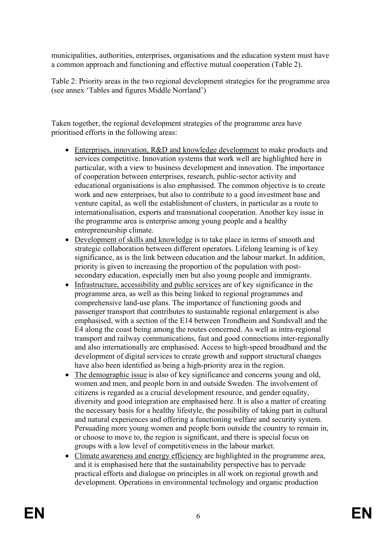municipalities, authorities, enterprises, organisations and the education system must have a common approach and functioning and effective mutual cooperation (Table 2).

Table 2: Priority areas in the two regional development strategies for the programme area (see annex 'Tables and figures Middle Norrland')

Taken together, the regional development strategies of the programme area have prioritised efforts in the following areas:

- Enterprises, innovation, R&D and knowledge development to make products and services competitive. Innovation systems that work well are highlighted here in particular, with a view to business development and innovation. The importance of cooperation between enterprises, research, public-sector activity and educational organisations is also emphasised. The common objective is to create work and new enterprises, but also to contribute to a good investment base and venture capital, as well the establishment of clusters, in particular as a route to internationalisation, exports and transnational cooperation. Another key issue in the programme area is enterprise among young people and a healthy entrepreneurship climate.
- Development of skills and knowledge is to take place in terms of smooth and strategic collaboration between different operators. Lifelong learning is of key significance, as is the link between education and the labour market. In addition, priority is given to increasing the proportion of the population with postsecondary education, especially men but also young people and immigrants.
- Infrastructure, accessibility and public services are of key significance in the programme area, as well as this being linked to regional programmes and comprehensive land-use plans. The importance of functioning goods and passenger transport that contributes to sustainable regional enlargement is also emphasised, with a section of the E14 between Trondheim and Sundsvall and the E4 along the coast being among the routes concerned. As well as intra-regional transport and railway communications, fast and good connections inter-regionally and also internationally are emphasised. Access to high-speed broadband and the development of digital services to create growth and support structural changes have also been identified as being a high-priority area in the region.
- The demographic issue is also of key significance and concerns young and old, women and men, and people born in and outside Sweden. The involvement of citizens is regarded as a crucial development resource, and gender equality, diversity and good integration are emphasised here. It is also a matter of creating the necessary basis for a healthy lifestyle, the possibility of taking part in cultural and natural experiences and offering a functioning welfare and security system. Persuading more young women and people born outside the country to remain in, or choose to move to, the region is significant, and there is special focus on groups with a low level of competitiveness in the labour market.
- Climate awareness and energy efficiency are highlighted in the programme area, and it is emphasised here that the sustainability perspective has to pervade practical efforts and dialogue on principles in all work on regional growth and development. Operations in environmental technology and organic production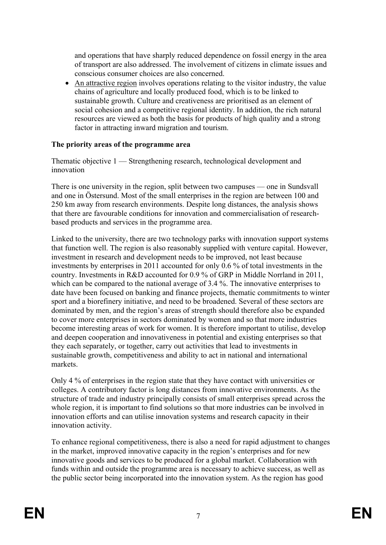and operations that have sharply reduced dependence on fossil energy in the area of transport are also addressed. The involvement of citizens in climate issues and conscious consumer choices are also concerned.

 An attractive region involves operations relating to the visitor industry, the value chains of agriculture and locally produced food, which is to be linked to sustainable growth. Culture and creativeness are prioritised as an element of social cohesion and a competitive regional identity. In addition, the rich natural resources are viewed as both the basis for products of high quality and a strong factor in attracting inward migration and tourism.

## **The priority areas of the programme area**

Thematic objective 1 — Strengthening research, technological development and innovation

There is one university in the region, split between two campuses — one in Sundsvall and one in Östersund. Most of the small enterprises in the region are between 100 and 250 km away from research environments. Despite long distances, the analysis shows that there are favourable conditions for innovation and commercialisation of researchbased products and services in the programme area.

Linked to the university, there are two technology parks with innovation support systems that function well. The region is also reasonably supplied with venture capital. However, investment in research and development needs to be improved, not least because investments by enterprises in 2011 accounted for only 0.6 % of total investments in the country. Investments in R&D accounted for 0.9 % of GRP in Middle Norrland in 2011, which can be compared to the national average of 3.4 %. The innovative enterprises to date have been focused on banking and finance projects, thematic commitments to winter sport and a biorefinery initiative, and need to be broadened. Several of these sectors are dominated by men, and the region's areas of strength should therefore also be expanded to cover more enterprises in sectors dominated by women and so that more industries become interesting areas of work for women. It is therefore important to utilise, develop and deepen cooperation and innovativeness in potential and existing enterprises so that they each separately, or together, carry out activities that lead to investments in sustainable growth, competitiveness and ability to act in national and international markets.

Only 4 % of enterprises in the region state that they have contact with universities or colleges. A contributory factor is long distances from innovative environments. As the structure of trade and industry principally consists of small enterprises spread across the whole region, it is important to find solutions so that more industries can be involved in innovation efforts and can utilise innovation systems and research capacity in their innovation activity.

To enhance regional competitiveness, there is also a need for rapid adjustment to changes in the market, improved innovative capacity in the region's enterprises and for new innovative goods and services to be produced for a global market. Collaboration with funds within and outside the programme area is necessary to achieve success, as well as the public sector being incorporated into the innovation system. As the region has good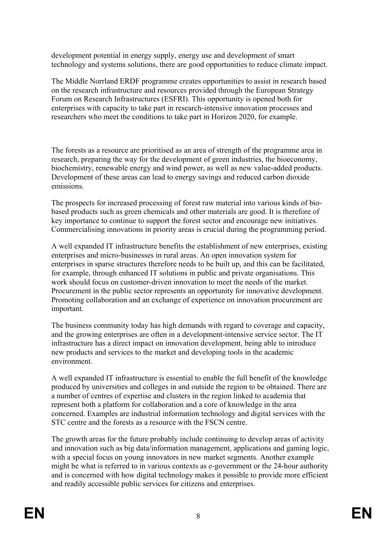development potential in energy supply, energy use and development of smart technology and systems solutions, there are good opportunities to reduce climate impact.

The Middle Norrland ERDF programme creates opportunities to assist in research based on the research infrastructure and resources provided through the European Strategy Forum on Research Infrastructures (ESFRI). This opportunity is opened both for enterprises with capacity to take part in research-intensive innovation processes and researchers who meet the conditions to take part in Horizon 2020, for example.

The forests as a resource are prioritised as an area of strength of the programme area in research, preparing the way for the development of green industries, the bioeconomy, biochemistry, renewable energy and wind power, as well as new value-added products. Development of these areas can lead to energy savings and reduced carbon dioxide emissions.

The prospects for increased processing of forest raw material into various kinds of biobased products such as green chemicals and other materials are good. It is therefore of key importance to continue to support the forest sector and encourage new initiatives. Commercialising innovations in priority areas is crucial during the programming period.

A well expanded IT infrastructure benefits the establishment of new enterprises, existing enterprises and micro-businesses in rural areas. An open innovation system for enterprises in sparse structures therefore needs to be built up, and this can be facilitated, for example, through enhanced IT solutions in public and private organisations. This work should focus on customer-driven innovation to meet the needs of the market. Procurement in the public sector represents an opportunity for innovative development. Promoting collaboration and an exchange of experience on innovation procurement are important.

The business community today has high demands with regard to coverage and capacity, and the growing enterprises are often in a development-intensive service sector. The IT infrastructure has a direct impact on innovation development, being able to introduce new products and services to the market and developing tools in the academic environment.

A well expanded IT infrastructure is essential to enable the full benefit of the knowledge produced by universities and colleges in and outside the region to be obtained. There are a number of centres of expertise and clusters in the region linked to academia that represent both a platform for collaboration and a core of knowledge in the area concerned. Examples are industrial information technology and digital services with the STC centre and the forests as a resource with the FSCN centre.

The growth areas for the future probably include continuing to develop areas of activity and innovation such as big data/information management, applications and gaming logic, with a special focus on young innovators in new market segments. Another example might be what is referred to in various contexts as e-government or the 24-hour authority and is concerned with how digital technology makes it possible to provide more efficient and readily accessible public services for citizens and enterprises.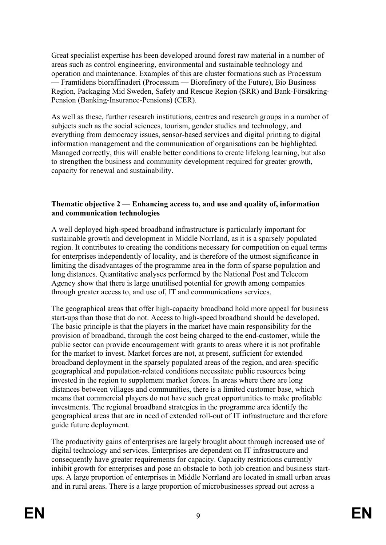Great specialist expertise has been developed around forest raw material in a number of areas such as control engineering, environmental and sustainable technology and operation and maintenance. Examples of this are cluster formations such as Processum — Framtidens bioraffinaderi (Processum — Biorefinery of the Future), Bio Business Region, Packaging Mid Sweden, Safety and Rescue Region (SRR) and Bank-Försäkring-Pension (Banking-Insurance-Pensions) (CER).

As well as these, further research institutions, centres and research groups in a number of subjects such as the social sciences, tourism, gender studies and technology, and everything from democracy issues, sensor-based services and digital printing to digital information management and the communication of organisations can be highlighted. Managed correctly, this will enable better conditions to create lifelong learning, but also to strengthen the business and community development required for greater growth, capacity for renewal and sustainability.

## **Thematic objective 2** — **Enhancing access to, and use and quality of, information and communication technologies**

A well deployed high-speed broadband infrastructure is particularly important for sustainable growth and development in Middle Norrland, as it is a sparsely populated region. It contributes to creating the conditions necessary for competition on equal terms for enterprises independently of locality, and is therefore of the utmost significance in limiting the disadvantages of the programme area in the form of sparse population and long distances. Quantitative analyses performed by the National Post and Telecom Agency show that there is large unutilised potential for growth among companies through greater access to, and use of, IT and communications services.

The geographical areas that offer high-capacity broadband hold more appeal for business start-ups than those that do not. Access to high-speed broadband should be developed. The basic principle is that the players in the market have main responsibility for the provision of broadband, through the cost being charged to the end-customer, while the public sector can provide encouragement with grants to areas where it is not profitable for the market to invest. Market forces are not, at present, sufficient for extended broadband deployment in the sparsely populated areas of the region, and area-specific geographical and population-related conditions necessitate public resources being invested in the region to supplement market forces. In areas where there are long distances between villages and communities, there is a limited customer base, which means that commercial players do not have such great opportunities to make profitable investments. The regional broadband strategies in the programme area identify the geographical areas that are in need of extended roll-out of IT infrastructure and therefore guide future deployment.

The productivity gains of enterprises are largely brought about through increased use of digital technology and services. Enterprises are dependent on IT infrastructure and consequently have greater requirements for capacity. Capacity restrictions currently inhibit growth for enterprises and pose an obstacle to both job creation and business startups. A large proportion of enterprises in Middle Norrland are located in small urban areas and in rural areas. There is a large proportion of microbusinesses spread out across a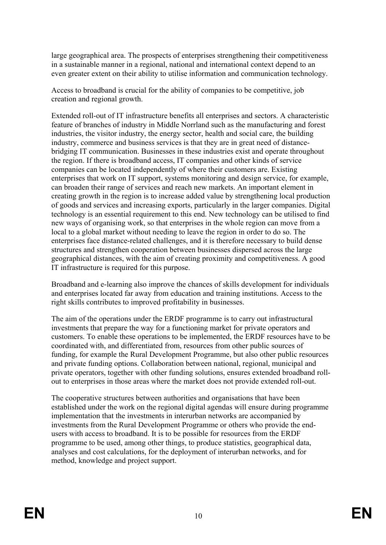large geographical area. The prospects of enterprises strengthening their competitiveness in a sustainable manner in a regional, national and international context depend to an even greater extent on their ability to utilise information and communication technology.

Access to broadband is crucial for the ability of companies to be competitive, job creation and regional growth.

Extended roll-out of IT infrastructure benefits all enterprises and sectors. A characteristic feature of branches of industry in Middle Norrland such as the manufacturing and forest industries, the visitor industry, the energy sector, health and social care, the building industry, commerce and business services is that they are in great need of distancebridging IT communication. Businesses in these industries exist and operate throughout the region. If there is broadband access, IT companies and other kinds of service companies can be located independently of where their customers are. Existing enterprises that work on IT support, systems monitoring and design service, for example, can broaden their range of services and reach new markets. An important element in creating growth in the region is to increase added value by strengthening local production of goods and services and increasing exports, particularly in the larger companies. Digital technology is an essential requirement to this end. New technology can be utilised to find new ways of organising work, so that enterprises in the whole region can move from a local to a global market without needing to leave the region in order to do so. The enterprises face distance-related challenges, and it is therefore necessary to build dense structures and strengthen cooperation between businesses dispersed across the large geographical distances, with the aim of creating proximity and competitiveness. A good IT infrastructure is required for this purpose.

Broadband and e-learning also improve the chances of skills development for individuals and enterprises located far away from education and training institutions. Access to the right skills contributes to improved profitability in businesses.

The aim of the operations under the ERDF programme is to carry out infrastructural investments that prepare the way for a functioning market for private operators and customers. To enable these operations to be implemented, the ERDF resources have to be coordinated with, and differentiated from, resources from other public sources of funding, for example the Rural Development Programme, but also other public resources and private funding options. Collaboration between national, regional, municipal and private operators, together with other funding solutions, ensures extended broadband rollout to enterprises in those areas where the market does not provide extended roll-out.

The cooperative structures between authorities and organisations that have been established under the work on the regional digital agendas will ensure during programme implementation that the investments in interurban networks are accompanied by investments from the Rural Development Programme or others who provide the endusers with access to broadband. It is to be possible for resources from the ERDF programme to be used, among other things, to produce statistics, geographical data, analyses and cost calculations, for the deployment of interurban networks, and for method, knowledge and project support.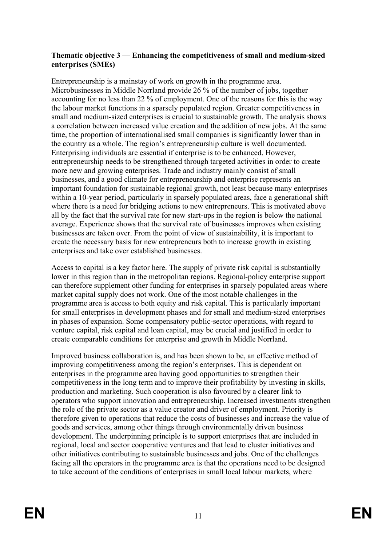### **Thematic objective 3** — **Enhancing the competitiveness of small and medium-sized enterprises (SMEs)**

Entrepreneurship is a mainstay of work on growth in the programme area. Microbusinesses in Middle Norrland provide 26 % of the number of jobs, together accounting for no less than 22 % of employment. One of the reasons for this is the way the labour market functions in a sparsely populated region. Greater competitiveness in small and medium-sized enterprises is crucial to sustainable growth. The analysis shows a correlation between increased value creation and the addition of new jobs. At the same time, the proportion of internationalised small companies is significantly lower than in the country as a whole. The region's entrepreneurship culture is well documented. Enterprising individuals are essential if enterprise is to be enhanced. However, entrepreneurship needs to be strengthened through targeted activities in order to create more new and growing enterprises. Trade and industry mainly consist of small businesses, and a good climate for entrepreneurship and enterprise represents an important foundation for sustainable regional growth, not least because many enterprises within a 10-year period, particularly in sparsely populated areas, face a generational shift where there is a need for bridging actions to new entrepreneurs. This is motivated above all by the fact that the survival rate for new start-ups in the region is below the national average. Experience shows that the survival rate of businesses improves when existing businesses are taken over. From the point of view of sustainability, it is important to create the necessary basis for new entrepreneurs both to increase growth in existing enterprises and take over established businesses.

Access to capital is a key factor here. The supply of private risk capital is substantially lower in this region than in the metropolitan regions. Regional-policy enterprise support can therefore supplement other funding for enterprises in sparsely populated areas where market capital supply does not work. One of the most notable challenges in the programme area is access to both equity and risk capital. This is particularly important for small enterprises in development phases and for small and medium-sized enterprises in phases of expansion. Some compensatory public-sector operations, with regard to venture capital, risk capital and loan capital, may be crucial and justified in order to create comparable conditions for enterprise and growth in Middle Norrland.

Improved business collaboration is, and has been shown to be, an effective method of improving competitiveness among the region's enterprises. This is dependent on enterprises in the programme area having good opportunities to strengthen their competitiveness in the long term and to improve their profitability by investing in skills, production and marketing. Such cooperation is also favoured by a clearer link to operators who support innovation and entrepreneurship. Increased investments strengthen the role of the private sector as a value creator and driver of employment. Priority is therefore given to operations that reduce the costs of businesses and increase the value of goods and services, among other things through environmentally driven business development. The underpinning principle is to support enterprises that are included in regional, local and sector cooperative ventures and that lead to cluster initiatives and other initiatives contributing to sustainable businesses and jobs. One of the challenges facing all the operators in the programme area is that the operations need to be designed to take account of the conditions of enterprises in small local labour markets, where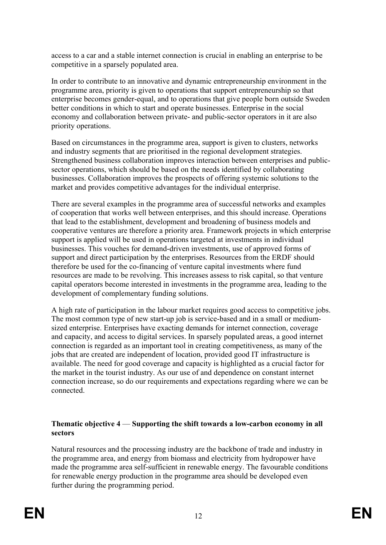access to a car and a stable internet connection is crucial in enabling an enterprise to be competitive in a sparsely populated area.

In order to contribute to an innovative and dynamic entrepreneurship environment in the programme area, priority is given to operations that support entrepreneurship so that enterprise becomes gender-equal, and to operations that give people born outside Sweden better conditions in which to start and operate businesses. Enterprise in the social economy and collaboration between private- and public-sector operators in it are also priority operations.

Based on circumstances in the programme area, support is given to clusters, networks and industry segments that are prioritised in the regional development strategies. Strengthened business collaboration improves interaction between enterprises and publicsector operations, which should be based on the needs identified by collaborating businesses. Collaboration improves the prospects of offering systemic solutions to the market and provides competitive advantages for the individual enterprise.

There are several examples in the programme area of successful networks and examples of cooperation that works well between enterprises, and this should increase. Operations that lead to the establishment, development and broadening of business models and cooperative ventures are therefore a priority area. Framework projects in which enterprise support is applied will be used in operations targeted at investments in individual businesses. This vouches for demand-driven investments, use of approved forms of support and direct participation by the enterprises. Resources from the ERDF should therefore be used for the co-financing of venture capital investments where fund resources are made to be revolving. This increases assess to risk capital, so that venture capital operators become interested in investments in the programme area, leading to the development of complementary funding solutions.

A high rate of participation in the labour market requires good access to competitive jobs. The most common type of new start-up job is service-based and in a small or mediumsized enterprise. Enterprises have exacting demands for internet connection, coverage and capacity, and access to digital services. In sparsely populated areas, a good internet connection is regarded as an important tool in creating competitiveness, as many of the jobs that are created are independent of location, provided good IT infrastructure is available. The need for good coverage and capacity is highlighted as a crucial factor for the market in the tourist industry. As our use of and dependence on constant internet connection increase, so do our requirements and expectations regarding where we can be connected.

## **Thematic objective 4** — **Supporting the shift towards a low-carbon economy in all sectors**

Natural resources and the processing industry are the backbone of trade and industry in the programme area, and energy from biomass and electricity from hydropower have made the programme area self-sufficient in renewable energy. The favourable conditions for renewable energy production in the programme area should be developed even further during the programming period.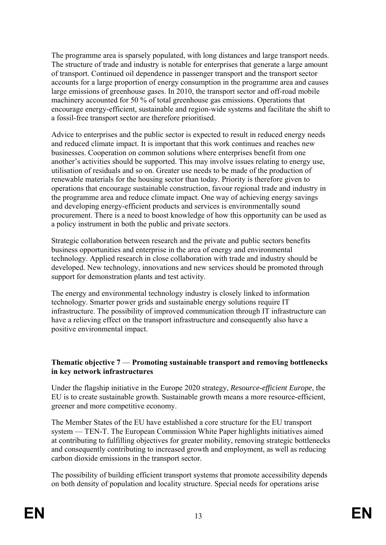The programme area is sparsely populated, with long distances and large transport needs. The structure of trade and industry is notable for enterprises that generate a large amount of transport. Continued oil dependence in passenger transport and the transport sector accounts for a large proportion of energy consumption in the programme area and causes large emissions of greenhouse gases. In 2010, the transport sector and off-road mobile machinery accounted for 50 % of total greenhouse gas emissions. Operations that encourage energy-efficient, sustainable and region-wide systems and facilitate the shift to a fossil-free transport sector are therefore prioritised.

Advice to enterprises and the public sector is expected to result in reduced energy needs and reduced climate impact. It is important that this work continues and reaches new businesses. Cooperation on common solutions where enterprises benefit from one another's activities should be supported. This may involve issues relating to energy use, utilisation of residuals and so on. Greater use needs to be made of the production of renewable materials for the housing sector than today. Priority is therefore given to operations that encourage sustainable construction, favour regional trade and industry in the programme area and reduce climate impact. One way of achieving energy savings and developing energy-efficient products and services is environmentally sound procurement. There is a need to boost knowledge of how this opportunity can be used as a policy instrument in both the public and private sectors.

Strategic collaboration between research and the private and public sectors benefits business opportunities and enterprise in the area of energy and environmental technology. Applied research in close collaboration with trade and industry should be developed. New technology, innovations and new services should be promoted through support for demonstration plants and test activity.

The energy and environmental technology industry is closely linked to information technology. Smarter power grids and sustainable energy solutions require IT infrastructure. The possibility of improved communication through IT infrastructure can have a relieving effect on the transport infrastructure and consequently also have a positive environmental impact.

### **Thematic objective 7** — **Promoting sustainable transport and removing bottlenecks in key network infrastructures**

Under the flagship initiative in the Europe 2020 strategy, *Resource-efficient Europe*, the EU is to create sustainable growth. Sustainable growth means a more resource-efficient, greener and more competitive economy.

The Member States of the EU have established a core structure for the EU transport system — TEN-T. The European Commission White Paper highlights initiatives aimed at contributing to fulfilling objectives for greater mobility, removing strategic bottlenecks and consequently contributing to increased growth and employment, as well as reducing carbon dioxide emissions in the transport sector.

The possibility of building efficient transport systems that promote accessibility depends on both density of population and locality structure. Special needs for operations arise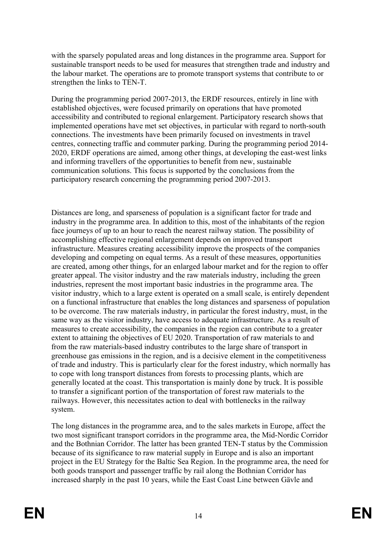with the sparsely populated areas and long distances in the programme area. Support for sustainable transport needs to be used for measures that strengthen trade and industry and the labour market. The operations are to promote transport systems that contribute to or strengthen the links to TEN-T.

During the programming period 2007-2013, the ERDF resources, entirely in line with established objectives, were focused primarily on operations that have promoted accessibility and contributed to regional enlargement. Participatory research shows that implemented operations have met set objectives, in particular with regard to north-south connections. The investments have been primarily focused on investments in travel centres, connecting traffic and commuter parking. During the programming period 2014- 2020, ERDF operations are aimed, among other things, at developing the east-west links and informing travellers of the opportunities to benefit from new, sustainable communication solutions. This focus is supported by the conclusions from the participatory research concerning the programming period 2007-2013.

Distances are long, and sparseness of population is a significant factor for trade and industry in the programme area. In addition to this, most of the inhabitants of the region face journeys of up to an hour to reach the nearest railway station. The possibility of accomplishing effective regional enlargement depends on improved transport infrastructure. Measures creating accessibility improve the prospects of the companies developing and competing on equal terms. As a result of these measures, opportunities are created, among other things, for an enlarged labour market and for the region to offer greater appeal. The visitor industry and the raw materials industry, including the green industries, represent the most important basic industries in the programme area. The visitor industry, which to a large extent is operated on a small scale, is entirely dependent on a functional infrastructure that enables the long distances and sparseness of population to be overcome. The raw materials industry, in particular the forest industry, must, in the same way as the visitor industry, have access to adequate infrastructure. As a result of measures to create accessibility, the companies in the region can contribute to a greater extent to attaining the objectives of EU 2020. Transportation of raw materials to and from the raw materials-based industry contributes to the large share of transport in greenhouse gas emissions in the region, and is a decisive element in the competitiveness of trade and industry. This is particularly clear for the forest industry, which normally has to cope with long transport distances from forests to processing plants, which are generally located at the coast. This transportation is mainly done by truck. It is possible to transfer a significant portion of the transportation of forest raw materials to the railways. However, this necessitates action to deal with bottlenecks in the railway system.

The long distances in the programme area, and to the sales markets in Europe, affect the two most significant transport corridors in the programme area, the Mid-Nordic Corridor and the Bothnian Corridor. The latter has been granted TEN-T status by the Commission because of its significance to raw material supply in Europe and is also an important project in the EU Strategy for the Baltic Sea Region. In the programme area, the need for both goods transport and passenger traffic by rail along the Bothnian Corridor has increased sharply in the past 10 years, while the East Coast Line between Gävle and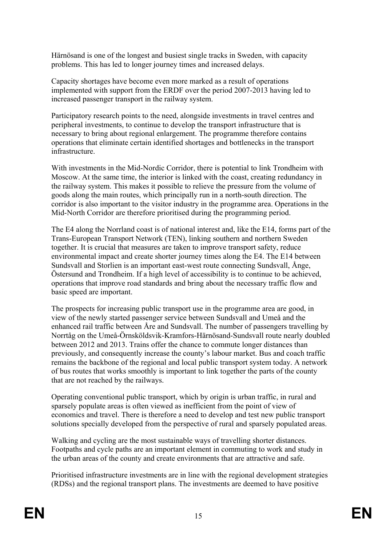Härnösand is one of the longest and busiest single tracks in Sweden, with capacity problems. This has led to longer journey times and increased delays.

Capacity shortages have become even more marked as a result of operations implemented with support from the ERDF over the period 2007-2013 having led to increased passenger transport in the railway system.

Participatory research points to the need, alongside investments in travel centres and peripheral investments, to continue to develop the transport infrastructure that is necessary to bring about regional enlargement. The programme therefore contains operations that eliminate certain identified shortages and bottlenecks in the transport infrastructure.

With investments in the Mid-Nordic Corridor, there is potential to link Trondheim with Moscow. At the same time, the interior is linked with the coast, creating redundancy in the railway system. This makes it possible to relieve the pressure from the volume of goods along the main routes, which principally run in a north-south direction. The corridor is also important to the visitor industry in the programme area. Operations in the Mid-North Corridor are therefore prioritised during the programming period.

The E4 along the Norrland coast is of national interest and, like the E14, forms part of the Trans-European Transport Network (TEN), linking southern and northern Sweden together. It is crucial that measures are taken to improve transport safety, reduce environmental impact and create shorter journey times along the E4. The E14 between Sundsvall and Storlien is an important east-west route connecting Sundsvall, Ånge, Östersund and Trondheim. If a high level of accessibility is to continue to be achieved, operations that improve road standards and bring about the necessary traffic flow and basic speed are important.

The prospects for increasing public transport use in the programme area are good, in view of the newly started passenger service between Sundsvall and Umeå and the enhanced rail traffic between Åre and Sundsvall. The number of passengers travelling by Norrtåg on the Umeå-Örnsköldsvik-Kramfors-Härnösand-Sundsvall route nearly doubled between 2012 and 2013. Trains offer the chance to commute longer distances than previously, and consequently increase the county's labour market. Bus and coach traffic remains the backbone of the regional and local public transport system today. A network of bus routes that works smoothly is important to link together the parts of the county that are not reached by the railways.

Operating conventional public transport, which by origin is urban traffic, in rural and sparsely populate areas is often viewed as inefficient from the point of view of economics and travel. There is therefore a need to develop and test new public transport solutions specially developed from the perspective of rural and sparsely populated areas.

Walking and cycling are the most sustainable ways of travelling shorter distances. Footpaths and cycle paths are an important element in commuting to work and study in the urban areas of the county and create environments that are attractive and safe.

Prioritised infrastructure investments are in line with the regional development strategies (RDSs) and the regional transport plans. The investments are deemed to have positive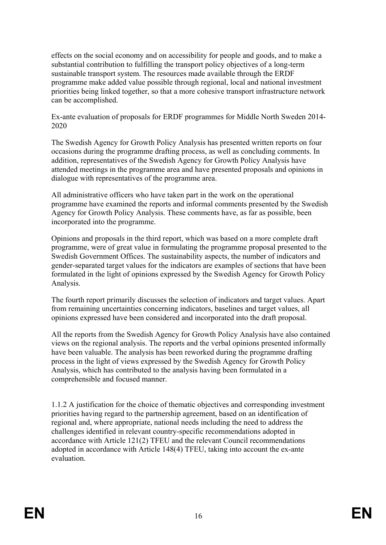effects on the social economy and on accessibility for people and goods, and to make a substantial contribution to fulfilling the transport policy objectives of a long-term sustainable transport system. The resources made available through the ERDF programme make added value possible through regional, local and national investment priorities being linked together, so that a more cohesive transport infrastructure network can be accomplished.

### Ex-ante evaluation of proposals for ERDF programmes for Middle North Sweden 2014- 2020

The Swedish Agency for Growth Policy Analysis has presented written reports on four occasions during the programme drafting process, as well as concluding comments. In addition, representatives of the Swedish Agency for Growth Policy Analysis have attended meetings in the programme area and have presented proposals and opinions in dialogue with representatives of the programme area.

All administrative officers who have taken part in the work on the operational programme have examined the reports and informal comments presented by the Swedish Agency for Growth Policy Analysis. These comments have, as far as possible, been incorporated into the programme.

Opinions and proposals in the third report, which was based on a more complete draft programme, were of great value in formulating the programme proposal presented to the Swedish Government Offices. The sustainability aspects, the number of indicators and gender-separated target values for the indicators are examples of sections that have been formulated in the light of opinions expressed by the Swedish Agency for Growth Policy Analysis.

The fourth report primarily discusses the selection of indicators and target values. Apart from remaining uncertainties concerning indicators, baselines and target values, all opinions expressed have been considered and incorporated into the draft proposal.

All the reports from the Swedish Agency for Growth Policy Analysis have also contained views on the regional analysis. The reports and the verbal opinions presented informally have been valuable. The analysis has been reworked during the programme drafting process in the light of views expressed by the Swedish Agency for Growth Policy Analysis, which has contributed to the analysis having been formulated in a comprehensible and focused manner.

1.1.2 A justification for the choice of thematic objectives and corresponding investment priorities having regard to the partnership agreement, based on an identification of regional and, where appropriate, national needs including the need to address the challenges identified in relevant country-specific recommendations adopted in accordance with Article 121(2) TFEU and the relevant Council recommendations adopted in accordance with Article 148(4) TFEU, taking into account the ex-ante evaluation.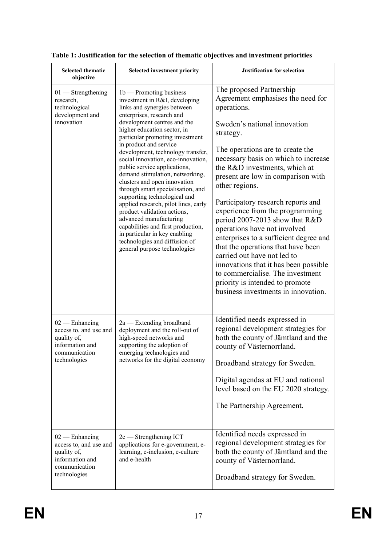| <b>Selected thematic</b><br>objective                                                                         | <b>Selected investment priority</b>                                                                                                                                                                                                                                                                                                                                                                                                                                                                                                                                                                                                                                                                                                           | <b>Justification for selection</b>                                                                                                                                                                                                                                                                                                                                                                                                                                                                                                                                                                                                                                                                              |
|---------------------------------------------------------------------------------------------------------------|-----------------------------------------------------------------------------------------------------------------------------------------------------------------------------------------------------------------------------------------------------------------------------------------------------------------------------------------------------------------------------------------------------------------------------------------------------------------------------------------------------------------------------------------------------------------------------------------------------------------------------------------------------------------------------------------------------------------------------------------------|-----------------------------------------------------------------------------------------------------------------------------------------------------------------------------------------------------------------------------------------------------------------------------------------------------------------------------------------------------------------------------------------------------------------------------------------------------------------------------------------------------------------------------------------------------------------------------------------------------------------------------------------------------------------------------------------------------------------|
| $01$ — Strengthening<br>research,<br>technological<br>development and<br>innovation                           | $1b$ – Promoting business<br>investment in R&I, developing<br>links and synergies between<br>enterprises, research and<br>development centres and the<br>higher education sector, in<br>particular promoting investment<br>in product and service<br>development, technology transfer,<br>social innovation, eco-innovation,<br>public service applications,<br>demand stimulation, networking,<br>clusters and open innovation<br>through smart specialisation, and<br>supporting technological and<br>applied research, pilot lines, early<br>product validation actions,<br>advanced manufacturing<br>capabilities and first production,<br>in particular in key enabling<br>technologies and diffusion of<br>general purpose technologies | The proposed Partnership<br>Agreement emphasises the need for<br>operations.<br>Sweden's national innovation<br>strategy.<br>The operations are to create the<br>necessary basis on which to increase<br>the R&D investments, which at<br>present are low in comparison with<br>other regions.<br>Participatory research reports and<br>experience from the programming<br>period 2007-2013 show that R&D<br>operations have not involved<br>enterprises to a sufficient degree and<br>that the operations that have been<br>carried out have not led to<br>innovations that it has been possible<br>to commercialise. The investment<br>priority is intended to promote<br>business investments in innovation. |
| $02$ — Enhancing<br>access to, and use and<br>quality of,<br>information and<br>communication<br>technologies | 2a — Extending broadband<br>deployment and the roll-out of<br>high-speed networks and<br>supporting the adoption of<br>emerging technologies and<br>networks for the digital economy                                                                                                                                                                                                                                                                                                                                                                                                                                                                                                                                                          | Identified needs expressed in<br>regional development strategies for<br>both the county of Jämtland and the<br>county of Västernorrland.<br>Broadband strategy for Sweden.<br>Digital agendas at EU and national<br>level based on the EU 2020 strategy.<br>The Partnership Agreement.                                                                                                                                                                                                                                                                                                                                                                                                                          |
| $02$ — Enhancing<br>access to, and use and<br>quality of,<br>information and<br>communication<br>technologies | $2c$ - Strengthening ICT<br>applications for e-government, e-<br>learning, e-inclusion, e-culture<br>and e-health                                                                                                                                                                                                                                                                                                                                                                                                                                                                                                                                                                                                                             | Identified needs expressed in<br>regional development strategies for<br>both the county of Jämtland and the<br>county of Västernorrland.<br>Broadband strategy for Sweden.                                                                                                                                                                                                                                                                                                                                                                                                                                                                                                                                      |

|  |  |  | Table 1: Justification for the selection of thematic objectives and investment priorities |
|--|--|--|-------------------------------------------------------------------------------------------|
|--|--|--|-------------------------------------------------------------------------------------------|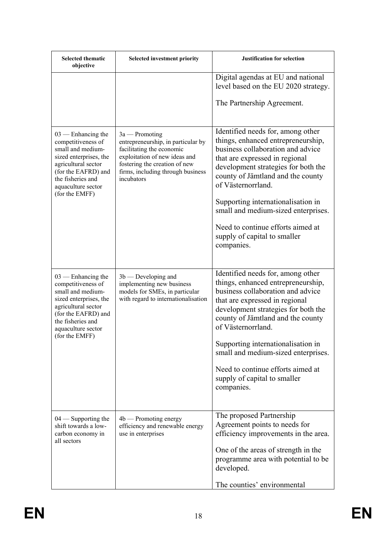| <b>Selected thematic</b><br>objective                                                                                                                                                                | <b>Selected investment priority</b>                                                                                                                                                                      | <b>Justification for selection</b>                                                                                                                                                                                                                                                                                                                                 |
|------------------------------------------------------------------------------------------------------------------------------------------------------------------------------------------------------|----------------------------------------------------------------------------------------------------------------------------------------------------------------------------------------------------------|--------------------------------------------------------------------------------------------------------------------------------------------------------------------------------------------------------------------------------------------------------------------------------------------------------------------------------------------------------------------|
|                                                                                                                                                                                                      |                                                                                                                                                                                                          | Digital agendas at EU and national<br>level based on the EU 2020 strategy.                                                                                                                                                                                                                                                                                         |
|                                                                                                                                                                                                      |                                                                                                                                                                                                          | The Partnership Agreement.                                                                                                                                                                                                                                                                                                                                         |
| $03$ — Enhancing the<br>competitiveness of<br>small and medium-<br>sized enterprises, the<br>agricultural sector<br>(for the EAFRD) and<br>the fisheries and<br>aquaculture sector<br>(for the EMFF) | $3a -$ Promoting<br>entrepreneurship, in particular by<br>facilitating the economic<br>exploitation of new ideas and<br>fostering the creation of new<br>firms, including through business<br>incubators | Identified needs for, among other<br>things, enhanced entrepreneurship,<br>business collaboration and advice<br>that are expressed in regional<br>development strategies for both the<br>county of Jämtland and the county<br>of Västernorrland.<br>Supporting internationalisation in<br>small and medium-sized enterprises.<br>Need to continue efforts aimed at |
|                                                                                                                                                                                                      |                                                                                                                                                                                                          | supply of capital to smaller<br>companies.                                                                                                                                                                                                                                                                                                                         |
| $03$ — Enhancing the<br>competitiveness of<br>small and medium-<br>sized enterprises, the<br>agricultural sector<br>(for the EAFRD) and<br>the fisheries and<br>aquaculture sector                   | $3b$ — Developing and<br>implementing new business<br>models for SMEs, in particular<br>with regard to internationalisation                                                                              | Identified needs for, among other<br>things, enhanced entrepreneurship,<br>business collaboration and advice<br>that are expressed in regional<br>development strategies for both the<br>county of Jämtland and the county<br>of Västernorrland.                                                                                                                   |
| (for the EMFF)                                                                                                                                                                                       |                                                                                                                                                                                                          | Supporting internationalisation in<br>small and medium-sized enterprises.                                                                                                                                                                                                                                                                                          |
|                                                                                                                                                                                                      |                                                                                                                                                                                                          | Need to continue efforts aimed at<br>supply of capital to smaller<br>companies.                                                                                                                                                                                                                                                                                    |
| $04$ — Supporting the<br>shift towards a low-<br>carbon economy in<br>all sectors                                                                                                                    | $4b$ — Promoting energy<br>efficiency and renewable energy<br>use in enterprises                                                                                                                         | The proposed Partnership<br>Agreement points to needs for<br>efficiency improvements in the area.                                                                                                                                                                                                                                                                  |
|                                                                                                                                                                                                      |                                                                                                                                                                                                          | One of the areas of strength in the<br>programme area with potential to be<br>developed.                                                                                                                                                                                                                                                                           |
|                                                                                                                                                                                                      |                                                                                                                                                                                                          | The counties' environmental                                                                                                                                                                                                                                                                                                                                        |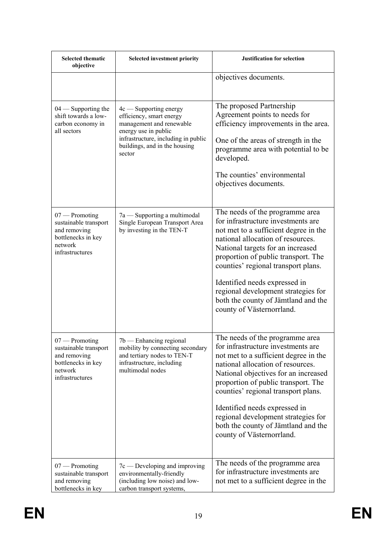| <b>Selected thematic</b><br>objective                                                                         | <b>Selected investment priority</b>                                                                                                                                                        | <b>Justification for selection</b>                                                                                                                                                                                                                                                                                                                                                                                    |
|---------------------------------------------------------------------------------------------------------------|--------------------------------------------------------------------------------------------------------------------------------------------------------------------------------------------|-----------------------------------------------------------------------------------------------------------------------------------------------------------------------------------------------------------------------------------------------------------------------------------------------------------------------------------------------------------------------------------------------------------------------|
|                                                                                                               |                                                                                                                                                                                            | objectives documents.                                                                                                                                                                                                                                                                                                                                                                                                 |
| $04$ — Supporting the<br>shift towards a low-<br>carbon economy in<br>all sectors                             | $4c$ — Supporting energy<br>efficiency, smart energy<br>management and renewable<br>energy use in public<br>infrastructure, including in public<br>buildings, and in the housing<br>sector | The proposed Partnership<br>Agreement points to needs for<br>efficiency improvements in the area.<br>One of the areas of strength in the<br>programme area with potential to be<br>developed.<br>The counties' environmental<br>objectives documents.                                                                                                                                                                 |
| $07$ — Promoting<br>sustainable transport<br>and removing<br>bottlenecks in key<br>network<br>infrastructures | 7a — Supporting a multimodal<br>Single European Transport Area<br>by investing in the TEN-T                                                                                                | The needs of the programme area<br>for infrastructure investments are<br>not met to a sufficient degree in the<br>national allocation of resources.<br>National targets for an increased<br>proportion of public transport. The<br>counties' regional transport plans.<br>Identified needs expressed in<br>regional development strategies for<br>both the county of Jämtland and the<br>county of Västernorrland.    |
| 07 — Promoting<br>sustainable transport<br>and removing<br>bottlenecks in key<br>network<br>infrastructures   | 7b — Enhancing regional<br>mobility by connecting secondary<br>and tertiary nodes to TEN-T<br>infrastructure, including<br>multimodal nodes                                                | The needs of the programme area<br>for infrastructure investments are<br>not met to a sufficient degree in the<br>national allocation of resources.<br>National objectives for an increased<br>proportion of public transport. The<br>counties' regional transport plans.<br>Identified needs expressed in<br>regional development strategies for<br>both the county of Jämtland and the<br>county of Västernorrland. |
| $07$ — Promoting<br>sustainable transport<br>and removing<br>bottlenecks in key                               | $7c$ — Developing and improving<br>environmentally-friendly<br>(including low noise) and low-<br>carbon transport systems,                                                                 | The needs of the programme area<br>for infrastructure investments are<br>not met to a sufficient degree in the                                                                                                                                                                                                                                                                                                        |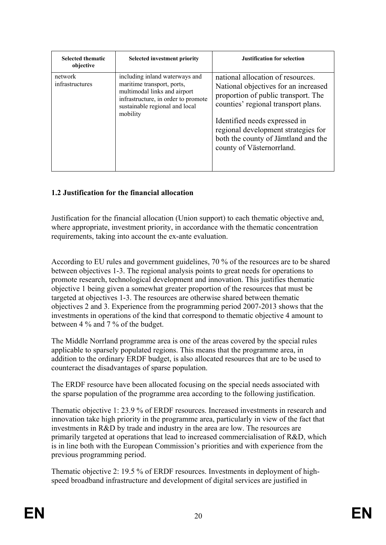| <b>Selected thematic</b><br>objective | <b>Selected investment priority</b>                                                                                                                                               | <b>Justification for selection</b>                                                                                                                                                                                                                                                                  |
|---------------------------------------|-----------------------------------------------------------------------------------------------------------------------------------------------------------------------------------|-----------------------------------------------------------------------------------------------------------------------------------------------------------------------------------------------------------------------------------------------------------------------------------------------------|
| network<br>infrastructures            | including inland waterways and<br>maritime transport, ports,<br>multimodal links and airport<br>infrastructure, in order to promote<br>sustainable regional and local<br>mobility | national allocation of resources.<br>National objectives for an increased<br>proportion of public transport. The<br>counties' regional transport plans.<br>Identified needs expressed in<br>regional development strategies for<br>both the county of Jämtland and the<br>county of Västernorrland. |

# **1.2 Justification for the financial allocation**

Justification for the financial allocation (Union support) to each thematic objective and, where appropriate, investment priority, in accordance with the thematic concentration requirements, taking into account the ex-ante evaluation.

According to EU rules and government guidelines, 70 % of the resources are to be shared between objectives 1-3. The regional analysis points to great needs for operations to promote research, technological development and innovation. This justifies thematic objective 1 being given a somewhat greater proportion of the resources that must be targeted at objectives 1-3. The resources are otherwise shared between thematic objectives 2 and 3. Experience from the programming period 2007-2013 shows that the investments in operations of the kind that correspond to thematic objective 4 amount to between 4 % and 7 % of the budget.

The Middle Norrland programme area is one of the areas covered by the special rules applicable to sparsely populated regions. This means that the programme area, in addition to the ordinary ERDF budget, is also allocated resources that are to be used to counteract the disadvantages of sparse population.

The ERDF resource have been allocated focusing on the special needs associated with the sparse population of the programme area according to the following justification.

Thematic objective 1: 23.9 % of ERDF resources. Increased investments in research and innovation take high priority in the programme area, particularly in view of the fact that investments in R&D by trade and industry in the area are low. The resources are primarily targeted at operations that lead to increased commercialisation of R&D, which is in line both with the European Commission's priorities and with experience from the previous programming period.

Thematic objective 2: 19.5 % of ERDF resources. Investments in deployment of highspeed broadband infrastructure and development of digital services are justified in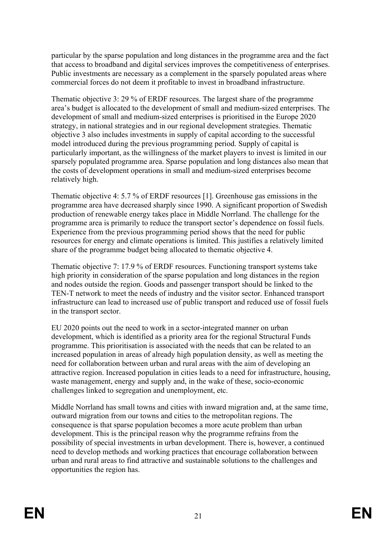particular by the sparse population and long distances in the programme area and the fact that access to broadband and digital services improves the competitiveness of enterprises. Public investments are necessary as a complement in the sparsely populated areas where commercial forces do not deem it profitable to invest in broadband infrastructure.

Thematic objective 3: 29 % of ERDF resources. The largest share of the programme area's budget is allocated to the development of small and medium-sized enterprises. The development of small and medium-sized enterprises is prioritised in the Europe 2020 strategy, in national strategies and in our regional development strategies. Thematic objective 3 also includes investments in supply of capital according to the successful model introduced during the previous programming period. Supply of capital is particularly important, as the willingness of the market players to invest is limited in our sparsely populated programme area. Sparse population and long distances also mean that the costs of development operations in small and medium-sized enterprises become relatively high.

Thematic objective 4: 5.7 % of ERDF resources [1]. Greenhouse gas emissions in the programme area have decreased sharply since 1990. A significant proportion of Swedish production of renewable energy takes place in Middle Norrland. The challenge for the programme area is primarily to reduce the transport sector's dependence on fossil fuels. Experience from the previous programming period shows that the need for public resources for energy and climate operations is limited. This justifies a relatively limited share of the programme budget being allocated to thematic objective 4.

Thematic objective 7: 17.9 % of ERDF resources. Functioning transport systems take high priority in consideration of the sparse population and long distances in the region and nodes outside the region. Goods and passenger transport should be linked to the TEN-T network to meet the needs of industry and the visitor sector. Enhanced transport infrastructure can lead to increased use of public transport and reduced use of fossil fuels in the transport sector.

EU 2020 points out the need to work in a sector-integrated manner on urban development, which is identified as a priority area for the regional Structural Funds programme. This prioritisation is associated with the needs that can be related to an increased population in areas of already high population density, as well as meeting the need for collaboration between urban and rural areas with the aim of developing an attractive region. Increased population in cities leads to a need for infrastructure, housing, waste management, energy and supply and, in the wake of these, socio-economic challenges linked to segregation and unemployment, etc.

Middle Norrland has small towns and cities with inward migration and, at the same time, outward migration from our towns and cities to the metropolitan regions. The consequence is that sparse population becomes a more acute problem than urban development. This is the principal reason why the programme refrains from the possibility of special investments in urban development. There is, however, a continued need to develop methods and working practices that encourage collaboration between urban and rural areas to find attractive and sustainable solutions to the challenges and opportunities the region has.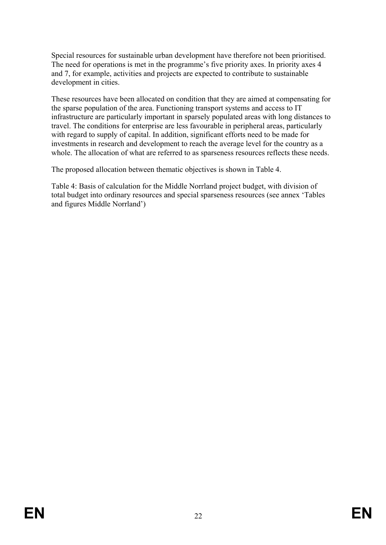Special resources for sustainable urban development have therefore not been prioritised. The need for operations is met in the programme's five priority axes. In priority axes 4 and 7, for example, activities and projects are expected to contribute to sustainable development in cities.

These resources have been allocated on condition that they are aimed at compensating for the sparse population of the area. Functioning transport systems and access to IT infrastructure are particularly important in sparsely populated areas with long distances to travel. The conditions for enterprise are less favourable in peripheral areas, particularly with regard to supply of capital. In addition, significant efforts need to be made for investments in research and development to reach the average level for the country as a whole. The allocation of what are referred to as sparseness resources reflects these needs.

The proposed allocation between thematic objectives is shown in Table 4.

Table 4: Basis of calculation for the Middle Norrland project budget, with division of total budget into ordinary resources and special sparseness resources (see annex 'Tables and figures Middle Norrland')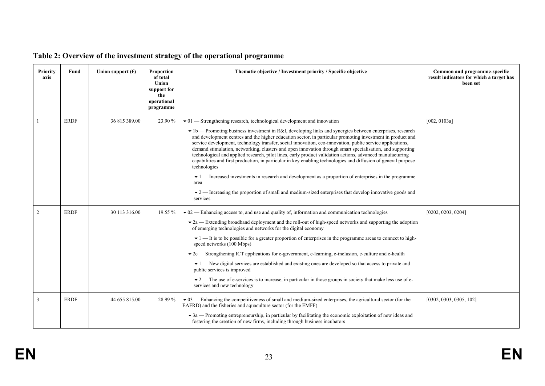| Priority<br>axis | Fund        | Union support $(\epsilon)$ | <b>Proportion</b><br>of total<br>Union<br>support for<br>the<br>operational<br>programme | Thematic objective / Investment priority / Specific objective                                                                                                                                                                                                                                                                                                                                                                                                                                                                                                                                                                                                                                                                                                                                                                                                                                                                                                                                                                                 | Common and programme-specific<br>result indicators for which a target has<br>been set |
|------------------|-------------|----------------------------|------------------------------------------------------------------------------------------|-----------------------------------------------------------------------------------------------------------------------------------------------------------------------------------------------------------------------------------------------------------------------------------------------------------------------------------------------------------------------------------------------------------------------------------------------------------------------------------------------------------------------------------------------------------------------------------------------------------------------------------------------------------------------------------------------------------------------------------------------------------------------------------------------------------------------------------------------------------------------------------------------------------------------------------------------------------------------------------------------------------------------------------------------|---------------------------------------------------------------------------------------|
|                  | <b>ERDF</b> | 36 815 389.00              | 23.90 %                                                                                  | $\bullet$ 01 — Strengthening research, technological development and innovation<br>• 1b — Promoting business investment in R&I, developing links and synergies between enterprises, research<br>and development centres and the higher education sector, in particular promoting investment in product and<br>service development, technology transfer, social innovation, eco-innovation, public service applications,<br>demand stimulation, networking, clusters and open innovation through smart specialisation, and supporting<br>technological and applied research, pilot lines, early product validation actions, advanced manufacturing<br>capabilities and first production, in particular in key enabling technologies and diffusion of general purpose<br>technologies<br>$\bullet$ 1 — Increased investments in research and development as a proportion of enterprises in the programme<br>area<br>$\bullet$ 2 — Increasing the proportion of small and medium-sized enterprises that develop innovative goods and<br>services | [002, 0103a]                                                                          |
| $\overline{2}$   | <b>ERDF</b> | 30 113 316.00              | 19.55 %                                                                                  | $\bullet$ 02 — Enhancing access to, and use and quality of, information and communication technologies<br>$\bullet$ 2a — Extending broadband deployment and the roll-out of high-speed networks and supporting the adoption<br>of emerging technologies and networks for the digital economy<br>$\blacktriangleright$ 1 — It is to be possible for a greater proportion of enterprises in the programme areas to connect to high-<br>speed networks (100 Mbps)<br>$\bullet$ 2c — Strengthening ICT applications for e-government, e-learning, e-inclusion, e-culture and e-health<br>$\blacktriangleright$ 1 — New digital services are established and existing ones are developed so that access to private and<br>public services is improved<br>$\bullet$ 2 — The use of e-services is to increase, in particular in those groups in society that make less use of e-<br>services and new technology                                                                                                                                      | [0202, 0203, 0204]                                                                    |
| 3                | <b>ERDF</b> | 44 655 815.00              | 28.99%                                                                                   | $\bullet$ 03 — Enhancing the competitiveness of small and medium-sized enterprises, the agricultural sector (for the<br>EAFRD) and the fisheries and aquaculture sector (for the EMFF)<br>$\bullet$ 3a — Promoting entrepreneurship, in particular by facilitating the economic exploitation of new ideas and<br>fostering the creation of new firms, including through business incubators                                                                                                                                                                                                                                                                                                                                                                                                                                                                                                                                                                                                                                                   | [0302, 0303, 0305, 102]                                                               |

# **Table 2: Overview of the investment strategy of the operational programme**

**EN**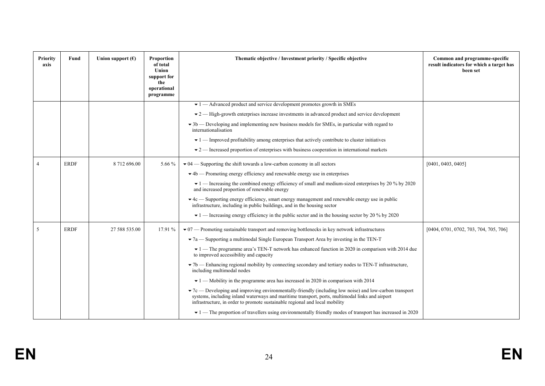| <b>Priority</b><br>axis | Fund        | Union support $(\epsilon)$ | <b>Proportion</b><br>of total<br>Union<br>support for<br>the<br>operational<br>programme | Thematic objective / Investment priority / Specific objective                                                                                                                                                                                                                                     | Common and programme-specific<br>result indicators for which a target has<br>been set |
|-------------------------|-------------|----------------------------|------------------------------------------------------------------------------------------|---------------------------------------------------------------------------------------------------------------------------------------------------------------------------------------------------------------------------------------------------------------------------------------------------|---------------------------------------------------------------------------------------|
|                         |             |                            |                                                                                          | $\blacktriangleright$ 1 — Advanced product and service development promotes growth in SMEs                                                                                                                                                                                                        |                                                                                       |
|                         |             |                            |                                                                                          | $\bullet$ 2 — High-growth enterprises increase investments in advanced product and service development                                                                                                                                                                                            |                                                                                       |
|                         |             |                            |                                                                                          | $\bullet$ 3b — Developing and implementing new business models for SMEs, in particular with regard to<br>internationalisation                                                                                                                                                                     |                                                                                       |
|                         |             |                            |                                                                                          | $\bullet$ 1 — Improved profitability among enterprises that actively contribute to cluster initiatives                                                                                                                                                                                            |                                                                                       |
|                         |             |                            |                                                                                          | $\blacktriangleright$ 2 — Increased proportion of enterprises with business cooperation in international markets                                                                                                                                                                                  |                                                                                       |
|                         | <b>ERDF</b> | 8 712 696.00               | 5.66 %                                                                                   | $\blacktriangleright$ 04 — Supporting the shift towards a low-carbon economy in all sectors                                                                                                                                                                                                       | [0401, 0403, 0405]                                                                    |
|                         |             |                            |                                                                                          | $\blacktriangleright$ 4b — Promoting energy efficiency and renewable energy use in enterprises                                                                                                                                                                                                    |                                                                                       |
|                         |             |                            |                                                                                          | $\blacktriangleright$ 1 — Increasing the combined energy efficiency of small and medium-sized enterprises by 20 % by 2020<br>and increased proportion of renewable energy                                                                                                                         |                                                                                       |
|                         |             |                            |                                                                                          | $\bullet$ 4c — Supporting energy efficiency, smart energy management and renewable energy use in public<br>infrastructure, including in public buildings, and in the housing sector                                                                                                               |                                                                                       |
|                         |             |                            |                                                                                          | $\bullet$ 1 — Increasing energy efficiency in the public sector and in the housing sector by 20 % by 2020                                                                                                                                                                                         |                                                                                       |
| 5                       | <b>ERDF</b> | 27 588 535.00              | 17.91 %                                                                                  | $\bullet$ 07 — Promoting sustainable transport and removing bottlenecks in key network infrastructures                                                                                                                                                                                            | [0404, 0701, 0702, 703, 704, 705, 706]                                                |
|                         |             |                            |                                                                                          | $\blacktriangleright$ 7a — Supporting a multimodal Single European Transport Area by investing in the TEN-T                                                                                                                                                                                       |                                                                                       |
|                         |             |                            |                                                                                          | $\bullet$ 1 — The programme area's TEN-T network has enhanced function in 2020 in comparison with 2014 due<br>to improved accessibility and capacity                                                                                                                                              |                                                                                       |
|                         |             |                            |                                                                                          | $\blacktriangleright$ 7b — Enhancing regional mobility by connecting secondary and tertiary nodes to TEN-T infrastructure,<br>including multimodal nodes                                                                                                                                          |                                                                                       |
|                         |             |                            |                                                                                          | $\blacktriangleright$ 1 — Mobility in the programme area has increased in 2020 in comparison with 2014                                                                                                                                                                                            |                                                                                       |
|                         |             |                            |                                                                                          | $\bullet$ 7c — Developing and improving environmentally-friendly (including low noise) and low-carbon transport<br>systems, including inland waterways and maritime transport, ports, multimodal links and airport<br>infrastructure, in order to promote sustainable regional and local mobility |                                                                                       |
|                         |             |                            |                                                                                          | $\bullet$ 1 — The proportion of travellers using environmentally friendly modes of transport has increased in 2020                                                                                                                                                                                |                                                                                       |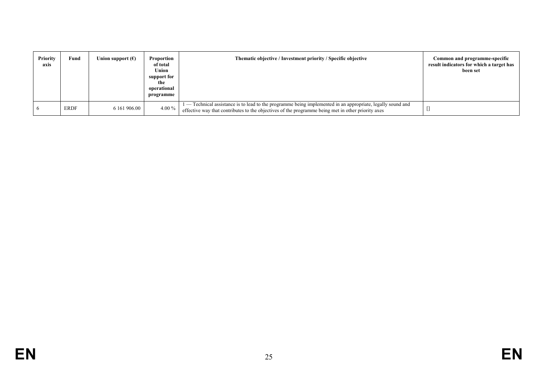| <b>Priority</b><br>axis | Fund        | Union support $(\epsilon)$ | Proportion<br>of total<br>Union<br>support for<br>the<br>operational<br>programme | Thematic objective / Investment priority / Specific objective                                                                                                                                                   | Common and programme-specific<br>result indicators for which a target has<br>been set |
|-------------------------|-------------|----------------------------|-----------------------------------------------------------------------------------|-----------------------------------------------------------------------------------------------------------------------------------------------------------------------------------------------------------------|---------------------------------------------------------------------------------------|
|                         | <b>ERDF</b> | 6 161 906.00               | 4.00 %                                                                            | - Technical assistance is to lead to the programme being implemented in an appropriate, legally sound and<br>effective way that contributes to the objectives of the programme being met in other priority axes |                                                                                       |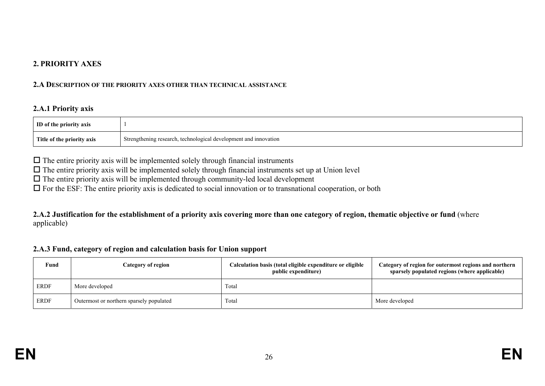### **2. PRIORITY AXES**

#### **2.A DESCRIPTION OF THE PRIORITY AXES OTHER THAN TECHNICAL ASSISTANCE**

### **2.A.1 Priority axis**

| <b>ID</b> of the priority axis |                                                                  |
|--------------------------------|------------------------------------------------------------------|
| Title of the priority axis     | Strengthening research, technological development and innovation |

 $\Box$  The entire priority axis will be implemented solely through financial instruments

 $\Box$  The entire priority axis will be implemented solely through financial instruments set up at Union level

 $\Box$  The entire priority axis will be implemented through community-led local development

For the ESF: The entire priority axis is dedicated to social innovation or to transnational cooperation, or both

**2.A.2 Justification for the establishment of a priority axis covering more than one category of region, thematic objective or fund** (where applicable)

#### **2.A.3 Fund, category of region and calculation basis for Union support**

| Fund        | Category of region                       | Calculation basis (total eligible expenditure or eligible<br>public expenditure) | Category of region for outermost regions and northern<br>sparsely populated regions (where applicable) |
|-------------|------------------------------------------|----------------------------------------------------------------------------------|--------------------------------------------------------------------------------------------------------|
| <b>ERDF</b> | More developed                           | Total                                                                            |                                                                                                        |
| <b>ERDF</b> | Outermost or northern sparsely populated | Total                                                                            | More developed                                                                                         |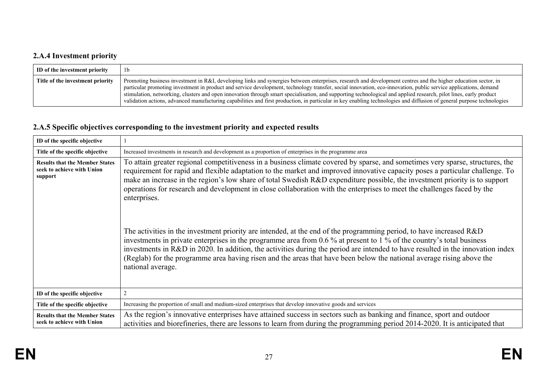# **2.A.4 Investment priority**

| ID of the investment priority    | 1 <sub>b</sub>                                                                                                                                                                                                                                                                                                                                                                                                                                                                                                                                                                                                                                                                   |
|----------------------------------|----------------------------------------------------------------------------------------------------------------------------------------------------------------------------------------------------------------------------------------------------------------------------------------------------------------------------------------------------------------------------------------------------------------------------------------------------------------------------------------------------------------------------------------------------------------------------------------------------------------------------------------------------------------------------------|
| Title of the investment priority | Promoting business investment in R&I, developing links and synergies between enterprises, research and development centres and the higher education sector, in<br>particular promoting investment in product and service development, technology transfer, social innovation, eco-innovation, public service applications, demand<br>stimulation, networking, clusters and open innovation through smart specialisation, and supporting technological and applied research, pilot lines, early product<br>validation actions, advanced manufacturing capabilities and first production, in particular in key enabling technologies and diffusion of general purpose technologies |

# **2.A.5 Specific objectives corresponding to the investment priority and expected results**

| ID of the specific objective                                                   |                                                                                                                                                                                                                                                                                                                                                                                                                                                                                                                                                                                                                                                                                                                                                                                                                                                                                                                                                                                                                                                                            |
|--------------------------------------------------------------------------------|----------------------------------------------------------------------------------------------------------------------------------------------------------------------------------------------------------------------------------------------------------------------------------------------------------------------------------------------------------------------------------------------------------------------------------------------------------------------------------------------------------------------------------------------------------------------------------------------------------------------------------------------------------------------------------------------------------------------------------------------------------------------------------------------------------------------------------------------------------------------------------------------------------------------------------------------------------------------------------------------------------------------------------------------------------------------------|
| Title of the specific objective                                                | Increased investments in research and development as a proportion of enterprises in the programme area                                                                                                                                                                                                                                                                                                                                                                                                                                                                                                                                                                                                                                                                                                                                                                                                                                                                                                                                                                     |
| <b>Results that the Member States</b><br>seek to achieve with Union<br>support | To attain greater regional competitiveness in a business climate covered by sparse, and sometimes very sparse, structures, the<br>requirement for rapid and flexible adaptation to the market and improved innovative capacity poses a particular challenge. To<br>make an increase in the region's low share of total Swedish R&D expenditure possible, the investment priority is to support<br>operations for research and development in close collaboration with the enterprises to meet the challenges faced by the<br>enterprises.<br>The activities in the investment priority are intended, at the end of the programming period, to have increased R&D<br>investments in private enterprises in the programme area from 0.6 % at present to 1 % of the country's total business<br>investments in R&D in 2020. In addition, the activities during the period are intended to have resulted in the innovation index<br>(Reglab) for the programme area having risen and the areas that have been below the national average rising above the<br>national average. |
| ID of the specific objective                                                   | $\overline{2}$                                                                                                                                                                                                                                                                                                                                                                                                                                                                                                                                                                                                                                                                                                                                                                                                                                                                                                                                                                                                                                                             |
| Title of the specific objective                                                | Increasing the proportion of small and medium-sized enterprises that develop innovative goods and services                                                                                                                                                                                                                                                                                                                                                                                                                                                                                                                                                                                                                                                                                                                                                                                                                                                                                                                                                                 |
| <b>Results that the Member States</b><br>seek to achieve with Union            | As the region's innovative enterprises have attained success in sectors such as banking and finance, sport and outdoor<br>activities and biorefineries, there are lessons to learn from during the programming period 2014-2020. It is anticipated that                                                                                                                                                                                                                                                                                                                                                                                                                                                                                                                                                                                                                                                                                                                                                                                                                    |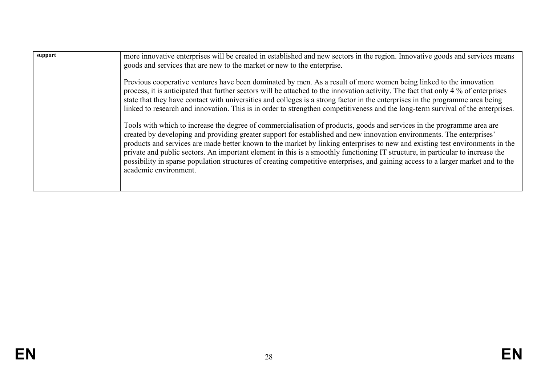| support | more innovative enterprises will be created in established and new sectors in the region. Innovative goods and services means<br>goods and services that are new to the market or new to the enterprise.                                                                                                                                                                                                                                                                                                                                                                                                                                                                         |
|---------|----------------------------------------------------------------------------------------------------------------------------------------------------------------------------------------------------------------------------------------------------------------------------------------------------------------------------------------------------------------------------------------------------------------------------------------------------------------------------------------------------------------------------------------------------------------------------------------------------------------------------------------------------------------------------------|
|         | Previous cooperative ventures have been dominated by men. As a result of more women being linked to the innovation<br>process, it is anticipated that further sectors will be attached to the innovation activity. The fact that only 4 % of enterprises<br>state that they have contact with universities and colleges is a strong factor in the enterprises in the programme area being<br>linked to research and innovation. This is in order to strengthen competitiveness and the long-term survival of the enterprises.                                                                                                                                                    |
|         | Tools with which to increase the degree of commercialisation of products, goods and services in the programme area are<br>created by developing and providing greater support for established and new innovation environments. The enterprises'<br>products and services are made better known to the market by linking enterprises to new and existing test environments in the<br>private and public sectors. An important element in this is a smoothly functioning IT structure, in particular to increase the<br>possibility in sparse population structures of creating competitive enterprises, and gaining access to a larger market and to the<br>academic environment. |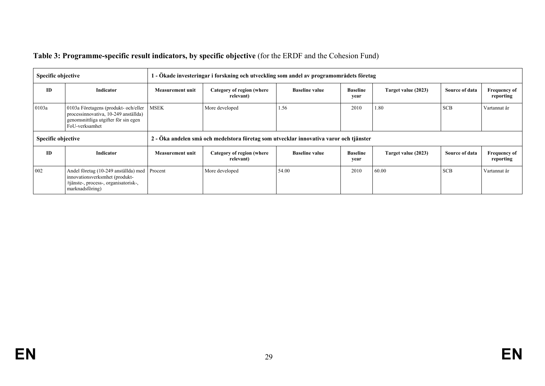| Table 3: Programme-specific result indicators, by specific objective (for the ERDF and the Cohesion Fund) |  |
|-----------------------------------------------------------------------------------------------------------|--|
|                                                                                                           |  |

| <b>Specific objective</b> |                                                                                                                                            | 1 - Ökade investeringar i forskning och utveckling som andel av programområdets företag |                                        |                       |                         |                     |                |                                  |
|---------------------------|--------------------------------------------------------------------------------------------------------------------------------------------|-----------------------------------------------------------------------------------------|----------------------------------------|-----------------------|-------------------------|---------------------|----------------|----------------------------------|
| <b>ID</b>                 | Indicator                                                                                                                                  | <b>Measurement unit</b>                                                                 | Category of region (where<br>relevant) | <b>Baseline value</b> | <b>Baseline</b><br>year | Target value (2023) | Source of data | <b>Frequency of</b><br>reporting |
| 0103a                     | 0103a Företagens (produkt- och/eller<br>processinnovativa, 10-249 anställda)<br>genomsnittliga utgifter för sin egen<br>FoU-verksamhet     | More developed<br><b>MSEK</b>                                                           |                                        | 1.56                  | 2010                    | 1.80                | <b>SCB</b>     | Vartannat år                     |
| Specific objective        |                                                                                                                                            | 2 - Öka andelen små och medelstora företag som utvecklar innovativa varor och tjänster  |                                        |                       |                         |                     |                |                                  |
| ID                        | Indicator                                                                                                                                  | Measurement unit                                                                        | Category of region (where<br>relevant) | <b>Baseline value</b> | <b>Baseline</b><br>year | Target value (2023) | Source of data | <b>Frequency of</b><br>reporting |
| 002                       | Andel företag (10-249 anställda) med Procent<br>innovationsverksmhet (produkt-<br>/tjänste-, process-, organisatorisk-,<br>marknadsföring) |                                                                                         | More developed                         | 54.00                 | 2010                    | 60.00               | <b>SCB</b>     | Vartannat år                     |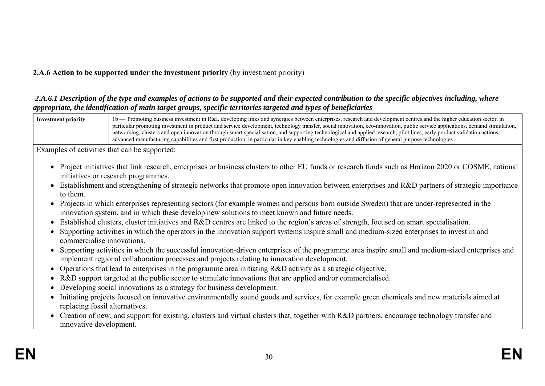# **2.A.6 Action to be supported under the investment priority** (by investment priority)

### *2.A.6.1 Description of the type and examples of actions to be supported and their expected contribution to the specific objectives including, where appropriate, the identification of main target groups, specific territories targeted and types of beneficiaries*



Examples of activities that can be supported:

- Project initiatives that link research, enterprises or business clusters to other EU funds or research funds such as Horizon 2020 or COSME, national initiatives or research programmes.
- Establishment and strengthening of strategic networks that promote open innovation between enterprises and R&D partners of strategic importance to them.
- Projects in which enterprises representing sectors (for example women and persons born outside Sweden) that are under-represented in the innovation system, and in which these develop new solutions to meet known and future needs.
- Established clusters, cluster initiatives and R&D centres are linked to the region's areas of strength, focused on smart specialisation.
- Supporting activities in which the operators in the innovation support systems inspire small and medium-sized enterprises to invest in and commercialise innovations.
- Supporting activities in which the successful innovation-driven enterprises of the programme area inspire small and medium-sized enterprises and implement regional collaboration processes and projects relating to innovation development.
- Operations that lead to enterprises in the programme area initiating R&D activity as a strategic objective.
- R&D support targeted at the public sector to stimulate innovations that are applied and/or commercialised.
- Developing social innovations as a strategy for business development.
- Initiating projects focused on innovative environmentally sound goods and services, for example green chemicals and new materials aimed at replacing fossil alternatives.
- Creation of new, and support for existing, clusters and virtual clusters that, together with R&D partners, encourage technology transfer and innovative development.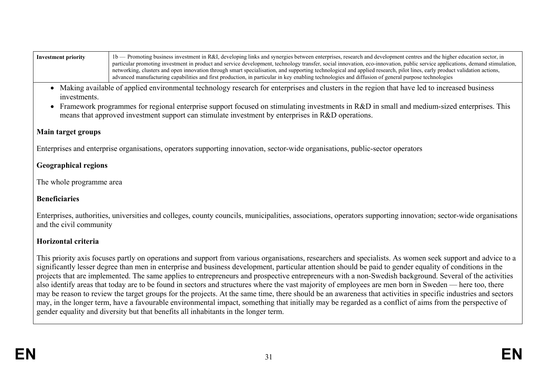| Investment priority | 1 b — Promoting business investment in R&I, developing links and synergies between enterprises, research and development centres and the higher education sector, in         |
|---------------------|------------------------------------------------------------------------------------------------------------------------------------------------------------------------------|
|                     | particular promoting investment in product and service development, technology transfer, social innovation, eco-innovation, public service applications, demand stimulation, |
|                     | networking, clusters and open innovation through smart specialisation, and supporting technological and applied research, pilot lines, early product validation actions,     |
|                     | advanced manufacturing capabilities and first production, in particular in key enabling technologies and diffusion of general purpose technologies                           |

- Making available of applied environmental technology research for enterprises and clusters in the region that have led to increased business investments.
- Framework programmes for regional enterprise support focused on stimulating investments in R&D in small and medium-sized enterprises. This means that approved investment support can stimulate investment by enterprises in R&D operations.

## **Main target groups**

Enterprises and enterprise organisations, operators supporting innovation, sector-wide organisations, public-sector operators

# **Geographical regions**

The whole programme area

# **Beneficiaries**

Enterprises, authorities, universities and colleges, county councils, municipalities, associations, operators supporting innovation; sector-wide organisations and the civil community

# **Horizontal criteria**

This priority axis focuses partly on operations and support from various organisations, researchers and specialists. As women seek support and advice to a significantly lesser degree than men in enterprise and business development, particular attention should be paid to gender equality of conditions in the projects that are implemented. The same applies to entrepreneurs and prospective entrepreneurs with a non-Swedish background. Several of the activities also identify areas that today are to be found in sectors and structures where the vast majority of employees are men born in Sweden — here too, there may be reason to review the target groups for the projects. At the same time, there should be an awareness that activities in specific industries and sectors may, in the longer term, have a favourable environmental impact, something that initially may be regarded as a conflict of aims from the perspective of gender equality and diversity but that benefits all inhabitants in the longer term.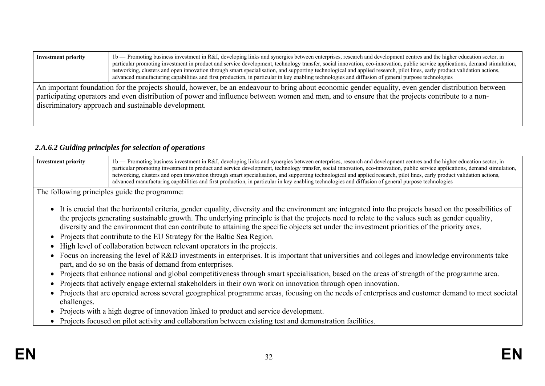| Investment priority                                                                                                                                 | 1b — Promoting business investment in R&I, developing links and synergies between enterprises, research and development centres and the higher education sector, in<br>particular promoting investment in product and service development, technology transfer, social innovation, eco-innovation, public service applications, demand stimulation,<br>networking, clusters and open innovation through smart specialisation, and supporting technological and applied research, pilot lines, early product validation actions,<br>advanced manufacturing capabilities and first production, in particular in key enabling technologies and diffusion of general purpose technologies |  |  |  |  |  |  |
|-----------------------------------------------------------------------------------------------------------------------------------------------------|---------------------------------------------------------------------------------------------------------------------------------------------------------------------------------------------------------------------------------------------------------------------------------------------------------------------------------------------------------------------------------------------------------------------------------------------------------------------------------------------------------------------------------------------------------------------------------------------------------------------------------------------------------------------------------------|--|--|--|--|--|--|
| An important foundation for the projects should, however, be an endeavour to bring about economic gender equality, even gender distribution between |                                                                                                                                                                                                                                                                                                                                                                                                                                                                                                                                                                                                                                                                                       |  |  |  |  |  |  |
| participating operators and even distribution of power and influence between women and men, and to ensure that the projects contribute to a non-    |                                                                                                                                                                                                                                                                                                                                                                                                                                                                                                                                                                                                                                                                                       |  |  |  |  |  |  |
|                                                                                                                                                     | discriminatory approach and sustainable development.                                                                                                                                                                                                                                                                                                                                                                                                                                                                                                                                                                                                                                  |  |  |  |  |  |  |

## *2.A.6.2 Guiding principles for selection of operations*

| <b>Investment priority</b> | 1b — Promoting business investment in R&I, developing links and synergies between enterprises, research and development centres and the higher education sector, in          |
|----------------------------|------------------------------------------------------------------------------------------------------------------------------------------------------------------------------|
|                            | particular promoting investment in product and service development, technology transfer, social innovation, eco-innovation, public service applications, demand stimulation, |
|                            | networking, clusters and open innovation through smart specialisation, and supporting technological and applied research, pilot lines, early product validation actions,     |
|                            | advanced manufacturing capabilities and first production, in particular in key enabling technologies and diffusion of general purpose technologies                           |

The following principles guide the programme:

- It is crucial that the horizontal criteria, gender equality, diversity and the environment are integrated into the projects based on the possibilities of the projects generating sustainable growth. The underlying principle is that the projects need to relate to the values such as gender equality, diversity and the environment that can contribute to attaining the specific objects set under the investment priorities of the priority axes.
- Projects that contribute to the EU Strategy for the Baltic Sea Region.
- High level of collaboration between relevant operators in the projects.
- Focus on increasing the level of R&D investments in enterprises. It is important that universities and colleges and knowledge environments take part, and do so on the basis of demand from enterprises.
- Projects that enhance national and global competitiveness through smart specialisation, based on the areas of strength of the programme area.
- Projects that actively engage external stakeholders in their own work on innovation through open innovation.
- Projects that are operated across several geographical programme areas, focusing on the needs of enterprises and customer demand to meet societal challenges.
- Projects with a high degree of innovation linked to product and service development.
- Projects focused on pilot activity and collaboration between existing test and demonstration facilities.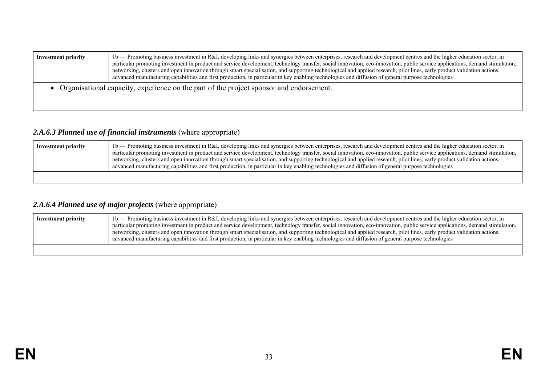| <b>Investment priority</b> | 1b — Promoting business investment in R&I, developing links and synergies between enterprises, research and development centres and the higher education sector, in<br>particular promoting investment in product and service development, technology transfer, social innovation, eco-innovation, public service applications, demand stimulation,<br>networking, clusters and open innovation through smart specialisation, and supporting technological and applied research, pilot lines, early product validation actions,<br>advanced manufacturing capabilities and first production, in particular in key enabling technologies and diffusion of general purpose technologies |
|----------------------------|---------------------------------------------------------------------------------------------------------------------------------------------------------------------------------------------------------------------------------------------------------------------------------------------------------------------------------------------------------------------------------------------------------------------------------------------------------------------------------------------------------------------------------------------------------------------------------------------------------------------------------------------------------------------------------------|
|                            | • Organisational capacity, experience on the part of the project sponsor and endorsement.                                                                                                                                                                                                                                                                                                                                                                                                                                                                                                                                                                                             |

## 2.A.6.3 Planned use of financial instruments (where appropriate)

| Investment priority | 1b — Promoting business investment in R&I, developing links and synergies between enterprises, research and development centres and the higher education sector, in<br>particular promoting investment in product and service development, technology transfer, social innovation, eco-innovation, public service applications, demand stimulation,<br>networking, clusters and open innovation through smart specialisation, and supporting technological and applied research, pilot lines, early product validation actions,<br>advanced manufacturing capabilities and first production, in particular in key enabling technologies and diffusion of general purpose technologies |
|---------------------|---------------------------------------------------------------------------------------------------------------------------------------------------------------------------------------------------------------------------------------------------------------------------------------------------------------------------------------------------------------------------------------------------------------------------------------------------------------------------------------------------------------------------------------------------------------------------------------------------------------------------------------------------------------------------------------|
|                     |                                                                                                                                                                                                                                                                                                                                                                                                                                                                                                                                                                                                                                                                                       |

# *2.A.6.4 Planned use of major projects* (where appropriate)

| Investment priority | 1b — Promoting business investment in R&I, developing links and synergies between enterprises, research and development centres and the higher education sector, in<br>particular promoting investment in product and service development, technology transfer, social innovation, eco-innovation, public service applications, demand stimulation,<br>networking, clusters and open innovation through smart specialisation, and supporting technological and applied research, pilot lines, early product validation actions,<br>advanced manufacturing capabilities and first production, in particular in key enabling technologies and diffusion of general purpose technologies |
|---------------------|---------------------------------------------------------------------------------------------------------------------------------------------------------------------------------------------------------------------------------------------------------------------------------------------------------------------------------------------------------------------------------------------------------------------------------------------------------------------------------------------------------------------------------------------------------------------------------------------------------------------------------------------------------------------------------------|
|                     |                                                                                                                                                                                                                                                                                                                                                                                                                                                                                                                                                                                                                                                                                       |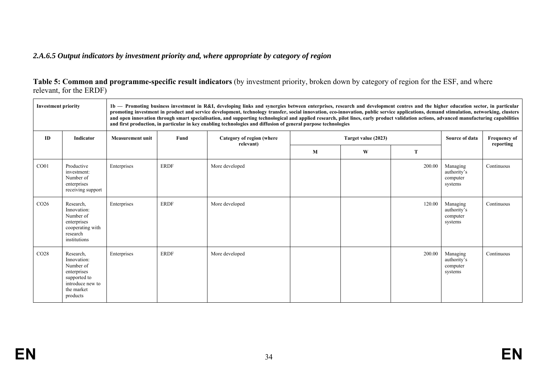# *2.A.6.5 Output indicators by investment priority and, where appropriate by category of region*

| Table 5: Common and programme-specific result indicators (by investment priority, broken down by category of region for the ESF, and where |  |  |
|--------------------------------------------------------------------------------------------------------------------------------------------|--|--|
| relevant, for the ERDF)                                                                                                                    |  |  |

| <b>Investment priority</b> |                                                                                                                    |                         |             | 1b — Promoting business investment in R&I, developing links and synergies between enterprises, research and development centres and the higher education sector, in particular<br>promoting investment in product and service development, technology transfer, social innovation, eco-innovation, public service applications, demand stimulation, networking, clusters<br>and open innovation through smart specialisation, and supporting technological and applied research, pilot lines, early product validation actions, advanced manufacturing capabilities<br>and first production, in particular in key enabling technologies and diffusion of general purpose technologies |   |                     |        |                                                |                                  |
|----------------------------|--------------------------------------------------------------------------------------------------------------------|-------------------------|-------------|---------------------------------------------------------------------------------------------------------------------------------------------------------------------------------------------------------------------------------------------------------------------------------------------------------------------------------------------------------------------------------------------------------------------------------------------------------------------------------------------------------------------------------------------------------------------------------------------------------------------------------------------------------------------------------------|---|---------------------|--------|------------------------------------------------|----------------------------------|
| ID                         | Indicator                                                                                                          | <b>Measurement unit</b> | Fund        | Category of region (where<br>relevant)                                                                                                                                                                                                                                                                                                                                                                                                                                                                                                                                                                                                                                                |   | Target value (2023) |        | Source of data                                 | <b>Frequency of</b><br>reporting |
|                            |                                                                                                                    |                         |             |                                                                                                                                                                                                                                                                                                                                                                                                                                                                                                                                                                                                                                                                                       | M | W                   | T      |                                                |                                  |
| CO <sub>01</sub>           | Productive<br>investment:<br>Number of<br>enterprises<br>receiving support                                         | Enterprises             | <b>ERDF</b> | More developed                                                                                                                                                                                                                                                                                                                                                                                                                                                                                                                                                                                                                                                                        |   |                     | 200.00 | Managing<br>authority's<br>computer<br>systems | Continuous                       |
| CO <sub>26</sub>           | Research,<br>Innovation:<br>Number of<br>enterprises<br>cooperating with<br>research<br>institutions               | Enterprises             | <b>ERDF</b> | More developed                                                                                                                                                                                                                                                                                                                                                                                                                                                                                                                                                                                                                                                                        |   |                     | 120.00 | Managing<br>authority's<br>computer<br>systems | Continuous                       |
| CO <sub>28</sub>           | Research,<br>Innovation:<br>Number of<br>enterprises<br>supported to<br>introduce new to<br>the market<br>products | Enterprises             | <b>ERDF</b> | More developed                                                                                                                                                                                                                                                                                                                                                                                                                                                                                                                                                                                                                                                                        |   |                     | 200.00 | Managing<br>authority's<br>computer<br>systems | Continuous                       |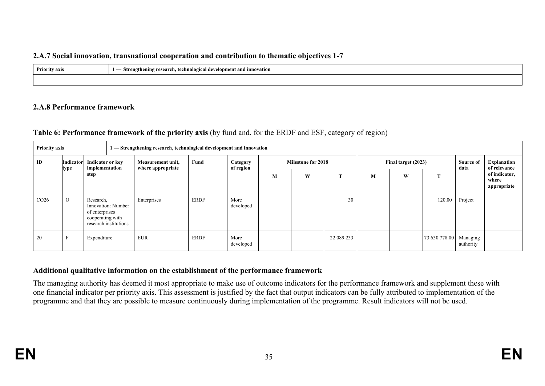### **2.A.7 Social innovation, transnational cooperation and contribution to thematic objectives 1-7**

| <b>Priority axis</b><br>$\sim$ $\sim$ | - Strengthening research, tech<br>v, technological development and innovation<br>$\overline{\phantom{a}}$<br>.<br>$\sim$ |  |  |  |  |  |  |
|---------------------------------------|--------------------------------------------------------------------------------------------------------------------------|--|--|--|--|--|--|
|                                       |                                                                                                                          |  |  |  |  |  |  |

### **2.A.8 Performance framework**

## **Table 6: Performance framework of the priority axis** (by fund and, for the ERDF and ESF, category of region)

| <b>Priority axis</b> |                                                                        |                                                                                                |  | 1 — Strengthening research, technological development and innovation |             |                       |                           |   |            |                     |   |               |                       |                                       |  |
|----------------------|------------------------------------------------------------------------|------------------------------------------------------------------------------------------------|--|----------------------------------------------------------------------|-------------|-----------------------|---------------------------|---|------------|---------------------|---|---------------|-----------------------|---------------------------------------|--|
| ID                   | <b>Indicator or key</b><br>Indicator<br>implementation<br>type<br>step |                                                                                                |  | Measurement unit,<br>where appropriate                               | Fund        | Category<br>of region | <b>Milestone for 2018</b> |   |            | Final target (2023) |   |               | Source of<br>data     | Explanation<br>of relevance           |  |
|                      |                                                                        |                                                                                                |  |                                                                      |             |                       | M                         | W | œ          | M                   | W | m             |                       | of indicator,<br>where<br>appropriate |  |
| CO <sub>26</sub>     | $\Omega$                                                               | Research,<br>Innovation: Number<br>of enterprises<br>cooperating with<br>research institutions |  | Enterprises                                                          | ERDF        | More<br>developed     |                           |   | 30         |                     |   | 120.00        | Project               |                                       |  |
| 20                   | $\mathbf F$                                                            | Expenditure                                                                                    |  | <b>EUR</b>                                                           | <b>ERDF</b> | More<br>developed     |                           |   | 22 089 233 |                     |   | 73 630 778.00 | Managing<br>authority |                                       |  |

### **Additional qualitative information on the establishment of the performance framework**

The managing authority has deemed it most appropriate to make use of outcome indicators for the performance framework and supplement these with one financial indicator per priority axis. This assessment is justified by the fact that output indicators can be fully attributed to implementation of the programme and that they are possible to measure continuously during implementation of the programme. Result indicators will not be used.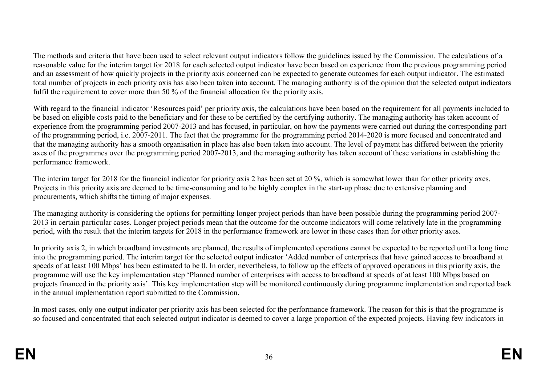The methods and criteria that have been used to select relevant output indicators follow the guidelines issued by the Commission. The calculations of a reasonable value for the interim target for 2018 for each selected output indicator have been based on experience from the previous programming period and an assessment of how quickly projects in the priority axis concerned can be expected to generate outcomes for each output indicator. The estimated total number of projects in each priority axis has also been taken into account. The managing authority is of the opinion that the selected output indicators fulfil the requirement to cover more than 50 % of the financial allocation for the priority axis.

With regard to the financial indicator 'Resources paid' per priority axis, the calculations have been based on the requirement for all payments included to be based on eligible costs paid to the beneficiary and for these to be certified by the certifying authority. The managing authority has taken account of experience from the programming period 2007-2013 and has focused, in particular, on how the payments were carried out during the corresponding part of the programming period, i.e. 2007-2011. The fact that the programme for the programming period 2014-2020 is more focused and concentrated and that the managing authority has a smooth organisation in place has also been taken into account. The level of payment has differed between the priority axes of the programmes over the programming period 2007-2013, and the managing authority has taken account of these variations in establishing the performance framework.

The interim target for 2018 for the financial indicator for priority axis 2 has been set at 20 %, which is somewhat lower than for other priority axes. Projects in this priority axis are deemed to be time-consuming and to be highly complex in the start-up phase due to extensive planning and procurements, which shifts the timing of major expenses.

The managing authority is considering the options for permitting longer project periods than have been possible during the programming period 2007- 2013 in certain particular cases. Longer project periods mean that the outcome for the outcome indicators will come relatively late in the programming period, with the result that the interim targets for 2018 in the performance framework are lower in these cases than for other priority axes.

In priority axis 2, in which broadband investments are planned, the results of implemented operations cannot be expected to be reported until a long time into the programming period. The interim target for the selected output indicator 'Added number of enterprises that have gained access to broadband at speeds of at least 100 Mbps' has been estimated to be 0. In order, nevertheless, to follow up the effects of approved operations in this priority axis, the programme will use the key implementation step 'Planned number of enterprises with access to broadband at speeds of at least 100 Mbps based on projects financed in the priority axis'. This key implementation step will be monitored continuously during programme implementation and reported back in the annual implementation report submitted to the Commission.

In most cases, only one output indicator per priority axis has been selected for the performance framework. The reason for this is that the programme is so focused and concentrated that each selected output indicator is deemed to cover a large proportion of the expected projects. Having few indicators in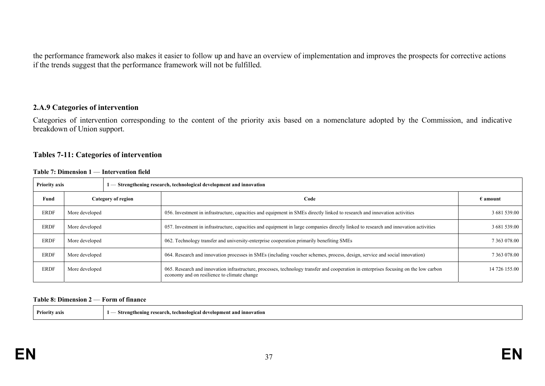the performance framework also makes it easier to follow up and have an overview of implementation and improves the prospects for corrective actions if the trends suggest that the performance framework will not be fulfilled.

#### **2.A.9 Categories of intervention**

Categories of intervention corresponding to the content of the priority axis based on a nomenclature adopted by the Commission, and indicative breakdown of Union support.

#### **Tables 7-11: Categories of intervention**

|  |  | Table 7: Dimension 1 — Intervention field |  |
|--|--|-------------------------------------------|--|
|--|--|-------------------------------------------|--|

| <b>Priority axis</b> | $\mathsf{l}$ — Strengthening research, technological development and innovation |  |                                                                                                                                                                                      |                   |
|----------------------|---------------------------------------------------------------------------------|--|--------------------------------------------------------------------------------------------------------------------------------------------------------------------------------------|-------------------|
| Fund                 | Category of region                                                              |  | Code                                                                                                                                                                                 | $\epsilon$ amount |
| <b>ERDF</b>          | More developed                                                                  |  | 056. Investment in infrastructure, capacities and equipment in SMEs directly linked to research and innovation activities                                                            | 3 681 539.00      |
| <b>ERDF</b>          | More developed                                                                  |  | 057. Investment in infrastructure, capacities and equipment in large companies directly linked to research and innovation activities                                                 | 3 681 539.00      |
| <b>ERDF</b>          | More developed                                                                  |  | 062. Technology transfer and university-enterprise cooperation primarily benefiting SMEs                                                                                             | 7 363 078.00      |
| <b>ERDF</b>          | More developed                                                                  |  | 064. Research and innovation processes in SMEs (including voucher schemes, process, design, service and social innovation)                                                           | 7 363 078.00      |
| <b>ERDF</b>          | More developed                                                                  |  | 065. Research and innovation infrastructure, processes, technology transfer and cooperation in enterprises focusing on the low carbon<br>economy and on resilience to climate change | 14 726 155.00     |

#### **Table 8: Dimension 2** — **Form of finance**

| Priority axis | - Strengthening research, technological development and innovation |
|---------------|--------------------------------------------------------------------|
|---------------|--------------------------------------------------------------------|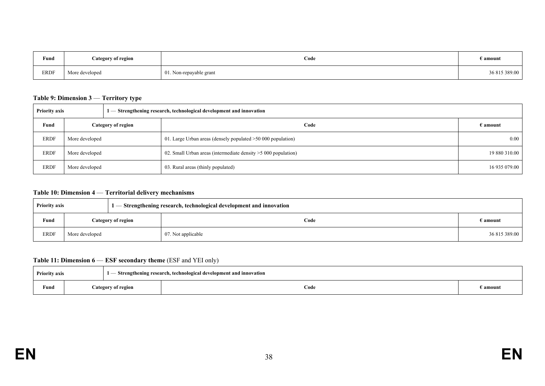| Fund         | Category of region | Code                    | $\epsilon$ amount |
|--------------|--------------------|-------------------------|-------------------|
| ${\tt ERDF}$ | More developed     | 01. Non-repayable grant | 36 815 389.00     |

#### **Table 9: Dimension 3** — **Territory type**

|      | 1 — Strengthening research, technological development and innovation<br><b>Priority axis</b> |                           |                                                                 |                   |
|------|----------------------------------------------------------------------------------------------|---------------------------|-----------------------------------------------------------------|-------------------|
| Fund |                                                                                              | <b>Category of region</b> | Code                                                            | $\epsilon$ amount |
| ERDF | More developed                                                                               |                           | 01. Large Urban areas (densely populated >50 000 population)    | 0.00              |
| ERDF | More developed                                                                               |                           | 02. Small Urban areas (intermediate density $>5000$ population) | 19 880 310.00     |
| ERDF | More developed                                                                               |                           | 03. Rural areas (thinly populated)                              | 16 935 079.00     |

#### **Table 10: Dimension 4** — **Territorial delivery mechanisms**

|             | <b>Priority axis</b> |                           | 1 - Strengthening research, technological development and innovation |                   |
|-------------|----------------------|---------------------------|----------------------------------------------------------------------|-------------------|
| Fund        |                      | <b>Category of region</b> | Code                                                                 | $\epsilon$ amount |
| <b>ERDF</b> | More developed       |                           | 07. Not applicable                                                   | 36 815 389.00     |

#### **Table 11: Dimension 6** — **ESF secondary theme** (ESF and YEI only)

| <b>Priority axis</b> |                    |  | - Strengthening research, technological development and innovation |                   |
|----------------------|--------------------|--|--------------------------------------------------------------------|-------------------|
| Fund                 | Category of region |  | Code                                                               | $\epsilon$ amount |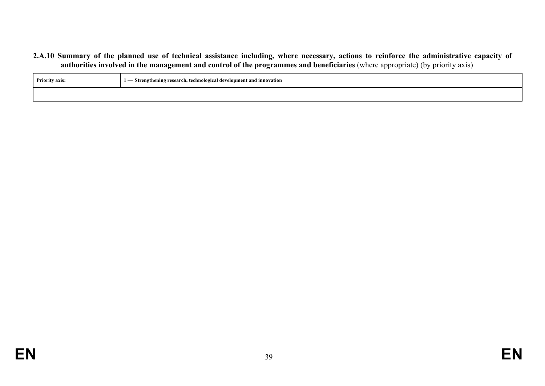#### **2.A.10 Summary of the planned use of technical assistance including, where necessary, actions to reinforce the administrative capacity of authorities involved in the management and control of the programmes and beneficiaries** (where appropriate) (by priority axis)

| <b>Priority axis:</b> | - Strengthening research, technological development and innovation<br>$\sim$ |
|-----------------------|------------------------------------------------------------------------------|
|                       |                                                                              |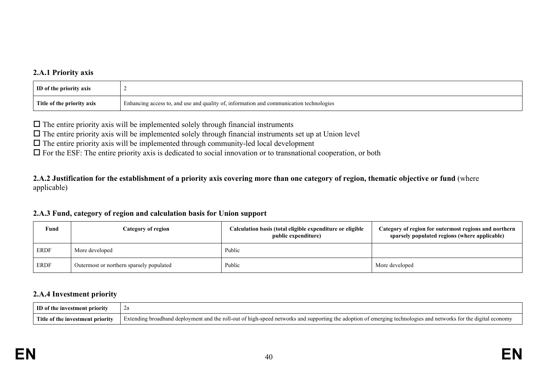### **2.A.1 Priority axis**

| <b>ID</b> of the priority axis |                                                                                         |
|--------------------------------|-----------------------------------------------------------------------------------------|
| Title of the priority axis     | Enhancing access to, and use and quality of, information and communication technologies |

 $\Box$  The entire priority axis will be implemented solely through financial instruments

 $\Box$  The entire priority axis will be implemented solely through financial instruments set up at Union level

 $\Box$  The entire priority axis will be implemented through community-led local development

 $\Box$  For the ESF: The entire priority axis is dedicated to social innovation or to transnational cooperation, or both

**2.A.2 Justification for the establishment of a priority axis covering more than one category of region, thematic objective or fund** (where applicable)

#### **2.A.3 Fund, category of region and calculation basis for Union support**

| Fund | <b>Category of region</b>                | Calculation basis (total eligible expenditure or eligible<br>public expenditure) | Category of region for outermost regions and northern<br>sparsely populated regions (where applicable) |
|------|------------------------------------------|----------------------------------------------------------------------------------|--------------------------------------------------------------------------------------------------------|
| ERDF | More developed                           | Public                                                                           |                                                                                                        |
| ERDF | Outermost or northern sparsely populated | Public                                                                           | More developed                                                                                         |

#### **2.A.4 Investment priority**

| ID of the investment priority |                                                                                                                                                                                                   |
|-------------------------------|---------------------------------------------------------------------------------------------------------------------------------------------------------------------------------------------------|
|                               | Title of the investment priority Extending broadband deployment and the roll-out of high-speed networks and supporting the adoption of emerging technologies and networks for the digital economy |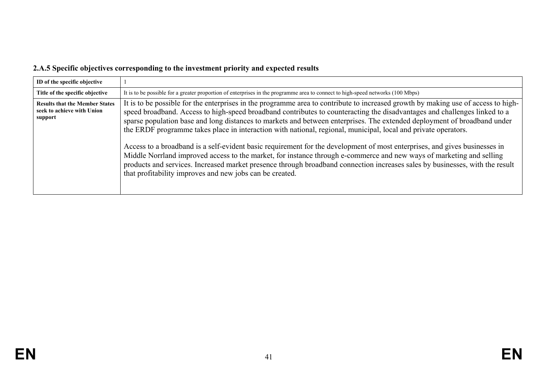# **2.A.5 Specific objectives corresponding to the investment priority and expected results**

| ID of the specific objective                                                   |                                                                                                                                                                                                                                                                                                                                                                                                                                                                                                                                                                                                                                                                                                                                                                                                                                                                                                                                                                |
|--------------------------------------------------------------------------------|----------------------------------------------------------------------------------------------------------------------------------------------------------------------------------------------------------------------------------------------------------------------------------------------------------------------------------------------------------------------------------------------------------------------------------------------------------------------------------------------------------------------------------------------------------------------------------------------------------------------------------------------------------------------------------------------------------------------------------------------------------------------------------------------------------------------------------------------------------------------------------------------------------------------------------------------------------------|
| Title of the specific objective                                                | It is to be possible for a greater proportion of enterprises in the programme area to connect to high-speed networks (100 Mbps)                                                                                                                                                                                                                                                                                                                                                                                                                                                                                                                                                                                                                                                                                                                                                                                                                                |
| <b>Results that the Member States</b><br>seek to achieve with Union<br>support | It is to be possible for the enterprises in the programme area to contribute to increased growth by making use of access to high-<br>speed broadband. Access to high-speed broadband contributes to counteracting the disadvantages and challenges linked to a<br>sparse population base and long distances to markets and between enterprises. The extended deployment of broadband under<br>the ERDF programme takes place in interaction with national, regional, municipal, local and private operators.<br>Access to a broadband is a self-evident basic requirement for the development of most enterprises, and gives businesses in<br>Middle Norrland improved access to the market, for instance through e-commerce and new ways of marketing and selling<br>products and services. Increased market presence through broadband connection increases sales by businesses, with the result<br>that profitability improves and new jobs can be created. |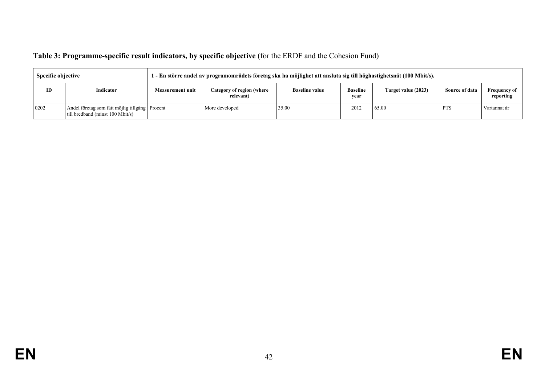## **Table 3: Programme-specific result indicators, by specific objective** (for the ERDF and the Cohesion Fund)

| <b>Specific objective</b> |                                                                                    | 1 - En större andel av programområdets företag ska ha möjlighet att ansluta sig till höghastighetsnät (100 Mbit/s). |                                        |                       |                         |                     |                |                                  |
|---------------------------|------------------------------------------------------------------------------------|---------------------------------------------------------------------------------------------------------------------|----------------------------------------|-----------------------|-------------------------|---------------------|----------------|----------------------------------|
| ID                        | Indicator                                                                          | <b>Measurement unit</b>                                                                                             | Category of region (where<br>relevant) | <b>Baseline value</b> | <b>Baseline</b><br>vear | Target value (2023) | Source of data | <b>Frequency of</b><br>reporting |
| 0202                      | Andel företag som fått möjlig tillgång Procent<br>till bredband (minst 100 Mbit/s) |                                                                                                                     | More developed                         | 35.00                 | 2012                    | 65.00               | <b>PTS</b>     | Vartannat år                     |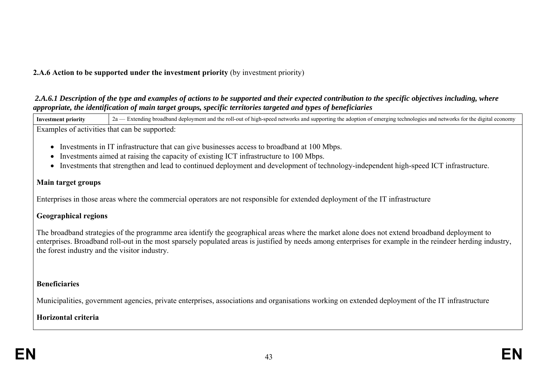### **2.A.6 Action to be supported under the investment priority** (by investment priority)

 *2.A.6.1 Description of the type and examples of actions to be supported and their expected contribution to the specific objectives including, where appropriate, the identification of main target groups, specific territories targeted and types of beneficiaries* 

**Investment priority** 2a — Extending broadband deployment and the roll-out of high-speed networks and supporting the adoption of emerging technologies and networks for the digital economy Examples of activities that can be supported:

- Investments in IT infrastructure that can give businesses access to broadband at 100 Mbps.
- Investments aimed at raising the capacity of existing ICT infrastructure to 100 Mbps.
- Investments that strengthen and lead to continued deployment and development of technology-independent high-speed ICT infrastructure.

### **Main target groups**

Enterprises in those areas where the commercial operators are not responsible for extended deployment of the IT infrastructure

### **Geographical regions**

The broadband strategies of the programme area identify the geographical areas where the market alone does not extend broadband deployment to enterprises. Broadband roll-out in the most sparsely populated areas is justified by needs among enterprises for example in the reindeer herding industry, the forest industry and the visitor industry.

### **Beneficiaries**

Municipalities, government agencies, private enterprises, associations and organisations working on extended deployment of the IT infrastructure

## **Horizontal criteria**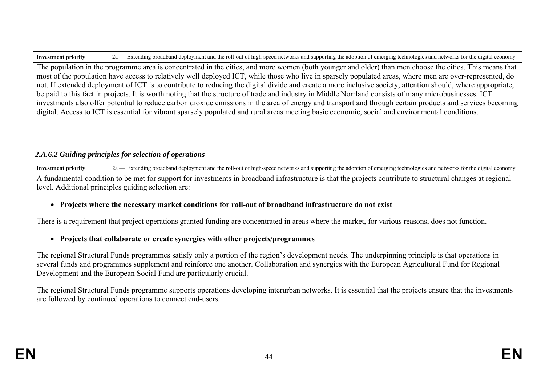| <b>Investm</b> | July of high-speed networks and supporting the adoption of emerging technologies and networks for the<br>$\gamma_{\alpha}$<br>olovment and the<br>broadband :<br>dan<br>: d19<br>economy<br>endin |
|----------------|---------------------------------------------------------------------------------------------------------------------------------------------------------------------------------------------------|
|                |                                                                                                                                                                                                   |

The population in the programme area is concentrated in the cities, and more women (both younger and older) than men choose the cities. This means that most of the population have access to relatively well deployed ICT, while those who live in sparsely populated areas, where men are over-represented, do not. If extended deployment of ICT is to contribute to reducing the digital divide and create a more inclusive society, attention should, where appropriate, be paid to this fact in projects. It is worth noting that the structure of trade and industry in Middle Norrland consists of many microbusinesses. ICT investments also offer potential to reduce carbon dioxide emissions in the area of energy and transport and through certain products and services becoming digital. Access to ICT is essential for vibrant sparsely populated and rural areas meeting basic economic, social and environmental conditions.

### *2.A.6.2 Guiding principles for selection of operations*

Investment priority 2a — Extending broadband deployment and the roll-out of high-speed networks and supporting the adoption of emerging technologies and networks for the digital economy A fundamental condition to be met for support for investments in broadband infrastructure is that the projects contribute to structural changes at regional level. Additional principles guiding selection are:

### **Projects where the necessary market conditions for roll-out of broadband infrastructure do not exist**

There is a requirement that project operations granted funding are concentrated in areas where the market, for various reasons, does not function.

### **Projects that collaborate or create synergies with other projects/programmes**

The regional Structural Funds programmes satisfy only a portion of the region's development needs. The underpinning principle is that operations in several funds and programmes supplement and reinforce one another. Collaboration and synergies with the European Agricultural Fund for Regional Development and the European Social Fund are particularly crucial.

The regional Structural Funds programme supports operations developing interurban networks. It is essential that the projects ensure that the investments are followed by continued operations to connect end-users.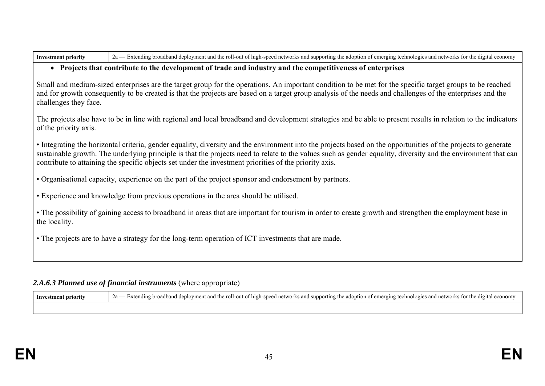| Investme | g broadband deployment and the roll-out of high-speed networks and supporting the ado<br>$\frac{1}{2}$ are and networks for the digital.<br>$\frac{1}{2}$ $\frac{1}{2}$ $\frac{1}{2}$ of emerging technologies and networks is.<br>ົາລ<br>the adopt.<br>۷a |
|----------|------------------------------------------------------------------------------------------------------------------------------------------------------------------------------------------------------------------------------------------------------------|
|----------|------------------------------------------------------------------------------------------------------------------------------------------------------------------------------------------------------------------------------------------------------------|

#### **Projects that contribute to the development of trade and industry and the competitiveness of enterprises**

Small and medium-sized enterprises are the target group for the operations. An important condition to be met for the specific target groups to be reached and for growth consequently to be created is that the projects are based on a target group analysis of the needs and challenges of the enterprises and the challenges they face.

The projects also have to be in line with regional and local broadband and development strategies and be able to present results in relation to the indicators of the priority axis.

• Integrating the horizontal criteria, gender equality, diversity and the environment into the projects based on the opportunities of the projects to generate sustainable growth. The underlying principle is that the projects need to relate to the values such as gender equality, diversity and the environment that can contribute to attaining the specific objects set under the investment priorities of the priority axis.

• Organisational capacity, experience on the part of the project sponsor and endorsement by partners.

• Experience and knowledge from previous operations in the area should be utilised.

• The possibility of gaining access to broadband in areas that are important for tourism in order to create growth and strengthen the employment base in the locality.

• The projects are to have a strategy for the long-term operation of ICT investments that are made.

### 2.A.6.3 Planned use of financial instruments (where appropriate)

| - Investment priority | d deployment and the roll-out of high-speed networks and supporting the adoption of emerging technologies and networks for the digital economy<br>-broadband<br>rtxtending |
|-----------------------|----------------------------------------------------------------------------------------------------------------------------------------------------------------------------|
|                       |                                                                                                                                                                            |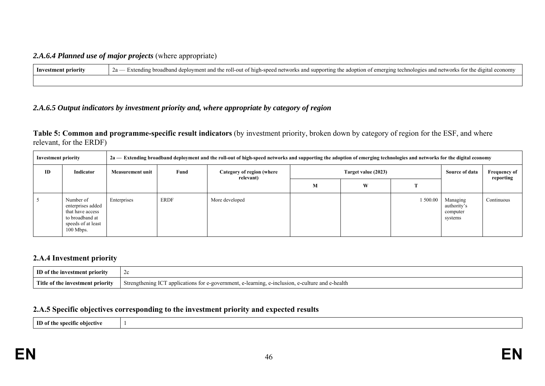#### *2.A.6.4 Planned use of major projects* (where appropriate)

| Investment priority | d deployment and the roll-out of high-speed networks and supporting the adoption of emerging technologies and networks for the digital economy<br>Za<br>-broadband<br>Extending<br>$\sim$ |  |  |  |  |  |
|---------------------|-------------------------------------------------------------------------------------------------------------------------------------------------------------------------------------------|--|--|--|--|--|
|                     |                                                                                                                                                                                           |  |  |  |  |  |

### *2.A.6.5 Output indicators by investment priority and, where appropriate by category of region*

**Table 5: Common and programme-specific result indicators** (by investment priority, broken down by category of region for the ESF, and where relevant, for the ERDF)

| <b>Investment priority</b> |                                                                                                            | 2a — Extending broadband deployment and the roll-out of high-speed networks and supporting the adoption of emerging technologies and networks for the digital economy |             |                                        |                     |   |          |                                                |                                  |
|----------------------------|------------------------------------------------------------------------------------------------------------|-----------------------------------------------------------------------------------------------------------------------------------------------------------------------|-------------|----------------------------------------|---------------------|---|----------|------------------------------------------------|----------------------------------|
| ID                         | Indicator                                                                                                  | <b>Measurement unit</b>                                                                                                                                               | Fund        | Category of region (where<br>relevant) | Target value (2023) |   |          | Source of data                                 | <b>Frequency of</b><br>reporting |
|                            |                                                                                                            |                                                                                                                                                                       |             |                                        | М                   | W |          |                                                |                                  |
|                            | Number of<br>enterprises added<br>that have access<br>to broadband at<br>speeds of at least<br>$100$ Mbps. | Enterprises                                                                                                                                                           | <b>ERDF</b> | More developed                         |                     |   | 1 500.00 | Managing<br>authority's<br>computer<br>systems | Continuous                       |

#### **2.A.4 Investment priority**

| ID of the investment priority    | ZC.                                                                                                                      |
|----------------------------------|--------------------------------------------------------------------------------------------------------------------------|
| Title of the investment priority | $T \cap T$<br>e-health<br>Strengthening IC<br>f applications for e-government.<br>learning.<br>alture and e<br>aclusion. |

#### **2.A.5 Specific objectives corresponding to the investment priority and expected results**

**ID of the specific objective** 1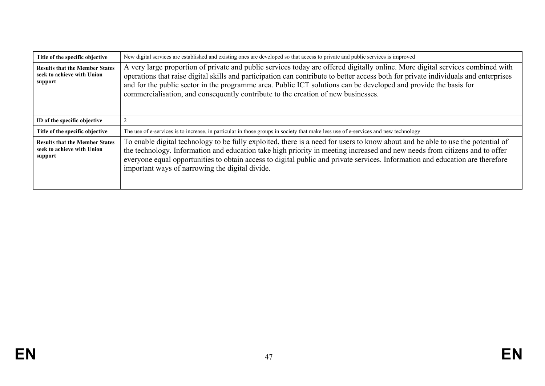| Title of the specific objective                                                | New digital services are established and existing ones are developed so that access to private and public services is improved                                                                                                                                                                                                                                                                                                                                                 |
|--------------------------------------------------------------------------------|--------------------------------------------------------------------------------------------------------------------------------------------------------------------------------------------------------------------------------------------------------------------------------------------------------------------------------------------------------------------------------------------------------------------------------------------------------------------------------|
| <b>Results that the Member States</b><br>seek to achieve with Union<br>support | A very large proportion of private and public services today are offered digitally online. More digital services combined with<br>operations that raise digital skills and participation can contribute to better access both for private individuals and enterprises<br>and for the public sector in the programme area. Public ICT solutions can be developed and provide the basis for<br>commercialisation, and consequently contribute to the creation of new businesses. |
| ID of the specific objective                                                   |                                                                                                                                                                                                                                                                                                                                                                                                                                                                                |
| Title of the specific objective                                                | The use of e-services is to increase, in particular in those groups in society that make less use of e-services and new technology                                                                                                                                                                                                                                                                                                                                             |
| <b>Results that the Member States</b><br>seek to achieve with Union<br>support | To enable digital technology to be fully exploited, there is a need for users to know about and be able to use the potential of<br>the technology. Information and education take high priority in meeting increased and new needs from citizens and to offer<br>everyone equal opportunities to obtain access to digital public and private services. Information and education are therefore<br>important ways of narrowing the digital divide.                              |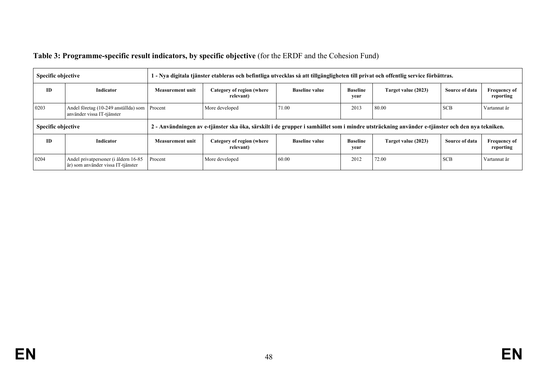| Table 3: Programme-specific result indicators, by specific objective (for the ERDF and the Cohesion Fund) |  |  |
|-----------------------------------------------------------------------------------------------------------|--|--|
|                                                                                                           |  |  |

| <b>Specific objective</b> |                                                                            |                         | 1 - Nya digitala tjänster etableras och befintliga utvecklas så att tillgängligheten till privat och offentlig service förbättras.            |                       |                         |                     |                |                                  |
|---------------------------|----------------------------------------------------------------------------|-------------------------|-----------------------------------------------------------------------------------------------------------------------------------------------|-----------------------|-------------------------|---------------------|----------------|----------------------------------|
| ID                        | Indicator                                                                  | <b>Measurement unit</b> | Category of region (where<br>relevant)                                                                                                        | <b>Baseline value</b> | <b>Baseline</b><br>year | Target value (2023) | Source of data | <b>Frequency of</b><br>reporting |
| 0203                      | Andel företag (10-249 anställda) som Procent<br>använder vissa IT-tjänster |                         | More developed                                                                                                                                | 71.00                 | 2013                    | 80.00               | <b>SCB</b>     | Vartannat år                     |
| <b>Specific objective</b> |                                                                            |                         | 2 - Användningen av e-tjänster ska öka, särskilt i de grupper i samhället som i mindre utsträckning använder e-tjänster och den nya tekniken. |                       |                         |                     |                |                                  |
| <b>ID</b>                 | Indicator                                                                  | Measurement unit        | Category of region (where<br>relevant)                                                                                                        | <b>Baseline value</b> | <b>Baseline</b><br>year | Target value (2023) | Source of data | <b>Frequency of</b><br>reporting |
| 0204                      | Andel privatpersoner (i åldern 16-85<br>år) som använder vissa IT-tjänster | Procent                 | More developed                                                                                                                                | 60.00                 | 2012                    | 72.00               | <b>SCB</b>     | Vartannat år                     |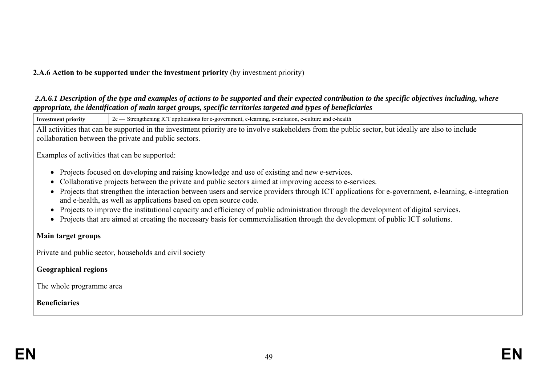### **2.A.6 Action to be supported under the investment priority** (by investment priority)

#### *2.A.6.1 Description of the type and examples of actions to be supported and their expected contribution to the specific objectives including, where appropriate, the identification of main target groups, specific territories targeted and types of beneficiaries*

**Investment priority** 2c — Strengthening ICT applications for e-government, e-learning, e-inclusion, e-culture and e-health All activities that can be supported in the investment priority are to involve stakeholders from the public sector, but ideally are also to include collaboration between the private and public sectors. Examples of activities that can be supported: • Projects focused on developing and raising knowledge and use of existing and new e-services. Collaborative projects between the private and public sectors aimed at improving access to e-services. Projects that strengthen the interaction between users and service providers through ICT applications for e-government, e-learning, e-integration and e-health, as well as applications based on open source code.

- Projects to improve the institutional capacity and efficiency of public administration through the development of digital services.
- Projects that are aimed at creating the necessary basis for commercialisation through the development of public ICT solutions.

### **Main target groups**

Private and public sector, households and civil society

**Geographical regions**

The whole programme area

### **Beneficiaries**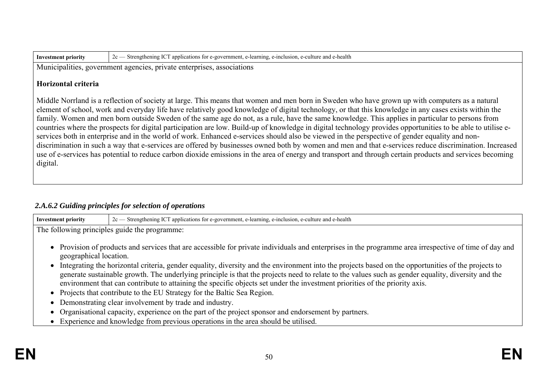| Investment priority | $\sigma$ Strengthening ICT<br>→health<br>e-learning, e-inclusion,<br>. e-culture<br>applications for e-government.<br>and e |
|---------------------|-----------------------------------------------------------------------------------------------------------------------------|
|---------------------|-----------------------------------------------------------------------------------------------------------------------------|

Municipalities, government agencies, private enterprises, associations

#### **Horizontal criteria**

Middle Norrland is a reflection of society at large. This means that women and men born in Sweden who have grown up with computers as a natural element of school, work and everyday life have relatively good knowledge of digital technology, or that this knowledge in any cases exists within the family. Women and men born outside Sweden of the same age do not, as a rule, have the same knowledge. This applies in particular to persons from countries where the prospects for digital participation are low. Build-up of knowledge in digital technology provides opportunities to be able to utilise eservices both in enterprise and in the world of work. Enhanced e-services should also be viewed in the perspective of gender equality and nondiscrimination in such a way that e-services are offered by businesses owned both by women and men and that e-services reduce discrimination. Increased use of e-services has potential to reduce carbon dioxide emissions in the area of energy and transport and through certain products and services becoming digital.

### *2.A.6.2 Guiding principles for selection of operations*

| Investment priority | Strengthening ICT applications for e-government, e-learning, e-inclusion, e-culture and e-health<br>2c |
|---------------------|--------------------------------------------------------------------------------------------------------|
| T1                  | The following principles guide the programme:                                                          |

- Provision of products and services that are accessible for private individuals and enterprises in the programme area irrespective of time of day and geographical location.
- Integrating the horizontal criteria, gender equality, diversity and the environment into the projects based on the opportunities of the projects to generate sustainable growth. The underlying principle is that the projects need to relate to the values such as gender equality, diversity and the environment that can contribute to attaining the specific objects set under the investment priorities of the priority axis.
- Projects that contribute to the EU Strategy for the Baltic Sea Region.
- Demonstrating clear involvement by trade and industry.
- Organisational capacity, experience on the part of the project sponsor and endorsement by partners.
- Experience and knowledge from previous operations in the area should be utilised.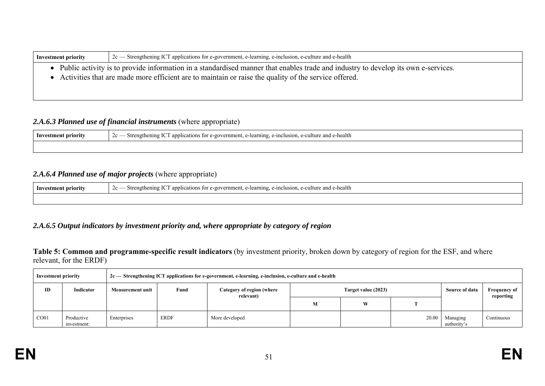| <b>Investment priority</b> | 2c — Strengthening ICT applications for e-government, e-learning, e-inclusion, e-culture and e-health                                                                                                                                         |
|----------------------------|-----------------------------------------------------------------------------------------------------------------------------------------------------------------------------------------------------------------------------------------------|
|                            | • Public activity is to provide information in a standardised manner that enables trade and industry to develop its own e-services.<br>• Activities that are made more efficient are to maintain or raise the quality of the service offered. |

### 2.A.6.3 Planned use of financial instruments (where appropriate)

| <b>Inv</b><br>stment priority | $T \cap T$<br>Strengthening IC<br>-inclusion.<br>lture and e-health<br>, e-learning,<br>applications.<br>$2c -$<br>s for e-government.<br>$P-CI$ |
|-------------------------------|--------------------------------------------------------------------------------------------------------------------------------------------------|
|                               |                                                                                                                                                  |

### *2.A.6.4 Planned use of major projects* (where appropriate)

| Investment priority | $\sim$<br>s for e-government.<br>-cultur<br>e and e-health<br>Strengthening ICT<br>$\sim$ applications $\sim$<br>e-inclusion.<br>-learning.<br>$\cdots$<br>∠∪ |
|---------------------|---------------------------------------------------------------------------------------------------------------------------------------------------------------|
|                     |                                                                                                                                                               |

### *2.A.6.5 Output indicators by investment priority and, where appropriate by category of region*

**Table 5: Common and programme-specific result indicators** (by investment priority, broken down by category of region for the ESF, and where relevant, for the ERDF)

| <b>Investment priority</b> |                           |                         |             | $2c$ Strengthening ICT applications for e-government, e-learning, e-inclusion, e-culture and e-health |                     |   |       |                         |                                  |
|----------------------------|---------------------------|-------------------------|-------------|-------------------------------------------------------------------------------------------------------|---------------------|---|-------|-------------------------|----------------------------------|
| ID                         | Indicator                 | <b>Measurement unit</b> | Fund        | Category of region (where<br>relevant)                                                                | Target value (2023) |   |       | <b>Source of data</b>   | <b>Frequency of</b><br>reporting |
|                            |                           |                         |             |                                                                                                       | М                   | W |       |                         |                                  |
| CO <sub>01</sub>           | Productive<br>investment: | Enterprises             | <b>ERDF</b> | More developed                                                                                        |                     |   | 20.00 | Managing<br>authority's | Continuous                       |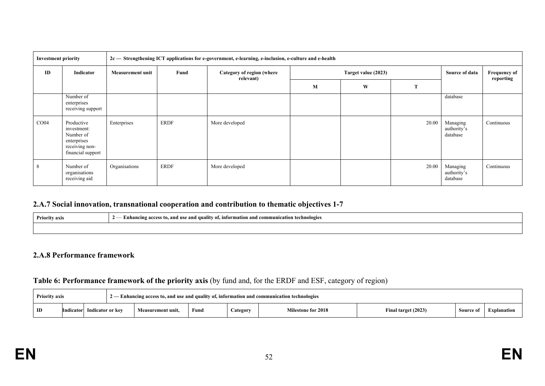| <b>Investment priority</b> |                                                                                              | 2c - Strengthening ICT applications for e-government, e-learning, e-inclusion, e-culture and e-health |             |                |   |   |       |                                     |                                  |  |  |
|----------------------------|----------------------------------------------------------------------------------------------|-------------------------------------------------------------------------------------------------------|-------------|----------------|---|---|-------|-------------------------------------|----------------------------------|--|--|
| ID                         | Indicator                                                                                    | Fund<br>Target value (2023)<br>Category of region (where<br><b>Measurement unit</b><br>relevant)      |             |                |   |   |       | Source of data                      | <b>Frequency of</b><br>reporting |  |  |
|                            |                                                                                              |                                                                                                       |             |                | M | W | T     |                                     |                                  |  |  |
|                            | Number of<br>enterprises<br>receiving support                                                |                                                                                                       |             |                |   |   |       | database                            |                                  |  |  |
| CO <sub>04</sub>           | Productive<br>investment:<br>Number of<br>enterprises<br>receiving non-<br>financial support | Enterprises                                                                                           | ERDF        | More developed |   |   | 20.00 | Managing<br>authority's<br>database | Continuous                       |  |  |
| 8                          | Number of<br>organisations<br>receiving aid                                                  | Organisations                                                                                         | <b>ERDF</b> | More developed |   |   | 20.00 | Managing<br>authority's<br>database | Continuous                       |  |  |

### **2.A.7 Social innovation, transnational cooperation and contribution to thematic objectives 1-7**

| Priority axis | Enhancing access to, and use and quality of, information and communication technologies<br>- |
|---------------|----------------------------------------------------------------------------------------------|
|               |                                                                                              |

#### **2.A.8 Performance framework**

#### **Table 6: Performance framework of the priority axis** (by fund and, for the ERDF and ESF, category of region)

| 2 — Enhancing access to, and use and quality of, information and communication technologies<br><b>Priority axis</b> |                                                                               |  |  |                           |                     |          |             |  |  |
|---------------------------------------------------------------------------------------------------------------------|-------------------------------------------------------------------------------|--|--|---------------------------|---------------------|----------|-------------|--|--|
| ID                                                                                                                  | Fund<br>Measurement unit,<br><b>Indicator</b><br>Indicator or kev<br>Category |  |  | <b>Milestone for 2018</b> | Final target (2023) | Source c | Explanation |  |  |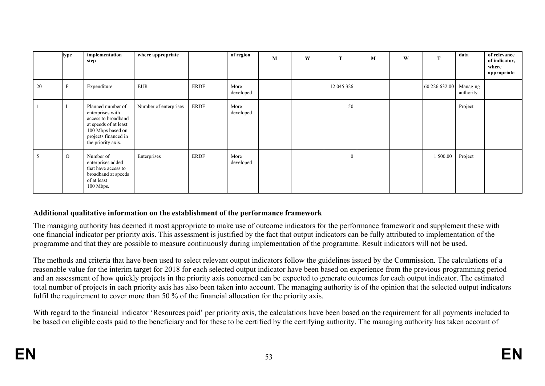|    | type         | implementation<br>step                                                                                                                                   | where appropriate     |             | of region         | M | W | T            | M | W | T                      | data      | of relevance<br>of indicator,<br>where<br>appropriate |
|----|--------------|----------------------------------------------------------------------------------------------------------------------------------------------------------|-----------------------|-------------|-------------------|---|---|--------------|---|---|------------------------|-----------|-------------------------------------------------------|
| 20 | $\mathbf{F}$ | Expenditure                                                                                                                                              | <b>EUR</b>            | <b>ERDF</b> | More<br>developed |   |   | 12 045 326   |   |   | 60 226 632.00 Managing | authority |                                                       |
|    |              | Planned number of<br>enterprises with<br>access to broadband<br>at speeds of at least<br>100 Mbps based on<br>projects financed in<br>the priority axis. | Number of enterprises | <b>ERDF</b> | More<br>developed |   |   | 50           |   |   |                        | Project   |                                                       |
| 5  | $\mathcal O$ | Number of<br>enterprises added<br>that have access to<br>broadband at speeds<br>of at least<br>100 Mbps.                                                 | Enterprises           | <b>ERDF</b> | More<br>developed |   |   | $\mathbf{0}$ |   |   | 1 500.00               | Project   |                                                       |

### **Additional qualitative information on the establishment of the performance framework**

The managing authority has deemed it most appropriate to make use of outcome indicators for the performance framework and supplement these with one financial indicator per priority axis. This assessment is justified by the fact that output indicators can be fully attributed to implementation of the programme and that they are possible to measure continuously during implementation of the programme. Result indicators will not be used.

The methods and criteria that have been used to select relevant output indicators follow the guidelines issued by the Commission. The calculations of a reasonable value for the interim target for 2018 for each selected output indicator have been based on experience from the previous programming period and an assessment of how quickly projects in the priority axis concerned can be expected to generate outcomes for each output indicator. The estimated total number of projects in each priority axis has also been taken into account. The managing authority is of the opinion that the selected output indicators fulfil the requirement to cover more than 50 % of the financial allocation for the priority axis.

With regard to the financial indicator 'Resources paid' per priority axis, the calculations have been based on the requirement for all payments included to be based on eligible costs paid to the beneficiary and for these to be certified by the certifying authority. The managing authority has taken account of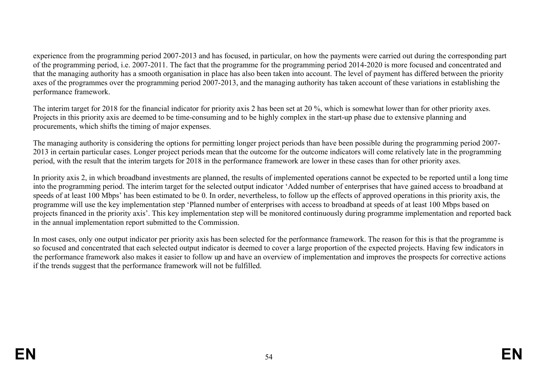experience from the programming period 2007-2013 and has focused, in particular, on how the payments were carried out during the corresponding part of the programming period, i.e. 2007-2011. The fact that the programme for the programming period 2014-2020 is more focused and concentrated and that the managing authority has a smooth organisation in place has also been taken into account. The level of payment has differed between the priority axes of the programmes over the programming period 2007-2013, and the managing authority has taken account of these variations in establishing the performance framework.

The interim target for 2018 for the financial indicator for priority axis 2 has been set at 20 %, which is somewhat lower than for other priority axes. Projects in this priority axis are deemed to be time-consuming and to be highly complex in the start-up phase due to extensive planning and procurements, which shifts the timing of major expenses.

The managing authority is considering the options for permitting longer project periods than have been possible during the programming period 2007- 2013 in certain particular cases. Longer project periods mean that the outcome for the outcome indicators will come relatively late in the programming period, with the result that the interim targets for 2018 in the performance framework are lower in these cases than for other priority axes.

In priority axis 2, in which broadband investments are planned, the results of implemented operations cannot be expected to be reported until a long time into the programming period. The interim target for the selected output indicator 'Added number of enterprises that have gained access to broadband at speeds of at least 100 Mbps' has been estimated to be 0. In order, nevertheless, to follow up the effects of approved operations in this priority axis, the programme will use the key implementation step 'Planned number of enterprises with access to broadband at speeds of at least 100 Mbps based on projects financed in the priority axis'. This key implementation step will be monitored continuously during programme implementation and reported back in the annual implementation report submitted to the Commission.

In most cases, only one output indicator per priority axis has been selected for the performance framework. The reason for this is that the programme is so focused and concentrated that each selected output indicator is deemed to cover a large proportion of the expected projects. Having few indicators in the performance framework also makes it easier to follow up and have an overview of implementation and improves the prospects for corrective actions if the trends suggest that the performance framework will not be fulfilled.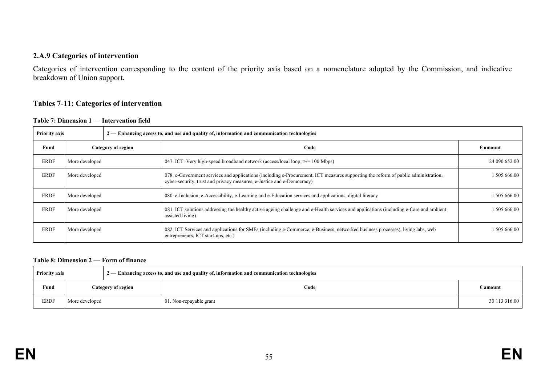#### **2.A.9 Categories of intervention**

Categories of intervention corresponding to the content of the priority axis based on a nomenclature adopted by the Commission, and indicative breakdown of Union support.

#### **Tables 7-11: Categories of intervention**

**Table 7: Dimension 1** — **Intervention field** 

| <b>Priority axis</b><br>$2-$ Enhancing access to, and use and quality of, information and communication technologies |                    |  |                                                                                                                                                                                                              |                   |  |
|----------------------------------------------------------------------------------------------------------------------|--------------------|--|--------------------------------------------------------------------------------------------------------------------------------------------------------------------------------------------------------------|-------------------|--|
| Fund                                                                                                                 | Category of region |  | Code                                                                                                                                                                                                         | $\epsilon$ amount |  |
| <b>ERDF</b>                                                                                                          | More developed     |  | 047. ICT: Very high-speed broadband network (access/local loop; $\ge$ /= 100 Mbps)                                                                                                                           | 24 090 652.00     |  |
| <b>ERDF</b>                                                                                                          | More developed     |  | 078. e-Government services and applications (including e-Procurement, ICT measures supporting the reform of public administration,<br>cyber-security, trust and privacy measures, e-Justice and e-Democracy) | 1505666.00        |  |
| <b>ERDF</b>                                                                                                          | More developed     |  | 080. e-Inclusion, e-Accessibility, e-Learning and e-Education services and applications, digital literacy                                                                                                    | 1505666.00        |  |
| <b>ERDF</b>                                                                                                          | More developed     |  | 081. ICT solutions addressing the healthy active ageing challenge and e-Health services and applications (including e-Care and ambient<br>assisted living)                                                   | 1 505 666.00      |  |
| <b>ERDF</b>                                                                                                          | More developed     |  | 082. ICT Services and applications for SMEs (including e-Commerce, e-Business, networked business processes), living labs, web<br>entrepreneurs, ICT start-ups, etc.)                                        | 1 505 666.00      |  |

#### **Table 8: Dimension 2** — **Form of finance**

| <b>Priority axis</b> |                    |  | 2 — Enhancing access to, and use and quality of, information and communication technologies |                   |
|----------------------|--------------------|--|---------------------------------------------------------------------------------------------|-------------------|
| Fund                 | Category of region |  | Code                                                                                        | $\epsilon$ amount |
| ERDF                 | More developed     |  | 01. Non-repayable grant                                                                     | 30 113 316.00     |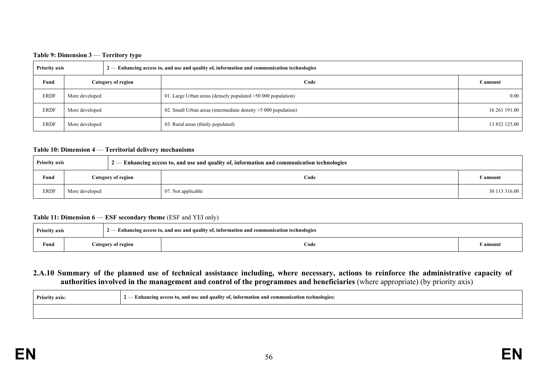#### **Table 9: Dimension 3** — **Territory type**

| <b>Priority axis</b> |                    |  | $2-$ Enhancing access to, and use and quality of, information and communication technologies |                   |
|----------------------|--------------------|--|----------------------------------------------------------------------------------------------|-------------------|
| Fund                 | Category of region |  | Code                                                                                         | $\epsilon$ amount |
| <b>ERDF</b>          | More developed     |  | 01. Large Urban areas (densely populated $>50000$ population)                                | 0.00              |
| <b>ERDF</b>          | More developed     |  | 02. Small Urban areas (intermediate density $>5000$ population)                              | 16 261 191.00     |
| <b>ERDF</b>          | More developed     |  | 03. Rural areas (thinly populated)                                                           | 13 852 125.00     |

#### **Table 10: Dimension 4** — **Territorial delivery mechanisms**

| <b>Priority axis</b> |                           |  | $12$ - Enhancing access to, and use and quality of, information and communication technologies |                   |
|----------------------|---------------------------|--|------------------------------------------------------------------------------------------------|-------------------|
| Fund                 | <b>Category of region</b> |  | Code                                                                                           | $\epsilon$ amount |
| <b>ERDF</b>          | More developed            |  | 07. Not applicable                                                                             | 30 113 316.00     |

#### **Table 11: Dimension 6** — **ESF secondary theme** (ESF and YEI only)

| <b>Priority axis</b> |  |                    | $2$ — Enhancing access to, and use and quality of, information and communication technologies |        |
|----------------------|--|--------------------|-----------------------------------------------------------------------------------------------|--------|
| Fund                 |  | Category of region | Code                                                                                          | amount |

#### **2.A.10 Summary of the planned use of technical assistance including, where necessary, actions to reinforce the administrative capacity of authorities involved in the management and control of the programmes and beneficiaries** (where appropriate) (by priority axis)

| <b>Priority axis:</b> | - Enhancing access to, and use and quality of, information and communication technologies; |
|-----------------------|--------------------------------------------------------------------------------------------|
|                       |                                                                                            |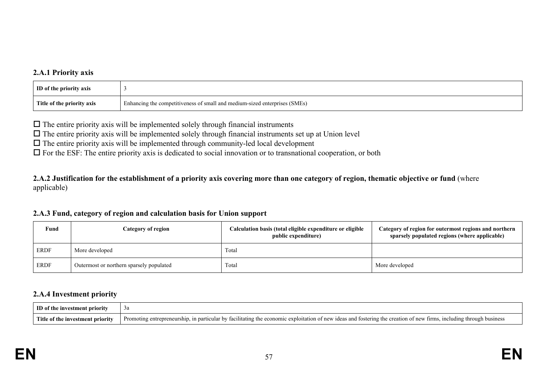### **2.A.1 Priority axis**

| <b>ID</b> of the priority axis |                                                                            |
|--------------------------------|----------------------------------------------------------------------------|
| Title of the priority axis     | Enhancing the competitiveness of small and medium-sized enterprises (SMEs) |
|                                |                                                                            |

 $\Box$  The entire priority axis will be implemented solely through financial instruments

 $\Box$  The entire priority axis will be implemented solely through financial instruments set up at Union level

 $\Box$  The entire priority axis will be implemented through community-led local development

 $\Box$  For the ESF: The entire priority axis is dedicated to social innovation or to transnational cooperation, or both

**2.A.2 Justification for the establishment of a priority axis covering more than one category of region, thematic objective or fund** (where applicable)

#### **2.A.3 Fund, category of region and calculation basis for Union support**

| Fund | Category of region                       | Calculation basis (total eligible expenditure or eligible<br>public expenditure) | Category of region for outermost regions and northern<br>sparsely populated regions (where applicable) |  |
|------|------------------------------------------|----------------------------------------------------------------------------------|--------------------------------------------------------------------------------------------------------|--|
| ERDF | More developed                           | Total                                                                            |                                                                                                        |  |
| ERDF | Outermost or northern sparsely populated | Total                                                                            | More developed                                                                                         |  |

#### **2.A.4 Investment priority**

| ID of the investment priority    |                                                                                                                                                                      |
|----------------------------------|----------------------------------------------------------------------------------------------------------------------------------------------------------------------|
| Title of the investment priority | Promoting entrepreneurship, in particular by facilitating the economic exploitation of new ideas and fostering the creation of new firms, including through business |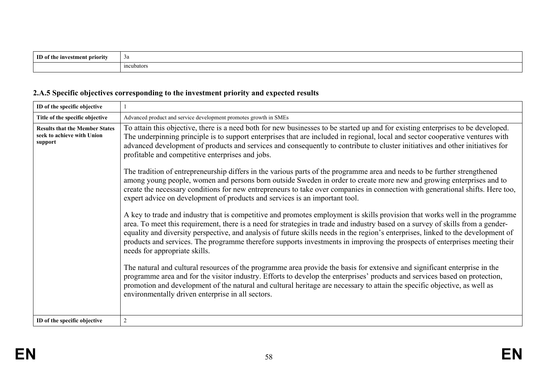| m<br>ment priority<br>e investm<br>the | за                                |
|----------------------------------------|-----------------------------------|
|                                        | $\ddot{\phantom{1}}$<br>meubators |

# **2.A.5 Specific objectives corresponding to the investment priority and expected results**

| ID of the specific objective                                                                                                                                                                                                                                                                                                                                                                                                                                                                                                              |                                                                                                                                                                                                                                                                                                                                                                                                                                                                                                                                                                      |  |  |
|-------------------------------------------------------------------------------------------------------------------------------------------------------------------------------------------------------------------------------------------------------------------------------------------------------------------------------------------------------------------------------------------------------------------------------------------------------------------------------------------------------------------------------------------|----------------------------------------------------------------------------------------------------------------------------------------------------------------------------------------------------------------------------------------------------------------------------------------------------------------------------------------------------------------------------------------------------------------------------------------------------------------------------------------------------------------------------------------------------------------------|--|--|
| Title of the specific objective                                                                                                                                                                                                                                                                                                                                                                                                                                                                                                           | Advanced product and service development promotes growth in SMEs                                                                                                                                                                                                                                                                                                                                                                                                                                                                                                     |  |  |
| To attain this objective, there is a need both for new businesses to be started up and for existing enterprises to be developed.<br><b>Results that the Member States</b><br>seek to achieve with Union<br>The underpinning principle is to support enterprises that are included in regional, local and sector cooperative ventures with<br>support<br>advanced development of products and services and consequently to contribute to cluster initiatives and other initiatives for<br>profitable and competitive enterprises and jobs. |                                                                                                                                                                                                                                                                                                                                                                                                                                                                                                                                                                      |  |  |
|                                                                                                                                                                                                                                                                                                                                                                                                                                                                                                                                           | The tradition of entrepreneurship differs in the various parts of the programme area and needs to be further strengthened<br>among young people, women and persons born outside Sweden in order to create more new and growing enterprises and to<br>create the necessary conditions for new entrepreneurs to take over companies in connection with generational shifts. Here too,<br>expert advice on development of products and services is an important tool.                                                                                                   |  |  |
|                                                                                                                                                                                                                                                                                                                                                                                                                                                                                                                                           | A key to trade and industry that is competitive and promotes employment is skills provision that works well in the programme<br>area. To meet this requirement, there is a need for strategies in trade and industry based on a survey of skills from a gender-<br>equality and diversity perspective, and analysis of future skills needs in the region's enterprises, linked to the development of<br>products and services. The programme therefore supports investments in improving the prospects of enterprises meeting their<br>needs for appropriate skills. |  |  |
|                                                                                                                                                                                                                                                                                                                                                                                                                                                                                                                                           | The natural and cultural resources of the programme area provide the basis for extensive and significant enterprise in the<br>programme area and for the visitor industry. Efforts to develop the enterprises' products and services based on protection,<br>promotion and development of the natural and cultural heritage are necessary to attain the specific objective, as well as<br>environmentally driven enterprise in all sectors.                                                                                                                          |  |  |
| ID of the specific objective                                                                                                                                                                                                                                                                                                                                                                                                                                                                                                              | $\mathbf{2}$                                                                                                                                                                                                                                                                                                                                                                                                                                                                                                                                                         |  |  |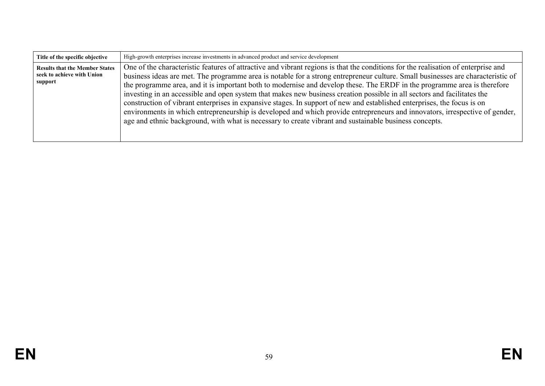| Title of the specific objective                                                | High-growth enterprises increase investments in advanced product and service development                                                                                                                                                                                                                                                                                                                                                                                                                                                                                                                                                                                                                                                                                                                                                                                                        |
|--------------------------------------------------------------------------------|-------------------------------------------------------------------------------------------------------------------------------------------------------------------------------------------------------------------------------------------------------------------------------------------------------------------------------------------------------------------------------------------------------------------------------------------------------------------------------------------------------------------------------------------------------------------------------------------------------------------------------------------------------------------------------------------------------------------------------------------------------------------------------------------------------------------------------------------------------------------------------------------------|
| <b>Results that the Member States</b><br>seek to achieve with Union<br>support | One of the characteristic features of attractive and vibrant regions is that the conditions for the realisation of enterprise and<br>business ideas are met. The programme area is notable for a strong entrepreneur culture. Small businesses are characteristic of<br>the programme area, and it is important both to modernise and develop these. The ERDF in the programme area is therefore<br>investing in an accessible and open system that makes new business creation possible in all sectors and facilitates the<br>construction of vibrant enterprises in expansive stages. In support of new and established enterprises, the focus is on<br>environments in which entrepreneurship is developed and which provide entrepreneurs and innovators, irrespective of gender,<br>age and ethnic background, with what is necessary to create vibrant and sustainable business concepts. |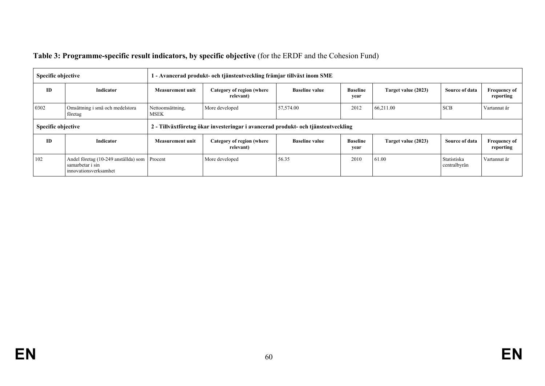| Table 3: Programme-specific result indicators, by specific objective (for the ERDF and the Cohesion Fund) |  |  |
|-----------------------------------------------------------------------------------------------------------|--|--|
|                                                                                                           |  |  |

| Specific objective                                 |                                                                                           | 1 - Avancerad produkt- och tjänsteutveckling främjar tillväxt inom SME |                                                                                   |                       |                         |                     |                             |                                  |
|----------------------------------------------------|-------------------------------------------------------------------------------------------|------------------------------------------------------------------------|-----------------------------------------------------------------------------------|-----------------------|-------------------------|---------------------|-----------------------------|----------------------------------|
| <b>ID</b>                                          | Indicator                                                                                 | Measurement unit                                                       | Category of region (where<br>relevant)                                            | <b>Baseline value</b> | <b>Baseline</b><br>year | Target value (2023) | Source of data              | <b>Frequency of</b><br>reporting |
| 0302<br>Omsättning i små och medelstora<br>företag |                                                                                           | Nettoomsättning,<br><b>MSEK</b>                                        | More developed                                                                    | 57,574.00             | 2012                    | 66,211.00           | <b>SCB</b>                  | Vartannat år                     |
| Specific objective                                 |                                                                                           |                                                                        | 2 - Tillväxtföretag ökar investeringar i avancerad produkt- och tjänsteutveckling |                       |                         |                     |                             |                                  |
| ID                                                 | <b>Indicator</b>                                                                          | <b>Measurement unit</b>                                                | Category of region (where<br>relevant)                                            | <b>Baseline value</b> | <b>Baseline</b><br>year | Target value (2023) | Source of data              | <b>Frequency of</b><br>reporting |
| 102                                                | Andel företag (10-249 anställda) som Procent<br>samarbetar i sin<br>innovationsverksamhet |                                                                        | More developed                                                                    | 56.35                 | 2010                    | 61.00               | Statistiska<br>centralbyrån | Vartannat år                     |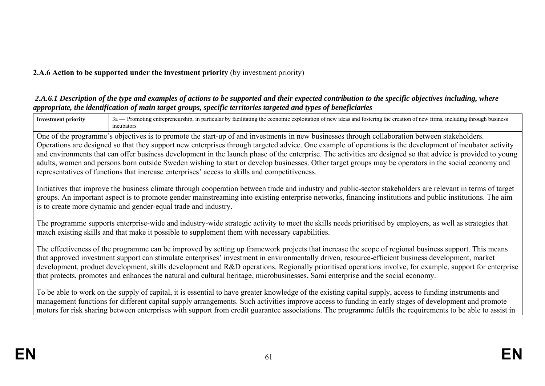### **2.A.6 Action to be supported under the investment priority** (by investment priority)

#### *2.A.6.1 Description of the type and examples of actions to be supported and their expected contribution to the specific objectives including, where appropriate, the identification of main target groups, specific territories targeted and types of beneficiaries*

| <b>Investment priority</b>                                                                                                                                                                                                                                                                                                                                                                                                                                                                                                                                                                               | 3a - Promoting entrepreneurship, in particular by facilitating the economic exploitation of new ideas and fostering the creation of new firms, including through business<br>incubators                                                                                                                                                                                                    |  |  |
|----------------------------------------------------------------------------------------------------------------------------------------------------------------------------------------------------------------------------------------------------------------------------------------------------------------------------------------------------------------------------------------------------------------------------------------------------------------------------------------------------------------------------------------------------------------------------------------------------------|--------------------------------------------------------------------------------------------------------------------------------------------------------------------------------------------------------------------------------------------------------------------------------------------------------------------------------------------------------------------------------------------|--|--|
|                                                                                                                                                                                                                                                                                                                                                                                                                                                                                                                                                                                                          | One of the programme's objectives is to promote the start-up of and investments in new businesses through collaboration between stakeholders.                                                                                                                                                                                                                                              |  |  |
|                                                                                                                                                                                                                                                                                                                                                                                                                                                                                                                                                                                                          | Operations are designed so that they support new enterprises through targeted advice. One example of operations is the development of incubator activity                                                                                                                                                                                                                                   |  |  |
|                                                                                                                                                                                                                                                                                                                                                                                                                                                                                                                                                                                                          | and environments that can offer business development in the launch phase of the enterprise. The activities are designed so that advice is provided to young                                                                                                                                                                                                                                |  |  |
|                                                                                                                                                                                                                                                                                                                                                                                                                                                                                                                                                                                                          | adults, women and persons born outside Sweden wishing to start or develop businesses. Other target groups may be operators in the social economy and                                                                                                                                                                                                                                       |  |  |
|                                                                                                                                                                                                                                                                                                                                                                                                                                                                                                                                                                                                          | representatives of functions that increase enterprises' access to skills and competitiveness.                                                                                                                                                                                                                                                                                              |  |  |
|                                                                                                                                                                                                                                                                                                                                                                                                                                                                                                                                                                                                          | Initiatives that improve the business climate through cooperation between trade and industry and public-sector stakeholders are relevant in terms of target<br>groups. An important aspect is to promote gender mainstreaming into existing enterprise networks, financing institutions and public institutions. The aim<br>is to create more dynamic and gender-equal trade and industry. |  |  |
| The programme supports enterprise-wide and industry-wide strategic activity to meet the skills needs prioritised by employers, as well as strategies that<br>match existing skills and that make it possible to supplement them with necessary capabilities.                                                                                                                                                                                                                                                                                                                                             |                                                                                                                                                                                                                                                                                                                                                                                            |  |  |
| The effectiveness of the programme can be improved by setting up framework projects that increase the scope of regional business support. This means<br>that approved investment support can stimulate enterprises' investment in environmentally driven, resource-efficient business development, market<br>development, product development, skills development and R&D operations. Regionally prioritised operations involve, for example, support for enterprise<br>that protects, promotes and enhances the natural and cultural heritage, microbusinesses, Sami enterprise and the social economy. |                                                                                                                                                                                                                                                                                                                                                                                            |  |  |
| To be able to work on the supply of capital, it is essential to have greater knowledge of the existing capital supply, access to funding instruments and<br>management functions for different capital supply arrangements. Such activities improve access to funding in early stages of development and promote<br>motors for risk sharing between enterprises with support from credit guarantee associations. The programme fulfils the requirements to be able to assist in                                                                                                                          |                                                                                                                                                                                                                                                                                                                                                                                            |  |  |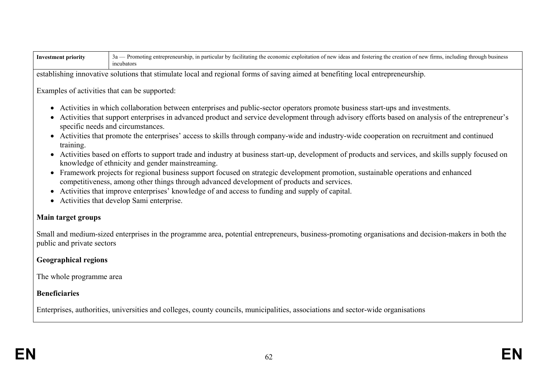| <b>Investment priority</b>                                                                                                    | 3a — Promoting entrepreneurship, in particular by facilitating the economic exploitation of new ideas and fostering the creation of new firms, including through business<br>incubators |  |  |  |  |
|-------------------------------------------------------------------------------------------------------------------------------|-----------------------------------------------------------------------------------------------------------------------------------------------------------------------------------------|--|--|--|--|
|                                                                                                                               | establishing innovative solutions that stimulate local and regional forms of saving aimed at benefiting local entrepreneurship.                                                         |  |  |  |  |
| Examples of activities that can be supported:                                                                                 |                                                                                                                                                                                         |  |  |  |  |
| Activities in which collaboration between enterprises and public-sector operators promote business start-ups and investments. |                                                                                                                                                                                         |  |  |  |  |

- Activities that support enterprises in advanced product and service development through advisory efforts based on analysis of the entrepreneur's specific needs and circumstances.
- Activities that promote the enterprises' access to skills through company-wide and industry-wide cooperation on recruitment and continued training.
- Activities based on efforts to support trade and industry at business start-up, development of products and services, and skills supply focused on knowledge of ethnicity and gender mainstreaming.
- Framework projects for regional business support focused on strategic development promotion, sustainable operations and enhanced competitiveness, among other things through advanced development of products and services.
- Activities that improve enterprises' knowledge of and access to funding and supply of capital.
- Activities that develop Sami enterprise.

### **Main target groups**

Small and medium-sized enterprises in the programme area, potential entrepreneurs, business-promoting organisations and decision-makers in both the public and private sectors

## **Geographical regions**

The whole programme area

## **Beneficiaries**

Enterprises, authorities, universities and colleges, county councils, municipalities, associations and sector-wide organisations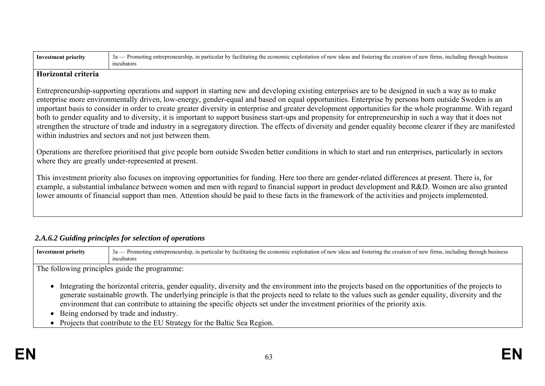| <b>Investment priority</b>                                                                                                                                                                                                                                                                                                                                                                                                                                                                                                                                                                                                                                                                                                                                                                                                                                       | 3a — Promoting entrepreneurship, in particular by facilitating the economic exploitation of new ideas and fostering the creation of new firms, including through business<br>incubators |  |  |  |  |
|------------------------------------------------------------------------------------------------------------------------------------------------------------------------------------------------------------------------------------------------------------------------------------------------------------------------------------------------------------------------------------------------------------------------------------------------------------------------------------------------------------------------------------------------------------------------------------------------------------------------------------------------------------------------------------------------------------------------------------------------------------------------------------------------------------------------------------------------------------------|-----------------------------------------------------------------------------------------------------------------------------------------------------------------------------------------|--|--|--|--|
| Horizontal criteria                                                                                                                                                                                                                                                                                                                                                                                                                                                                                                                                                                                                                                                                                                                                                                                                                                              |                                                                                                                                                                                         |  |  |  |  |
| Entrepreneurship-supporting operations and support in starting new and developing existing enterprises are to be designed in such a way as to make<br>enterprise more environmentally driven, low-energy, gender-equal and based on equal opportunities. Enterprise by persons born outside Sweden is an<br>important basis to consider in order to create greater diversity in enterprise and greater development opportunities for the whole programme. With regard<br>both to gender equality and to diversity, it is important to support business start-ups and propensity for entrepreneurship in such a way that it does not<br>strengthen the structure of trade and industry in a segregatory direction. The effects of diversity and gender equality become clearer if they are manifested<br>within industries and sectors and not just between them. |                                                                                                                                                                                         |  |  |  |  |
| Operations are therefore prioritised that give people born outside Sweden better conditions in which to start and run enterprises, particularly in sectors<br>where they are greatly under-represented at present.                                                                                                                                                                                                                                                                                                                                                                                                                                                                                                                                                                                                                                               |                                                                                                                                                                                         |  |  |  |  |
| This investment priority also focuses on improving opportunities for funding. Here too there are gender-related differences at present. There is, for<br>example, a substantial imbalance between women and men with regard to financial support in product development and R&D. Women are also granted<br>lower amounts of financial support than men. Attention should be paid to these facts in the framework of the activities and projects implemented.                                                                                                                                                                                                                                                                                                                                                                                                     |                                                                                                                                                                                         |  |  |  |  |

### *2.A.6.2 Guiding principles for selection of operations*

Investment priority 3a — Promoting entrepreneurship, in particular by facilitating the economic exploitation of new ideas and fostering the creation of new firms, including through business incubators

The following principles guide the programme:

- Integrating the horizontal criteria, gender equality, diversity and the environment into the projects based on the opportunities of the projects to generate sustainable growth. The underlying principle is that the projects need to relate to the values such as gender equality, diversity and the environment that can contribute to attaining the specific objects set under the investment priorities of the priority axis.
- Being endorsed by trade and industry.
- Projects that contribute to the EU Strategy for the Baltic Sea Region.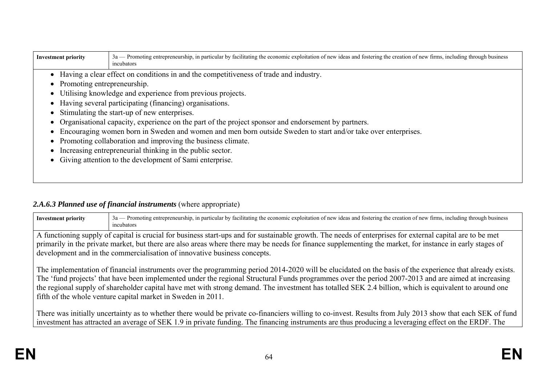| <b>Investment priority</b>                              | 3a — Promoting entrepreneurship, in particular by facilitating the economic exploitation of new ideas and fostering the creation of new firms, including through business<br>incubators |  |  |  |  |  |  |  |  |
|---------------------------------------------------------|-----------------------------------------------------------------------------------------------------------------------------------------------------------------------------------------|--|--|--|--|--|--|--|--|
|                                                         | Having a clear effect on conditions in and the competitiveness of trade and industry.                                                                                                   |  |  |  |  |  |  |  |  |
| Promoting entrepreneurship.                             |                                                                                                                                                                                         |  |  |  |  |  |  |  |  |
|                                                         | Utilising knowledge and experience from previous projects.                                                                                                                              |  |  |  |  |  |  |  |  |
|                                                         | • Having several participating (financing) organisations.                                                                                                                               |  |  |  |  |  |  |  |  |
|                                                         | Stimulating the start-up of new enterprises.                                                                                                                                            |  |  |  |  |  |  |  |  |
|                                                         | Organisational capacity, experience on the part of the project sponsor and endorsement by partners.                                                                                     |  |  |  |  |  |  |  |  |
|                                                         | Encouraging women born in Sweden and women and men born outside Sweden to start and/or take over enterprises.                                                                           |  |  |  |  |  |  |  |  |
|                                                         | Promoting collaboration and improving the business climate.                                                                                                                             |  |  |  |  |  |  |  |  |
|                                                         | Increasing entrepreneurial thinking in the public sector.                                                                                                                               |  |  |  |  |  |  |  |  |
| Giving attention to the development of Sami enterprise. |                                                                                                                                                                                         |  |  |  |  |  |  |  |  |
|                                                         |                                                                                                                                                                                         |  |  |  |  |  |  |  |  |
|                                                         |                                                                                                                                                                                         |  |  |  |  |  |  |  |  |

### 2.A.6.3 Planned use of financial instruments (where appropriate)

| <b>Investment priority</b> | 3a — Promoting entrepreneurship, in particular by facilitating the economic exploitation of new ideas and fostering the creation of new firms, including through business<br>incubators                                                                                                                                                                                                                                                                                                                                                   |
|----------------------------|-------------------------------------------------------------------------------------------------------------------------------------------------------------------------------------------------------------------------------------------------------------------------------------------------------------------------------------------------------------------------------------------------------------------------------------------------------------------------------------------------------------------------------------------|
|                            | A functioning supply of capital is crucial for business start-ups and for sustainable growth. The needs of enterprises for external capital are to be met<br>primarily in the private market, but there are also areas where there may be needs for finance supplementing the market, for instance in early stages of<br>development and in the commercialisation of innovative business concepts.                                                                                                                                        |
|                            | The implementation of financial instruments over the programming period 2014-2020 will be elucidated on the basis of the experience that already exists.<br>The 'fund projects' that have been implemented under the regional Structural Funds programmes over the period 2007-2013 and are aimed at increasing<br>the regional supply of shareholder capital have met with strong demand. The investment has totalled SEK 2.4 billion, which is equivalent to around one<br>fifth of the whole venture capital market in Sweden in 2011. |

There was initially uncertainty as to whether there would be private co-financiers willing to co-invest. Results from July 2013 show that each SEK of fund investment has attracted an average of SEK 1.9 in private funding. The financing instruments are thus producing a leveraging effect on the ERDF. The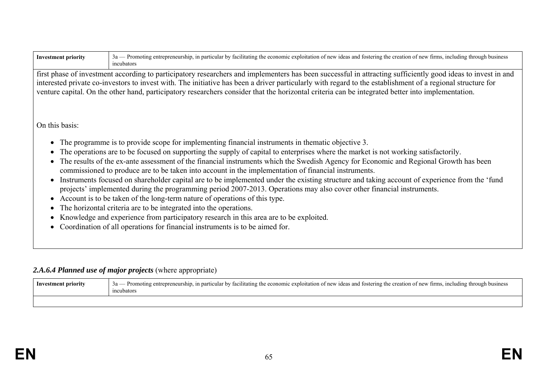| <b>Investment priority</b>                                                                                                                                                                                                                                                                                                                                                                                                                                                      | 3a — Promoting entrepreneurship, in particular by facilitating the economic exploitation of new ideas and fostering the creation of new firms, including through business<br>incubators                                                                                                                                                                                                                                                                                                                                                                                                                                                                                                                                                                                                                                                                                                                                                                                                                                                                                                                          |  |  |  |  |  |
|---------------------------------------------------------------------------------------------------------------------------------------------------------------------------------------------------------------------------------------------------------------------------------------------------------------------------------------------------------------------------------------------------------------------------------------------------------------------------------|------------------------------------------------------------------------------------------------------------------------------------------------------------------------------------------------------------------------------------------------------------------------------------------------------------------------------------------------------------------------------------------------------------------------------------------------------------------------------------------------------------------------------------------------------------------------------------------------------------------------------------------------------------------------------------------------------------------------------------------------------------------------------------------------------------------------------------------------------------------------------------------------------------------------------------------------------------------------------------------------------------------------------------------------------------------------------------------------------------------|--|--|--|--|--|
| first phase of investment according to participatory researchers and implementers has been successful in attracting sufficiently good ideas to invest in and<br>interested private co-investors to invest with. The initiative has been a driver particularly with regard to the establishment of a regional structure for<br>venture capital. On the other hand, participatory researchers consider that the horizontal criteria can be integrated better into implementation. |                                                                                                                                                                                                                                                                                                                                                                                                                                                                                                                                                                                                                                                                                                                                                                                                                                                                                                                                                                                                                                                                                                                  |  |  |  |  |  |
| On this basis:                                                                                                                                                                                                                                                                                                                                                                                                                                                                  |                                                                                                                                                                                                                                                                                                                                                                                                                                                                                                                                                                                                                                                                                                                                                                                                                                                                                                                                                                                                                                                                                                                  |  |  |  |  |  |
|                                                                                                                                                                                                                                                                                                                                                                                                                                                                                 | • The programme is to provide scope for implementing financial instruments in thematic objective 3.<br>• The operations are to be focused on supporting the supply of capital to enterprises where the market is not working satisfactorily.<br>• The results of the ex-ante assessment of the financial instruments which the Swedish Agency for Economic and Regional Growth has been<br>commissioned to produce are to be taken into account in the implementation of financial instruments.<br>• Instruments focused on shareholder capital are to be implemented under the existing structure and taking account of experience from the 'fund<br>projects' implemented during the programming period 2007-2013. Operations may also cover other financial instruments.<br>• Account is to be taken of the long-term nature of operations of this type.<br>• The horizontal criteria are to be integrated into the operations.<br>• Knowledge and experience from participatory research in this area are to be exploited.<br>• Coordination of all operations for financial instruments is to be aimed for. |  |  |  |  |  |

# *2.A.6.4 Planned use of major projects* (where appropriate)

| Investment priority | - Promoting entrepreneurship, in particular by facilitating the economic exploitation of new ideas and fostering the creation of new firms, including through business<br>$3a -$<br>cubators <sup>.</sup> |
|---------------------|-----------------------------------------------------------------------------------------------------------------------------------------------------------------------------------------------------------|
|                     |                                                                                                                                                                                                           |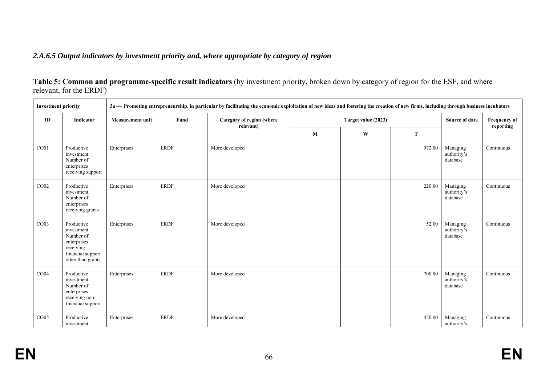### *2.A.6.5 Output indicators by investment priority and, where appropriate by category of region*

**Table 5: Common and programme-specific result indicators** (by investment priority, broken down by category of region for the ESF, and where relevant, for the ERDF)

| <b>Investment priority</b> |                                                                                                              |                         |             | 3a — Promoting entrepreneurship, in particular by facilitating the economic exploitation of new ideas and fostering the creation of new firms, including through business incubators |   |                     |        |                                     |                                  |
|----------------------------|--------------------------------------------------------------------------------------------------------------|-------------------------|-------------|--------------------------------------------------------------------------------------------------------------------------------------------------------------------------------------|---|---------------------|--------|-------------------------------------|----------------------------------|
| ID                         | Indicator                                                                                                    | <b>Measurement unit</b> | Fund        | Category of region (where<br>relevant)                                                                                                                                               |   | Target value (2023) |        | Source of data                      | <b>Frequency of</b><br>reporting |
|                            |                                                                                                              |                         |             |                                                                                                                                                                                      | M | W                   | T      |                                     |                                  |
| CO01                       | Productive<br>investment:<br>Number of<br>enterprises<br>receiving support                                   | Enterprises             | <b>ERDF</b> | More developed                                                                                                                                                                       |   |                     | 972.00 | Managing<br>authority's<br>database | Continuous                       |
| CO <sub>02</sub>           | Productive<br>investment:<br>Number of<br>enterprises<br>receiving grants                                    | Enterprises             | <b>ERDF</b> | More developed                                                                                                                                                                       |   |                     | 220.00 | Managing<br>authority's<br>database | Continuous                       |
| CO <sub>03</sub>           | Productive<br>investment:<br>Number of<br>enterprises<br>receiving<br>financial support<br>other than grants | Enterprises             | <b>ERDF</b> | More developed                                                                                                                                                                       |   |                     | 52.00  | Managing<br>authority's<br>database | Continuous                       |
| CO <sub>04</sub>           | Productive<br>investment:<br>Number of<br>enterprises<br>receiving non-<br>financial support                 | Enterprises             | <b>ERDF</b> | More developed                                                                                                                                                                       |   |                     | 700.00 | Managing<br>authority's<br>database | Continuous                       |
| CO <sub>05</sub>           | Productive<br>investment:                                                                                    | Enterprises             | <b>ERDF</b> | More developed                                                                                                                                                                       |   |                     | 450.00 | Managing<br>authority's             | Continuous                       |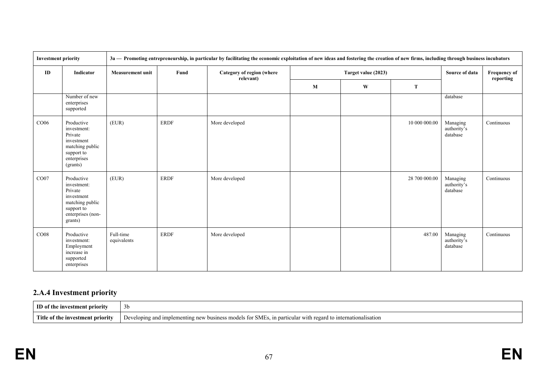| <b>Investment priority</b> |                                                                                                                     |                          |             | 3a - Promoting entrepreneurship, in particular by facilitating the economic exploitation of new ideas and fostering the creation of new firms, including through business incubators |   |                     |               |                                     |                                  |
|----------------------------|---------------------------------------------------------------------------------------------------------------------|--------------------------|-------------|--------------------------------------------------------------------------------------------------------------------------------------------------------------------------------------|---|---------------------|---------------|-------------------------------------|----------------------------------|
| ID                         | Indicator                                                                                                           | <b>Measurement unit</b>  | Fund        | Category of region (where<br>relevant)                                                                                                                                               |   | Target value (2023) |               | Source of data                      | <b>Frequency of</b><br>reporting |
|                            |                                                                                                                     |                          |             |                                                                                                                                                                                      | M | W                   | T             |                                     |                                  |
|                            | Number of new<br>enterprises<br>supported                                                                           |                          |             |                                                                                                                                                                                      |   |                     |               | database                            |                                  |
| CO06                       | Productive<br>investment:<br>Private<br>investment<br>matching public<br>support to<br>enterprises<br>(grants)      | (EUR)                    | <b>ERDF</b> | More developed                                                                                                                                                                       |   |                     | 10 000 000.00 | Managing<br>authority's<br>database | Continuous                       |
| CO07                       | Productive<br>investment:<br>Private<br>investment<br>matching public<br>support to<br>enterprises (non-<br>grants) | (EUR)                    | <b>ERDF</b> | More developed                                                                                                                                                                       |   |                     | 28 700 000.00 | Managing<br>authority's<br>database | Continuous                       |
| CO <sub>08</sub>           | Productive<br>investment:<br>Employment<br>increase in<br>supported<br>enterprises                                  | Full-time<br>equivalents | <b>ERDF</b> | More developed                                                                                                                                                                       |   |                     | 487.00        | Managing<br>authority's<br>database | Continuous                       |

# **2.A.4 Investment priority**

| <b>ID</b> of the investment priority | 50                                                                                                          |
|--------------------------------------|-------------------------------------------------------------------------------------------------------------|
| Title of the investment priority     | Developing and implementing new business models for SMEs, in particular with regard to internationalisation |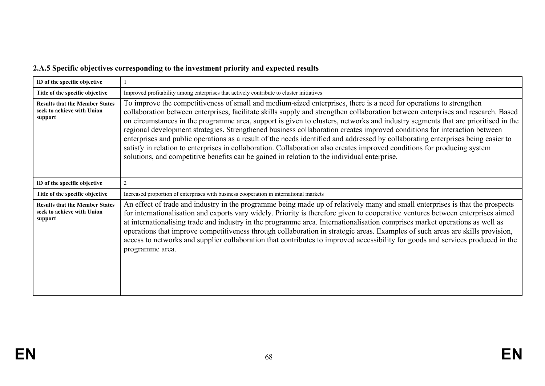# **2.A.5 Specific objectives corresponding to the investment priority and expected results**

| ID of the specific objective                                                   |                                                                                                                                                                                                                                                                                                                                                                                                                                                                                                                                                                                                                                                                                                                                                                                                                                                                                       |
|--------------------------------------------------------------------------------|---------------------------------------------------------------------------------------------------------------------------------------------------------------------------------------------------------------------------------------------------------------------------------------------------------------------------------------------------------------------------------------------------------------------------------------------------------------------------------------------------------------------------------------------------------------------------------------------------------------------------------------------------------------------------------------------------------------------------------------------------------------------------------------------------------------------------------------------------------------------------------------|
| Title of the specific objective                                                | Improved profitability among enterprises that actively contribute to cluster initiatives                                                                                                                                                                                                                                                                                                                                                                                                                                                                                                                                                                                                                                                                                                                                                                                              |
| <b>Results that the Member States</b><br>seek to achieve with Union<br>support | To improve the competitiveness of small and medium-sized enterprises, there is a need for operations to strengthen<br>collaboration between enterprises, facilitate skills supply and strengthen collaboration between enterprises and research. Based<br>on circumstances in the programme area, support is given to clusters, networks and industry segments that are prioritised in the<br>regional development strategies. Strengthened business collaboration creates improved conditions for interaction between<br>enterprises and public operations as a result of the needs identified and addressed by collaborating enterprises being easier to<br>satisfy in relation to enterprises in collaboration. Collaboration also creates improved conditions for producing system<br>solutions, and competitive benefits can be gained in relation to the individual enterprise. |
| ID of the specific objective                                                   | $\overline{2}$                                                                                                                                                                                                                                                                                                                                                                                                                                                                                                                                                                                                                                                                                                                                                                                                                                                                        |
| Title of the specific objective                                                | Increased proportion of enterprises with business cooperation in international markets                                                                                                                                                                                                                                                                                                                                                                                                                                                                                                                                                                                                                                                                                                                                                                                                |
| <b>Results that the Member States</b><br>seek to achieve with Union<br>support | An effect of trade and industry in the programme being made up of relatively many and small enterprises is that the prospects<br>for internationalisation and exports vary widely. Priority is therefore given to cooperative ventures between enterprises aimed<br>at internationalising trade and industry in the programme area. Internationalisation comprises market operations as well as<br>operations that improve competitiveness through collaboration in strategic areas. Examples of such areas are skills provision,<br>access to networks and supplier collaboration that contributes to improved accessibility for goods and services produced in the<br>programme area.                                                                                                                                                                                               |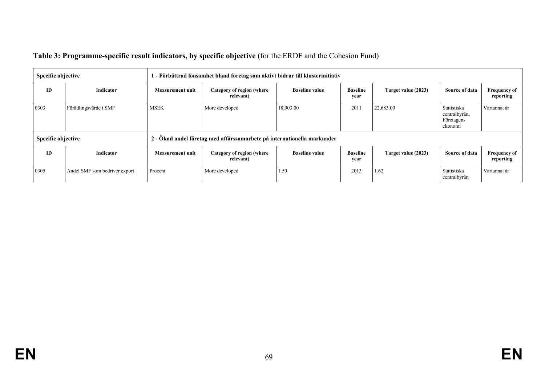| <b>Specific objective</b> |                               | 1 - Förbättrad lönsamhet bland företag som aktivt bidrar till klusterinitiativ |                                                                         |                       |                         |                     |                                                       |                                  |
|---------------------------|-------------------------------|--------------------------------------------------------------------------------|-------------------------------------------------------------------------|-----------------------|-------------------------|---------------------|-------------------------------------------------------|----------------------------------|
| <b>ID</b>                 | Indicator                     | <b>Measurement unit</b>                                                        | Category of region (where<br>relevant)                                  | <b>Baseline value</b> | <b>Baseline</b><br>year | Target value (2023) | Source of data                                        | <b>Frequency of</b><br>reporting |
| 0303                      | Förädlingsvärde i SMF         | <b>MSEK</b>                                                                    | More developed                                                          | 18,903.00             | 2011                    | 22,683.00           | Statistiska<br>centralbyrån,<br>Företagens<br>ekonomi | Vartannat år                     |
| <b>Specific objective</b> |                               |                                                                                | 2 - Ökad andel företag med affärssamarbete på internationella marknader |                       |                         |                     |                                                       |                                  |
| ID                        | <b>Indicator</b>              | Measurement unit                                                               | Category of region (where<br>relevant)                                  | <b>Baseline value</b> | <b>Baseline</b><br>year | Target value (2023) | Source of data                                        | <b>Frequency of</b><br>reporting |
| 0305                      | Andel SMF som bedriver export | Procent                                                                        | More developed                                                          | 1.50                  | 2013                    | 1.62                | Statistiska<br>centralbyrån                           | Vartannat år                     |

## **Table 3: Programme-specific result indicators, by specific objective** (for the ERDF and the Cohesion Fund)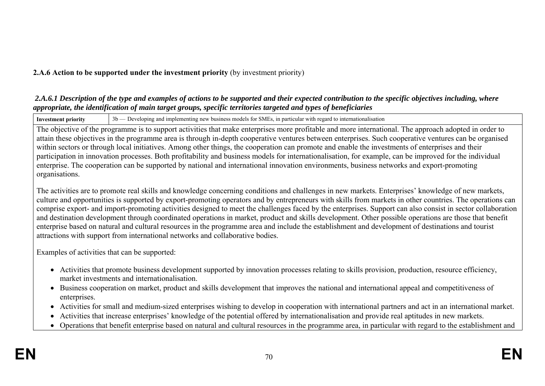### **2.A.6 Action to be supported under the investment priority** (by investment priority)

#### *2.A.6.1 Description of the type and examples of actions to be supported and their expected contribution to the specific objectives including, where appropriate, the identification of main target groups, specific territories targeted and types of beneficiaries*

**Investment priority** 3b — Developing and implementing new business models for SMEs, in particular with regard to internationalisation

The objective of the programme is to support activities that make enterprises more profitable and more international. The approach adopted in order to attain these objectives in the programme area is through in-depth cooperative ventures between enterprises. Such cooperative ventures can be organised within sectors or through local initiatives. Among other things, the cooperation can promote and enable the investments of enterprises and their participation in innovation processes. Both profitability and business models for internationalisation, for example, can be improved for the individual enterprise. The cooperation can be supported by national and international innovation environments, business networks and export-promoting organisations.

The activities are to promote real skills and knowledge concerning conditions and challenges in new markets. Enterprises' knowledge of new markets, culture and opportunities is supported by export-promoting operators and by entrepreneurs with skills from markets in other countries. The operations can comprise export- and import-promoting activities designed to meet the challenges faced by the enterprises. Support can also consist in sector collaboration and destination development through coordinated operations in market, product and skills development. Other possible operations are those that benefit enterprise based on natural and cultural resources in the programme area and include the establishment and development of destinations and tourist attractions with support from international networks and collaborative bodies.

Examples of activities that can be supported:

- Activities that promote business development supported by innovation processes relating to skills provision, production, resource efficiency, market investments and internationalisation.
- Business cooperation on market, product and skills development that improves the national and international appeal and competitiveness of enterprises.
- Activities for small and medium-sized enterprises wishing to develop in cooperation with international partners and act in an international market.
- Activities that increase enterprises' knowledge of the potential offered by internationalisation and provide real aptitudes in new markets.
- Operations that benefit enterprise based on natural and cultural resources in the programme area, in particular with regard to the establishment and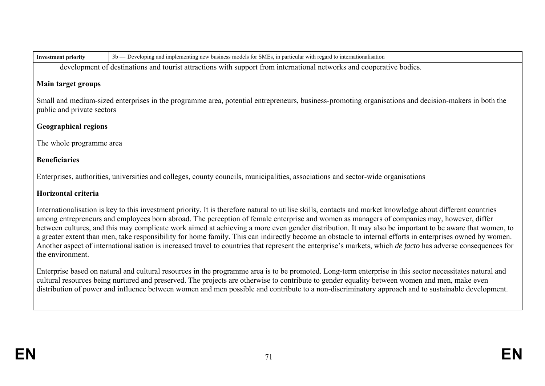| nvestment priority |  |
|--------------------|--|
|                    |  |

**Investment priority** 3b — Developing and implementing new business models for SMEs, in particular with regard to internationalisation

development of destinations and tourist attractions with support from international networks and cooperative bodies.

### **Main target groups**

Small and medium-sized enterprises in the programme area, potential entrepreneurs, business-promoting organisations and decision-makers in both the public and private sectors

## **Geographical regions**

The whole programme area

## **Beneficiaries**

Enterprises, authorities, universities and colleges, county councils, municipalities, associations and sector-wide organisations

## **Horizontal criteria**

Internationalisation is key to this investment priority. It is therefore natural to utilise skills, contacts and market knowledge about different countries among entrepreneurs and employees born abroad. The perception of female enterprise and women as managers of companies may, however, differ between cultures, and this may complicate work aimed at achieving a more even gender distribution. It may also be important to be aware that women, to a greater extent than men, take responsibility for home family. This can indirectly become an obstacle to internal efforts in enterprises owned by women. Another aspect of internationalisation is increased travel to countries that represent the enterprise's markets, which *de facto* has adverse consequences for the environment.

Enterprise based on natural and cultural resources in the programme area is to be promoted. Long-term enterprise in this sector necessitates natural and cultural resources being nurtured and preserved. The projects are otherwise to contribute to gender equality between women and men, make even distribution of power and influence between women and men possible and contribute to a non-discriminatory approach and to sustainable development.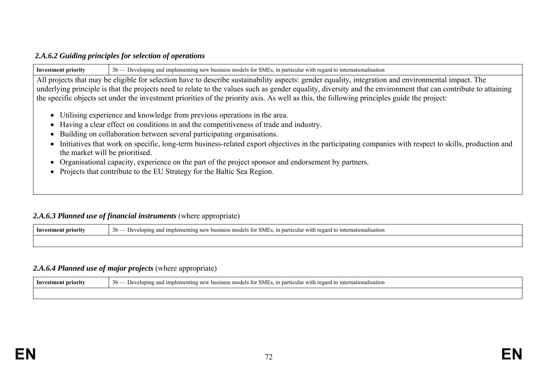#### *2.A.6.2 Guiding principles for selection of operations*

| 3b — Developing and implementing new business models for SMEs, in particular with regard to internationalisation<br><b>Investment priority</b>                                                                                                                                                                |  |  |  |  |  |  |  |  |
|---------------------------------------------------------------------------------------------------------------------------------------------------------------------------------------------------------------------------------------------------------------------------------------------------------------|--|--|--|--|--|--|--|--|
| All projects that may be eligible for selection have to describe sustainability aspects: gender equality, integration and environmental impact. The                                                                                                                                                           |  |  |  |  |  |  |  |  |
| underlying principle is that the projects need to relate to the values such as gender equality, diversity and the environment that can contribute to attaining<br>the specific objects set under the investment priorities of the priority axis. As well as this, the following principles guide the project: |  |  |  |  |  |  |  |  |
|                                                                                                                                                                                                                                                                                                               |  |  |  |  |  |  |  |  |
| • Utilising experience and knowledge from previous operations in the area.                                                                                                                                                                                                                                    |  |  |  |  |  |  |  |  |
| • Having a clear effect on conditions in and the competitiveness of trade and industry.                                                                                                                                                                                                                       |  |  |  |  |  |  |  |  |
| • Building on collaboration between several participating organisations.                                                                                                                                                                                                                                      |  |  |  |  |  |  |  |  |
| • Initiatives that work on specific, long-term business-related export objectives in the participating companies with respect to skills, production and<br>the market will be prioritised.                                                                                                                    |  |  |  |  |  |  |  |  |
| • Organisational capacity, experience on the part of the project sponsor and endorsement by partners.                                                                                                                                                                                                         |  |  |  |  |  |  |  |  |
| • Projects that contribute to the EU Strategy for the Baltic Sea Region.                                                                                                                                                                                                                                      |  |  |  |  |  |  |  |  |

### 2.A.6.3 Planned use of financial instruments (where appropriate)

| Inves<br>stment priority | $\sim$<br>- interr<br>.3 <sub>D</sub><br>` mc<br>in nart<br>with regard.<br>`atıonalısatıon<br>פווי<br>1m<br>enting<br>business<br>atels.<br>⊸∍MP∴<br>teme:<br>:10T<br>$\nu$ ev |
|--------------------------|---------------------------------------------------------------------------------------------------------------------------------------------------------------------------------|
|                          |                                                                                                                                                                                 |

## *2.A.6.4 Planned use of major projects* (where appropriate)

| priority<br>lnv | 3 <sub>b</sub><br>$\sim$ $\sim$<br>≅1ntern≀<br>- in particular with<br>∵ recard w.<br>ationalisation<br>ımplem<br>$I \triangle T$<br>ping<br>and<br>NN.<br>∵mode.<br>7 re.<br>DUVUR |
|-----------------|-------------------------------------------------------------------------------------------------------------------------------------------------------------------------------------|
|                 |                                                                                                                                                                                     |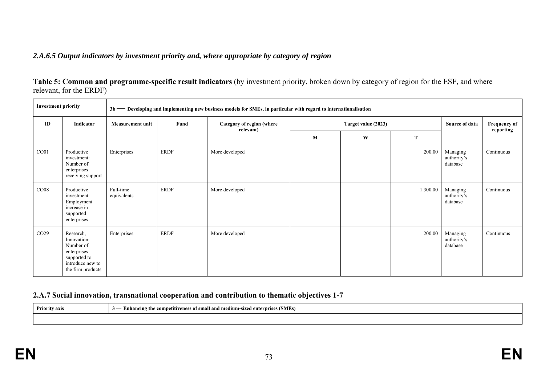#### *2.A.6.5 Output indicators by investment priority and, where appropriate by category of region*

**Table 5: Common and programme-specific result indicators** (by investment priority, broken down by category of region for the ESF, and where relevant, for the ERDF)

| <b>Investment priority</b> |                                                                                                               |                          | 3b — Developing and implementing new business models for SMEs, in particular with regard to internationalisation |                                        |   |                     |          |                                     |                                  |  |  |
|----------------------------|---------------------------------------------------------------------------------------------------------------|--------------------------|------------------------------------------------------------------------------------------------------------------|----------------------------------------|---|---------------------|----------|-------------------------------------|----------------------------------|--|--|
| ID                         | Indicator                                                                                                     | <b>Measurement unit</b>  | Fund                                                                                                             | Category of region (where<br>relevant) |   | Target value (2023) |          |                                     | <b>Frequency of</b><br>reporting |  |  |
|                            |                                                                                                               |                          |                                                                                                                  |                                        | M | W                   | T        |                                     |                                  |  |  |
| CO <sub>01</sub>           | Productive<br>investment:<br>Number of<br>enterprises<br>receiving support                                    | Enterprises              | <b>ERDF</b>                                                                                                      | More developed                         |   |                     | 200.00   | Managing<br>authority's<br>database | Continuous                       |  |  |
| CO <sub>08</sub>           | Productive<br>investment:<br>Employment<br>increase in<br>supported<br>enterprises                            | Full-time<br>equivalents | <b>ERDF</b>                                                                                                      | More developed                         |   |                     | 1 300.00 | Managing<br>authority's<br>database | Continuous                       |  |  |
| CO <sub>29</sub>           | Research,<br>Innovation:<br>Number of<br>enterprises<br>supported to<br>introduce new to<br>the firm products | Enterprises              | <b>ERDF</b>                                                                                                      | More developed                         |   |                     | 200.00   | Managing<br>authority's<br>database | Continuous                       |  |  |

#### **2.A.7 Social innovation, transnational cooperation and contribution to thematic objectives 1-7**

**Priority axis 3** — **Enhancing the competitiveness of small and medium-sized enterprises (SMEs)**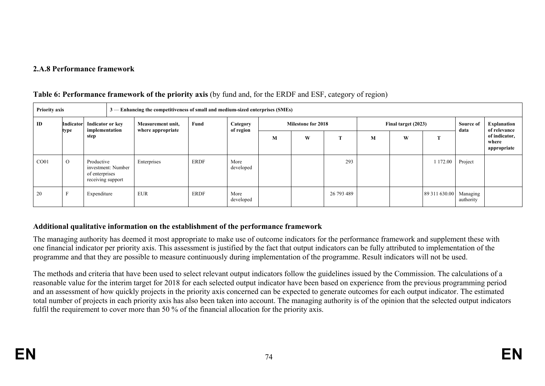### **2.A.8 Performance framework**

| <b>Priority axis</b> |                   |                                                   | 3 — Enhancing the competitiveness of small and medium-sized enterprises (SMEs) |             |             |                       |                           |   |            |                     |   |                        |                   |                                       |
|----------------------|-------------------|---------------------------------------------------|--------------------------------------------------------------------------------|-------------|-------------|-----------------------|---------------------------|---|------------|---------------------|---|------------------------|-------------------|---------------------------------------|
| ID                   | Indicator<br>type | Indicator or key<br>implementation                | Measurement unit,<br>where appropriate                                         |             | Fund        | Category<br>of region | <b>Milestone for 2018</b> |   |            | Final target (2023) |   |                        | Source of<br>data | Explanation<br>of relevance           |
|                      |                   | step                                              |                                                                                |             |             |                       | М                         | W | <b>CEO</b> | М                   | W |                        |                   | of indicator,<br>where<br>appropriate |
| CO <sub>01</sub>     | $\Omega$          | Productive<br>of enterprises<br>receiving support | investment: Number                                                             | Enterprises | <b>ERDF</b> | More<br>developed     |                           |   | 293        |                     |   | 172.00                 | Project           |                                       |
| 20                   | Е                 | Expenditure                                       |                                                                                | <b>EUR</b>  | <b>ERDF</b> | More<br>developed     |                           |   | 26 793 489 |                     |   | 89 311 630.00 Managing | authority         |                                       |

#### **Table 6: Performance framework of the priority axis** (by fund and, for the ERDF and ESF, category of region)

### **Additional qualitative information on the establishment of the performance framework**

The managing authority has deemed it most appropriate to make use of outcome indicators for the performance framework and supplement these with one financial indicator per priority axis. This assessment is justified by the fact that output indicators can be fully attributed to implementation of the programme and that they are possible to measure continuously during implementation of the programme. Result indicators will not be used.

The methods and criteria that have been used to select relevant output indicators follow the guidelines issued by the Commission. The calculations of a reasonable value for the interim target for 2018 for each selected output indicator have been based on experience from the previous programming period and an assessment of how quickly projects in the priority axis concerned can be expected to generate outcomes for each output indicator. The estimated total number of projects in each priority axis has also been taken into account. The managing authority is of the opinion that the selected output indicators fulfil the requirement to cover more than 50 % of the financial allocation for the priority axis.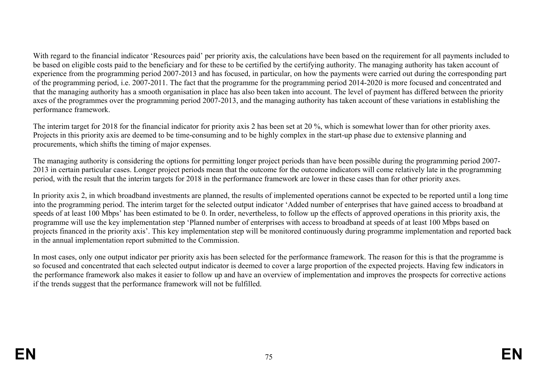With regard to the financial indicator 'Resources paid' per priority axis, the calculations have been based on the requirement for all payments included to be based on eligible costs paid to the beneficiary and for these to be certified by the certifying authority. The managing authority has taken account of experience from the programming period 2007-2013 and has focused, in particular, on how the payments were carried out during the corresponding part of the programming period, i.e. 2007-2011. The fact that the programme for the programming period 2014-2020 is more focused and concentrated and that the managing authority has a smooth organisation in place has also been taken into account. The level of payment has differed between the priority axes of the programmes over the programming period 2007-2013, and the managing authority has taken account of these variations in establishing the performance framework.

The interim target for 2018 for the financial indicator for priority axis 2 has been set at 20 %, which is somewhat lower than for other priority axes. Projects in this priority axis are deemed to be time-consuming and to be highly complex in the start-up phase due to extensive planning and procurements, which shifts the timing of major expenses.

The managing authority is considering the options for permitting longer project periods than have been possible during the programming period 2007- 2013 in certain particular cases. Longer project periods mean that the outcome for the outcome indicators will come relatively late in the programming period, with the result that the interim targets for 2018 in the performance framework are lower in these cases than for other priority axes.

In priority axis 2, in which broadband investments are planned, the results of implemented operations cannot be expected to be reported until a long time into the programming period. The interim target for the selected output indicator 'Added number of enterprises that have gained access to broadband at speeds of at least 100 Mbps' has been estimated to be 0. In order, nevertheless, to follow up the effects of approved operations in this priority axis, the programme will use the key implementation step 'Planned number of enterprises with access to broadband at speeds of at least 100 Mbps based on projects financed in the priority axis'. This key implementation step will be monitored continuously during programme implementation and reported back in the annual implementation report submitted to the Commission.

In most cases, only one output indicator per priority axis has been selected for the performance framework. The reason for this is that the programme is so focused and concentrated that each selected output indicator is deemed to cover a large proportion of the expected projects. Having few indicators in the performance framework also makes it easier to follow up and have an overview of implementation and improves the prospects for corrective actions if the trends suggest that the performance framework will not be fulfilled.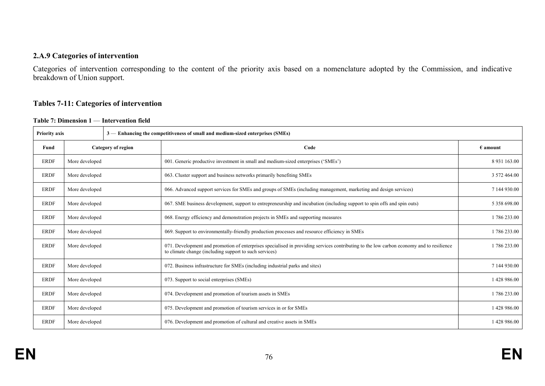#### **2.A.9 Categories of intervention**

Categories of intervention corresponding to the content of the priority axis based on a nomenclature adopted by the Commission, and indicative breakdown of Union support.

#### **Tables 7-11: Categories of intervention**

**Table 7: Dimension 1** — **Intervention field** 

| <b>Priority axis</b> |                           |  | 3 — Enhancing the competitiveness of small and medium-sized enterprises (SMEs)                                                                                                                     |                   |
|----------------------|---------------------------|--|----------------------------------------------------------------------------------------------------------------------------------------------------------------------------------------------------|-------------------|
| Fund                 | <b>Category of region</b> |  | Code                                                                                                                                                                                               | $\epsilon$ amount |
| <b>ERDF</b>          | More developed            |  | 001. Generic productive investment in small and medium-sized enterprises ('SMEs')                                                                                                                  | 8 9 31 16 3.00    |
| <b>ERDF</b>          | More developed            |  | 063. Cluster support and business networks primarily benefiting SMEs                                                                                                                               | 3 572 464.00      |
| <b>ERDF</b>          | More developed            |  | 066. Advanced support services for SMEs and groups of SMEs (including management, marketing and design services)                                                                                   | 7 144 930.00      |
| <b>ERDF</b>          | More developed            |  | 067. SME business development, support to entrepreneurship and incubation (including support to spin offs and spin outs)                                                                           | 5 358 698.00      |
| <b>ERDF</b>          | More developed            |  | 068. Energy efficiency and demonstration projects in SMEs and supporting measures                                                                                                                  | 1786233.00        |
| <b>ERDF</b>          | More developed            |  | 069. Support to environmentally-friendly production processes and resource efficiency in SMEs                                                                                                      | 1786233.00        |
| <b>ERDF</b>          | More developed            |  | 071. Development and promotion of enterprises specialised in providing services contributing to the low carbon economy and to resilience<br>to climate change (including support to such services) | 1786233.00        |
| <b>ERDF</b>          | More developed            |  | 072. Business infrastructure for SMEs (including industrial parks and sites)                                                                                                                       | 7 144 930.00      |
| <b>ERDF</b>          | More developed            |  | 073. Support to social enterprises (SMEs)                                                                                                                                                          | 1428 986.00       |
| <b>ERDF</b>          | More developed            |  | 074. Development and promotion of tourism assets in SMEs                                                                                                                                           | 1786 233.00       |
| <b>ERDF</b>          | More developed            |  | 075. Development and promotion of tourism services in or for SMEs                                                                                                                                  | 1428 986.00       |
| <b>ERDF</b>          | More developed            |  | 076. Development and promotion of cultural and creative assets in SMEs                                                                                                                             | 1428 986.00       |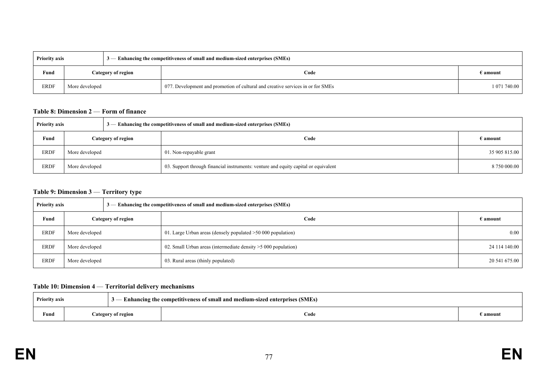| <b>Priority axis</b> |                    |  | $\frac{1}{3}$ - Enhancing the competitiveness of small and medium-sized enterprises (SMEs) |              |
|----------------------|--------------------|--|--------------------------------------------------------------------------------------------|--------------|
| Fund                 | Category of region |  | Code                                                                                       | d amount     |
| <b>ERDF</b>          | More developed     |  | 077. Development and promotion of cultural and creative services in or for SMEs            | 1 071 740.00 |

#### **Table 8: Dimension 2** — **Form of finance**

| 3 — Enhancing the competitiveness of small and medium-sized enterprises (SMEs)<br><b>Priority axis</b> |                           |                                                                                     |                   |  |
|--------------------------------------------------------------------------------------------------------|---------------------------|-------------------------------------------------------------------------------------|-------------------|--|
| Fund                                                                                                   | <b>Category of region</b> | Code                                                                                | $\epsilon$ amount |  |
| <b>ERDF</b>                                                                                            | More developed            | 01. Non-repayable grant                                                             | 35 905 815.00     |  |
| <b>ERDF</b>                                                                                            | More developed            | 03. Support through financial instruments: venture and equity capital or equivalent | 8 750 000.00      |  |

#### **Table 9: Dimension 3** — **Territory type**

| <b>Priority axis</b> |                    |  | $3$ — Enhancing the competitiveness of small and medium-sized enterprises (SMEs) |                   |
|----------------------|--------------------|--|----------------------------------------------------------------------------------|-------------------|
| Fund                 | Category of region |  | Code                                                                             | $\epsilon$ amount |
| <b>ERDF</b>          | More developed     |  | 01. Large Urban areas (densely populated $>50,000$ population)                   | 0.00              |
| ERDF                 | More developed     |  | 02. Small Urban areas (intermediate density $>5000$ population)                  | 24 114 140.00     |
| <b>ERDF</b>          | More developed     |  | 03. Rural areas (thinly populated)                                               | 20 541 675.00     |

#### **Table 10: Dimension 4** — **Territorial delivery mechanisms**

| <b>Priority axis</b> |  |                    | Enhancing the competitiveness of small and medium-sized enterprises (SMEs) |          |
|----------------------|--|--------------------|----------------------------------------------------------------------------|----------|
| Fund                 |  | Category of region | Code                                                                       | amount { |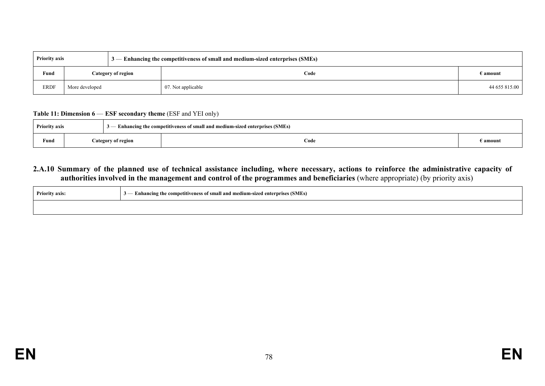| <b>Priority axis</b> |                    |  | $3$ — Enhancing the competitiveness of small and medium-sized enterprises (SMEs) |               |
|----------------------|--------------------|--|----------------------------------------------------------------------------------|---------------|
| Fund                 | Category of region |  | Code                                                                             | E amount      |
| <b>ERDF</b>          | More developed     |  | 07. Not applicable                                                               | 44 655 815.00 |

#### **Table 11: Dimension 6** — **ESF secondary theme** (ESF and YEI only)

| <b>Priority axis</b> |                    | $3$ — Enhancing the competitiveness of small and medium-sized enterprises (SMEs) |        |  |  |  |  |
|----------------------|--------------------|----------------------------------------------------------------------------------|--------|--|--|--|--|
| Fund                 | Category of region | Code                                                                             | amount |  |  |  |  |

#### **2.A.10 Summary of the planned use of technical assistance including, where necessary, actions to reinforce the administrative capacity of authorities involved in the management and control of the programmes and beneficiaries** (where appropriate) (by priority axis)

| <b>Priority axis:</b> | - Enhancing the competitiveness of small and medium-sized enterprises (SMEs) |  |
|-----------------------|------------------------------------------------------------------------------|--|
|                       |                                                                              |  |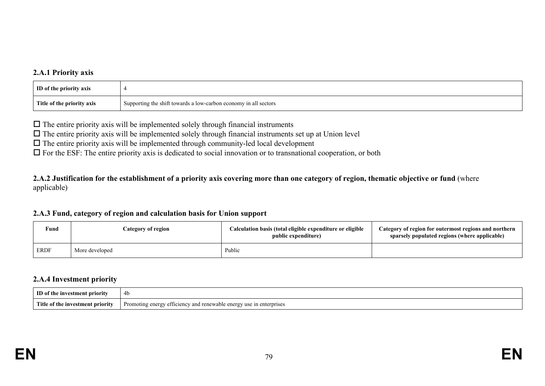#### **2.A.1 Priority axis**

| ID of the priority axis    |                                                                    |
|----------------------------|--------------------------------------------------------------------|
| Title of the priority axis | I Supporting the shift towards a low-carbon economy in all sectors |

 $\Box$  The entire priority axis will be implemented solely through financial instruments

 $\Box$  The entire priority axis will be implemented solely through financial instruments set up at Union level

 $\Box$  The entire priority axis will be implemented through community-led local development

 $\Box$  For the ESF: The entire priority axis is dedicated to social innovation or to transnational cooperation, or both

**2.A.2 Justification for the establishment of a priority axis covering more than one category of region, thematic objective or fund** (where applicable)

#### **2.A.3 Fund, category of region and calculation basis for Union support**

| Fund        | Category of region | Calculation basis (total eligible expenditure or eligible<br>public expenditure) | Category of region for outermost regions and northern<br>sparsely populated regions (where applicable) |
|-------------|--------------------|----------------------------------------------------------------------------------|--------------------------------------------------------------------------------------------------------|
| <b>ERDF</b> | More developed     | Public                                                                           |                                                                                                        |

#### **2.A.4 Investment priority**

| ID of the investment priority           | 4b                                                                                        |
|-----------------------------------------|-------------------------------------------------------------------------------------------|
| Title<br>of th<br>e investment priority | efficiency and renewab.<br>n enterprises '<br>Promoting energy<br>energy<br>use<br>$\sim$ |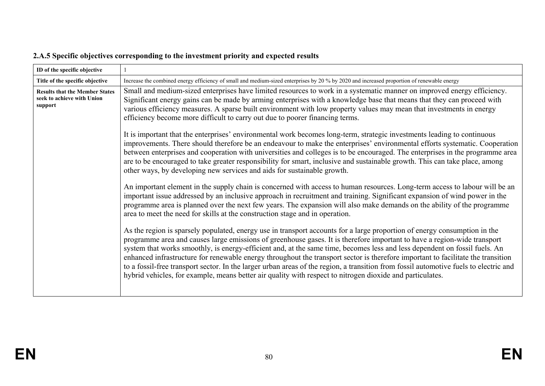| ID of the specific objective                                                   |                                                                                                                                                                                                                                                                                                                                                                                                                                                                                                                                                                                                                                                                                                                                                                               |  |
|--------------------------------------------------------------------------------|-------------------------------------------------------------------------------------------------------------------------------------------------------------------------------------------------------------------------------------------------------------------------------------------------------------------------------------------------------------------------------------------------------------------------------------------------------------------------------------------------------------------------------------------------------------------------------------------------------------------------------------------------------------------------------------------------------------------------------------------------------------------------------|--|
| Title of the specific objective                                                | Increase the combined energy efficiency of small and medium-sized enterprises by 20 % by 2020 and increased proportion of renewable energy                                                                                                                                                                                                                                                                                                                                                                                                                                                                                                                                                                                                                                    |  |
| <b>Results that the Member States</b><br>seek to achieve with Union<br>support | Small and medium-sized enterprises have limited resources to work in a systematic manner on improved energy efficiency.<br>Significant energy gains can be made by arming enterprises with a knowledge base that means that they can proceed with<br>various efficiency measures. A sparse built environment with low property values may mean that investments in energy<br>efficiency become more difficult to carry out due to poorer financing terms.                                                                                                                                                                                                                                                                                                                     |  |
|                                                                                | It is important that the enterprises' environmental work becomes long-term, strategic investments leading to continuous<br>improvements. There should therefore be an endeavour to make the enterprises' environmental efforts systematic. Cooperation<br>between enterprises and cooperation with universities and colleges is to be encouraged. The enterprises in the programme area<br>are to be encouraged to take greater responsibility for smart, inclusive and sustainable growth. This can take place, among<br>other ways, by developing new services and aids for sustainable growth.                                                                                                                                                                             |  |
|                                                                                | An important element in the supply chain is concerned with access to human resources. Long-term access to labour will be an<br>important issue addressed by an inclusive approach in recruitment and training. Significant expansion of wind power in the<br>programme area is planned over the next few years. The expansion will also make demands on the ability of the programme<br>area to meet the need for skills at the construction stage and in operation.                                                                                                                                                                                                                                                                                                          |  |
|                                                                                | As the region is sparsely populated, energy use in transport accounts for a large proportion of energy consumption in the<br>programme area and causes large emissions of greenhouse gases. It is therefore important to have a region-wide transport<br>system that works smoothly, is energy-efficient and, at the same time, becomes less and less dependent on fossil fuels. An<br>enhanced infrastructure for renewable energy throughout the transport sector is therefore important to facilitate the transition<br>to a fossil-free transport sector. In the larger urban areas of the region, a transition from fossil automotive fuels to electric and<br>hybrid vehicles, for example, means better air quality with respect to nitrogen dioxide and particulates. |  |

# **2.A.5 Specific objectives corresponding to the investment priority and expected results**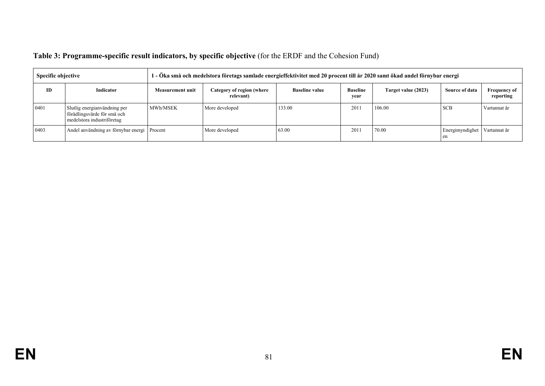| Table 3: Programme-specific result indicators, by specific objective (for the ERDF and the Cohesion Fund) |  |  |  |
|-----------------------------------------------------------------------------------------------------------|--|--|--|
|                                                                                                           |  |  |  |

| <b>Specific objective</b> |                                                                                           | 1 - Öka små och medelstora företags samlade energieffektivitet med 20 procent till år 2020 samt ökad andel förnybar energi |                                        |                       |                         |                     |                       |                                  |
|---------------------------|-------------------------------------------------------------------------------------------|----------------------------------------------------------------------------------------------------------------------------|----------------------------------------|-----------------------|-------------------------|---------------------|-----------------------|----------------------------------|
| ID                        | Indicator                                                                                 | <b>Measurement unit</b>                                                                                                    | Category of region (where<br>relevant) | <b>Baseline value</b> | <b>Baseline</b><br>vear | Target value (2023) | Source of data        | <b>Frequency of</b><br>reporting |
| 0401                      | Slutlig energianvändning per<br>förädlingsvärde för små och<br>medelstora industriföretag | MWh/MSEK                                                                                                                   | More developed                         | 133.00                | 201                     | 106.00              | <b>SCB</b>            | Vartannat år                     |
| 0403                      | Andel användning av förnybar energi Procent                                               |                                                                                                                            | More developed                         | 63.00                 | 201                     | 70.00               | Energimyndighet<br>en | Vartannat år                     |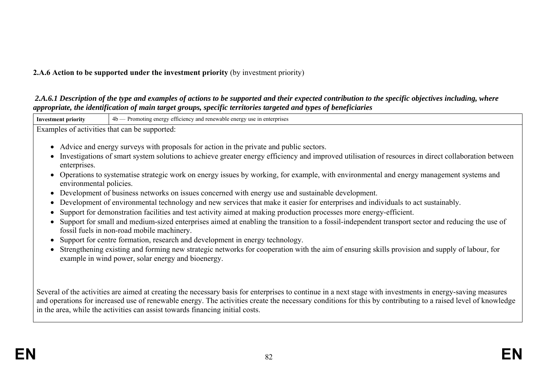### **2.A.6 Action to be supported under the investment priority** (by investment priority)

#### *2.A.6.1 Description of the type and examples of actions to be supported and their expected contribution to the specific objectives including, where appropriate, the identification of main target groups, specific territories targeted and types of beneficiaries*

| <b>Investment priority</b>              | 4b — Promoting energy efficiency and renewable energy use in enterprises                                                                                                                                                                                                                                                                                                                                                                                                                                                                                                                                                                                                                                                                                                                                                                                                                                                                                                                                                                                                                                                                                                                                                                           |
|-----------------------------------------|----------------------------------------------------------------------------------------------------------------------------------------------------------------------------------------------------------------------------------------------------------------------------------------------------------------------------------------------------------------------------------------------------------------------------------------------------------------------------------------------------------------------------------------------------------------------------------------------------------------------------------------------------------------------------------------------------------------------------------------------------------------------------------------------------------------------------------------------------------------------------------------------------------------------------------------------------------------------------------------------------------------------------------------------------------------------------------------------------------------------------------------------------------------------------------------------------------------------------------------------------|
|                                         | Examples of activities that can be supported:                                                                                                                                                                                                                                                                                                                                                                                                                                                                                                                                                                                                                                                                                                                                                                                                                                                                                                                                                                                                                                                                                                                                                                                                      |
| enterprises.<br>environmental policies. | • Advice and energy surveys with proposals for action in the private and public sectors.<br>Investigations of smart system solutions to achieve greater energy efficiency and improved utilisation of resources in direct collaboration between<br>Operations to systematise strategic work on energy issues by working, for example, with environmental and energy management systems and<br>Development of business networks on issues concerned with energy use and sustainable development.<br>Development of environmental technology and new services that make it easier for enterprises and individuals to act sustainably.<br>Support for demonstration facilities and test activity aimed at making production processes more energy-efficient.<br>Support for small and medium-sized enterprises aimed at enabling the transition to a fossil-independent transport sector and reducing the use of<br>fossil fuels in non-road mobile machinery.<br>Support for centre formation, research and development in energy technology.<br>Strengthening existing and forming new strategic networks for cooperation with the aim of ensuring skills provision and supply of labour, for<br>example in wind power, solar energy and bioenergy. |
|                                         | Several of the activities are aimed at creating the necessary basis for enterprises to continue in a next stage with investments in energy-saving measures<br>and operations for increased use of renewable energy. The activities create the necessary conditions for this by contributing to a raised level of knowledge<br>in the area, while the activities can assist towards financing initial costs.                                                                                                                                                                                                                                                                                                                                                                                                                                                                                                                                                                                                                                                                                                                                                                                                                                        |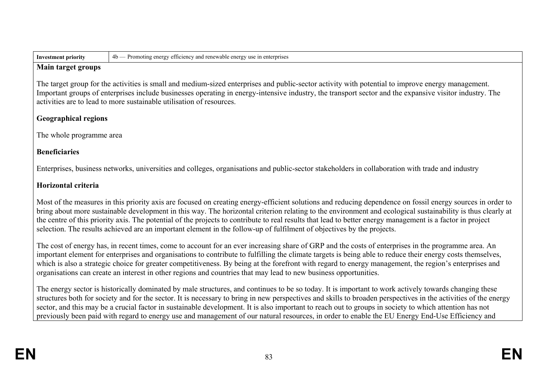| <b>Investment priority</b> |  |
|----------------------------|--|
|----------------------------|--|

**Investment priority** 4b — Promoting energy efficiency and renewable energy use in enterprises

#### **Main target groups**

The target group for the activities is small and medium-sized enterprises and public-sector activity with potential to improve energy management. Important groups of enterprises include businesses operating in energy-intensive industry, the transport sector and the expansive visitor industry. The activities are to lead to more sustainable utilisation of resources.

## **Geographical regions**

The whole programme area

## **Beneficiaries**

Enterprises, business networks, universities and colleges, organisations and public-sector stakeholders in collaboration with trade and industry

## **Horizontal criteria**

Most of the measures in this priority axis are focused on creating energy-efficient solutions and reducing dependence on fossil energy sources in order to bring about more sustainable development in this way. The horizontal criterion relating to the environment and ecological sustainability is thus clearly at the centre of this priority axis. The potential of the projects to contribute to real results that lead to better energy management is a factor in project selection. The results achieved are an important element in the follow-up of fulfilment of objectives by the projects.

The cost of energy has, in recent times, come to account for an ever increasing share of GRP and the costs of enterprises in the programme area. An important element for enterprises and organisations to contribute to fulfilling the climate targets is being able to reduce their energy costs themselves, which is also a strategic choice for greater competitiveness. By being at the forefront with regard to energy management, the region's enterprises and organisations can create an interest in other regions and countries that may lead to new business opportunities.

The energy sector is historically dominated by male structures, and continues to be so today. It is important to work actively towards changing these structures both for society and for the sector. It is necessary to bring in new perspectives and skills to broaden perspectives in the activities of the energy sector, and this may be a crucial factor in sustainable development. It is also important to reach out to groups in society to which attention has not previously been paid with regard to energy use and management of our natural resources, in order to enable the EU Energy End-Use Efficiency and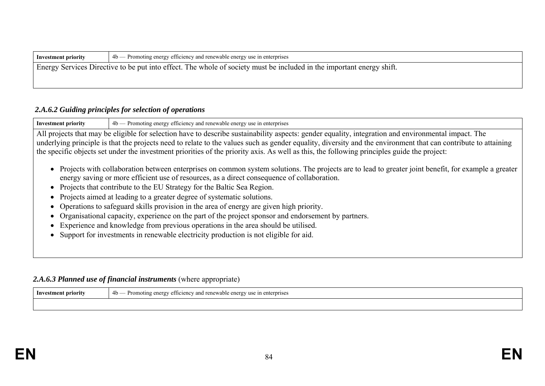| Investment priority                                                                                                   | $4b$ – Promoting energy efficiency and renewable energy use in enterprises |  |
|-----------------------------------------------------------------------------------------------------------------------|----------------------------------------------------------------------------|--|
| Energy Services Directive to be put into effect. The whole of society must be included in the important energy shift. |                                                                            |  |
|                                                                                                                       |                                                                            |  |

### *2.A.6.2 Guiding principles for selection of operations*

**Investment priority**  $4b$  — Promoting energy efficiency and renewable energy use in enterprises All projects that may be eligible for selection have to describe sustainability aspects: gender equality, integration and environmental impact. The underlying principle is that the projects need to relate to the values such as gender equality, diversity and the environment that can contribute to attaining the specific objects set under the investment priorities of the priority axis. As well as this, the following principles guide the project:

- Projects with collaboration between enterprises on common system solutions. The projects are to lead to greater joint benefit, for example a greater energy saving or more efficient use of resources, as a direct consequence of collaboration.
- Projects that contribute to the EU Strategy for the Baltic Sea Region.
- Projects aimed at leading to a greater degree of systematic solutions.
- Operations to safeguard skills provision in the area of energy are given high priority.
- Organisational capacity, experience on the part of the project sponsor and endorsement by partners.
- Experience and knowledge from previous operations in the area should be utilised.
- Support for investments in renewable electricity production is not eligible for aid.

### 2.A.6.3 Planned use of financial instruments (where appropriate)

| Investment priority | 4b<br>Pron<br>iency and<br>i renewable energy use<br>nterprises<br>ettic<br>noting<br>- en ∈ |
|---------------------|----------------------------------------------------------------------------------------------|
|                     |                                                                                              |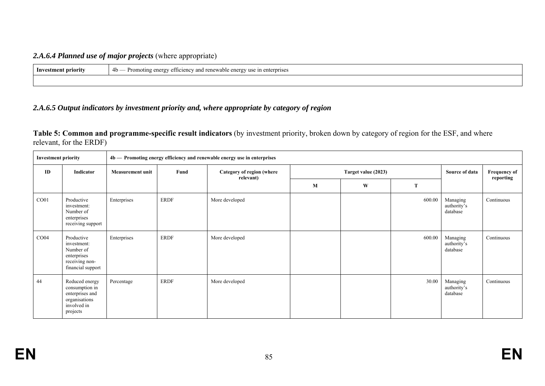### *2.A.6.4 Planned use of major projects* (where appropriate)

| Investment priority | energy use in enterprises<br>- and renewable ≃t<br>efficiency and<br>-4 h<br>ene.<br>moting<br>ິ<br>ັ |  |
|---------------------|-------------------------------------------------------------------------------------------------------|--|
|                     |                                                                                                       |  |

### *2.A.6.5 Output indicators by investment priority and, where appropriate by category of region*

**Table 5: Common and programme-specific result indicators** (by investment priority, broken down by category of region for the ESF, and where relevant, for the ERDF)

| <b>Investment priority</b> |                                                                                                 | 4b - Promoting energy efficiency and renewable energy use in enterprises |             |                                                               |              |                |                                  |                                     |            |  |  |
|----------------------------|-------------------------------------------------------------------------------------------------|--------------------------------------------------------------------------|-------------|---------------------------------------------------------------|--------------|----------------|----------------------------------|-------------------------------------|------------|--|--|
| ID                         | Indicator                                                                                       | <b>Measurement unit</b>                                                  | Fund        | Target value (2023)<br>Category of region (where<br>relevant) |              | Source of data | <b>Frequency of</b><br>reporting |                                     |            |  |  |
|                            |                                                                                                 |                                                                          |             |                                                               | $\mathbf{M}$ | W              | T                                |                                     |            |  |  |
| CO <sub>01</sub>           | Productive<br>investment:<br>Number of<br>enterprises<br>receiving support                      | Enterprises                                                              | <b>ERDF</b> | More developed                                                |              |                | 600.00                           | Managing<br>authority's<br>database | Continuous |  |  |
| CO <sub>04</sub>           | Productive<br>investment:<br>Number of<br>enterprises<br>receiving non-<br>financial support    | Enterprises                                                              | <b>ERDF</b> | More developed                                                |              |                | 600.00                           | Managing<br>authority's<br>database | Continuous |  |  |
| 44                         | Reduced energy<br>consumption in<br>enterprises and<br>organisations<br>involved in<br>projects | Percentage                                                               | <b>ERDF</b> | More developed                                                |              |                | 30.00                            | Managing<br>authority's<br>database | Continuous |  |  |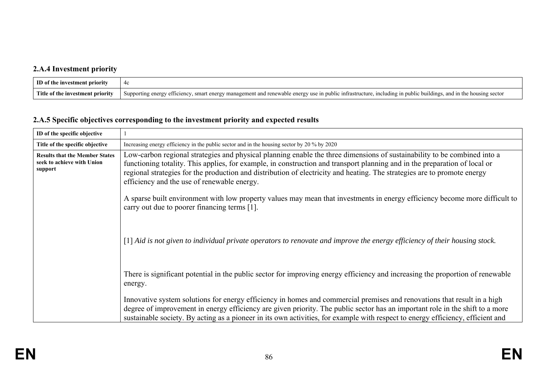# **2.A.4 Investment priority**

| ID of the investment priority        | 4¢                                                                                                                                                                                    |
|--------------------------------------|---------------------------------------------------------------------------------------------------------------------------------------------------------------------------------------|
| Title of th<br>e investment priority | 1 renewable energy use in public intrastructure, including in public buildings, $\mu$<br>and in the housing sector<br>Supporting energy efficiency,<br>y, smart energy management and |

# **2.A.5 Specific objectives corresponding to the investment priority and expected results**

| ID of the specific objective                                                   |                                                                                                                                                                                                                                                                                                                                                                                                                                   |  |  |  |  |
|--------------------------------------------------------------------------------|-----------------------------------------------------------------------------------------------------------------------------------------------------------------------------------------------------------------------------------------------------------------------------------------------------------------------------------------------------------------------------------------------------------------------------------|--|--|--|--|
| Title of the specific objective                                                | Increasing energy efficiency in the public sector and in the housing sector by 20 % by 2020                                                                                                                                                                                                                                                                                                                                       |  |  |  |  |
| <b>Results that the Member States</b><br>seek to achieve with Union<br>support | Low-carbon regional strategies and physical planning enable the three dimensions of sustainability to be combined into a<br>functioning totality. This applies, for example, in construction and transport planning and in the preparation of local or<br>regional strategies for the production and distribution of electricity and heating. The strategies are to promote energy<br>efficiency and the use of renewable energy. |  |  |  |  |
|                                                                                | A sparse built environment with low property values may mean that investments in energy efficiency become more difficult to<br>carry out due to poorer financing terms [1].                                                                                                                                                                                                                                                       |  |  |  |  |
|                                                                                | $\lceil 1 \rceil$ Aid is not given to individual private operators to renovate and improve the energy efficiency of their housing stock.                                                                                                                                                                                                                                                                                          |  |  |  |  |
|                                                                                | There is significant potential in the public sector for improving energy efficiency and increasing the proportion of renewable<br>energy.                                                                                                                                                                                                                                                                                         |  |  |  |  |
|                                                                                | Innovative system solutions for energy efficiency in homes and commercial premises and renovations that result in a high<br>degree of improvement in energy efficiency are given priority. The public sector has an important role in the shift to a more<br>sustainable society. By acting as a pioneer in its own activities, for example with respect to energy efficiency, efficient and                                      |  |  |  |  |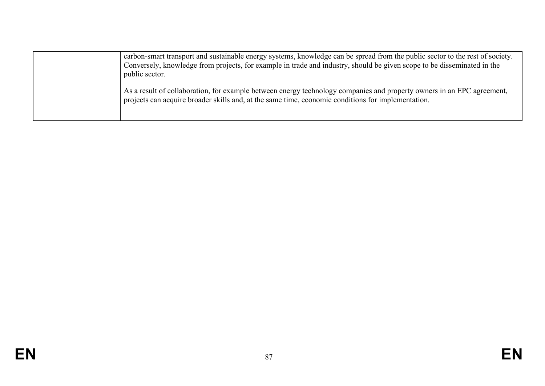| carbon-smart transport and sustainable energy systems, knowledge can be spread from the public sector to the rest of society.<br>Conversely, knowledge from projects, for example in trade and industry, should be given scope to be disseminated in the<br>public sector. |
|----------------------------------------------------------------------------------------------------------------------------------------------------------------------------------------------------------------------------------------------------------------------------|
| As a result of collaboration, for example between energy technology companies and property owners in an EPC agreement,<br>projects can acquire broader skills and, at the same time, economic conditions for implementation.                                               |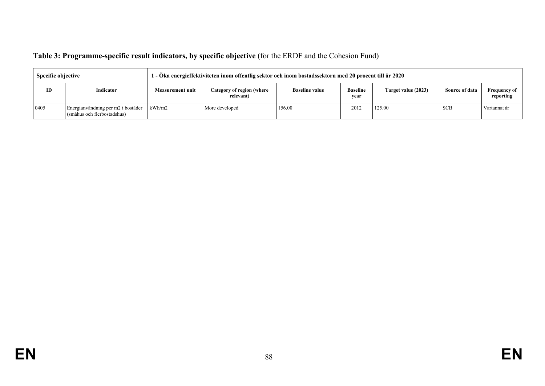| Table 3: Programme-specific result indicators, by specific objective (for the ERDF and the Cohesion Fund) |  |  |  |
|-----------------------------------------------------------------------------------------------------------|--|--|--|
|                                                                                                           |  |  |  |

| <b>Specific objective</b> |                                                                   | l - Öka energieffektiviteten inom offentlig sektor och inom bostadssektorn med 20 procent till år 2020 |                |        |                         |                     |                       |                                  |  |  |  |
|---------------------------|-------------------------------------------------------------------|--------------------------------------------------------------------------------------------------------|----------------|--------|-------------------------|---------------------|-----------------------|----------------------------------|--|--|--|
| ID                        | Indicator                                                         | Category of region (where<br><b>Baseline value</b><br><b>Measurement unit</b><br>relevant)             |                |        | <b>Baseline</b><br>vear | Target value (2023) | <b>Source of data</b> | <b>Frequency of</b><br>reporting |  |  |  |
| 0405                      | Energianvändning per m2 i bostäder<br>(småhus och flerbostadshus) | kWh/m2                                                                                                 | More developed | 156.00 | 2012                    | 125.00              | <b>SCB</b>            | Vartannat år                     |  |  |  |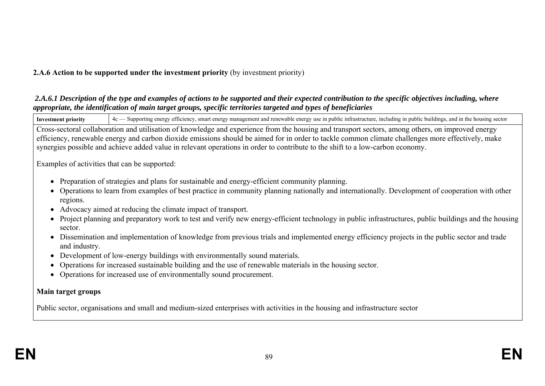## **2.A.6 Action to be supported under the investment priority** (by investment priority)

#### *2.A.6.1 Description of the type and examples of actions to be supported and their expected contribution to the specific objectives including, where appropriate, the identification of main target groups, specific territories targeted and types of beneficiaries*

Investment priority  $|4c -$  Supporting energy efficiency, smart energy management and renewable energy use in public infrastructure, including in public buildings, and in the housing sector

Cross-sectoral collaboration and utilisation of knowledge and experience from the housing and transport sectors, among others, on improved energy efficiency, renewable energy and carbon dioxide emissions should be aimed for in order to tackle common climate challenges more effectively, make synergies possible and achieve added value in relevant operations in order to contribute to the shift to a low-carbon economy.

Examples of activities that can be supported:

- Preparation of strategies and plans for sustainable and energy-efficient community planning.
- Operations to learn from examples of best practice in community planning nationally and internationally. Development of cooperation with other regions.
- Advocacy aimed at reducing the climate impact of transport.
- Project planning and preparatory work to test and verify new energy-efficient technology in public infrastructures, public buildings and the housing sector.
- Dissemination and implementation of knowledge from previous trials and implemented energy efficiency projects in the public sector and trade and industry.
- Development of low-energy buildings with environmentally sound materials.
- Operations for increased sustainable building and the use of renewable materials in the housing sector.
- Operations for increased use of environmentally sound procurement.

### **Main target groups**

Public sector, organisations and small and medium-sized enterprises with activities in the housing and infrastructure sector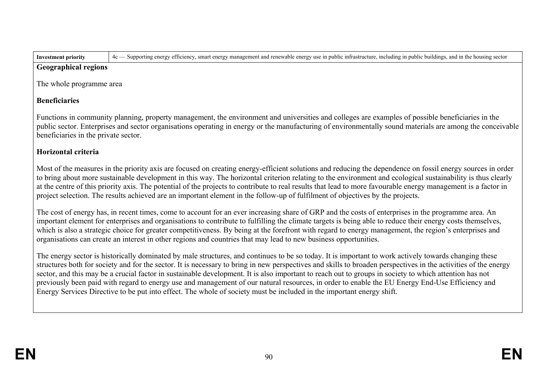| Geographical regions |
|----------------------|

The whole programme area

# **Beneficiaries**

Functions in community planning, property management, the environment and universities and colleges are examples of possible beneficiaries in the public sector. Enterprises and sector organisations operating in energy or the manufacturing of environmentally sound materials are among the conceivable beneficiaries in the private sector.

Investment priority  $\left\{ 4c -$  Supporting energy efficiency, smart energy management and renewable energy use in public infrastructure, including in public buildings, and in the housing sector

# **Horizontal criteria**

Most of the measures in the priority axis are focused on creating energy-efficient solutions and reducing the dependence on fossil energy sources in order to bring about more sustainable development in this way. The horizontal criterion relating to the environment and ecological sustainability is thus clearly at the centre of this priority axis. The potential of the projects to contribute to real results that lead to more favourable energy management is a factor in project selection. The results achieved are an important element in the follow-up of fulfilment of objectives by the projects.

The cost of energy has, in recent times, come to account for an ever increasing share of GRP and the costs of enterprises in the programme area. An important element for enterprises and organisations to contribute to fulfilling the climate targets is being able to reduce their energy costs themselves, which is also a strategic choice for greater competitiveness. By being at the forefront with regard to energy management, the region's enterprises and organisations can create an interest in other regions and countries that may lead to new business opportunities.

The energy sector is historically dominated by male structures, and continues to be so today. It is important to work actively towards changing these structures both for society and for the sector. It is necessary to bring in new perspectives and skills to broaden perspectives in the activities of the energy sector, and this may be a crucial factor in sustainable development. It is also important to reach out to groups in society to which attention has not previously been paid with regard to energy use and management of our natural resources, in order to enable the EU Energy End-Use Efficiency and Energy Services Directive to be put into effect. The whole of society must be included in the important energy shift.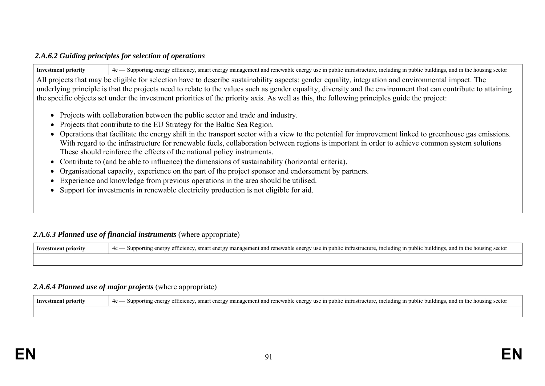#### *2.A.6.2 Guiding principles for selection of operations*

Investment priority  $4c$ — Supporting energy efficiency, smart energy management and renewable energy use in public infrastructure, including in public buildings, and in the housing sector All projects that may be eligible for selection have to describe sustainability aspects: gender equality, integration and environmental impact. The underlying principle is that the projects need to relate to the values such as gender equality, diversity and the environment that can contribute to attaining the specific objects set under the investment priorities of the priority axis. As well as this, the following principles guide the project: • Projects with collaboration between the public sector and trade and industry. • Projects that contribute to the EU Strategy for the Baltic Sea Region. Operations that facilitate the energy shift in the transport sector with a view to the potential for improvement linked to greenhouse gas emissions. With regard to the infrastructure for renewable fuels, collaboration between regions is important in order to achieve common system solutions These should reinforce the effects of the national policy instruments.

- Contribute to (and be able to influence) the dimensions of sustainability (horizontal criteria).
- Organisational capacity, experience on the part of the project sponsor and endorsement by partners.
- Experience and knowledge from previous operations in the area should be utilised.
- Support for investments in renewable electricity production is not eligible for aid.

### 2.A.6.3 Planned use of financial instruments (where appropriate)

**Investment priority**  $\begin{cases} 4c \text{ \textend{cases}$  Supporting energy efficiency, smart energy management and renewable energy use in public infrastructure, including in public buildings, and in the housing sector

### *2.A.6.4 Planned use of major projects* (where appropriate)

| Inves<br>*ifv | .m†r⊱<br>$\mathbb{R}^n$<br>nu<br>smar<br>/ 11SP<br>$\sim$ $\sim$<br>blic<br>adıngs -<br>. in the<br>`Struv<br>1n<br>- 4с<br>Ollsinø<br>portir<br>'110111.<br>erat<br>:TT16<br>anic<br>٠nı<br>ener<br>янн<br>апп<br><b>SCULUI</b><br>.<br>. |
|---------------|--------------------------------------------------------------------------------------------------------------------------------------------------------------------------------------------------------------------------------------------|
|               |                                                                                                                                                                                                                                            |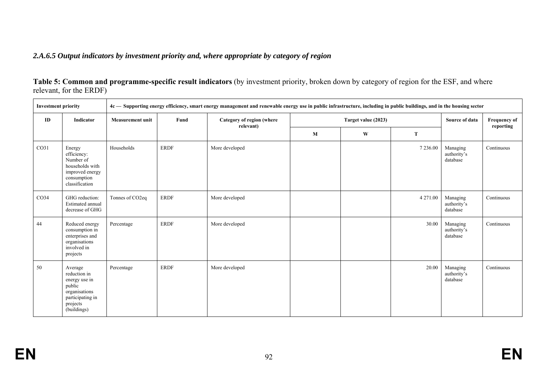### *2.A.6.5 Output indicators by investment priority and, where appropriate by category of region*

**Table 5: Common and programme-specific result indicators** (by investment priority, broken down by category of region for the ESF, and where relevant, for the ERDF)

| <b>Investment priority</b> |                                                                                                                    | 4c — Supporting energy efficiency, smart energy management and renewable energy use in public infrastructure, including in public buildings, and in the housing sector |             |                                        |              |                     |          |                                     |            |  |                                  |
|----------------------------|--------------------------------------------------------------------------------------------------------------------|------------------------------------------------------------------------------------------------------------------------------------------------------------------------|-------------|----------------------------------------|--------------|---------------------|----------|-------------------------------------|------------|--|----------------------------------|
| ID                         | Indicator                                                                                                          | <b>Measurement unit</b>                                                                                                                                                | Fund        | Category of region (where<br>relevant) |              | Target value (2023) |          |                                     |            |  | <b>Frequency of</b><br>reporting |
|                            |                                                                                                                    |                                                                                                                                                                        |             |                                        | $\mathbf{M}$ | W                   | T        |                                     |            |  |                                  |
| CO31                       | Energy<br>efficiency:<br>Number of<br>households with<br>improved energy<br>consumption<br>classification          | Households                                                                                                                                                             | <b>ERDF</b> | More developed                         |              |                     | 7 236.00 | Managing<br>authority's<br>database | Continuous |  |                                  |
| CO <sub>34</sub>           | GHG reduction:<br>Estimated annual<br>decrease of GHG                                                              | Tonnes of CO2eq                                                                                                                                                        | <b>ERDF</b> | More developed                         |              |                     | 4 271.00 | Managing<br>authority's<br>database | Continuous |  |                                  |
| 44                         | Reduced energy<br>consumption in<br>enterprises and<br>organisations<br>involved in<br>projects                    | Percentage                                                                                                                                                             | <b>ERDF</b> | More developed                         |              |                     | 30.00    | Managing<br>authority's<br>database | Continuous |  |                                  |
| 50                         | Average<br>reduction in<br>energy use in<br>public<br>organisations<br>participating in<br>projects<br>(buildings) | Percentage                                                                                                                                                             | <b>ERDF</b> | More developed                         |              |                     | 20.00    | Managing<br>authority's<br>database | Continuous |  |                                  |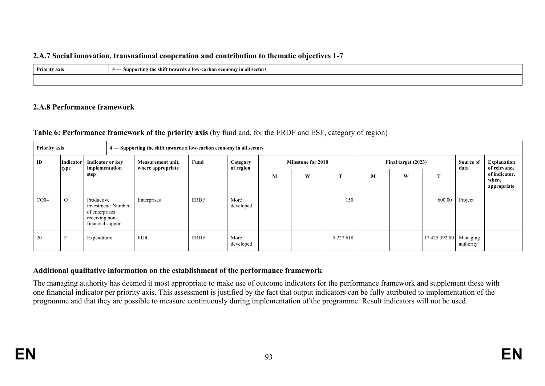#### **2.A.7 Social innovation, transnational cooperation and contribution to thematic objectives 1-7**

| <b>Priority axis</b><br>$\sim$ $\sim$ | . .<br>- Supporting the shift towards a low-carbon economy in all sectors |
|---------------------------------------|---------------------------------------------------------------------------|
|                                       |                                                                           |

#### **2.A.8 Performance framework**

### **Table 6: Performance framework of the priority axis** (by fund and, for the ERDF and ESF, category of region)

| <b>Priority axis</b> |                  |                                                                                           |                                    | 4 — Supporting the shift towards a low-carbon economy in all sectors |             |                       |                           |   |               |                     |   |                        |                   |                                       |
|----------------------|------------------|-------------------------------------------------------------------------------------------|------------------------------------|----------------------------------------------------------------------|-------------|-----------------------|---------------------------|---|---------------|---------------------|---|------------------------|-------------------|---------------------------------------|
| ID                   | <b>Indicator</b> |                                                                                           | Indicator or key<br>implementation | Measurement unit,<br>where appropriate                               | Fund        | Category<br>of region | <b>Milestone for 2018</b> |   |               | Final target (2023) |   |                        | Source of<br>data | <b>Explanation</b><br>of relevance    |
|                      | type             | step                                                                                      |                                    |                                                                      |             |                       | M                         | W | œ             | M                   | W | $\mathbf T$            |                   | of indicator,<br>where<br>appropriate |
| CO <sub>04</sub>     | $\Omega$         | Productive<br>investment: Number<br>of enterprises<br>receiving non-<br>financial support |                                    | Enterprises                                                          | ERDF        | More<br>developed     |                           |   | 150           |                     |   | 600.00                 | Project           |                                       |
| 20                   | $\mathbf{r}$     | Expenditure                                                                               |                                    | <b>EUR</b>                                                           | <b>ERDF</b> | More<br>developed     |                           |   | 5 2 2 7 6 1 8 |                     |   | 17 425 392.00 Managing | authority         |                                       |

### **Additional qualitative information on the establishment of the performance framework**

The managing authority has deemed it most appropriate to make use of outcome indicators for the performance framework and supplement these with one financial indicator per priority axis. This assessment is justified by the fact that output indicators can be fully attributed to implementation of the programme and that they are possible to measure continuously during implementation of the programme. Result indicators will not be used.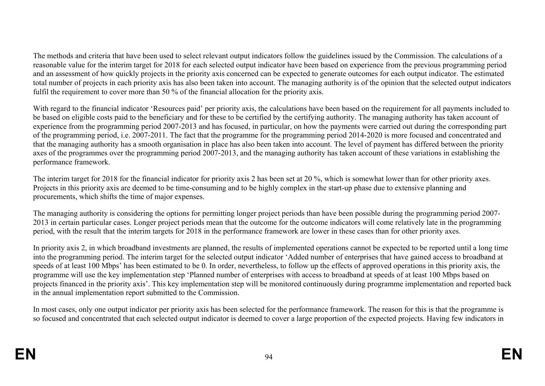The methods and criteria that have been used to select relevant output indicators follow the guidelines issued by the Commission. The calculations of a reasonable value for the interim target for 2018 for each selected output indicator have been based on experience from the previous programming period and an assessment of how quickly projects in the priority axis concerned can be expected to generate outcomes for each output indicator. The estimated total number of projects in each priority axis has also been taken into account. The managing authority is of the opinion that the selected output indicators fulfil the requirement to cover more than 50 % of the financial allocation for the priority axis.

With regard to the financial indicator 'Resources paid' per priority axis, the calculations have been based on the requirement for all payments included to be based on eligible costs paid to the beneficiary and for these to be certified by the certifying authority. The managing authority has taken account of experience from the programming period 2007-2013 and has focused, in particular, on how the payments were carried out during the corresponding part of the programming period, i.e. 2007-2011. The fact that the programme for the programming period 2014-2020 is more focused and concentrated and that the managing authority has a smooth organisation in place has also been taken into account. The level of payment has differed between the priority axes of the programmes over the programming period 2007-2013, and the managing authority has taken account of these variations in establishing the performance framework.

The interim target for 2018 for the financial indicator for priority axis 2 has been set at 20 %, which is somewhat lower than for other priority axes. Projects in this priority axis are deemed to be time-consuming and to be highly complex in the start-up phase due to extensive planning and procurements, which shifts the time of major expenses.

The managing authority is considering the options for permitting longer project periods than have been possible during the programming period 2007- 2013 in certain particular cases. Longer project periods mean that the outcome for the outcome indicators will come relatively late in the programming period, with the result that the interim targets for 2018 in the performance framework are lower in these cases than for other priority axes.

In priority axis 2, in which broadband investments are planned, the results of implemented operations cannot be expected to be reported until a long time into the programming period. The interim target for the selected output indicator 'Added number of enterprises that have gained access to broadband at speeds of at least 100 Mbps' has been estimated to be 0. In order, nevertheless, to follow up the effects of approved operations in this priority axis, the programme will use the key implementation step 'Planned number of enterprises with access to broadband at speeds of at least 100 Mbps based on projects financed in the priority axis'. This key implementation step will be monitored continuously during programme implementation and reported back in the annual implementation report submitted to the Commission.

In most cases, only one output indicator per priority axis has been selected for the performance framework. The reason for this is that the programme is so focused and concentrated that each selected output indicator is deemed to cover a large proportion of the expected projects. Having few indicators in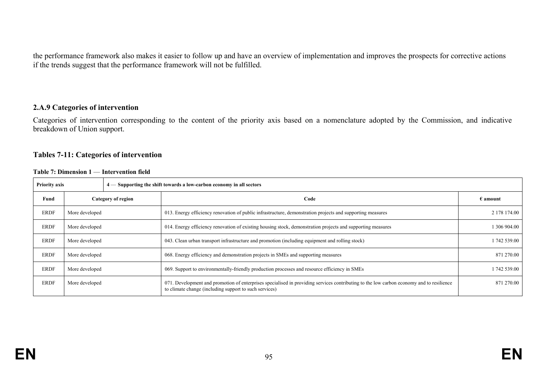the performance framework also makes it easier to follow up and have an overview of implementation and improves the prospects for corrective actions if the trends suggest that the performance framework will not be fulfilled.

#### **2.A.9 Categories of intervention**

Categories of intervention corresponding to the content of the priority axis based on a nomenclature adopted by the Commission, and indicative breakdown of Union support.

#### **Tables 7-11: Categories of intervention**

|  |  | Table 7: Dimension 1 — Intervention field |  |
|--|--|-------------------------------------------|--|
|--|--|-------------------------------------------|--|

| <b>Priority axis</b> |                    |  | $4$ — Supporting the shift towards a low-carbon economy in all sectors                                                                                                                                  |                   |
|----------------------|--------------------|--|---------------------------------------------------------------------------------------------------------------------------------------------------------------------------------------------------------|-------------------|
| Fund                 | Category of region |  | Code                                                                                                                                                                                                    | $\epsilon$ amount |
| <b>ERDF</b>          | More developed     |  | 013. Energy efficiency renovation of public infrastructure, demonstration projects and supporting measures                                                                                              | 2 178 174.00      |
| <b>ERDF</b>          | More developed     |  | 014. Energy efficiency renovation of existing housing stock, demonstration projects and supporting measures                                                                                             | 1 306 904.00      |
| <b>ERDF</b>          | More developed     |  | 043. Clean urban transport infrastructure and promotion (including equipment and rolling stock)                                                                                                         | 1 742 539.00      |
| <b>ERDF</b>          | More developed     |  | 068. Energy efficiency and demonstration projects in SMEs and supporting measures                                                                                                                       | 871 270.00        |
| <b>ERDF</b>          | More developed     |  | 069. Support to environmentally-friendly production processes and resource efficiency in SMEs                                                                                                           | 1742 539.00       |
| <b>ERDF</b>          | More developed     |  | . Development and promotion of enterprises specialised in providing services contributing to the low carbon economy and to resilience<br>071.<br>to climate change (including support to such services) | 871 270.00        |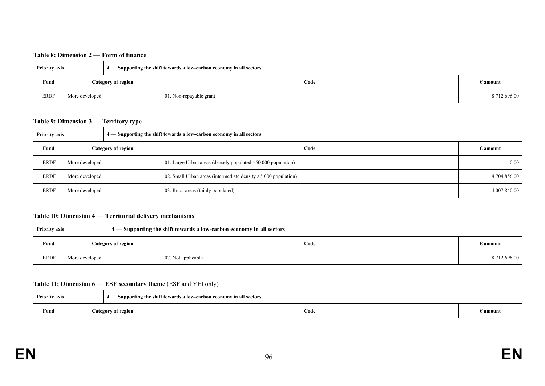#### **Table 8: Dimension 2** — **Form of finance**

| <b>Priority axis</b> |                    | $4$ — Supporting the shift towards a low-carbon economy in all sectors |      |                   |
|----------------------|--------------------|------------------------------------------------------------------------|------|-------------------|
| Fund                 | Category of region |                                                                        | Code | $\epsilon$ amount |
| <b>ERDF</b>          | More developed     | 01. Non-repayable grant                                                |      | 8 712 696.00      |

#### **Table 9: Dimension 3** — **Territory type**

| <b>Priority axis</b> |                |                    | $4$ — Supporting the shift towards a low-carbon economy in all sectors |                 |
|----------------------|----------------|--------------------|------------------------------------------------------------------------|-----------------|
| Fund                 |                | Category of region | Code                                                                   | E <b>amount</b> |
| ERDF                 | More developed |                    | 01. Large Urban areas (densely populated $>50000$ population)          | 0.00            |
| <b>ERDF</b>          | More developed |                    | 02. Small Urban areas (intermediate density $>5000$ population)        | 4 704 856.00    |
| ERDF                 | More developed |                    | 03. Rural areas (thinly populated)                                     | 4 007 840.00    |

#### **Table 10: Dimension 4** — **Territorial delivery mechanisms**

| <b>Priority axis</b> |                |                    | $\mid 4$ — Supporting the shift towards a low-carbon economy in all sectors |                   |
|----------------------|----------------|--------------------|-----------------------------------------------------------------------------|-------------------|
| Fund                 |                | Category of region | Code                                                                        | $\epsilon$ amount |
| <b>ERDF</b>          | More developed |                    | 07. Not applicable                                                          | 8712696.00        |

#### **Table 11: Dimension 6** — **ESF secondary theme** (ESF and YEI only)

| <b>Priority axis</b> |  |                    | - Supporting the shift towards a low-carbon economy in all sectors |          |
|----------------------|--|--------------------|--------------------------------------------------------------------|----------|
| Fund                 |  | Category of region | Code                                                               | 3 amount |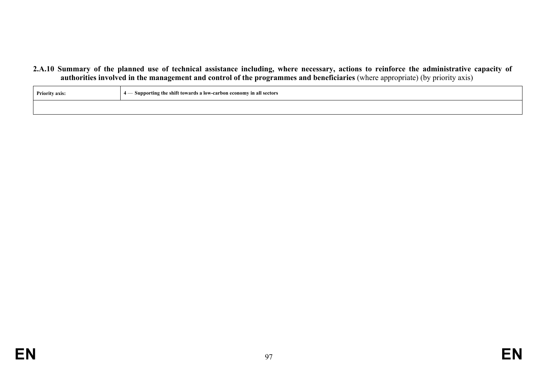**2.A.10 Summary of the planned use of technical assistance including, where necessary, actions to reinforce the administrative capacity of authorities involved in the management and control of the programmes and beneficiaries** (where appropriate) (by priority axis)

| <b>Priority axis:</b> | $\vert$ 4 $\vert$ Supporting the shift towards a low-carbon economy in all sectors |  |
|-----------------------|------------------------------------------------------------------------------------|--|
|                       |                                                                                    |  |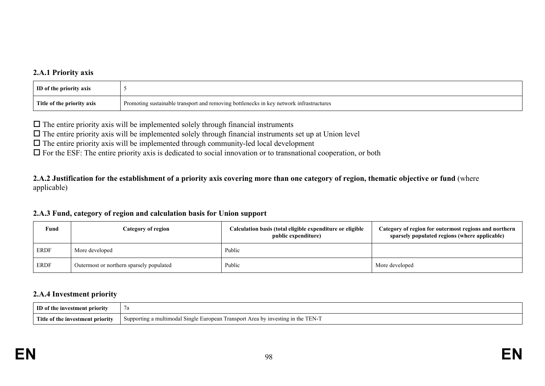### **2.A.1 Priority axis**

| <b>ID</b> of the priority axis |                                                                                         |
|--------------------------------|-----------------------------------------------------------------------------------------|
| Title of the priority axis     | Promoting sustainable transport and removing bottlenecks in key network infrastructures |

 $\Box$  The entire priority axis will be implemented solely through financial instruments

 $\Box$  The entire priority axis will be implemented solely through financial instruments set up at Union level

 $\Box$  The entire priority axis will be implemented through community-led local development

 $\Box$  For the ESF: The entire priority axis is dedicated to social innovation or to transnational cooperation, or both

**2.A.2 Justification for the establishment of a priority axis covering more than one category of region, thematic objective or fund** (where applicable)

#### **2.A.3 Fund, category of region and calculation basis for Union support**

| Fund | <b>Category of region</b>                | Calculation basis (total eligible expenditure or eligible<br>public expenditure) | Category of region for outermost regions and northern<br>sparsely populated regions (where applicable) |
|------|------------------------------------------|----------------------------------------------------------------------------------|--------------------------------------------------------------------------------------------------------|
| ERDF | More developed                           | Public                                                                           |                                                                                                        |
| ERDF | Outermost or northern sparsely populated | Public                                                                           | More developed                                                                                         |

#### **2.A.4 Investment priority**

| <b>ID</b> of the investment priority | 7a                                                                                                   |
|--------------------------------------|------------------------------------------------------------------------------------------------------|
| Title of the investment priority     | in the TEN-7<br>Supporting a multimodal Single European<br>. Area by<br>' investing in<br>1 ransport |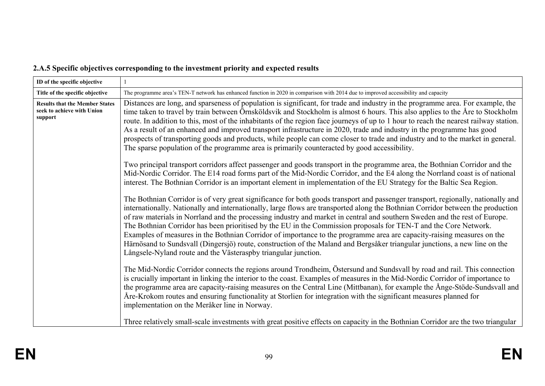# **2.A.5 Specific objectives corresponding to the investment priority and expected results**

| ID of the specific objective                                                   |                                                                                                                                                                                                                                                                                                                                                                                                                                                                                                                                                                                                                                                                                                                                                                                                                                                 |
|--------------------------------------------------------------------------------|-------------------------------------------------------------------------------------------------------------------------------------------------------------------------------------------------------------------------------------------------------------------------------------------------------------------------------------------------------------------------------------------------------------------------------------------------------------------------------------------------------------------------------------------------------------------------------------------------------------------------------------------------------------------------------------------------------------------------------------------------------------------------------------------------------------------------------------------------|
| Title of the specific objective                                                | The programme area's TEN-T network has enhanced function in 2020 in comparison with 2014 due to improved accessibility and capacity                                                                                                                                                                                                                                                                                                                                                                                                                                                                                                                                                                                                                                                                                                             |
| <b>Results that the Member States</b><br>seek to achieve with Union<br>support | Distances are long, and sparseness of population is significant, for trade and industry in the programme area. For example, the<br>time taken to travel by train between Örnsköldsvik and Stockholm is almost 6 hours. This also applies to the Åre to Stockholm<br>route. In addition to this, most of the inhabitants of the region face journeys of up to 1 hour to reach the nearest railway station.<br>As a result of an enhanced and improved transport infrastructure in 2020, trade and industry in the programme has good<br>prospects of transporting goods and products, while people can come closer to trade and industry and to the market in general.<br>The sparse population of the programme area is primarily counteracted by good accessibility.                                                                           |
|                                                                                | Two principal transport corridors affect passenger and goods transport in the programme area, the Bothnian Corridor and the<br>Mid-Nordic Corridor. The E14 road forms part of the Mid-Nordic Corridor, and the E4 along the Norrland coast is of national<br>interest. The Bothnian Corridor is an important element in implementation of the EU Strategy for the Baltic Sea Region.                                                                                                                                                                                                                                                                                                                                                                                                                                                           |
|                                                                                | The Bothnian Corridor is of very great significance for both goods transport and passenger transport, regionally, nationally and<br>internationally. Nationally and internationally, large flows are transported along the Bothnian Corridor between the production<br>of raw materials in Norrland and the processing industry and market in central and southern Sweden and the rest of Europe.<br>The Bothnian Corridor has been prioritised by the EU in the Commission proposals for TEN-T and the Core Network.<br>Examples of measures in the Bothnian Corridor of importance to the programme area are capacity-raising measures on the<br>Härnösand to Sundsvall (Dingersjö) route, construction of the Maland and Bergsåker triangular junctions, a new line on the<br>Långsele-Nyland route and the Västeraspby triangular junction. |
|                                                                                | The Mid-Nordic Corridor connects the regions around Trondheim, Östersund and Sundsvall by road and rail. This connection<br>is crucially important in linking the interior to the coast. Examples of measures in the Mid-Nordic Corridor of importance to<br>the programme area are capacity-raising measures on the Central Line (Mittbanan), for example the Ånge-Stöde-Sundsvall and<br>Åre-Krokom routes and ensuring functionality at Storlien for integration with the significant measures planned for<br>implementation on the Meråker line in Norway.                                                                                                                                                                                                                                                                                  |
|                                                                                | Three relatively small-scale investments with great positive effects on capacity in the Bothnian Corridor are the two triangular                                                                                                                                                                                                                                                                                                                                                                                                                                                                                                                                                                                                                                                                                                                |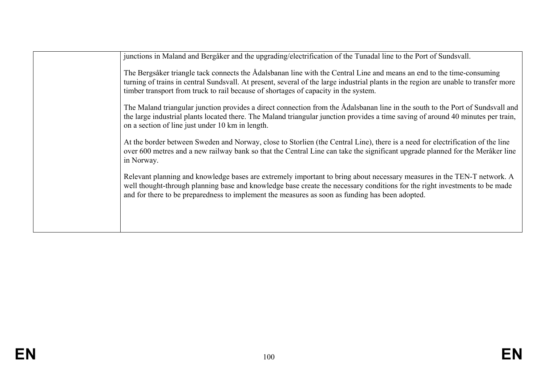| junctions in Maland and Bergåker and the upgrading/electrification of the Tunadal line to the Port of Sundsvall.                                                                                                                                                                                                                                         |
|----------------------------------------------------------------------------------------------------------------------------------------------------------------------------------------------------------------------------------------------------------------------------------------------------------------------------------------------------------|
| The Bergsåker triangle tack connects the Ådalsbanan line with the Central Line and means an end to the time-consuming<br>turning of trains in central Sundsvall. At present, several of the large industrial plants in the region are unable to transfer more<br>timber transport from truck to rail because of shortages of capacity in the system.     |
| The Maland triangular junction provides a direct connection from the Ådalsbanan line in the south to the Port of Sundsvall and<br>the large industrial plants located there. The Maland triangular junction provides a time saving of around 40 minutes per train,<br>on a section of line just under 10 km in length.                                   |
| At the border between Sweden and Norway, close to Storlien (the Central Line), there is a need for electrification of the line<br>over 600 metres and a new railway bank so that the Central Line can take the significant upgrade planned for the Meråker line<br>in Norway.                                                                            |
| Relevant planning and knowledge bases are extremely important to bring about necessary measures in the TEN-T network. A<br>well thought-through planning base and knowledge base create the necessary conditions for the right investments to be made<br>and for there to be preparedness to implement the measures as soon as funding has been adopted. |
|                                                                                                                                                                                                                                                                                                                                                          |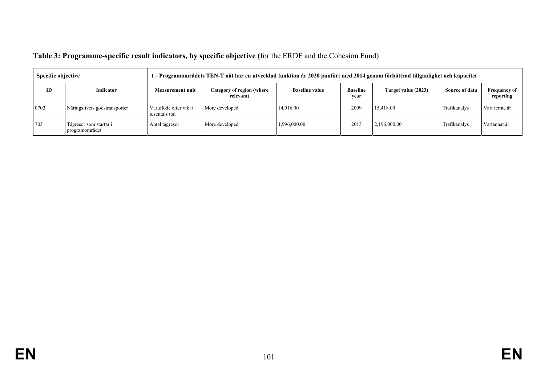| Table 3: Programme-specific result indicators, by specific objective (for the ERDF and the Cohesion Fund) |  |  |
|-----------------------------------------------------------------------------------------------------------|--|--|
|-----------------------------------------------------------------------------------------------------------|--|--|

| Specific objective |                                          | 1 - Programområdets TEN-T nät har en utvecklad funktion år 2020 jämfört med 2014 genom förbättrad tillgänlighet och kapacitet |                                        |                       |                         |                     |                |                                  |
|--------------------|------------------------------------------|-------------------------------------------------------------------------------------------------------------------------------|----------------------------------------|-----------------------|-------------------------|---------------------|----------------|----------------------------------|
| <b>ID</b>          | Indicator                                | <b>Measurement unit</b>                                                                                                       | Category of region (where<br>relevant) | <b>Baseline value</b> | <b>Baseline</b><br>vear | Target value (2023) | Source of data | <b>Frequency of</b><br>reporting |
| 0702               | Näringslivets godstransporter            | Varuflöde efter vikt i<br>tusentals ton                                                                                       | More developed                         | 14,016.00             | 2009                    | 15.418.00           | Trafikanalys   | Vart femte år                    |
| 703                | Tågresor som startar i<br>programområdet | Antal tågresor                                                                                                                | More developed                         | 1,996,000.00          | 2013                    | 2,196,000.00        | Trafikanalys   | Vartannat år                     |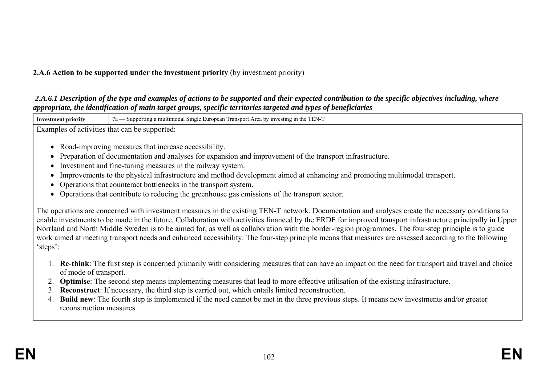### **2.A.6 Action to be supported under the investment priority** (by investment priority)

#### *2.A.6.1 Description of the type and examples of actions to be supported and their expected contribution to the specific objectives including, where appropriate, the identification of main target groups, specific territories targeted and types of beneficiaries*

**Investment priority** 7a — Supporting a multimodal Single European Transport Area by investing in the TEN-T

Examples of activities that can be supported:

- Road-improving measures that increase accessibility.
- Preparation of documentation and analyses for expansion and improvement of the transport infrastructure.
- Investment and fine-tuning measures in the railway system.
- Improvements to the physical infrastructure and method development aimed at enhancing and promoting multimodal transport.
- Operations that counteract bottlenecks in the transport system.
- Operations that contribute to reducing the greenhouse gas emissions of the transport sector.

The operations are concerned with investment measures in the existing TEN-T network. Documentation and analyses create the necessary conditions to enable investments to be made in the future. Collaboration with activities financed by the ERDF for improved transport infrastructure principally in Upper Norrland and North Middle Sweden is to be aimed for, as well as collaboration with the border-region programmes. The four-step principle is to guide work aimed at meeting transport needs and enhanced accessibility. The four-step principle means that measures are assessed according to the following 'steps':

- 1. **Re-think**: The first step is concerned primarily with considering measures that can have an impact on the need for transport and travel and choice of mode of transport.
- 2. **Optimise**: The second step means implementing measures that lead to more effective utilisation of the existing infrastructure.
- 3. **Reconstruct**: If necessary, the third step is carried out, which entails limited reconstruction.
- 4. **Build new**: The fourth step is implemented if the need cannot be met in the three previous steps. It means new investments and/or greater reconstruction measures.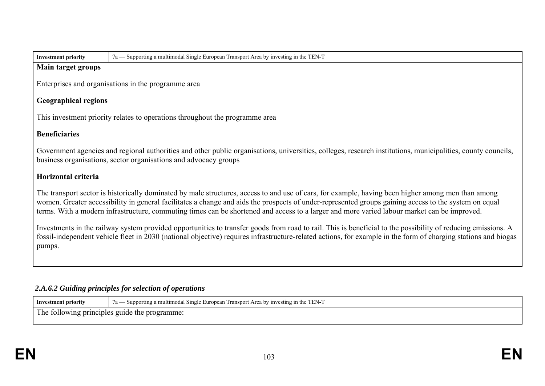| <b>Investment priority</b> |  |
|----------------------------|--|
|----------------------------|--|

**Investment priority** 7a — Supporting a multimodal Single European Transport Area by investing in the TEN-T

#### **Main target groups**

Enterprises and organisations in the programme area

## **Geographical regions**

This investment priority relates to operations throughout the programme area

## **Beneficiaries**

Government agencies and regional authorities and other public organisations, universities, colleges, research institutions, municipalities, county councils, business organisations, sector organisations and advocacy groups

## **Horizontal criteria**

The transport sector is historically dominated by male structures, access to and use of cars, for example, having been higher among men than among women. Greater accessibility in general facilitates a change and aids the prospects of under-represented groups gaining access to the system on equal terms. With a modern infrastructure, commuting times can be shortened and access to a larger and more varied labour market can be improved.

Investments in the railway system provided opportunities to transfer goods from road to rail. This is beneficial to the possibility of reducing emissions. A fossil-independent vehicle fleet in 2030 (national objective) requires infrastructure-related actions, for example in the form of charging stations and biogas pumps.

## *2.A.6.2 Guiding principles for selection of operations*

| Investment                                                                          | TEN-7<br>a multimodal Single European '<br>Transport Area by.<br>- Supporting<br>∵1nve<br>$a -$<br>esting in |
|-------------------------------------------------------------------------------------|--------------------------------------------------------------------------------------------------------------|
| $Tha$ .<br>guide<br>, the :<br>. programme.<br>following principles<br>$\mathbf{H}$ |                                                                                                              |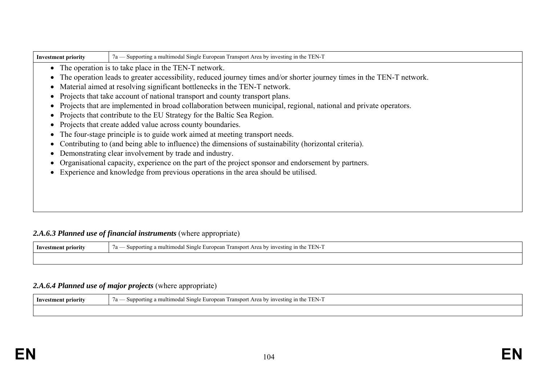| 7a — Supporting a multimodal Single European Transport Area by investing in the TEN-T<br><b>Investment priority</b> |                                                                                                                          |  |  |  |  |  |
|---------------------------------------------------------------------------------------------------------------------|--------------------------------------------------------------------------------------------------------------------------|--|--|--|--|--|
|                                                                                                                     | • The operation is to take place in the TEN-T network.                                                                   |  |  |  |  |  |
|                                                                                                                     | • The operation leads to greater accessibility, reduced journey times and/or shorter journey times in the TEN-T network. |  |  |  |  |  |
|                                                                                                                     | • Material aimed at resolving significant bottlenecks in the TEN-T network.                                              |  |  |  |  |  |
|                                                                                                                     | • Projects that take account of national transport and county transport plans.                                           |  |  |  |  |  |
|                                                                                                                     | • Projects that are implemented in broad collaboration between municipal, regional, national and private operators.      |  |  |  |  |  |
|                                                                                                                     | • Projects that contribute to the EU Strategy for the Baltic Sea Region.                                                 |  |  |  |  |  |
|                                                                                                                     | • Projects that create added value across county boundaries.                                                             |  |  |  |  |  |
|                                                                                                                     | • The four-stage principle is to guide work aimed at meeting transport needs.                                            |  |  |  |  |  |
|                                                                                                                     | • Contributing to (and being able to influence) the dimensions of sustainability (horizontal criteria).                  |  |  |  |  |  |
| Demonstrating clear involvement by trade and industry.                                                              |                                                                                                                          |  |  |  |  |  |
| Organisational capacity, experience on the part of the project sponsor and endorsement by partners.                 |                                                                                                                          |  |  |  |  |  |
|                                                                                                                     | Experience and knowledge from previous operations in the area should be utilised.                                        |  |  |  |  |  |
|                                                                                                                     |                                                                                                                          |  |  |  |  |  |

# 2.A.6.3 Planned use of financial instruments (where appropriate)

| 1nv<br>nt nrıorıt | $-$<br><b>Europea</b><br>ranspor<br>the .<br>Area<br>$n$ investing<br>`ultımod.<br>$a -$<br>oorting<br>Sing <sub>i</sub><br>n<br>- Nur<br>. ∸ا ان<br>$\sim$ |
|-------------------|-------------------------------------------------------------------------------------------------------------------------------------------------------------|
|                   |                                                                                                                                                             |

## *2.A.6.4 Planned use of major projects* (where appropriate)

| <b>DI-11</b><br>. 10rity<br>nr | T T T T T T<br>$\sim$<br>TEN-<br>ultımod<br>. Area by investing<br>ransport<br>upportini<br>-Sing<br>in the<br>F11r<br>$\overline{u}$ |
|--------------------------------|---------------------------------------------------------------------------------------------------------------------------------------|
|                                |                                                                                                                                       |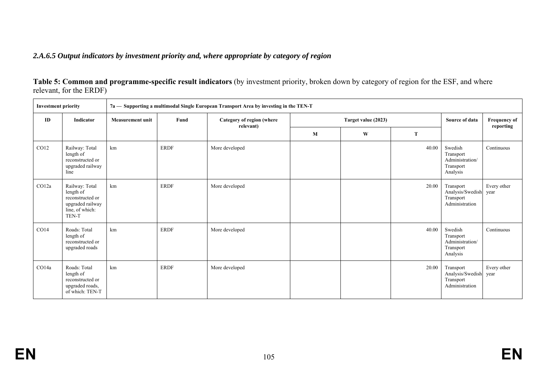### *2.A.6.5 Output indicators by investment priority and, where appropriate by category of region*

**Table 5: Common and programme-specific result indicators** (by investment priority, broken down by category of region for the ESF, and where relevant, for the ERDF)

| <b>Investment priority</b> |                                                                                                 | 7a - Supporting a multimodal Single European Transport Area by investing in the TEN-T |             |                                        |                     |   |                |                                                                  |                     |
|----------------------------|-------------------------------------------------------------------------------------------------|---------------------------------------------------------------------------------------|-------------|----------------------------------------|---------------------|---|----------------|------------------------------------------------------------------|---------------------|
| ID                         | Indicator                                                                                       | <b>Measurement unit</b>                                                               | Fund        | Category of region (where<br>relevant) | Target value (2023) |   | Source of data | Frequency of<br>reporting                                        |                     |
|                            |                                                                                                 |                                                                                       |             |                                        | M                   | W | T              |                                                                  |                     |
| CO12                       | Railway: Total<br>length of<br>reconstructed or<br>upgraded railway<br>line                     | km                                                                                    | <b>ERDF</b> | More developed                         |                     |   | 40.00          | Swedish<br>Transport<br>Administration/<br>Transport<br>Analysis | Continuous          |
| CO12a                      | Railway: Total<br>length of<br>reconstructed or<br>upgraded railway<br>line, of which:<br>TEN-T | km                                                                                    | <b>ERDF</b> | More developed                         |                     |   | 20.00          | Transport<br>Analysis/Swedish<br>Transport<br>Administration     | Every other<br>year |
| CO14                       | Roads: Total<br>length of<br>reconstructed or<br>upgraded roads                                 | km                                                                                    | <b>ERDF</b> | More developed                         |                     |   | 40.00          | Swedish<br>Transport<br>Administration/<br>Transport<br>Analysis | Continuous          |
| CO14a                      | Roads: Total<br>length of<br>reconstructed or<br>upgraded roads,<br>of which: TEN-T             | km                                                                                    | <b>ERDF</b> | More developed                         |                     |   | 20.00          | Transport<br>Analysis/Swedish<br>Transport<br>Administration     | Every other<br>year |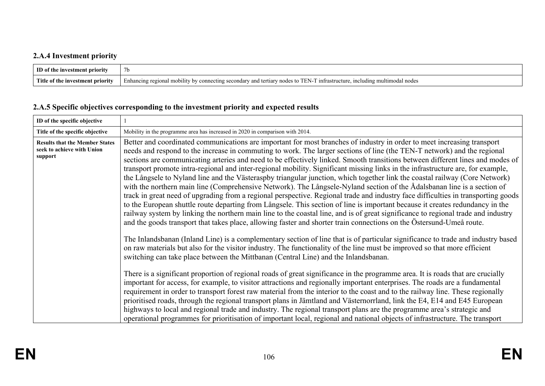# **2.A.4 Investment priority**

| $\blacksquare$ ID of the investment priority |                                                                                                                                                                                                   |
|----------------------------------------------|---------------------------------------------------------------------------------------------------------------------------------------------------------------------------------------------------|
| <b>Title</b><br>e of the investment priority | mm.<br>- - - -<br>ntrastructure<br>tertiary<br>I EN.<br>melu<br>'tımoo<br>101110 MIL<br>mo<br>bility<br>nodes.<br>u nodes<br>∵and<br>Enhancing i<br>secondar<br>conne.<br>∙e10n.<br>nv<br>ectine. |

# **2.A.5 Specific objectives corresponding to the investment priority and expected results**

| ID of the specific objective                                                   |                                                                                                                                                                                                                                                                                                                                                                                                                                                                                                                                                                                                                                                                                                                                                                                                                                                                                                                                                                                                                                                                                                                                                                                                                                                                                                                                                                                                                                                                                                                                                                                                                                                                                                                                                                                                                                                                                                                                                                                                                                                                                                                                                                                                                                                                                                                                                                                                                                                                          |
|--------------------------------------------------------------------------------|--------------------------------------------------------------------------------------------------------------------------------------------------------------------------------------------------------------------------------------------------------------------------------------------------------------------------------------------------------------------------------------------------------------------------------------------------------------------------------------------------------------------------------------------------------------------------------------------------------------------------------------------------------------------------------------------------------------------------------------------------------------------------------------------------------------------------------------------------------------------------------------------------------------------------------------------------------------------------------------------------------------------------------------------------------------------------------------------------------------------------------------------------------------------------------------------------------------------------------------------------------------------------------------------------------------------------------------------------------------------------------------------------------------------------------------------------------------------------------------------------------------------------------------------------------------------------------------------------------------------------------------------------------------------------------------------------------------------------------------------------------------------------------------------------------------------------------------------------------------------------------------------------------------------------------------------------------------------------------------------------------------------------------------------------------------------------------------------------------------------------------------------------------------------------------------------------------------------------------------------------------------------------------------------------------------------------------------------------------------------------------------------------------------------------------------------------------------------------|
| Title of the specific objective                                                | Mobility in the programme area has increased in 2020 in comparison with 2014.                                                                                                                                                                                                                                                                                                                                                                                                                                                                                                                                                                                                                                                                                                                                                                                                                                                                                                                                                                                                                                                                                                                                                                                                                                                                                                                                                                                                                                                                                                                                                                                                                                                                                                                                                                                                                                                                                                                                                                                                                                                                                                                                                                                                                                                                                                                                                                                            |
| <b>Results that the Member States</b><br>seek to achieve with Union<br>support | Better and coordinated communications are important for most branches of industry in order to meet increasing transport<br>needs and respond to the increase in commuting to work. The larger sections of line (the TEN-T network) and the regional<br>sections are communicating arteries and need to be effectively linked. Smooth transitions between different lines and modes of<br>transport promote intra-regional and inter-regional mobility. Significant missing links in the infrastructure are, for example,<br>the Långsele to Nyland line and the Västeraspby triangular junction, which together link the coastal railway (Core Network)<br>with the northern main line (Comprehensive Network). The Långsele-Nyland section of the Ådalsbanan line is a section of<br>track in great need of upgrading from a regional perspective. Regional trade and industry face difficulties in transporting goods<br>to the European shuttle route departing from Långsele. This section of line is important because it creates redundancy in the<br>railway system by linking the northern main line to the coastal line, and is of great significance to regional trade and industry<br>and the goods transport that takes place, allowing faster and shorter train connections on the Östersund-Umeå route.<br>The Inlandsbanan (Inland Line) is a complementary section of line that is of particular significance to trade and industry based<br>on raw materials but also for the visitor industry. The functionality of the line must be improved so that more efficient<br>switching can take place between the Mittbanan (Central Line) and the Inlandsbanan.<br>There is a significant proportion of regional roads of great significance in the programme area. It is roads that are crucially<br>important for access, for example, to visitor attractions and regionally important enterprises. The roads are a fundamental<br>requirement in order to transport forest raw material from the interior to the coast and to the railway line. These regionally<br>prioritised roads, through the regional transport plans in Jämtland and Västernorrland, link the E4, E14 and E45 European<br>highways to local and regional trade and industry. The regional transport plans are the programme area's strategic and<br>operational programmes for prioritisation of important local, regional and national objects of infrastructure. The transport |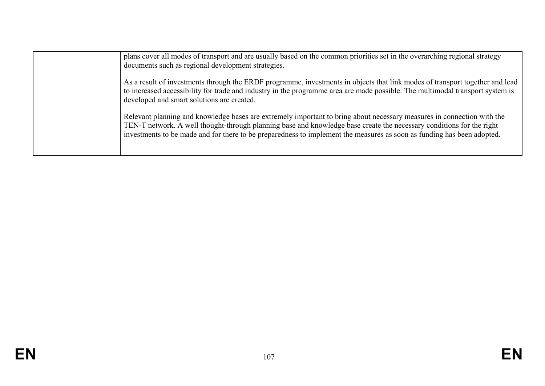| plans cover all modes of transport and are usually based on the common priorities set in the overarching regional strategy<br>documents such as regional development strategies.                                                                                                                                                                                         |
|--------------------------------------------------------------------------------------------------------------------------------------------------------------------------------------------------------------------------------------------------------------------------------------------------------------------------------------------------------------------------|
| As a result of investments through the ERDF programme, investments in objects that link modes of transport together and lead<br>to increased accessibility for trade and industry in the programme area are made possible. The multimodal transport system is<br>developed and smart solutions are created.                                                              |
| Relevant planning and knowledge bases are extremely important to bring about necessary measures in connection with the<br>TEN-T network. A well thought-through planning base and knowledge base create the necessary conditions for the right<br>investments to be made and for there to be preparedness to implement the measures as soon as funding has been adopted. |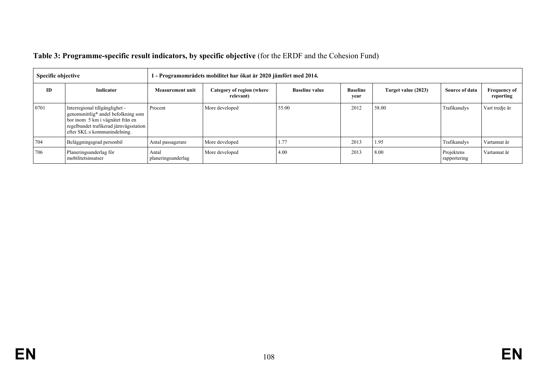| Specific objective |                                                                                                                                                                                     | - Programområdets mobilitet har ökat år 2020 jämfört med 2014. |                                        |                       |                         |                     |                            |                                  |  |
|--------------------|-------------------------------------------------------------------------------------------------------------------------------------------------------------------------------------|----------------------------------------------------------------|----------------------------------------|-----------------------|-------------------------|---------------------|----------------------------|----------------------------------|--|
| <b>ID</b>          | <b>Indicator</b>                                                                                                                                                                    | <b>Measurement unit</b>                                        | Category of region (where<br>relevant) | <b>Baseline value</b> | <b>Baseline</b><br>year | Target value (2023) | Source of data             | <b>Frequency of</b><br>reporting |  |
| 0701               | Interregional tillgänglighet -<br>genomsnittlig* andel befolkning som<br>bor inom 5 km i vägnätet från en<br>regelbundet trafikerad järnvägsstation<br>efter SKL:s kommunindelning. | Procent                                                        | More developed                         | 55.00                 | 2012                    | 58.00               | Trafikanalys               | Vart tredje år                   |  |
| 704                | Beläggningsgrad personbil                                                                                                                                                           | Antal passagerare                                              | More developed                         | 1.77                  | 2013                    | 1.95                | Trafikanalys               | Vartannat år                     |  |
| 706                | Planeringsunderlag för<br>mobilitetsinsatser                                                                                                                                        | Antal<br>planeringsunderlag                                    | More developed                         | 4.00                  | 2013                    | 8.00                | Projektens<br>rapportering | Vartannat år                     |  |

# **Table 3: Programme-specific result indicators, by specific objective** (for the ERDF and the Cohesion Fund)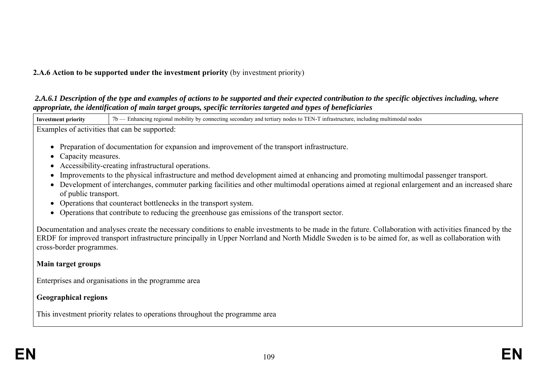# **2.A.6 Action to be supported under the investment priority** (by investment priority)

#### *2.A.6.1 Description of the type and examples of actions to be supported and their expected contribution to the specific objectives including, where appropriate, the identification of main target groups, specific territories targeted and types of beneficiaries*

**Investment priority**  $7b$  — Enhancing regional mobility by connecting secondary and tertiary nodes to TEN-T infrastructure, including multimodal nodes Examples of activities that can be supported: • Preparation of documentation for expansion and improvement of the transport infrastructure. • Capacity measures. Accessibility-creating infrastructural operations. Improvements to the physical infrastructure and method development aimed at enhancing and promoting multimodal passenger transport. Development of interchanges, commuter parking facilities and other multimodal operations aimed at regional enlargement and an increased share of public transport. • Operations that counteract bottlenecks in the transport system. • Operations that contribute to reducing the greenhouse gas emissions of the transport sector. Documentation and analyses create the necessary conditions to enable investments to be made in the future. Collaboration with activities financed by the ERDF for improved transport infrastructure principally in Upper Norrland and North Middle Sweden is to be aimed for, as well as collaboration with cross-border programmes. **Main target groups** Enterprises and organisations in the programme area

# **Geographical regions**

This investment priority relates to operations throughout the programme area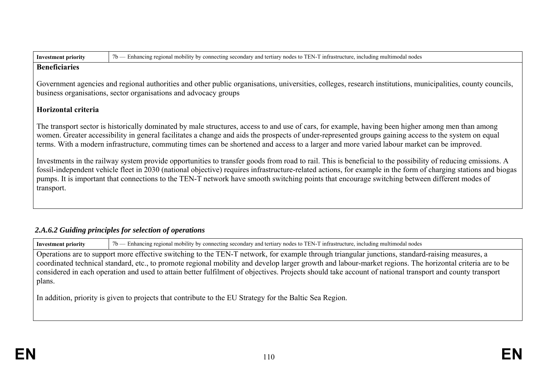| <b>Investment priority</b> |  |
|----------------------------|--|
|----------------------------|--|

**Investment priority** 7b — Enhancing regional mobility by connecting secondary and tertiary nodes to TEN-T infrastructure, including multimodal nodes

#### **Beneficiaries**

Government agencies and regional authorities and other public organisations, universities, colleges, research institutions, municipalities, county councils, business organisations, sector organisations and advocacy groups

# **Horizontal criteria**

The transport sector is historically dominated by male structures, access to and use of cars, for example, having been higher among men than among women. Greater accessibility in general facilitates a change and aids the prospects of under-represented groups gaining access to the system on equal terms. With a modern infrastructure, commuting times can be shortened and access to a larger and more varied labour market can be improved.

Investments in the railway system provide opportunities to transfer goods from road to rail. This is beneficial to the possibility of reducing emissions. A fossil-independent vehicle fleet in 2030 (national objective) requires infrastructure-related actions, for example in the form of charging stations and biogas pumps. It is important that connections to the TEN-T network have smooth switching points that encourage switching between different modes of transport.

# *2.A.6.2 Guiding principles for selection of operations*

**Investment priority**  $7b$  — Enhancing regional mobility by connecting secondary and tertiary nodes to TEN-T infrastructure, including multimodal nodes

Operations are to support more effective switching to the TEN-T network, for example through triangular junctions, standard-raising measures, a coordinated technical standard, etc., to promote regional mobility and develop larger growth and labour-market regions. The horizontal criteria are to be considered in each operation and used to attain better fulfilment of objectives. Projects should take account of national transport and county transport plans.

In addition, priority is given to projects that contribute to the EU Strategy for the Baltic Sea Region.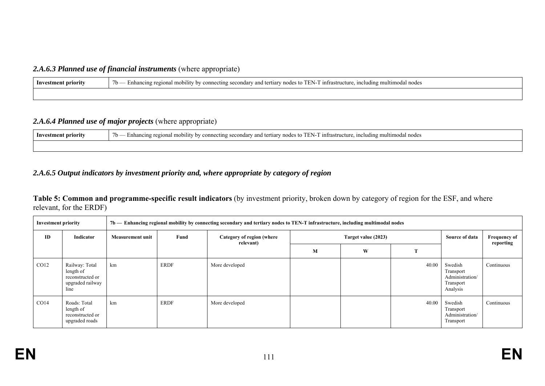# 2.A.6.3 Planned use of financial instruments (where appropriate)

| Inves<br>estment priority | -infrastri<br>and tertiarv<br>ucture<br>nultimodal nodes<br>.<br>$/b$ .<br>∠ secondarv<br>onnectini<br>ancino reojona<br>-including m<br>Enh<br>mobilit<br>nodes<br>nv. |
|---------------------------|-------------------------------------------------------------------------------------------------------------------------------------------------------------------------|
|                           |                                                                                                                                                                         |

## *2.A.6.4 Planned use of major projects* (where appropriate)

| ∕ TEN-''<br>ity by connecting secondary and tertiary nodes to<br>l intrastructure.<br>Investment priority<br>, including multimodal nodes<br>l mobility<br>- Enhancing regional<br>/ U |  |  |
|----------------------------------------------------------------------------------------------------------------------------------------------------------------------------------------|--|--|
|                                                                                                                                                                                        |  |  |

## *2.A.6.5 Output indicators by investment priority and, where appropriate by category of region*

### **Table 5: Common and programme-specific result indicators** (by investment priority, broken down by category of region for the ESF, and where relevant, for the ERDF)

|      | <b>Investment priority</b><br>7b — Enhancing regional mobility by connecting secondary and tertiary nodes to TEN-T infrastructure, including multimodal nodes |                         |             |                                        |   |                     |       |                                                                  |                                  |
|------|---------------------------------------------------------------------------------------------------------------------------------------------------------------|-------------------------|-------------|----------------------------------------|---|---------------------|-------|------------------------------------------------------------------|----------------------------------|
| ID   | Indicator                                                                                                                                                     | <b>Measurement unit</b> | Fund        | Category of region (where<br>relevant) |   | Target value (2023) |       |                                                                  | <b>Frequency of</b><br>reporting |
|      |                                                                                                                                                               |                         |             |                                        | M | W                   |       |                                                                  |                                  |
| CO12 | Railway: Total<br>length of<br>reconstructed or<br>upgraded railway<br>line                                                                                   | km                      | <b>ERDF</b> | More developed                         |   |                     | 40.00 | Swedish<br>Transport<br>Administration/<br>Transport<br>Analysis | Continuous                       |
| CO14 | Roads: Total<br>length of<br>reconstructed or<br>upgraded roads                                                                                               | km                      | <b>ERDF</b> | More developed                         |   |                     | 40.00 | Swedish<br>Transport<br>Administration/<br>Transport             | Continuous                       |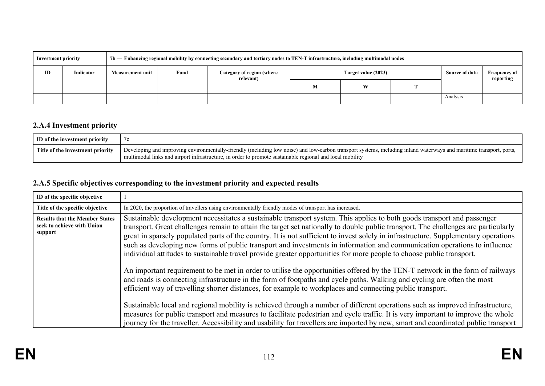|    | 7b — Enhancing regional mobility by connecting secondary and tertiary nodes to TEN-T infrastructure, including multimodal nodes<br><b>Investment priority</b> |                  |      |                                        |                     |   |                |                                  |  |
|----|---------------------------------------------------------------------------------------------------------------------------------------------------------------|------------------|------|----------------------------------------|---------------------|---|----------------|----------------------------------|--|
| ID | Indicator                                                                                                                                                     | Measurement unit | Fund | Category of region (where<br>relevant) | Target value (2023) |   | Source of data | <b>Frequency of</b><br>reporting |  |
|    |                                                                                                                                                               |                  |      |                                        | M                   | W |                |                                  |  |
|    |                                                                                                                                                               |                  |      |                                        |                     |   |                | Analysis                         |  |

# **2.A.4 Investment priority**

| ID of the investment priority    |                                                                                                                                                                                                                                                                                 |
|----------------------------------|---------------------------------------------------------------------------------------------------------------------------------------------------------------------------------------------------------------------------------------------------------------------------------|
| Title of the investment priority | Developing and improving environmentally-friendly (including low noise) and low-carbon transport systems, including inland waterways and maritime transport, ports,<br>multimodal links and airport infrastructure, in order to promote sustainable regional and local mobility |

# **2.A.5 Specific objectives corresponding to the investment priority and expected results**

| ID of the specific objective                                                   |                                                                                                                                                                                                                                                                                                                                                                                                                                                                                                                                                                                                                                                           |
|--------------------------------------------------------------------------------|-----------------------------------------------------------------------------------------------------------------------------------------------------------------------------------------------------------------------------------------------------------------------------------------------------------------------------------------------------------------------------------------------------------------------------------------------------------------------------------------------------------------------------------------------------------------------------------------------------------------------------------------------------------|
| Title of the specific objective                                                | In 2020, the proportion of travellers using environmentally friendly modes of transport has increased.                                                                                                                                                                                                                                                                                                                                                                                                                                                                                                                                                    |
| <b>Results that the Member States</b><br>seek to achieve with Union<br>support | Sustainable development necessitates a sustainable transport system. This applies to both goods transport and passenger<br>transport. Great challenges remain to attain the target set nationally to double public transport. The challenges are particularly<br>great in sparsely populated parts of the country. It is not sufficient to invest solely in infrastructure. Supplementary operations<br>such as developing new forms of public transport and investments in information and communication operations to influence<br>individual attitudes to sustainable travel provide greater opportunities for more people to choose public transport. |
|                                                                                | An important requirement to be met in order to utilise the opportunities offered by the TEN-T network in the form of railways<br>and roads is connecting infrastructure in the form of footpaths and cycle paths. Walking and cycling are often the most<br>efficient way of travelling shorter distances, for example to workplaces and connecting public transport.                                                                                                                                                                                                                                                                                     |
|                                                                                | Sustainable local and regional mobility is achieved through a number of different operations such as improved infrastructure,<br>measures for public transport and measures to facilitate pedestrian and cycle traffic. It is very important to improve the whole<br>journey for the traveller. Accessibility and usability for travellers are imported by new, smart and coordinated public transport                                                                                                                                                                                                                                                    |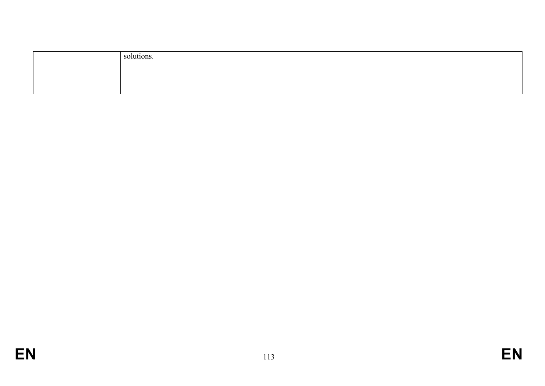| solutions. |
|------------|
|            |
|            |
|            |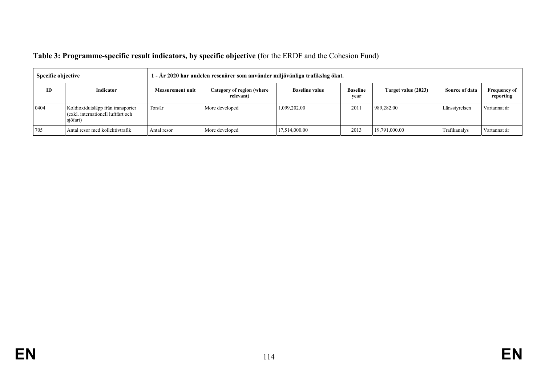| Table 3: Programme-specific result indicators, by specific objective (for the ERDF and the Cohesion Fund) |  |
|-----------------------------------------------------------------------------------------------------------|--|
|                                                                                                           |  |

| <b>Specific objective</b> |                                                                                     | 1 - År 2020 har andelen resenärer som använder miljövänliga trafikslag ökat. |                                        |                       |                         |                     |                |                                  |  |
|---------------------------|-------------------------------------------------------------------------------------|------------------------------------------------------------------------------|----------------------------------------|-----------------------|-------------------------|---------------------|----------------|----------------------------------|--|
| ID                        | Indicator                                                                           | Measurement unit                                                             | Category of region (where<br>relevant) | <b>Baseline value</b> | <b>Baseline</b><br>vear | Target value (2023) | Source of data | <b>Frequency of</b><br>reporting |  |
| 0404                      | Koldioxidutsläpp från transporter<br>(exkl. internationell luftfart och<br>sjöfart) | Ton/år                                                                       | More developed                         | 1,099,202.00          | 201                     | 989,282.00          | Länsstyrelsen  | Vartannat år                     |  |
| 705                       | Antal resor med kollektivtrafik                                                     | Antal resor                                                                  | More developed                         | 17,514,000.00         | 2013                    | 19,791,000.00       | Trafikanalys   | Vartannat år                     |  |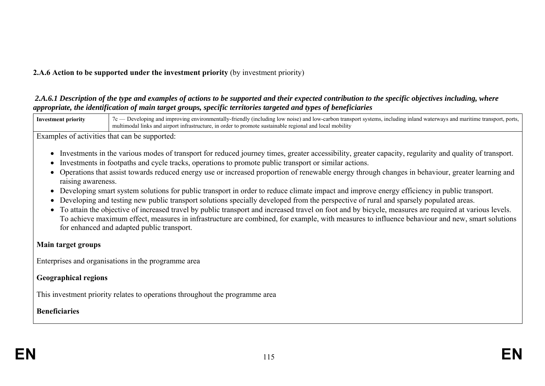# **2.A.6 Action to be supported under the investment priority** (by investment priority)

#### *2.A.6.1 Description of the type and examples of actions to be supported and their expected contribution to the specific objectives including, where appropriate, the identification of main target groups, specific territories targeted and types of beneficiaries*



Examples of activities that can be supported:

- Investments in the various modes of transport for reduced journey times, greater accessibility, greater capacity, regularity and quality of transport.
- Investments in footpaths and cycle tracks, operations to promote public transport or similar actions.
- Operations that assist towards reduced energy use or increased proportion of renewable energy through changes in behaviour, greater learning and raising awareness.
- Developing smart system solutions for public transport in order to reduce climate impact and improve energy efficiency in public transport.
- Developing and testing new public transport solutions specially developed from the perspective of rural and sparsely populated areas.
- To attain the objective of increased travel by public transport and increased travel on foot and by bicycle, measures are required at various levels. To achieve maximum effect, measures in infrastructure are combined, for example, with measures to influence behaviour and new, smart solutions for enhanced and adapted public transport.

### **Main target groups**

Enterprises and organisations in the programme area

# **Geographical regions**

This investment priority relates to operations throughout the programme area

# **Beneficiaries**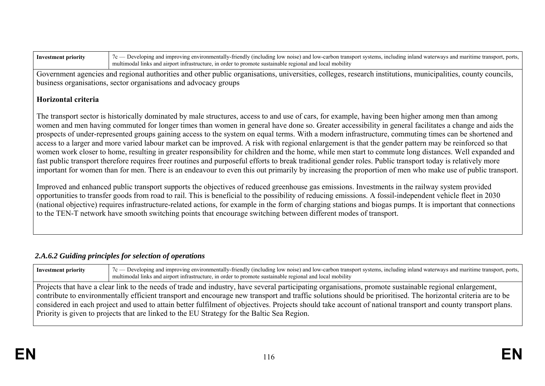| Investme | u svsteme.<br>1n12<br>low<br>≏ш∩<br>nort<br>udin<br>noise!<br>transnot<br>vironme.<br>$\cdots$ nnrov $\cdots$<br>nsnort<br>and low-c<br>ionins<br>water<br>carnon.<br>- I I I C<br>. |
|----------|--------------------------------------------------------------------------------------------------------------------------------------------------------------------------------------|
|          | .10b1l1tv<br>able region<br>nrom<br>neture.<br>Tocal<br>sustain<br>n oraet                                                                                                           |

Government agencies and regional authorities and other public organisations, universities, colleges, research institutions, municipalities, county councils, business organisations, sector organisations and advocacy groups

### **Horizontal criteria**

The transport sector is historically dominated by male structures, access to and use of cars, for example, having been higher among men than among women and men having commuted for longer times than women in general have done so. Greater accessibility in general facilitates a change and aids the prospects of under-represented groups gaining access to the system on equal terms. With a modern infrastructure, commuting times can be shortened and access to a larger and more varied labour market can be improved. A risk with regional enlargement is that the gender pattern may be reinforced so that women work closer to home, resulting in greater responsibility for children and the home, while men start to commute long distances. Well expanded and fast public transport therefore requires freer routines and purposeful efforts to break traditional gender roles. Public transport today is relatively more important for women than for men. There is an endeavour to even this out primarily by increasing the proportion of men who make use of public transport.

Improved and enhanced public transport supports the objectives of reduced greenhouse gas emissions. Investments in the railway system provided opportunities to transfer goods from road to rail. This is beneficial to the possibility of reducing emissions. A fossil-independent vehicle fleet in 2030 (national objective) requires infrastructure-related actions, for example in the form of charging stations and biogas pumps. It is important that connections to the TEN-T network have smooth switching points that encourage switching between different modes of transport.

# *2.A.6.2 Guiding principles for selection of operations*

| <b>Investment priority</b>                                                                                                                                    | 7c — Developing and improving environmentally-friendly (including low noise) and low-carbon transport systems, including inland waterways and maritime transport, ports,<br>multimodal links and airport infrastructure, in order to promote sustainable regional and local mobility |  |  |  |  |  |  |  |  |  |  |
|---------------------------------------------------------------------------------------------------------------------------------------------------------------|--------------------------------------------------------------------------------------------------------------------------------------------------------------------------------------------------------------------------------------------------------------------------------------|--|--|--|--|--|--|--|--|--|--|
|                                                                                                                                                               | Projects that have a clear link to the needs of trade and industry, have several participating organisations, promote sustainable regional enlargement,                                                                                                                              |  |  |  |  |  |  |  |  |  |  |
|                                                                                                                                                               | contribute to environmentally efficient transport and encourage new transport and traffic solutions should be prioritised. The horizontal criteria are to be                                                                                                                         |  |  |  |  |  |  |  |  |  |  |
| considered in each project and used to attain better fulfilment of objectives. Projects should take account of national transport and county transport plans. |                                                                                                                                                                                                                                                                                      |  |  |  |  |  |  |  |  |  |  |
|                                                                                                                                                               | Priority is given to projects that are linked to the EU Strategy for the Baltic Sea Region.                                                                                                                                                                                          |  |  |  |  |  |  |  |  |  |  |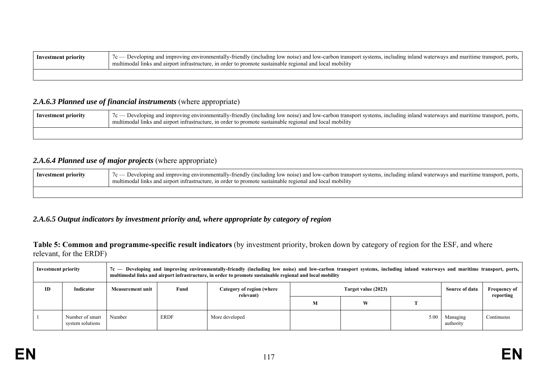| Investment priority | $7c$ Developing and improving environmentally-friendly (including low noise) and low-carbon transport systems, including inland waterways and maritime transport, ports,<br>l links and airport infrastructure, in order to promote sustainable regional and local mobility |
|---------------------|-----------------------------------------------------------------------------------------------------------------------------------------------------------------------------------------------------------------------------------------------------------------------------|
|                     |                                                                                                                                                                                                                                                                             |

#### 2.A.6.3 Planned use of financial instruments (where appropriate)

| Investment priority | $7c$ Developing and improving environmentally-friendly (including low noise) and low-carbon transport systems, including inland waterways and maritime transport, ports, 1<br>multimodal links and airport infrastructure, in order to promote sustainable regional and local mobility |
|---------------------|----------------------------------------------------------------------------------------------------------------------------------------------------------------------------------------------------------------------------------------------------------------------------------------|
|                     |                                                                                                                                                                                                                                                                                        |

### *2.A.6.4 Planned use of major projects* (where appropriate)

| Inves<br>stment priority | Developing and improving environmentally-friendly (including low noise) and low-carbon transport systems, including inland waterways and maritime transport, ports,<br>Inks and airport infrastructure, in order to promote sustainable regional<br>l and local mobility |
|--------------------------|--------------------------------------------------------------------------------------------------------------------------------------------------------------------------------------------------------------------------------------------------------------------------|
|                          |                                                                                                                                                                                                                                                                          |

## *2.A.6.5 Output indicators by investment priority and, where appropriate by category of region*

**Table 5: Common and programme-specific result indicators** (by investment priority, broken down by category of region for the ESF, and where relevant, for the ERDF)

| <b>Investment priority</b> |                                     |                  |             | 7c — Developing and improving environmentally-friendly (including low noise) and low-carbon transport systems, including inland waterways and maritime transport, ports,<br>multimodal links and airport infrastructure, in order to promote sustainable regional and local mobility |                     |   |      |                       |                                  |
|----------------------------|-------------------------------------|------------------|-------------|--------------------------------------------------------------------------------------------------------------------------------------------------------------------------------------------------------------------------------------------------------------------------------------|---------------------|---|------|-----------------------|----------------------------------|
| ID                         | Indicator                           | Measurement unit | Fund        | Category of region (where<br>relevant)                                                                                                                                                                                                                                               | Target value (2023) |   |      | Source of data        | <b>Frequency of</b><br>reporting |
|                            |                                     |                  |             |                                                                                                                                                                                                                                                                                      | M                   | W |      |                       |                                  |
|                            | Number of smart<br>system solutions | Number           | <b>ERDF</b> | More developed                                                                                                                                                                                                                                                                       |                     |   | 5.00 | Managing<br>authority | Continuous                       |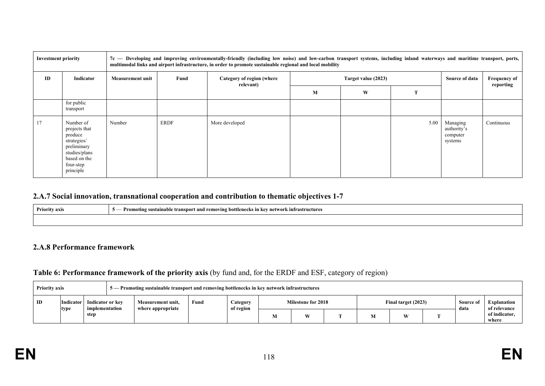| <b>Investment priority</b> |                                                                                                                                |                         | 7c — Developing and improving environmentally-friendly (including low noise) and low-carbon transport systems, including inland waterways and maritime transport, ports,<br>multimodal links and airport infrastructure, in order to promote sustainable regional and local mobility |                                        |   |                     |                |                                                |            |  |  |  |
|----------------------------|--------------------------------------------------------------------------------------------------------------------------------|-------------------------|--------------------------------------------------------------------------------------------------------------------------------------------------------------------------------------------------------------------------------------------------------------------------------------|----------------------------------------|---|---------------------|----------------|------------------------------------------------|------------|--|--|--|
| ID                         | Indicator                                                                                                                      | <b>Measurement unit</b> | Fund                                                                                                                                                                                                                                                                                 | Category of region (where<br>relevant) |   | Target value (2023) | Source of data | <b>Frequency of</b><br>reporting               |            |  |  |  |
|                            |                                                                                                                                |                         | M                                                                                                                                                                                                                                                                                    |                                        | W | т                   |                |                                                |            |  |  |  |
|                            | for public<br>transport                                                                                                        |                         |                                                                                                                                                                                                                                                                                      |                                        |   |                     |                |                                                |            |  |  |  |
| 17                         | Number of<br>projects that<br>produce<br>strategies/<br>preliminary<br>studies/plans<br>based on the<br>four-step<br>principle | Number                  | ERDF                                                                                                                                                                                                                                                                                 | More developed                         |   |                     | 5.00           | Managing<br>authority's<br>computer<br>systems | Continuous |  |  |  |

# **2.A.7 Social innovation, transnational cooperation and contribution to thematic objectives 1-7**

| <b>Priority axis</b> | <sup>o</sup> sustainable transport and removing bottlenecks in .<br>kev network infrastructures !<br>Promoting |
|----------------------|----------------------------------------------------------------------------------------------------------------|
|                      |                                                                                                                |

#### **2.A.8 Performance framework**

### **Table 6: Performance framework of the priority axis** (by fund and, for the ERDF and ESF, category of region)

|                        | 5 — Promoting sustainable transport and removing bottlenecks in key network infrastructures<br><b>Priority axis</b> |                                    |  |                                                |  |                       |                           |   |  |                     |  |  |                   |                             |
|------------------------|---------------------------------------------------------------------------------------------------------------------|------------------------------------|--|------------------------------------------------|--|-----------------------|---------------------------|---|--|---------------------|--|--|-------------------|-----------------------------|
| ID<br><b>Indicator</b> |                                                                                                                     | Indicator or key<br>implementation |  | Fund<br>Measurement unit.<br>where appropriate |  | Category<br>of region | <b>Milestone for 2018</b> |   |  | Final target (2023) |  |  | Source of<br>data | Explanation<br>of relevance |
|                        | type                                                                                                                | step                               |  |                                                |  |                       |                           | W |  | M                   |  |  |                   | of indicator,<br>where      |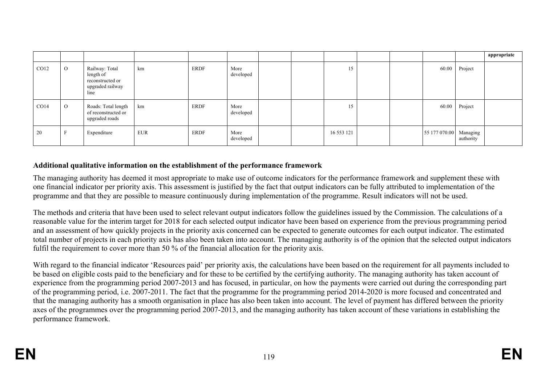|      |                |                                                                             |            |             |                   |  |            |  |                        |           | appropriate |
|------|----------------|-----------------------------------------------------------------------------|------------|-------------|-------------------|--|------------|--|------------------------|-----------|-------------|
| CO12 | $\overline{O}$ | Railway: Total<br>length of<br>reconstructed or<br>upgraded railway<br>line | km         | <b>ERDF</b> | More<br>developed |  | 15         |  | 60.00                  | Project   |             |
| CO14 | $\Omega$       | Roads: Total length<br>of reconstructed or<br>upgraded roads                | km         | <b>ERDF</b> | More<br>developed |  | 15         |  | 60.00                  | Project   |             |
| 20   |                | Expenditure                                                                 | <b>EUR</b> | <b>ERDF</b> | More<br>developed |  | 16 553 121 |  | 55 177 070.00 Managing | authority |             |

### **Additional qualitative information on the establishment of the performance framework**

The managing authority has deemed it most appropriate to make use of outcome indicators for the performance framework and supplement these with one financial indicator per priority axis. This assessment is justified by the fact that output indicators can be fully attributed to implementation of the programme and that they are possible to measure continuously during implementation of the programme. Result indicators will not be used.

The methods and criteria that have been used to select relevant output indicators follow the guidelines issued by the Commission. The calculations of a reasonable value for the interim target for 2018 for each selected output indicator have been based on experience from the previous programming period and an assessment of how quickly projects in the priority axis concerned can be expected to generate outcomes for each output indicator. The estimated total number of projects in each priority axis has also been taken into account. The managing authority is of the opinion that the selected output indicators fulfil the requirement to cover more than 50 % of the financial allocation for the priority axis.

With regard to the financial indicator 'Resources paid' per priority axis, the calculations have been based on the requirement for all payments included to be based on eligible costs paid to the beneficiary and for these to be certified by the certifying authority. The managing authority has taken account of experience from the programming period 2007-2013 and has focused, in particular, on how the payments were carried out during the corresponding part of the programming period, i.e. 2007-2011. The fact that the programme for the programming period 2014-2020 is more focused and concentrated and that the managing authority has a smooth organisation in place has also been taken into account. The level of payment has differed between the priority axes of the programmes over the programming period 2007-2013, and the managing authority has taken account of these variations in establishing the performance framework.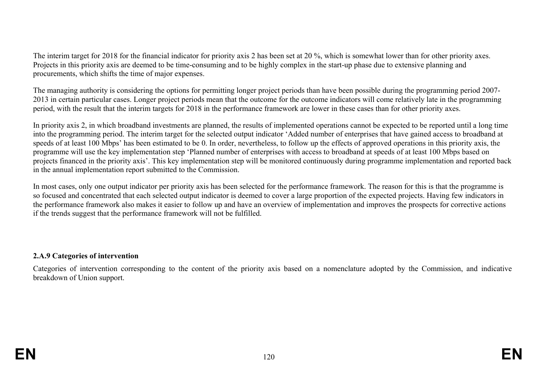The interim target for 2018 for the financial indicator for priority axis 2 has been set at 20 %, which is somewhat lower than for other priority axes. Projects in this priority axis are deemed to be time-consuming and to be highly complex in the start-up phase due to extensive planning and procurements, which shifts the time of major expenses.

The managing authority is considering the options for permitting longer project periods than have been possible during the programming period 2007- 2013 in certain particular cases. Longer project periods mean that the outcome for the outcome indicators will come relatively late in the programming period, with the result that the interim targets for 2018 in the performance framework are lower in these cases than for other priority axes.

In priority axis 2, in which broadband investments are planned, the results of implemented operations cannot be expected to be reported until a long time into the programming period. The interim target for the selected output indicator 'Added number of enterprises that have gained access to broadband at speeds of at least 100 Mbps' has been estimated to be 0. In order, nevertheless, to follow up the effects of approved operations in this priority axis, the programme will use the key implementation step 'Planned number of enterprises with access to broadband at speeds of at least 100 Mbps based on projects financed in the priority axis'. This key implementation step will be monitored continuously during programme implementation and reported back in the annual implementation report submitted to the Commission.

In most cases, only one output indicator per priority axis has been selected for the performance framework. The reason for this is that the programme is so focused and concentrated that each selected output indicator is deemed to cover a large proportion of the expected projects. Having few indicators in the performance framework also makes it easier to follow up and have an overview of implementation and improves the prospects for corrective actions if the trends suggest that the performance framework will not be fulfilled.

### **2.A.9 Categories of intervention**

Categories of intervention corresponding to the content of the priority axis based on a nomenclature adopted by the Commission, and indicative breakdown of Union support.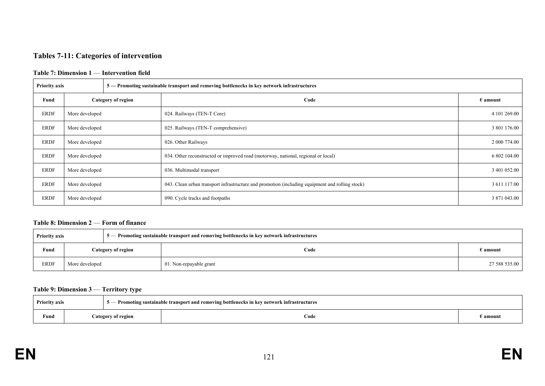### **Tables 7-11: Categories of intervention**

#### **Table 7: Dimension 1** — **Intervention field**

| <b>Priority axis</b> | 5 — Promoting sustainable transport and removing bottlenecks in key network infrastructures |  |                                                                                                 |                   |  |  |  |  |
|----------------------|---------------------------------------------------------------------------------------------|--|-------------------------------------------------------------------------------------------------|-------------------|--|--|--|--|
| Fund                 | Category of region                                                                          |  | Code                                                                                            | $\epsilon$ amount |  |  |  |  |
| <b>ERDF</b>          | More developed                                                                              |  | 024. Railways (TEN-T Core)                                                                      | 4 101 269.00      |  |  |  |  |
| <b>ERDF</b>          | More developed                                                                              |  | 025. Railways (TEN-T comprehensive)                                                             | 3 801 176.00      |  |  |  |  |
| <b>ERDF</b>          | More developed                                                                              |  | 026. Other Railways                                                                             | 2 000 774.00      |  |  |  |  |
| <b>ERDF</b>          | More developed                                                                              |  | 034. Other reconstructed or improved road (motorway, national, regional or local)               | 6 802 104.00      |  |  |  |  |
| <b>ERDF</b>          | More developed                                                                              |  | 036. Multimodal transport                                                                       | 3 401 052.00      |  |  |  |  |
| <b>ERDF</b>          | More developed                                                                              |  | 043. Clean urban transport infrastructure and promotion (including equipment and rolling stock) | 3 611 117.00      |  |  |  |  |
| <b>ERDF</b>          | More developed                                                                              |  | 090. Cycle tracks and footpaths                                                                 | 3 871 043.00      |  |  |  |  |

#### **Table 8: Dimension 2** — **Form of finance**

| <b>Priority axis</b><br>5 — Promoting sustainable transport and removing bottlenecks in key network infrastructures |                    |  |                         |                 |  |  |
|---------------------------------------------------------------------------------------------------------------------|--------------------|--|-------------------------|-----------------|--|--|
| Fund                                                                                                                | Category of region |  | Code                    | E <b>amount</b> |  |  |
| <b>ERDF</b>                                                                                                         | More developed     |  | 01. Non-repayable grant | 27 588 535.00   |  |  |

#### **Table 9: Dimension 3** — **Territory type**

| <b>Priority axis</b> |  |                    | - Promoting sustainable transport and removing bottlenecks in key network infrastructures |          |
|----------------------|--|--------------------|-------------------------------------------------------------------------------------------|----------|
| Fund                 |  | Category of region | Code                                                                                      | E amount |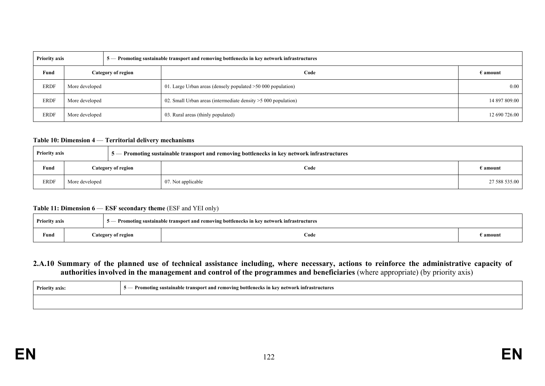| <b>Priority axis</b><br>5 — Promoting sustainable transport and removing bottlenecks in key network infrastructures |                    |  |                                                                 |               |
|---------------------------------------------------------------------------------------------------------------------|--------------------|--|-----------------------------------------------------------------|---------------|
| Fund                                                                                                                | Category of region |  | Code                                                            | E amount :    |
| <b>ERDF</b>                                                                                                         | More developed     |  | 01. Large Urban areas (densely populated $>50,000$ population)  | 0.00          |
| <b>ERDF</b>                                                                                                         | More developed     |  | 02. Small Urban areas (intermediate density $>5000$ population) | 14 897 809.00 |
| <b>ERDF</b>                                                                                                         | More developed     |  | 03. Rural areas (thinly populated)                              | 12 690 726.00 |

#### **Table 10: Dimension 4** — **Territorial delivery mechanisms**

| <b>Priority axis</b><br>$\frac{1}{2}$ 5 — Promoting sustainable transport and removing bottlenecks in key network infrastructures |                |                    |                    |                   |
|-----------------------------------------------------------------------------------------------------------------------------------|----------------|--------------------|--------------------|-------------------|
| Fund                                                                                                                              |                | Category of region | Code               | $\epsilon$ amount |
| <b>ERDF</b>                                                                                                                       | More developed |                    | 07. Not applicable | 27 588 535.00     |

#### **Table 11: Dimension 6** — **ESF secondary theme** (ESF and YEI only)

| <b>Priority axis</b> |  |                    | - Promoting sustainable transport and removing bottlenecks in key network infrastructures |          |
|----------------------|--|--------------------|-------------------------------------------------------------------------------------------|----------|
| Fund                 |  | Category of region | Code                                                                                      | d amount |

#### **2.A.10 Summary of the planned use of technical assistance including, where necessary, actions to reinforce the administrative capacity of authorities involved in the management and control of the programmes and beneficiaries** (where appropriate) (by priority axis)

| <b>Priority axis:</b> | 5 - Promoting sustainable transport and removing bottlenecks in key network infrastructures |
|-----------------------|---------------------------------------------------------------------------------------------|
|                       |                                                                                             |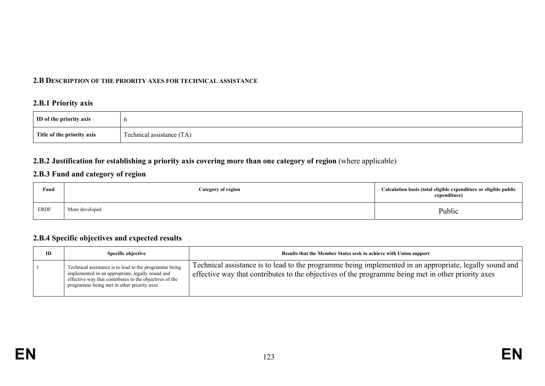#### **2.B DESCRIPTION OF THE PRIORITY AXES FOR TECHNICAL ASSISTANCE**

### **2.B.1 Priority axis**

| ID of the priority axis    |                                     |
|----------------------------|-------------------------------------|
| Title of the priority axis | $\sim$<br>Technical assistance (TA) |

## **2.B.2 Justification for establishing a priority axis covering more than one category of region** (where applicable)

## **2.B.3 Fund and category of region**

| Fund<br>$\sim$ $\sim$ | <b>Category of region</b> | Calculation basis (total eligible expenditure or eligible public<br>expenditure) |
|-----------------------|---------------------------|----------------------------------------------------------------------------------|
| <b>ERDF</b>           | More developed            | Public                                                                           |

#### **2.B.4 Specific objectives and expected results**

| ID | <b>Specific objective</b>                                                                                                                                                                                           | Results that the Member States seek to achieve with Union support                                                                                                                                               |
|----|---------------------------------------------------------------------------------------------------------------------------------------------------------------------------------------------------------------------|-----------------------------------------------------------------------------------------------------------------------------------------------------------------------------------------------------------------|
|    | Technical assistance is to lead to the programme being<br>implemented in an appropriate, legally sound and<br>effective way that contributes to the objectives of the<br>programme being met in other priority axes | Technical assistance is to lead to the programme being implemented in an appropriate, legally sound and  <br>effective way that contributes to the objectives of the programme being met in other priority axes |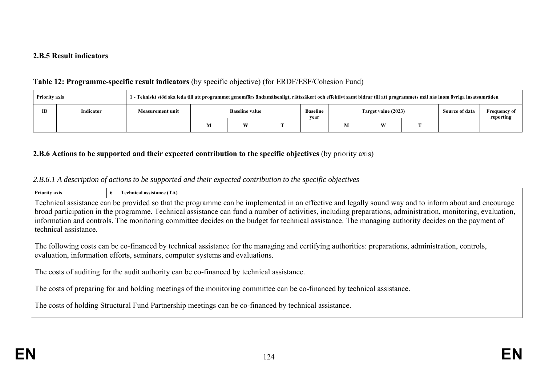#### **2.B.5 Result indicators**

# **Table 12: Programme-specific result indicators** (by specific objective) (for ERDF/ESF/Cohesion Fund)

| 1 - Tekniskt stöd ska leda till att programmet genomförs ändamålsenligt, rättssäkert och effektivt samt bidrar till att programmets mål nås inom övriga insatsområden<br><b>Priority axis</b> |           |                         |   |                                                                         |  |  |                |                                  |  |  |
|-----------------------------------------------------------------------------------------------------------------------------------------------------------------------------------------------|-----------|-------------------------|---|-------------------------------------------------------------------------|--|--|----------------|----------------------------------|--|--|
| <b>ID</b>                                                                                                                                                                                     | Indicator | <b>Measurement unit</b> |   | <b>Baseline</b><br>Target value (2023)<br><b>Baseline value</b><br>vear |  |  | Source of data | <b>Frequency of</b><br>reporting |  |  |
|                                                                                                                                                                                               |           |                         | W |                                                                         |  |  | W              |                                  |  |  |

## **2.B.6 Actions to be supported and their expected contribution to the specific objectives** (by priority axis)

# *2.B.6.1 A description of actions to be supported and their expected contribution to the specific objectives*

| <b>Priority axis</b>                                                                                                    | 6 — Technical assistance (TA)                                                                                                                                                                                                       |  |  |  |  |  |  |
|-------------------------------------------------------------------------------------------------------------------------|-------------------------------------------------------------------------------------------------------------------------------------------------------------------------------------------------------------------------------------|--|--|--|--|--|--|
|                                                                                                                         | Technical assistance can be provided so that the programme can be implemented in an effective and legally sound way and to inform about and encourage                                                                               |  |  |  |  |  |  |
|                                                                                                                         | broad participation in the programme. Technical assistance can fund a number of activities, including preparations, administration, monitoring, evaluation,                                                                         |  |  |  |  |  |  |
|                                                                                                                         | information and controls. The monitoring committee decides on the budget for technical assistance. The managing authority decides on the payment of                                                                                 |  |  |  |  |  |  |
| technical assistance.                                                                                                   |                                                                                                                                                                                                                                     |  |  |  |  |  |  |
|                                                                                                                         | The following costs can be co-financed by technical assistance for the managing and certifying authorities: preparations, administration, controls,<br>evaluation, information efforts, seminars, computer systems and evaluations. |  |  |  |  |  |  |
| The costs of auditing for the audit authority can be co-financed by technical assistance.                               |                                                                                                                                                                                                                                     |  |  |  |  |  |  |
| The costs of preparing for and holding meetings of the monitoring committee can be co-financed by technical assistance. |                                                                                                                                                                                                                                     |  |  |  |  |  |  |
|                                                                                                                         | The costs of holding Structural Fund Partnership meetings can be co-financed by technical assistance.                                                                                                                               |  |  |  |  |  |  |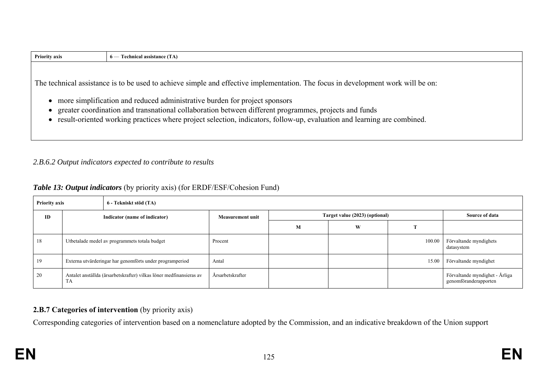| $6$ — Technical assistance (TA)                                                                                                  |
|----------------------------------------------------------------------------------------------------------------------------------|
|                                                                                                                                  |
| The technical assistance is to be used to achieve simple and effective implementation. The focus in development work will be on: |
| • more simplification and reduced administrative burden for project sponsors                                                     |
| greater coordination and transnational collaboration between different programmes, projects and funds                            |
| • result-oriented working practices where project selection, indicators, follow-up, evaluation and learning are combined.        |
|                                                                                                                                  |
|                                                                                                                                  |

## *2.B.6.2 Output indicators expected to contribute to results*

### *Table 13: Output indicators* (by priority axis) (for ERDF/ESF/Cohesion Fund)

| <b>Priority axis</b> |                                                                           | 6 - Tekniskt stöd (TA)        |                         |                                |                |        |                                                         |
|----------------------|---------------------------------------------------------------------------|-------------------------------|-------------------------|--------------------------------|----------------|--------|---------------------------------------------------------|
| ID                   |                                                                           | Indicator (name of indicator) | <b>Measurement unit</b> | Target value (2023) (optional) | Source of data |        |                                                         |
|                      |                                                                           |                               |                         | M                              | W              |        |                                                         |
| 18                   | Utbetalade medel av programmets totala budget                             |                               | Procent                 |                                |                | 100.00 | Förvaltande myndighets<br>datasystem                    |
| 19                   | Externa utvärderingar har genomförts under programperiod                  |                               | Antal                   |                                |                | 15.00  | Förvaltande myndighet                                   |
| 20                   | Antalet anställda (årsarbetskrafter) vilkas löner medfinansieras av<br>TA |                               | Årsarbetskrafter        |                                |                |        | Förvaltande myndighet - Årliga<br>genomföranderapporten |

# **2.B.7 Categories of intervention** (by priority axis)

Corresponding categories of intervention based on a nomenclature adopted by the Commission, and an indicative breakdown of the Union support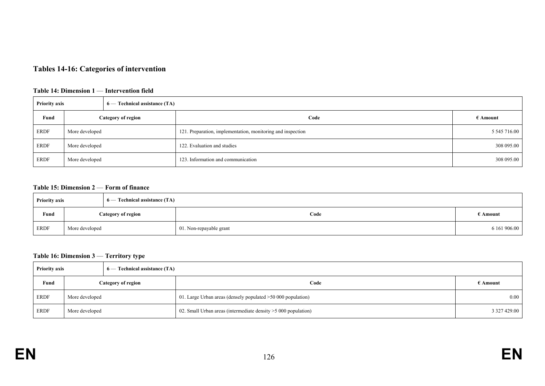# **Tables 14-16: Categories of intervention**

#### **Table 14: Dimension 1** — **Intervention field**

| <b>Priority axis</b><br>$6$ — Technical assistance (TA) |                |  |                                                             |                   |
|---------------------------------------------------------|----------------|--|-------------------------------------------------------------|-------------------|
| Fund<br><b>Category of region</b>                       |                |  | Code                                                        | $\epsilon$ Amount |
| <b>ERDF</b>                                             | More developed |  | 121. Preparation, implementation, monitoring and inspection | 5 545 716.00      |
| <b>ERDF</b>                                             | More developed |  | 122. Evaluation and studies                                 | 308 095.00        |
| <b>ERDF</b>                                             | More developed |  | 123. Information and communication                          | 308 095.00        |

#### **Table 15: Dimension 2** — **Form of finance**

| $6$ — Technical assistance (TA)<br><b>Priority axis</b> |                    |  |                         |              |
|---------------------------------------------------------|--------------------|--|-------------------------|--------------|
| Fund                                                    | Category of region |  | Code                    | E Amount     |
| <b>ERDF</b>                                             | More developed     |  | 01. Non-repayable grant | 6 161 906.00 |

#### **Table 16: Dimension 3** — **Territory type**

| <b>Priority axis</b> |                           | 6 — Technical assistance (TA) |                                                                 |                   |
|----------------------|---------------------------|-------------------------------|-----------------------------------------------------------------|-------------------|
| Fund                 | <b>Category of region</b> |                               | Code                                                            | $\epsilon$ Amount |
| <b>ERDF</b>          | More developed            |                               | 01. Large Urban areas (densely populated >50 000 population)    | $0.00\,$          |
| <b>ERDF</b>          | More developed            |                               | 02. Small Urban areas (intermediate density $>5000$ population) | 3 327 429.00      |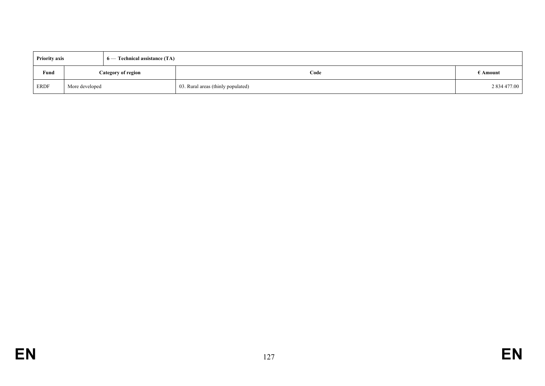| <b>Priority axis</b> |                    | $6$ — Technical assistance (TA) |                                    |                   |
|----------------------|--------------------|---------------------------------|------------------------------------|-------------------|
| Fund                 | Category of region |                                 | Code                               | $\epsilon$ Amount |
| ERDF                 | More developed     |                                 | 03. Rural areas (thinly populated) | 2 834 477.00      |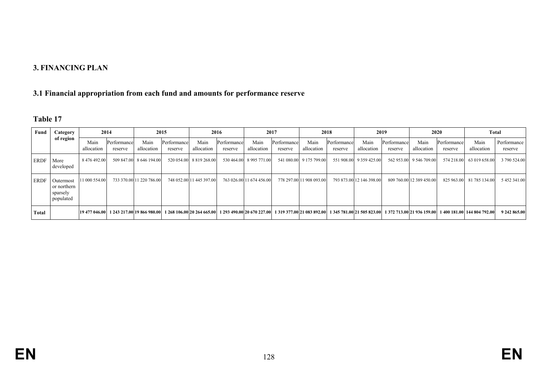### **3. FINANCING PLAN**

# **3.1 Financial appropriation from each fund and amounts for performance reserve**

| `able |  |
|-------|--|
|-------|--|

| Fund  | Category                                          | 2014               |                                          | 2015                     |                        | 2016                     |                        |                          | 2017                   |                          | 2018                   |                          | 2019                   | 2020                     |                        | Total                                                                                                                                                              |                        |
|-------|---------------------------------------------------|--------------------|------------------------------------------|--------------------------|------------------------|--------------------------|------------------------|--------------------------|------------------------|--------------------------|------------------------|--------------------------|------------------------|--------------------------|------------------------|--------------------------------------------------------------------------------------------------------------------------------------------------------------------|------------------------|
|       | of region                                         | Main<br>allocation | Performance<br>reserve                   | Main<br>allocation       | Performance<br>reserve | Main<br>allocation       | Performance<br>reserve | Main<br>allocation       | Performance<br>reserve | Main<br>allocation       | Performance<br>reserve | Main<br>allocation       | Performance<br>reserve | Main<br>allocation       | Performance<br>reserve | Main<br>allocation                                                                                                                                                 | Performance<br>reserve |
| ERDF  | More<br>developed                                 | 8 476 492.00       |                                          | 509 847.00 8 646 194.00  |                        | 520 054.00 8 819 268.00  |                        | 530 464.00 8 995 771.00  |                        | 541 080.00 9 175 799.00  |                        | 551 908.00 9 359 425.00  |                        | 562 953.00 9 546 709.00  |                        | 574 218.00 63 019 658.00                                                                                                                                           | 3 790 524.00           |
| ERDF  | Outermost<br>or northern<br>sparsely<br>populated | 11 000 554.00      |                                          | 733 370.00 11 220 786.00 |                        | 748 052.00 11 445 397.00 |                        | 763 026.00 11 674 456.00 |                        | 778 297.00 11 908 093.00 |                        | 793 873.00 12 146 398.00 |                        | 809 760.00 12 389 450.00 |                        | 825 963.00 81 785 134.00                                                                                                                                           | 5 452 341.00           |
| Total |                                                   |                    | 19 477 046.00 1 243 217.00 19 866 980.00 |                          |                        |                          |                        |                          |                        |                          |                        |                          |                        |                          |                        | 1 268 106.00 20 264 665.00 1 293 490.00 20 670 227.00 1 319 377.00 21 083 892.00 1 345 781.00 21 505 823.00 1 372 713.00 21 936 159.00 1 400 181.00 144 804 792.00 | 9 242 865.00           |

**EN**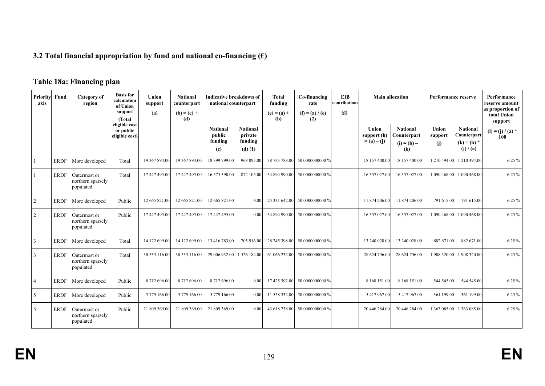# **3.2 Total financial appropriation by fund and national co-financing (€)**

# **Table 18a: Financing plan**

| Priority<br>axis | Fund        | Category of<br>region                          | <b>Basis</b> for<br>calculation<br>of Union<br>support<br>(Total) | Union<br>support<br>(a) | <b>National</b><br>counterpart<br>$(b) = (c) +$<br>(d) | Indicative breakdown of<br>national counterpart |                                                      | <b>Total</b><br>funding<br>$(e) = (a) +$<br>(b) | Co-financing<br>rate<br>$(f) = (a) / (e)$<br>(2) | <b>EIB</b><br>contributions<br>(g) | <b>Main allocation</b>                |                                                        | <b>Performance reserve</b> |                                                            | Performance<br>reserve amount<br>as proportion of<br>total Union<br>support |
|------------------|-------------|------------------------------------------------|-------------------------------------------------------------------|-------------------------|--------------------------------------------------------|-------------------------------------------------|------------------------------------------------------|-------------------------------------------------|--------------------------------------------------|------------------------------------|---------------------------------------|--------------------------------------------------------|----------------------------|------------------------------------------------------------|-----------------------------------------------------------------------------|
|                  |             |                                                | eligible cost<br>or public<br>eligible cost)                      |                         |                                                        | <b>National</b><br>public<br>funding<br>(c)     | <b>National</b><br>private<br>funding<br>$(d)$ $(1)$ |                                                 |                                                  |                                    | Union<br>support (h)<br>$= (a) - (i)$ | <b>National</b><br>Counterpart<br>$(i) = (b) -$<br>(k) | Union<br>support<br>(i)    | <b>National</b><br>Counterpart<br>$(k) = (b) *$<br>(j)/(a) | $(I) = (j) / (a) *$<br>100                                                  |
|                  | <b>ERDF</b> | More developed                                 | Total                                                             | 19 367 894.00           | 19 367 894.00                                          | 18 399 799.00                                   | 968 095.00                                           | 38 735 788.00                                   | 50.0000000000 %                                  |                                    | 18 157 400.00                         | 18 157 400.00                                          |                            | 1 210 494.00 1 210 494.00                                  | 6.25 %                                                                      |
|                  | <b>ERDF</b> | Outermost or<br>northern sparsely<br>populated | Total                                                             | 17 447 495.00           | 17 447 495.00                                          | 16 575 390.00                                   | 872 105.00                                           | 34 894 990.00                                   | 50.0000000000 %                                  |                                    | 16 357 027.00                         | 16 357 027.00                                          |                            | 1 090 468.00 1 090 468.00                                  | 6.25 %                                                                      |
| $\overline{2}$   | <b>ERDF</b> | More developed                                 | Public                                                            | 12 665 821.00           | 12 665 821.00                                          | 12 665 821.00                                   | 0.00                                                 | 25 331 642.00                                   | 50.0000000000 %                                  |                                    | 11 874 206.00                         | 11 874 206.00                                          | 791 615.00                 | 791 615.00                                                 | 6.25%                                                                       |
| $\overline{2}$   | <b>ERDF</b> | Outermost or<br>northern sparsely<br>populated | Public                                                            | 17 447 495.00           | 17 447 495.00                                          | 17 447 495.00                                   | 0.00                                                 | 34 894 990.00                                   | 50.0000000000 %                                  |                                    | 16 357 027.00                         | 16 357 027.00                                          |                            | 1 090 468.00 1 090 468.00                                  | 6.25 %                                                                      |
| 3                | <b>ERDF</b> | More developed                                 | Total                                                             | 14 122 699.00           | 14 122 699.00                                          | 13 416 783.00                                   | 705 916.00                                           | 28 245 398.00                                   | 50.0000000000 %                                  |                                    | 13 240 028.00                         | 13 240 028.00                                          | 882 671.00                 | 882 671.00                                                 | $6.25 \%$                                                                   |
| 3                | <b>ERDF</b> | Outermost or<br>northern sparsely<br>populated | Total                                                             | 30 533 116.00           | 30 533 116.00                                          | 29 006 932.00                                   | 1 526 184.00                                         | 61 066 232.00                                   | 50.0000000000 %                                  |                                    | 28 624 796.00                         | 28 624 796.00                                          |                            | 1 908 320.00 1 908 320.00                                  | 6.25 %                                                                      |
| $\overline{4}$   | <b>ERDF</b> | More developed                                 | Public                                                            | 8 712 696.00            | 8 712 696.00                                           | 8 712 696.00                                    | 0.00                                                 | 17 425 392.00                                   | 50.0000000000 %                                  |                                    | 8 168 151.00                          | 8 168 151.00                                           | 544 545.00                 | 544 545.00                                                 | 6.25%                                                                       |
| 5                | <b>ERDF</b> | More developed                                 | Public                                                            | 5 779 166.00            | 5 779 166.00                                           | 5 779 166.00                                    | 0.00                                                 | 11 558 332.00                                   | 50.0000000000 %                                  |                                    | 5 417 967.00                          | 5 417 967.00                                           | 361 199.00                 | 361 199.00                                                 | 6.25 %                                                                      |
| 5                | <b>ERDF</b> | Outermost or<br>northern sparsely<br>populated | Public                                                            | 21 809 369.00           | 21 809 369.00                                          | 21 809 369.00                                   | 0.00                                                 | 43 618 738.00                                   | 50.0000000000 %                                  |                                    | 20 446 284.00                         | 20 446 284.00                                          |                            | 1 363 085.00 1 363 085.00                                  | 6.25 %                                                                      |

**EN**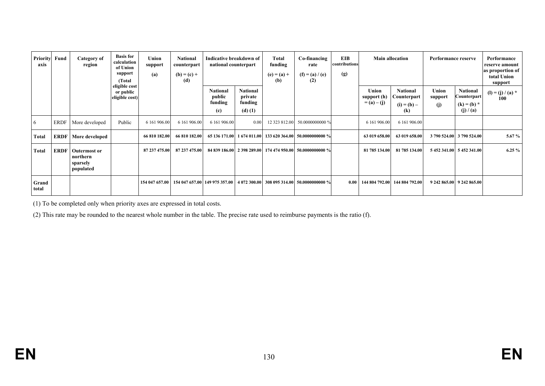| <b>Priority</b><br>axis | Fund        | Category of<br>region                                    | <b>Basis for</b><br>calculation<br>of Union<br>support<br>(Total) | Union<br>support<br>(a) | <b>National</b><br>counterpart<br>$(b) = (c) +$<br>(d) | Indicative breakdown of<br>national counterpart |                                                      | Total<br>funding<br>$(e) = (a) +$<br>(b) | <b>EIB</b><br>Co-financing<br><b>Main allocation</b><br>Performance reserve<br>contributions<br>rate<br>(g)<br>$(f) = (a) / (e)$<br>(2) |      |                                       |                                                                                       |                           | Performance<br>reserve amount<br>as proportion of<br>total Union<br>support |                            |
|-------------------------|-------------|----------------------------------------------------------|-------------------------------------------------------------------|-------------------------|--------------------------------------------------------|-------------------------------------------------|------------------------------------------------------|------------------------------------------|-----------------------------------------------------------------------------------------------------------------------------------------|------|---------------------------------------|---------------------------------------------------------------------------------------|---------------------------|-----------------------------------------------------------------------------|----------------------------|
|                         |             |                                                          | eligible cost<br>or public<br>eligible cost)                      |                         |                                                        | <b>National</b><br>public<br>funding<br>(c)     | <b>National</b><br>private<br>funding<br>$(d)$ $(1)$ |                                          |                                                                                                                                         |      | Union<br>support (h)<br>$= (a) - (j)$ | <b>National</b><br>C <b>ounterpart</b><br>$(i) = (b) -$<br>$\left( \mathbf{k}\right)$ | Union<br>support<br>(j)   | National<br>Counterpart<br>$(k) = (b) *$<br>(j) / (a)                       | $(l) = (j) / (a) *$<br>100 |
| 6                       | <b>ERDF</b> | More developed                                           | Public                                                            | 6 161 906.00            | 6 161 906.00                                           | 6 161 906.00                                    | 0.00                                                 |                                          | 12 323 812.00 50.0000000000 %                                                                                                           |      | 6 161 906.00                          | 6 161 906.00                                                                          |                           |                                                                             |                            |
| <b>Total</b>            | <b>ERDF</b> | More developed                                           |                                                                   | 66 810 182.00           | 66 810 182.00                                          |                                                 |                                                      |                                          | 65 136 171.00   1 674 011.00   133 620 364.00   50.0000000000 %                                                                         |      | 63 019 658.00                         | 63 019 658.00                                                                         |                           | 3 790 524.00 3 790 524.00                                                   | $5.67\%$                   |
| <b>Total</b>            | <b>ERDF</b> | <b>Outermost or</b><br>northern<br>sparsely<br>populated |                                                                   | 87 237 475.00           | 87 237 475.00                                          |                                                 |                                                      |                                          | 84 839 186.00 2 398 289.00 174 474 950.00 50.0000000000 %                                                                               |      | 81 785 134.00                         | 81 785 134.00                                                                         |                           | 5 452 341.00 5 452 341.00                                                   | $6.25 \%$                  |
| Grand<br>total          |             |                                                          |                                                                   | 154 047 657.00          |                                                        |                                                 |                                                      |                                          | 154 047 657.00 149 975 357.00   4 072 300.00   308 095 314.00   50.0000000000 %                                                         | 0.00 | 144 804 792.00                        | 144 804 792.00                                                                        | 9 242 865.00 9 242 865.00 |                                                                             |                            |

(1) To be completed only when priority axes are expressed in total costs.

(2) This rate may be rounded to the nearest whole number in the table. The precise rate used to reimburse payments is the ratio (f).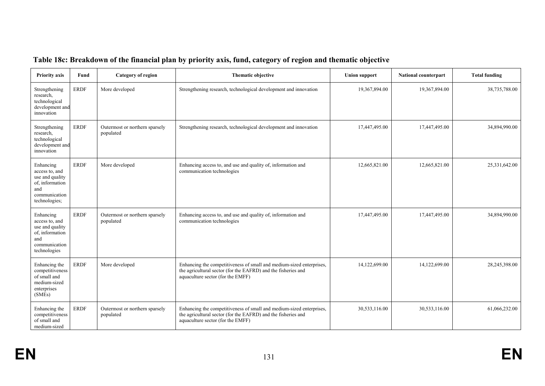| <b>Priority axis</b>                                                                                       | Fund        | <b>Category of region</b>                   | Thematic objective                                                                                                                                                         | <b>Union support</b> | <b>National counterpart</b> | <b>Total funding</b> |
|------------------------------------------------------------------------------------------------------------|-------------|---------------------------------------------|----------------------------------------------------------------------------------------------------------------------------------------------------------------------------|----------------------|-----------------------------|----------------------|
| Strengthening<br>research,<br>technological<br>development and<br>innovation                               | <b>ERDF</b> | More developed                              | Strengthening research, technological development and innovation                                                                                                           | 19,367,894.00        | 19,367,894.00               | 38,735,788.00        |
| Strengthening<br>research,<br>technological<br>development and<br>innovation                               | <b>ERDF</b> | Outermost or northern sparsely<br>populated | Strengthening research, technological development and innovation                                                                                                           | 17,447,495.00        | 17,447,495.00               | 34,894,990.00        |
| Enhancing<br>access to, and<br>use and quality<br>of, information<br>and<br>communication<br>technologies; | <b>ERDF</b> | More developed                              | Enhancing access to, and use and quality of, information and<br>communication technologies                                                                                 | 12,665,821.00        | 12,665,821.00               | 25,331,642.00        |
| Enhancing<br>access to, and<br>use and quality<br>of, information<br>and<br>communication<br>technologies  | <b>ERDF</b> | Outermost or northern sparsely<br>populated | Enhancing access to, and use and quality of, information and<br>communication technologies                                                                                 | 17,447,495.00        | 17,447,495.00               | 34,894,990.00        |
| Enhancing the<br>competitiveness<br>of small and<br>medium-sized<br>enterprises<br>(SMEs)                  | <b>ERDF</b> | More developed                              | Enhancing the competitiveness of small and medium-sized enterprises,<br>the agricultural sector (for the EAFRD) and the fisheries and<br>aquaculture sector (for the EMFF) | 14,122,699.00        | 14,122,699.00               | 28,245,398.00        |
| Enhancing the<br>competitiveness<br>of small and<br>medium-sized                                           | <b>ERDF</b> | Outermost or northern sparsely<br>populated | Enhancing the competitiveness of small and medium-sized enterprises,<br>the agricultural sector (for the EAFRD) and the fisheries and<br>aquaculture sector (for the EMFF) | 30,533,116.00        | 30,533,116.00               | 61,066,232.00        |

# **Table 18c: Breakdown of the financial plan by priority axis, fund, category of region and thematic objective**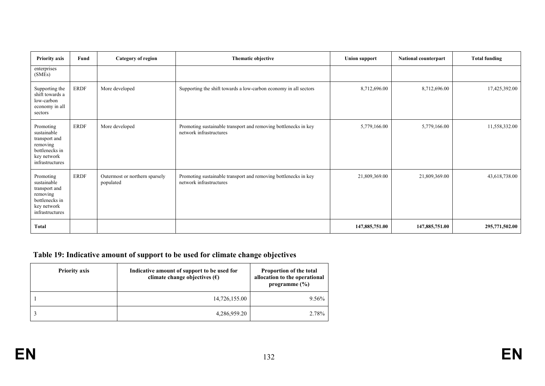| <b>Priority axis</b>                                                                                      | Fund        | <b>Category of region</b>                   | Thematic objective                                                                         | <b>Union support</b> | <b>National counterpart</b> | <b>Total funding</b> |
|-----------------------------------------------------------------------------------------------------------|-------------|---------------------------------------------|--------------------------------------------------------------------------------------------|----------------------|-----------------------------|----------------------|
| enterprises<br>(SMEs)                                                                                     |             |                                             |                                                                                            |                      |                             |                      |
| Supporting the<br>shift towards a<br>low-carbon<br>economy in all<br>sectors                              | <b>ERDF</b> | More developed                              | Supporting the shift towards a low-carbon economy in all sectors                           | 8,712,696.00         | 8,712,696.00                | 17,425,392.00        |
| Promoting<br>sustainable<br>transport and<br>removing<br>bottlenecks in<br>key network<br>infrastructures | <b>ERDF</b> | More developed                              | Promoting sustainable transport and removing bottlenecks in key<br>network infrastructures | 5,779,166.00         | 5,779,166.00                | 11,558,332.00        |
| Promoting<br>sustainable<br>transport and<br>removing<br>bottlenecks in<br>key network<br>infrastructures | <b>ERDF</b> | Outermost or northern sparsely<br>populated | Promoting sustainable transport and removing bottlenecks in key<br>network infrastructures | 21,809,369.00        | 21,809,369.00               | 43,618,738.00        |
| <b>Total</b>                                                                                              |             |                                             |                                                                                            | 147,885,751.00       | 147,885,751.00              | 295,771,502.00       |

# **Table 19: Indicative amount of support to be used for climate change objectives**

| <b>Priority axis</b> | Indicative amount of support to be used for<br>climate change objectives $(\epsilon)$ | Proportion of the total<br>allocation to the operational<br>programme $(\% )$ |  |  |
|----------------------|---------------------------------------------------------------------------------------|-------------------------------------------------------------------------------|--|--|
|                      | 14,726,155.00                                                                         | 9.56%                                                                         |  |  |
|                      | 4,286,959.20                                                                          | 2.78%                                                                         |  |  |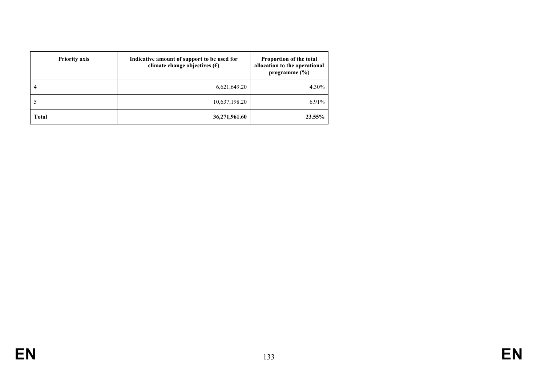| <b>Priority axis</b> | Indicative amount of support to be used for<br>climate change objectives $(\epsilon)$ | Proportion of the total<br>allocation to the operational<br>programme $(\% )$ |  |
|----------------------|---------------------------------------------------------------------------------------|-------------------------------------------------------------------------------|--|
|                      | 6,621,649.20                                                                          | 4.30%                                                                         |  |
|                      | 10,637,198.20                                                                         | 6.91%                                                                         |  |
| <b>Total</b>         | 36,271,961.60                                                                         | 23.55%                                                                        |  |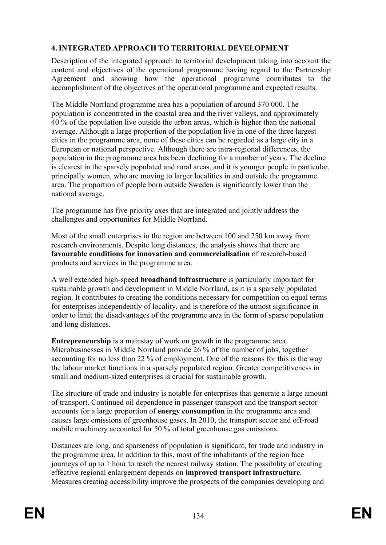# **4. INTEGRATED APPROACH TO TERRITORIAL DEVELOPMENT**

Description of the integrated approach to territorial development taking into account the content and objectives of the operational programme having regard to the Partnership Agreement and showing how the operational programme contributes to the accomplishment of the objectives of the operational programme and expected results.

The Middle Norrland programme area has a population of around 370 000. The population is concentrated in the coastal area and the river valleys, and approximately 40 % of the population live outside the urban areas, which is higher than the national average. Although a large proportion of the population live in one of the three largest cities in the programme area, none of these cities can be regarded as a large city in a European or national perspective. Although there are intra-regional differences, the population in the programme area has been declining for a number of years. The decline is clearest in the sparsely populated and rural areas, and it is younger people in particular, principally women, who are moving to larger localities in and outside the programme area. The proportion of people born outside Sweden is significantly lower than the national average.

The programme has five priority axes that are integrated and jointly address the challenges and opportunities for Middle Norrland.

Most of the small enterprises in the region are between 100 and 250 km away from research environments. Despite long distances, the analysis shows that there are **favourable conditions for innovation and commercialisation** of research-based products and services in the programme area.

A well extended high-speed **broadband infrastructure** is particularly important for sustainable growth and development in Middle Norrland, as it is a sparsely populated region. It contributes to creating the conditions necessary for competition on equal terms for enterprises independently of locality, and is therefore of the utmost significance in order to limit the disadvantages of the programme area in the form of sparse population and long distances.

**Entrepreneurship** is a mainstay of work on growth in the programme area. Microbusinesses in Middle Norrland provide 26 % of the number of jobs, together accounting for no less than 22 % of employment. One of the reasons for this is the way the labour market functions in a sparsely populated region. Greater competitiveness in small and medium-sized enterprises is crucial for sustainable growth.

The structure of trade and industry is notable for enterprises that generate a large amount of transport. Continued oil dependence in passenger transport and the transport sector accounts for a large proportion of **energy consumption** in the programme area and causes large emissions of greenhouse gases. In 2010, the transport sector and off-road mobile machinery accounted for 50 % of total greenhouse gas emissions.

Distances are long, and sparseness of population is significant, for trade and industry in the programme area. In addition to this, most of the inhabitants of the region face journeys of up to 1 hour to reach the nearest railway station. The possibility of creating effective regional enlargement depends on **improved transport infrastructure**. Measures creating accessibility improve the prospects of the companies developing and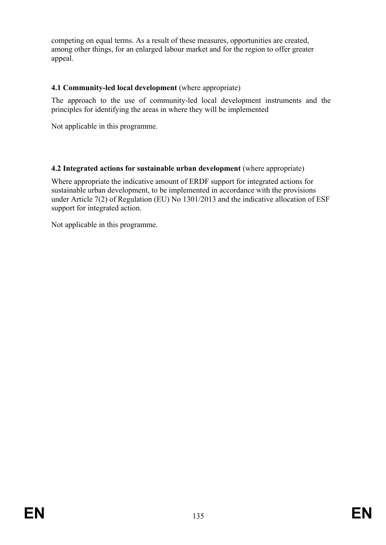competing on equal terms. As a result of these measures, opportunities are created, among other things, for an enlarged labour market and for the region to offer greater appeal.

# **4.1 Community-led local development** (where appropriate)

The approach to the use of community-led local development instruments and the principles for identifying the areas in where they will be implemented

Not applicable in this programme.

# **4.2 Integrated actions for sustainable urban development** (where appropriate)

Where appropriate the indicative amount of ERDF support for integrated actions for sustainable urban development, to be implemented in accordance with the provisions under Article 7(2) of Regulation (EU) No 1301/2013 and the indicative allocation of ESF support for integrated action.

Not applicable in this programme.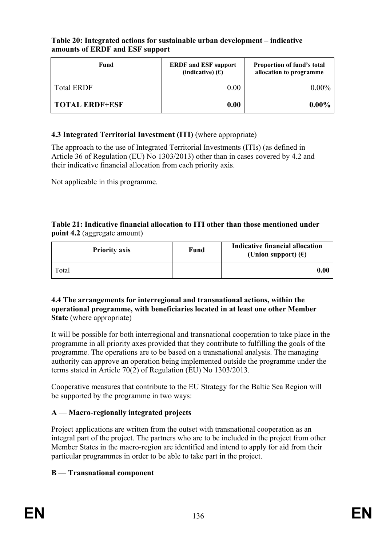### **Table 20: Integrated actions for sustainable urban development – indicative amounts of ERDF and ESF support**

| Fund              | <b>ERDF</b> and <b>ESF</b> support<br>(indicative) $(E)$ | <b>Proportion of fund's total</b><br>allocation to programme |
|-------------------|----------------------------------------------------------|--------------------------------------------------------------|
| <b>Total ERDF</b> | 0.00                                                     | $0.00\%$                                                     |
| TOTAL ERDF+ESF    | 0.00                                                     | $0.00\%$                                                     |

# **4.3 Integrated Territorial Investment (ITI)** (where appropriate)

The approach to the use of Integrated Territorial Investments (ITIs) (as defined in Article 36 of Regulation (EU) No 1303/2013) other than in cases covered by 4.2 and their indicative financial allocation from each priority axis.

Not applicable in this programme.

#### **Table 21: Indicative financial allocation to ITI other than those mentioned under point 4.2** (aggregate amount)

| <b>Priority axis</b> | Fund | Indicative financial allocation<br>(Union support) $(\epsilon)$ |
|----------------------|------|-----------------------------------------------------------------|
| Total                |      | $\boldsymbol{0.00}$                                             |

#### **4.4 The arrangements for interregional and transnational actions, within the operational programme, with beneficiaries located in at least one other Member State** (where appropriate)

It will be possible for both interregional and transnational cooperation to take place in the programme in all priority axes provided that they contribute to fulfilling the goals of the programme. The operations are to be based on a transnational analysis. The managing authority can approve an operation being implemented outside the programme under the terms stated in Article 70(2) of Regulation (EU) No 1303/2013.

Cooperative measures that contribute to the EU Strategy for the Baltic Sea Region will be supported by the programme in two ways:

# **A** — **Macro-regionally integrated projects**

Project applications are written from the outset with transnational cooperation as an integral part of the project. The partners who are to be included in the project from other Member States in the macro-region are identified and intend to apply for aid from their particular programmes in order to be able to take part in the project.

## **B** — **Transnational component**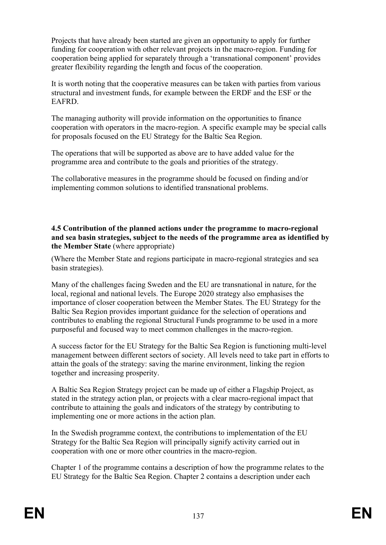Projects that have already been started are given an opportunity to apply for further funding for cooperation with other relevant projects in the macro-region. Funding for cooperation being applied for separately through a 'transnational component' provides greater flexibility regarding the length and focus of the cooperation.

It is worth noting that the cooperative measures can be taken with parties from various structural and investment funds, for example between the ERDF and the ESF or the EAFRD.

The managing authority will provide information on the opportunities to finance cooperation with operators in the macro-region. A specific example may be special calls for proposals focused on the EU Strategy for the Baltic Sea Region.

The operations that will be supported as above are to have added value for the programme area and contribute to the goals and priorities of the strategy.

The collaborative measures in the programme should be focused on finding and/or implementing common solutions to identified transnational problems.

### **4.5 Contribution of the planned actions under the programme to macro-regional and sea basin strategies, subject to the needs of the programme area as identified by the Member State** (where appropriate)

(Where the Member State and regions participate in macro-regional strategies and sea basin strategies).

Many of the challenges facing Sweden and the EU are transnational in nature, for the local, regional and national levels. The Europe 2020 strategy also emphasises the importance of closer cooperation between the Member States. The EU Strategy for the Baltic Sea Region provides important guidance for the selection of operations and contributes to enabling the regional Structural Funds programme to be used in a more purposeful and focused way to meet common challenges in the macro-region.

A success factor for the EU Strategy for the Baltic Sea Region is functioning multi-level management between different sectors of society. All levels need to take part in efforts to attain the goals of the strategy: saving the marine environment, linking the region together and increasing prosperity.

A Baltic Sea Region Strategy project can be made up of either a Flagship Project, as stated in the strategy action plan, or projects with a clear macro-regional impact that contribute to attaining the goals and indicators of the strategy by contributing to implementing one or more actions in the action plan.

In the Swedish programme context, the contributions to implementation of the EU Strategy for the Baltic Sea Region will principally signify activity carried out in cooperation with one or more other countries in the macro-region.

Chapter 1 of the programme contains a description of how the programme relates to the EU Strategy for the Baltic Sea Region. Chapter 2 contains a description under each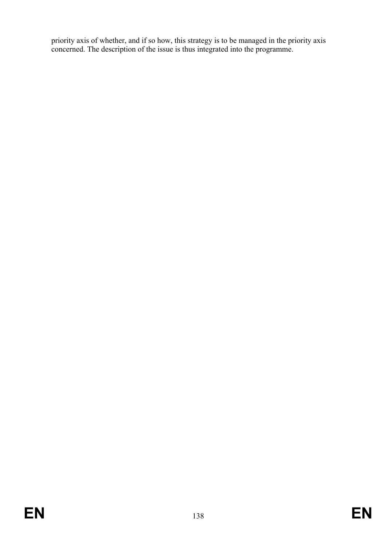priority axis of whether, and if so how, this strategy is to be managed in the priority axis concerned. The description of the issue is thus integrated into the programme.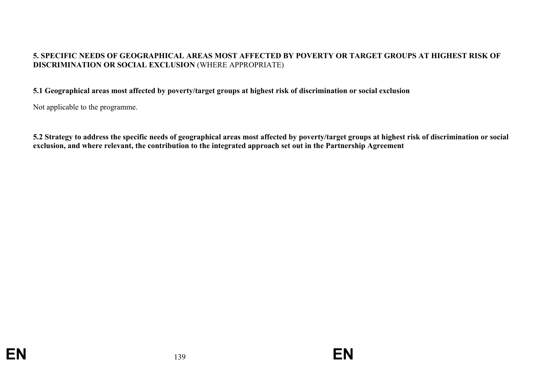### **5. SPECIFIC NEEDS OF GEOGRAPHICAL AREAS MOST AFFECTED BY POVERTY OR TARGET GROUPS AT HIGHEST RISK OF DISCRIMINATION OR SOCIAL EXCLUSION** (WHERE APPROPRIATE)

#### **5.1 Geographical areas most affected by poverty/target groups at highest risk of discrimination or social exclusion**

Not applicable to the programme.

**5.2 Strategy to address the specific needs of geographical areas most affected by poverty/target groups at highest risk of discrimination or social exclusion, and where relevant, the contribution to the integrated approach set out in the Partnership Agreement**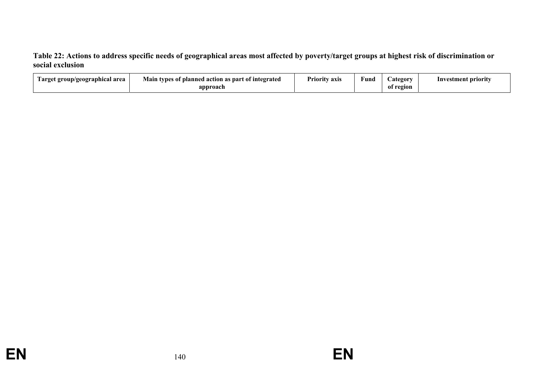**Table 22: Actions to address specific needs of geographical areas most affected by poverty/target groups at highest risk of discrimination or social exclusion** 

| l'arget group/geographical area | Main<br>s of planned action as part of integrated<br>types<br>$\cdot$ | $\blacksquare$<br>Priority axis | Fund | <b>Lategory</b> | stment priority<br>Inve: |
|---------------------------------|-----------------------------------------------------------------------|---------------------------------|------|-----------------|--------------------------|
|                                 | approach                                                              |                                 |      | region<br>-01   |                          |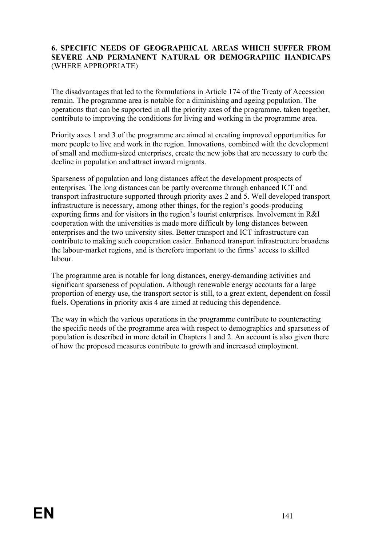### **6. SPECIFIC NEEDS OF GEOGRAPHICAL AREAS WHICH SUFFER FROM SEVERE AND PERMANENT NATURAL OR DEMOGRAPHIC HANDICAPS** (WHERE APPROPRIATE)

The disadvantages that led to the formulations in Article 174 of the Treaty of Accession remain. The programme area is notable for a diminishing and ageing population. The operations that can be supported in all the priority axes of the programme, taken together, contribute to improving the conditions for living and working in the programme area.

Priority axes 1 and 3 of the programme are aimed at creating improved opportunities for more people to live and work in the region. Innovations, combined with the development of small and medium-sized enterprises, create the new jobs that are necessary to curb the decline in population and attract inward migrants.

Sparseness of population and long distances affect the development prospects of enterprises. The long distances can be partly overcome through enhanced ICT and transport infrastructure supported through priority axes 2 and 5. Well developed transport infrastructure is necessary, among other things, for the region's goods-producing exporting firms and for visitors in the region's tourist enterprises. Involvement in R&I cooperation with the universities is made more difficult by long distances between enterprises and the two university sites. Better transport and ICT infrastructure can contribute to making such cooperation easier. Enhanced transport infrastructure broadens the labour-market regions, and is therefore important to the firms' access to skilled labour.

The programme area is notable for long distances, energy-demanding activities and significant sparseness of population. Although renewable energy accounts for a large proportion of energy use, the transport sector is still, to a great extent, dependent on fossil fuels. Operations in priority axis 4 are aimed at reducing this dependence.

The way in which the various operations in the programme contribute to counteracting the specific needs of the programme area with respect to demographics and sparseness of population is described in more detail in Chapters 1 and 2. An account is also given there of how the proposed measures contribute to growth and increased employment.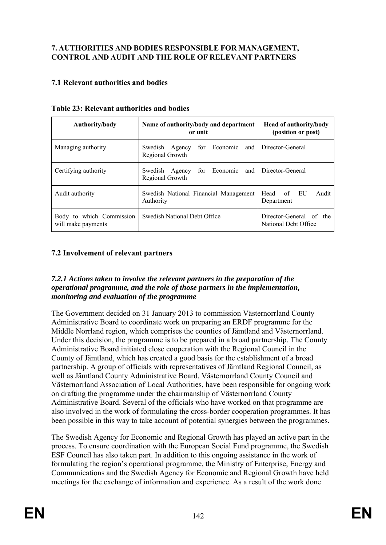## **7. AUTHORITIES AND BODIES RESPONSIBLE FOR MANAGEMENT, CONTROL AND AUDIT AND THE ROLE OF RELEVANT PARTNERS**

# **7.1 Relevant authorities and bodies**

| <b>Authority/body</b>                          | Name of authority/body and department<br>or unit                    | <b>Head of authority/body</b><br>(position or post) |  |
|------------------------------------------------|---------------------------------------------------------------------|-----------------------------------------------------|--|
| Managing authority                             | Swedish Agency for Economic and Director-General<br>Regional Growth |                                                     |  |
| Certifying authority                           | Swedish Agency for Economic and Director-General<br>Regional Growth |                                                     |  |
| Audit authority                                | Swedish National Financial Management<br>Authority                  | Audit<br>Head of EU<br>Department                   |  |
| Body to which Commission<br>will make payments | Swedish National Debt Office                                        | Director-General of the<br>National Debt Office     |  |

|  | <b>Table 23: Relevant authorities and bodies</b> |  |
|--|--------------------------------------------------|--|
|  |                                                  |  |

# **7.2 Involvement of relevant partners**

### *7.2.1 Actions taken to involve the relevant partners in the preparation of the operational programme, and the role of those partners in the implementation, monitoring and evaluation of the programme*

The Government decided on 31 January 2013 to commission Västernorrland County Administrative Board to coordinate work on preparing an ERDF programme for the Middle Norrland region, which comprises the counties of Jämtland and Västernorrland. Under this decision, the programme is to be prepared in a broad partnership. The County Administrative Board initiated close cooperation with the Regional Council in the County of Jämtland, which has created a good basis for the establishment of a broad partnership. A group of officials with representatives of Jämtland Regional Council, as well as Jämtland County Administrative Board, Västernorrland County Council and Västernorrland Association of Local Authorities, have been responsible for ongoing work on drafting the programme under the chairmanship of Västernorrland County Administrative Board. Several of the officials who have worked on that programme are also involved in the work of formulating the cross-border cooperation programmes. It has been possible in this way to take account of potential synergies between the programmes.

The Swedish Agency for Economic and Regional Growth has played an active part in the process. To ensure coordination with the European Social Fund programme, the Swedish ESF Council has also taken part. In addition to this ongoing assistance in the work of formulating the region's operational programme, the Ministry of Enterprise, Energy and Communications and the Swedish Agency for Economic and Regional Growth have held meetings for the exchange of information and experience. As a result of the work done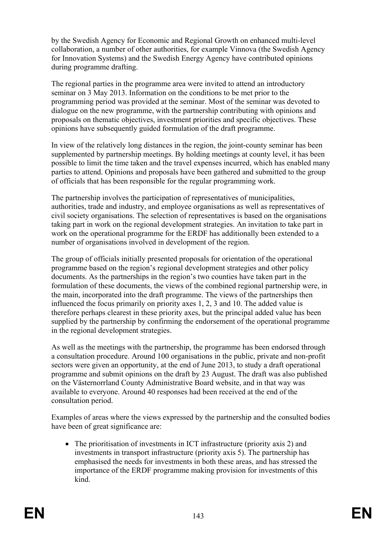by the Swedish Agency for Economic and Regional Growth on enhanced multi-level collaboration, a number of other authorities, for example Vinnova (the Swedish Agency for Innovation Systems) and the Swedish Energy Agency have contributed opinions during programme drafting.

The regional parties in the programme area were invited to attend an introductory seminar on 3 May 2013. Information on the conditions to be met prior to the programming period was provided at the seminar. Most of the seminar was devoted to dialogue on the new programme, with the partnership contributing with opinions and proposals on thematic objectives, investment priorities and specific objectives. These opinions have subsequently guided formulation of the draft programme.

In view of the relatively long distances in the region, the joint-county seminar has been supplemented by partnership meetings. By holding meetings at county level, it has been possible to limit the time taken and the travel expenses incurred, which has enabled many parties to attend. Opinions and proposals have been gathered and submitted to the group of officials that has been responsible for the regular programming work.

The partnership involves the participation of representatives of municipalities, authorities, trade and industry, and employee organisations as well as representatives of civil society organisations. The selection of representatives is based on the organisations taking part in work on the regional development strategies. An invitation to take part in work on the operational programme for the ERDF has additionally been extended to a number of organisations involved in development of the region.

The group of officials initially presented proposals for orientation of the operational programme based on the region's regional development strategies and other policy documents. As the partnerships in the region's two counties have taken part in the formulation of these documents, the views of the combined regional partnership were, in the main, incorporated into the draft programme. The views of the partnerships then influenced the focus primarily on priority axes 1, 2, 3 and 10. The added value is therefore perhaps clearest in these priority axes, but the principal added value has been supplied by the partnership by confirming the endorsement of the operational programme in the regional development strategies.

As well as the meetings with the partnership, the programme has been endorsed through a consultation procedure. Around 100 organisations in the public, private and non-profit sectors were given an opportunity, at the end of June 2013, to study a draft operational programme and submit opinions on the draft by 23 August. The draft was also published on the Västernorrland County Administrative Board website, and in that way was available to everyone. Around 40 responses had been received at the end of the consultation period.

Examples of areas where the views expressed by the partnership and the consulted bodies have been of great significance are:

• The prioritisation of investments in ICT infrastructure (priority axis 2) and investments in transport infrastructure (priority axis 5). The partnership has emphasised the needs for investments in both these areas, and has stressed the importance of the ERDF programme making provision for investments of this kind.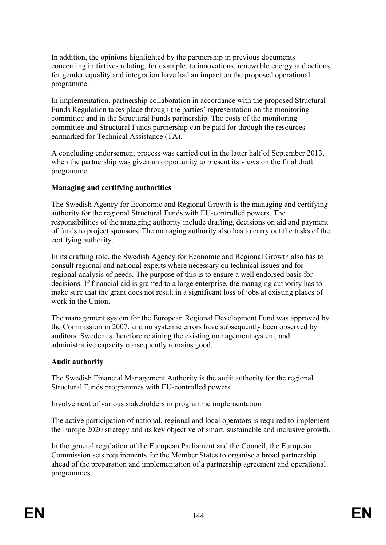In addition, the opinions highlighted by the partnership in previous documents concerning initiatives relating, for example, to innovations, renewable energy and actions for gender equality and integration have had an impact on the proposed operational programme.

In implementation, partnership collaboration in accordance with the proposed Structural Funds Regulation takes place through the parties' representation on the monitoring committee and in the Structural Funds partnership. The costs of the monitoring committee and Structural Funds partnership can be paid for through the resources earmarked for Technical Assistance (TA).

A concluding endorsement process was carried out in the latter half of September 2013, when the partnership was given an opportunity to present its views on the final draft programme.

### **Managing and certifying authorities**

The Swedish Agency for Economic and Regional Growth is the managing and certifying authority for the regional Structural Funds with EU-controlled powers. The responsibilities of the managing authority include drafting, decisions on aid and payment of funds to project sponsors. The managing authority also has to carry out the tasks of the certifying authority.

In its drafting role, the Swedish Agency for Economic and Regional Growth also has to consult regional and national experts where necessary on technical issues and for regional analysis of needs. The purpose of this is to ensure a well endorsed basis for decisions. If financial aid is granted to a large enterprise, the managing authority has to make sure that the grant does not result in a significant loss of jobs at existing places of work in the Union.

The management system for the European Regional Development Fund was approved by the Commission in 2007, and no systemic errors have subsequently been observed by auditors. Sweden is therefore retaining the existing management system, and administrative capacity consequently remains good.

### **Audit authority**

The Swedish Financial Management Authority is the audit authority for the regional Structural Funds programmes with EU-controlled powers.

Involvement of various stakeholders in programme implementation

The active participation of national, regional and local operators is required to implement the Europe 2020 strategy and its key objective of smart, sustainable and inclusive growth.

In the general regulation of the European Parliament and the Council, the European Commission sets requirements for the Member States to organise a broad partnership ahead of the preparation and implementation of a partnership agreement and operational programmes.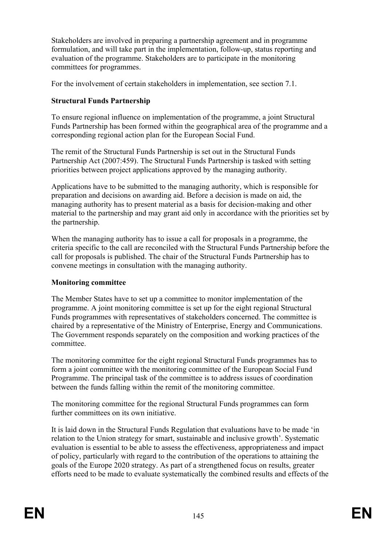Stakeholders are involved in preparing a partnership agreement and in programme formulation, and will take part in the implementation, follow-up, status reporting and evaluation of the programme. Stakeholders are to participate in the monitoring committees for programmes.

For the involvement of certain stakeholders in implementation, see section 7.1.

## **Structural Funds Partnership**

To ensure regional influence on implementation of the programme, a joint Structural Funds Partnership has been formed within the geographical area of the programme and a corresponding regional action plan for the European Social Fund.

The remit of the Structural Funds Partnership is set out in the Structural Funds Partnership Act (2007:459). The Structural Funds Partnership is tasked with setting priorities between project applications approved by the managing authority.

Applications have to be submitted to the managing authority, which is responsible for preparation and decisions on awarding aid. Before a decision is made on aid, the managing authority has to present material as a basis for decision-making and other material to the partnership and may grant aid only in accordance with the priorities set by the partnership.

When the managing authority has to issue a call for proposals in a programme, the criteria specific to the call are reconciled with the Structural Funds Partnership before the call for proposals is published. The chair of the Structural Funds Partnership has to convene meetings in consultation with the managing authority.

### **Monitoring committee**

The Member States have to set up a committee to monitor implementation of the programme. A joint monitoring committee is set up for the eight regional Structural Funds programmes with representatives of stakeholders concerned. The committee is chaired by a representative of the Ministry of Enterprise, Energy and Communications. The Government responds separately on the composition and working practices of the committee.

The monitoring committee for the eight regional Structural Funds programmes has to form a joint committee with the monitoring committee of the European Social Fund Programme. The principal task of the committee is to address issues of coordination between the funds falling within the remit of the monitoring committee.

The monitoring committee for the regional Structural Funds programmes can form further committees on its own initiative.

It is laid down in the Structural Funds Regulation that evaluations have to be made 'in relation to the Union strategy for smart, sustainable and inclusive growth'. Systematic evaluation is essential to be able to assess the effectiveness, appropriateness and impact of policy, particularly with regard to the contribution of the operations to attaining the goals of the Europe 2020 strategy. As part of a strengthened focus on results, greater efforts need to be made to evaluate systematically the combined results and effects of the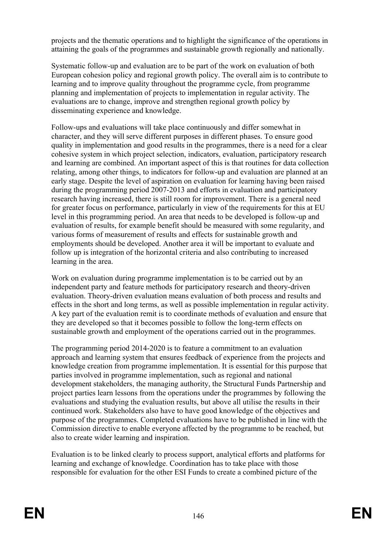projects and the thematic operations and to highlight the significance of the operations in attaining the goals of the programmes and sustainable growth regionally and nationally.

Systematic follow-up and evaluation are to be part of the work on evaluation of both European cohesion policy and regional growth policy. The overall aim is to contribute to learning and to improve quality throughout the programme cycle, from programme planning and implementation of projects to implementation in regular activity. The evaluations are to change, improve and strengthen regional growth policy by disseminating experience and knowledge.

Follow-ups and evaluations will take place continuously and differ somewhat in character, and they will serve different purposes in different phases. To ensure good quality in implementation and good results in the programmes, there is a need for a clear cohesive system in which project selection, indicators, evaluation, participatory research and learning are combined. An important aspect of this is that routines for data collection relating, among other things, to indicators for follow-up and evaluation are planned at an early stage. Despite the level of aspiration on evaluation for learning having been raised during the programming period 2007-2013 and efforts in evaluation and participatory research having increased, there is still room for improvement. There is a general need for greater focus on performance, particularly in view of the requirements for this at EU level in this programming period. An area that needs to be developed is follow-up and evaluation of results, for example benefit should be measured with some regularity, and various forms of measurement of results and effects for sustainable growth and employments should be developed. Another area it will be important to evaluate and follow up is integration of the horizontal criteria and also contributing to increased learning in the area.

Work on evaluation during programme implementation is to be carried out by an independent party and feature methods for participatory research and theory-driven evaluation. Theory-driven evaluation means evaluation of both process and results and effects in the short and long terms, as well as possible implementation in regular activity. A key part of the evaluation remit is to coordinate methods of evaluation and ensure that they are developed so that it becomes possible to follow the long-term effects on sustainable growth and employment of the operations carried out in the programmes.

The programming period 2014-2020 is to feature a commitment to an evaluation approach and learning system that ensures feedback of experience from the projects and knowledge creation from programme implementation. It is essential for this purpose that parties involved in programme implementation, such as regional and national development stakeholders, the managing authority, the Structural Funds Partnership and project parties learn lessons from the operations under the programmes by following the evaluations and studying the evaluation results, but above all utilise the results in their continued work. Stakeholders also have to have good knowledge of the objectives and purpose of the programmes. Completed evaluations have to be published in line with the Commission directive to enable everyone affected by the programme to be reached, but also to create wider learning and inspiration.

Evaluation is to be linked clearly to process support, analytical efforts and platforms for learning and exchange of knowledge. Coordination has to take place with those responsible for evaluation for the other ESI Funds to create a combined picture of the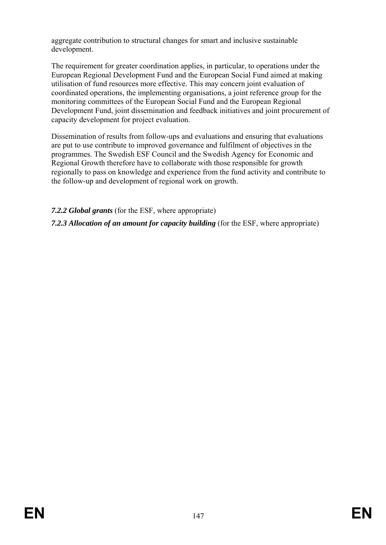aggregate contribution to structural changes for smart and inclusive sustainable development.

The requirement for greater coordination applies, in particular, to operations under the European Regional Development Fund and the European Social Fund aimed at making utilisation of fund resources more effective. This may concern joint evaluation of coordinated operations, the implementing organisations, a joint reference group for the monitoring committees of the European Social Fund and the European Regional Development Fund, joint dissemination and feedback initiatives and joint procurement of capacity development for project evaluation.

Dissemination of results from follow-ups and evaluations and ensuring that evaluations are put to use contribute to improved governance and fulfilment of objectives in the programmes. The Swedish ESF Council and the Swedish Agency for Economic and Regional Growth therefore have to collaborate with those responsible for growth regionally to pass on knowledge and experience from the fund activity and contribute to the follow-up and development of regional work on growth.

*7.2.2 Global grants* (for the ESF, where appropriate)

*7.2.3 Allocation of an amount for capacity building* (for the ESF, where appropriate)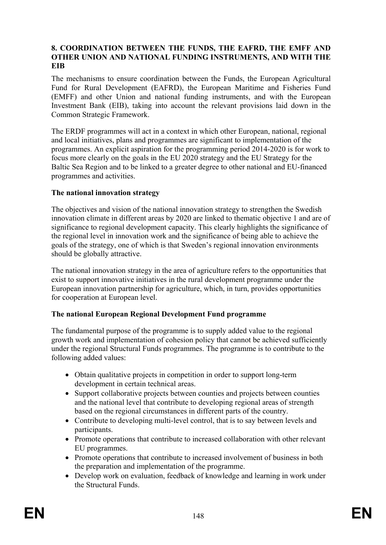#### **8. COORDINATION BETWEEN THE FUNDS, THE EAFRD, THE EMFF AND OTHER UNION AND NATIONAL FUNDING INSTRUMENTS, AND WITH THE EIB**

The mechanisms to ensure coordination between the Funds, the European Agricultural Fund for Rural Development (EAFRD), the European Maritime and Fisheries Fund (EMFF) and other Union and national funding instruments, and with the European Investment Bank (EIB), taking into account the relevant provisions laid down in the Common Strategic Framework.

The ERDF programmes will act in a context in which other European, national, regional and local initiatives, plans and programmes are significant to implementation of the programmes. An explicit aspiration for the programming period 2014-2020 is for work to focus more clearly on the goals in the EU 2020 strategy and the EU Strategy for the Baltic Sea Region and to be linked to a greater degree to other national and EU-financed programmes and activities.

### **The national innovation strategy**

The objectives and vision of the national innovation strategy to strengthen the Swedish innovation climate in different areas by 2020 are linked to thematic objective 1 and are of significance to regional development capacity. This clearly highlights the significance of the regional level in innovation work and the significance of being able to achieve the goals of the strategy, one of which is that Sweden's regional innovation environments should be globally attractive.

The national innovation strategy in the area of agriculture refers to the opportunities that exist to support innovative initiatives in the rural development programme under the European innovation partnership for agriculture, which, in turn, provides opportunities for cooperation at European level.

### **The national European Regional Development Fund programme**

The fundamental purpose of the programme is to supply added value to the regional growth work and implementation of cohesion policy that cannot be achieved sufficiently under the regional Structural Funds programmes. The programme is to contribute to the following added values:

- Obtain qualitative projects in competition in order to support long-term development in certain technical areas.
- Support collaborative projects between counties and projects between counties and the national level that contribute to developing regional areas of strength based on the regional circumstances in different parts of the country.
- Contribute to developing multi-level control, that is to say between levels and participants.
- Promote operations that contribute to increased collaboration with other relevant EU programmes.
- Promote operations that contribute to increased involvement of business in both the preparation and implementation of the programme.
- Develop work on evaluation, feedback of knowledge and learning in work under the Structural Funds.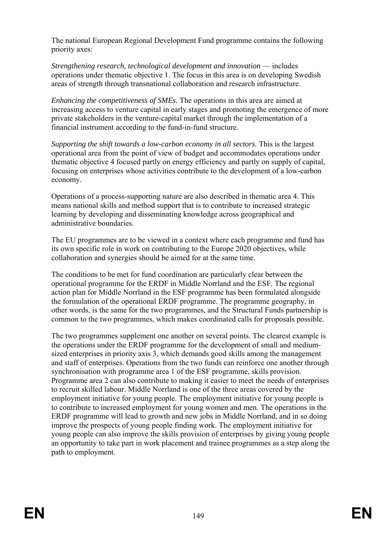The national European Regional Development Fund programme contains the following priority axes:

*Strengthening research, technological development and innovation* — includes operations under thematic objective 1. The focus in this area is on developing Swedish areas of strength through transnational collaboration and research infrastructure.

*Enhancing the competitiveness of SMEs*. The operations in this area are aimed at increasing access to venture capital in early stages and promoting the emergence of more private stakeholders in the venture-capital market through the implementation of a financial instrument according to the fund-in-fund structure.

*Supporting the shift towards a low-carbon economy in all sectors.* This is the largest operational area from the point of view of budget and accommodates operations under thematic objective 4 focused partly on energy efficiency and partly on supply of capital, focusing on enterprises whose activities contribute to the development of a low-carbon economy.

Operations of a process-supporting nature are also described in thematic area 4. This means national skills and method support that is to contribute to increased strategic learning by developing and disseminating knowledge across geographical and administrative boundaries.

The EU programmes are to be viewed in a context where each programme and fund has its own specific role in work on contributing to the Europe 2020 objectives, while collaboration and synergies should be aimed for at the same time.

The conditions to be met for fund coordination are particularly clear between the operational programme for the ERDF in Middle Norrland and the ESF. The regional action plan for Middle Norrland in the ESF programme has been formulated alongside the formulation of the operational ERDF programme. The programme geography, in other words, is the same for the two programmes, and the Structural Funds partnership is common to the two programmes, which makes coordinated calls for proposals possible.

The two programmes supplement one another on several points. The clearest example is the operations under the ERDF programme for the development of small and mediumsized enterprises in priority axis 3, which demands good skills among the management and staff of enterprises. Operations from the two funds can reinforce one another through synchronisation with programme area 1 of the ESF programme, skills provision. Programme area 2 can also contribute to making it easier to meet the needs of enterprises to recruit skilled labour. Middle Norrland is one of the three areas covered by the employment initiative for young people. The employment initiative for young people is to contribute to increased employment for young women and men. The operations in the ERDF programme will lead to growth and new jobs in Middle Norrland, and in so doing improve the prospects of young people finding work. The employment initiative for young people can also improve the skills provision of enterprises by giving young people an opportunity to take part in work placement and trainee programmes as a step along the path to employment.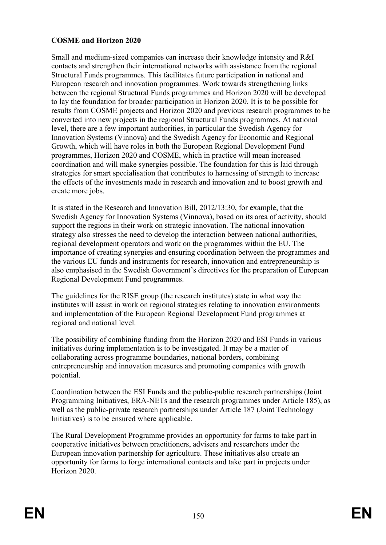# **COSME and Horizon 2020**

Small and medium-sized companies can increase their knowledge intensity and R&I contacts and strengthen their international networks with assistance from the regional Structural Funds programmes. This facilitates future participation in national and European research and innovation programmes. Work towards strengthening links between the regional Structural Funds programmes and Horizon 2020 will be developed to lay the foundation for broader participation in Horizon 2020. It is to be possible for results from COSME projects and Horizon 2020 and previous research programmes to be converted into new projects in the regional Structural Funds programmes. At national level, there are a few important authorities, in particular the Swedish Agency for Innovation Systems (Vinnova) and the Swedish Agency for Economic and Regional Growth, which will have roles in both the European Regional Development Fund programmes, Horizon 2020 and COSME, which in practice will mean increased coordination and will make synergies possible. The foundation for this is laid through strategies for smart specialisation that contributes to harnessing of strength to increase the effects of the investments made in research and innovation and to boost growth and create more jobs.

It is stated in the Research and Innovation Bill, 2012/13:30, for example, that the Swedish Agency for Innovation Systems (Vinnova), based on its area of activity, should support the regions in their work on strategic innovation. The national innovation strategy also stresses the need to develop the interaction between national authorities, regional development operators and work on the programmes within the EU. The importance of creating synergies and ensuring coordination between the programmes and the various EU funds and instruments for research, innovation and entrepreneurship is also emphasised in the Swedish Government's directives for the preparation of European Regional Development Fund programmes.

The guidelines for the RISE group (the research institutes) state in what way the institutes will assist in work on regional strategies relating to innovation environments and implementation of the European Regional Development Fund programmes at regional and national level.

The possibility of combining funding from the Horizon 2020 and ESI Funds in various initiatives during implementation is to be investigated. It may be a matter of collaborating across programme boundaries, national borders, combining entrepreneurship and innovation measures and promoting companies with growth potential.

Coordination between the ESI Funds and the public-public research partnerships (Joint Programming Initiatives, ERA-NETs and the research programmes under Article 185), as well as the public-private research partnerships under Article 187 (Joint Technology Initiatives) is to be ensured where applicable.

The Rural Development Programme provides an opportunity for farms to take part in cooperative initiatives between practitioners, advisers and researchers under the European innovation partnership for agriculture. These initiatives also create an opportunity for farms to forge international contacts and take part in projects under Horizon 2020.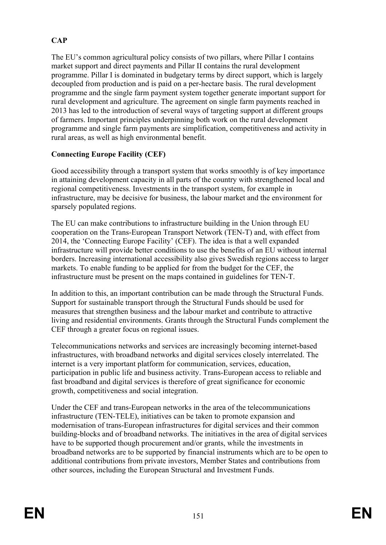# **CAP**

The EU's common agricultural policy consists of two pillars, where Pillar I contains market support and direct payments and Pillar II contains the rural development programme. Pillar I is dominated in budgetary terms by direct support, which is largely decoupled from production and is paid on a per-hectare basis. The rural development programme and the single farm payment system together generate important support for rural development and agriculture. The agreement on single farm payments reached in 2013 has led to the introduction of several ways of targeting support at different groups of farmers. Important principles underpinning both work on the rural development programme and single farm payments are simplification, competitiveness and activity in rural areas, as well as high environmental benefit.

# **Connecting Europe Facility (CEF)**

Good accessibility through a transport system that works smoothly is of key importance in attaining development capacity in all parts of the country with strengthened local and regional competitiveness. Investments in the transport system, for example in infrastructure, may be decisive for business, the labour market and the environment for sparsely populated regions.

The EU can make contributions to infrastructure building in the Union through EU cooperation on the Trans-European Transport Network (TEN-T) and, with effect from 2014, the 'Connecting Europe Facility' (CEF). The idea is that a well expanded infrastructure will provide better conditions to use the benefits of an EU without internal borders. Increasing international accessibility also gives Swedish regions access to larger markets. To enable funding to be applied for from the budget for the CEF, the infrastructure must be present on the maps contained in guidelines for TEN-T.

In addition to this, an important contribution can be made through the Structural Funds. Support for sustainable transport through the Structural Funds should be used for measures that strengthen business and the labour market and contribute to attractive living and residential environments. Grants through the Structural Funds complement the CEF through a greater focus on regional issues.

Telecommunications networks and services are increasingly becoming internet-based infrastructures, with broadband networks and digital services closely interrelated. The internet is a very important platform for communication, services, education, participation in public life and business activity. Trans-European access to reliable and fast broadband and digital services is therefore of great significance for economic growth, competitiveness and social integration.

Under the CEF and trans-European networks in the area of the telecommunications infrastructure (TEN-TELE), initiatives can be taken to promote expansion and modernisation of trans-European infrastructures for digital services and their common building-blocks and of broadband networks. The initiatives in the area of digital services have to be supported though procurement and/or grants, while the investments in broadband networks are to be supported by financial instruments which are to be open to additional contributions from private investors, Member States and contributions from other sources, including the European Structural and Investment Funds.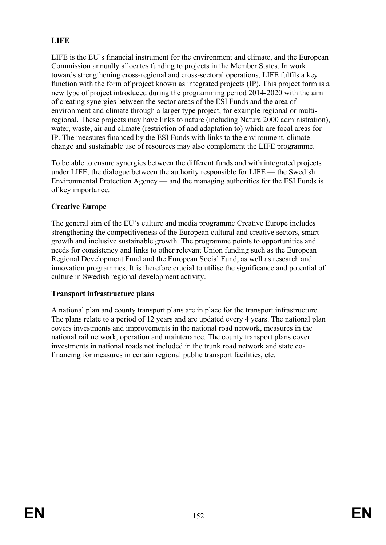# **LIFE**

LIFE is the EU's financial instrument for the environment and climate, and the European Commission annually allocates funding to projects in the Member States. In work towards strengthening cross-regional and cross-sectoral operations, LIFE fulfils a key function with the form of project known as integrated projects (IP). This project form is a new type of project introduced during the programming period 2014-2020 with the aim of creating synergies between the sector areas of the ESI Funds and the area of environment and climate through a larger type project, for example regional or multiregional. These projects may have links to nature (including Natura 2000 administration), water, waste, air and climate (restriction of and adaptation to) which are focal areas for IP. The measures financed by the ESI Funds with links to the environment, climate change and sustainable use of resources may also complement the LIFE programme.

To be able to ensure synergies between the different funds and with integrated projects under LIFE, the dialogue between the authority responsible for LIFE — the Swedish Environmental Protection Agency — and the managing authorities for the ESI Funds is of key importance.

# **Creative Europe**

The general aim of the EU's culture and media programme Creative Europe includes strengthening the competitiveness of the European cultural and creative sectors, smart growth and inclusive sustainable growth. The programme points to opportunities and needs for consistency and links to other relevant Union funding such as the European Regional Development Fund and the European Social Fund, as well as research and innovation programmes. It is therefore crucial to utilise the significance and potential of culture in Swedish regional development activity.

### **Transport infrastructure plans**

A national plan and county transport plans are in place for the transport infrastructure. The plans relate to a period of 12 years and are updated every 4 years. The national plan covers investments and improvements in the national road network, measures in the national rail network, operation and maintenance. The county transport plans cover investments in national roads not included in the trunk road network and state cofinancing for measures in certain regional public transport facilities, etc.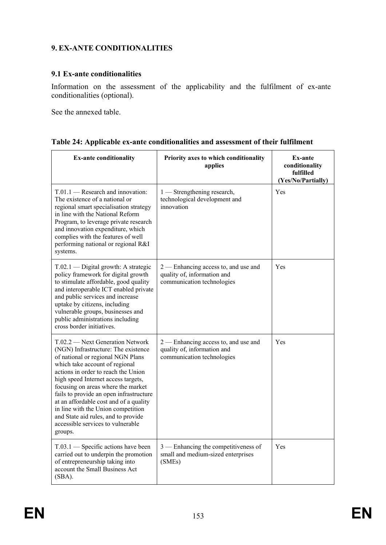# **9. EX-ANTE CONDITIONALITIES**

### **9.1 Ex-ante conditionalities**

Information on the assessment of the applicability and the fulfilment of ex-ante conditionalities (optional).

See the annexed table.

|  |  | Table 24: Applicable ex-ante conditionalities and assessment of their fulfilment |  |
|--|--|----------------------------------------------------------------------------------|--|
|  |  |                                                                                  |  |

| <b>Ex-ante conditionality</b>                                                                                                                                                                                                                                                                                                                                                                                                                                                        | Priority axes to which conditionality<br>applies                                                    | <b>Ex-ante</b><br>conditionality<br>fulfilled<br>(Yes/No/Partially) |
|--------------------------------------------------------------------------------------------------------------------------------------------------------------------------------------------------------------------------------------------------------------------------------------------------------------------------------------------------------------------------------------------------------------------------------------------------------------------------------------|-----------------------------------------------------------------------------------------------------|---------------------------------------------------------------------|
| T.01.1 - Research and innovation:<br>The existence of a national or<br>regional smart specialisation strategy<br>in line with the National Reform<br>Program, to leverage private research<br>and innovation expenditure, which<br>complies with the features of well<br>performing national or regional R&I<br>systems.                                                                                                                                                             | 1 — Strengthening research,<br>technological development and<br>innovation                          | Yes                                                                 |
| $T.02.1$ — Digital growth: A strategic<br>policy framework for digital growth<br>to stimulate affordable, good quality<br>and interoperable ICT enabled private<br>and public services and increase<br>uptake by citizens, including<br>vulnerable groups, businesses and<br>public administrations including<br>cross border initiatives.                                                                                                                                           | 2 — Enhancing access to, and use and<br>quality of, information and<br>communication technologies   | Yes                                                                 |
| T.02.2 - Next Generation Network<br>(NGN) Infrastructure: The existence<br>of national or regional NGN Plans<br>which take account of regional<br>actions in order to reach the Union<br>high speed Internet access targets,<br>focusing on areas where the market<br>fails to provide an open infrastructure<br>at an affordable cost and of a quality<br>in line with the Union competition<br>and State aid rules, and to provide<br>accessible services to vulnerable<br>groups. | $2$ — Enhancing access to, and use and<br>quality of, information and<br>communication technologies | Yes                                                                 |
| $T.03.1$ — Specific actions have been<br>carried out to underpin the promotion<br>of entrepreneurship taking into<br>account the Small Business Act<br>$(SBA)$ .                                                                                                                                                                                                                                                                                                                     | 3 — Enhancing the competitiveness of<br>small and medium-sized enterprises<br>(SMEs)                | Yes                                                                 |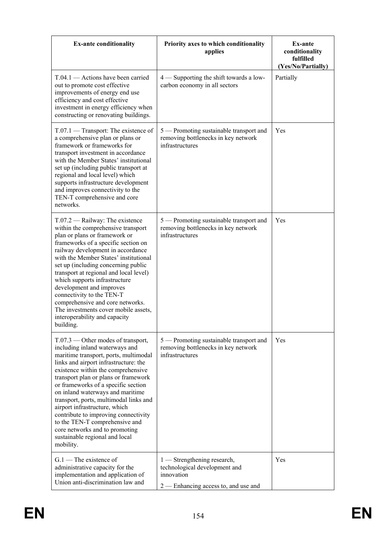| <b>Ex-ante conditionality</b>                                                                                                                                                                                                                                                                                                                                                                                                                                                                                                                           | Priority axes to which conditionality<br>applies                                                                     | Ex-ante<br>conditionality<br>fulfilled<br>(Yes/No/Partially) |
|---------------------------------------------------------------------------------------------------------------------------------------------------------------------------------------------------------------------------------------------------------------------------------------------------------------------------------------------------------------------------------------------------------------------------------------------------------------------------------------------------------------------------------------------------------|----------------------------------------------------------------------------------------------------------------------|--------------------------------------------------------------|
| $T.04.1$ — Actions have been carried<br>out to promote cost effective<br>improvements of energy end use<br>efficiency and cost effective<br>investment in energy efficiency when<br>constructing or renovating buildings.                                                                                                                                                                                                                                                                                                                               | 4 — Supporting the shift towards a low-<br>carbon economy in all sectors                                             | Partially                                                    |
| $T.07.1$ — Transport: The existence of<br>a comprehensive plan or plans or<br>framework or frameworks for<br>transport investment in accordance<br>with the Member States' institutional<br>set up (including public transport at<br>regional and local level) which<br>supports infrastructure development<br>and improves connectivity to the<br>TEN-T comprehensive and core<br>networks.                                                                                                                                                            | 5 — Promoting sustainable transport and<br>removing bottlenecks in key network<br>infrastructures                    | Yes                                                          |
| $T.07.2$ - Railway: The existence<br>within the comprehensive transport<br>plan or plans or framework or<br>frameworks of a specific section on<br>railway development in accordance<br>with the Member States' institutional<br>set up (including concerning public<br>transport at regional and local level)<br>which supports infrastructure<br>development and improves<br>connectivity to the TEN-T<br>comprehensive and core networks.<br>The investments cover mobile assets,<br>interoperability and capacity<br>building.                      | 5 — Promoting sustainable transport and<br>removing bottlenecks in key network<br>infrastructures                    | Yes                                                          |
| $T.07.3$ — Other modes of transport,<br>including inland waterways and<br>maritime transport, ports, multimodal<br>links and airport infrastructure: the<br>existence within the comprehensive<br>transport plan or plans or framework<br>or frameworks of a specific section<br>on inland waterways and maritime<br>transport, ports, multimodal links and<br>airport infrastructure, which<br>contribute to improving connectivity<br>to the TEN-T comprehensive and<br>core networks and to promoting<br>sustainable regional and local<br>mobility. | 5 — Promoting sustainable transport and<br>removing bottlenecks in key network<br>infrastructures                    | Yes                                                          |
| $G.1$ – The existence of<br>administrative capacity for the<br>implementation and application of<br>Union anti-discrimination law and                                                                                                                                                                                                                                                                                                                                                                                                                   | 1 — Strengthening research,<br>technological development and<br>innovation<br>$2$ — Enhancing access to, and use and | Yes                                                          |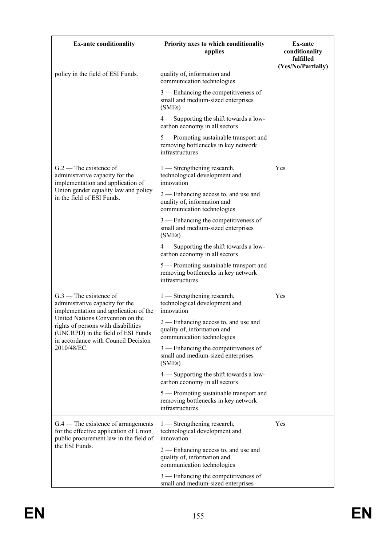| <b>Ex-ante conditionality</b>                                                                                                                        | Priority axes to which conditionality<br>applies                                                    | <b>Ex-ante</b><br>conditionality<br>fulfilled<br>(Yes/No/Partially) |
|------------------------------------------------------------------------------------------------------------------------------------------------------|-----------------------------------------------------------------------------------------------------|---------------------------------------------------------------------|
| policy in the field of ESI Funds.                                                                                                                    | quality of, information and<br>communication technologies                                           |                                                                     |
|                                                                                                                                                      | 3 — Enhancing the competitiveness of<br>small and medium-sized enterprises<br>(SMEs)                |                                                                     |
|                                                                                                                                                      | $4$ — Supporting the shift towards a low-<br>carbon economy in all sectors                          |                                                                     |
|                                                                                                                                                      | 5 — Promoting sustainable transport and<br>removing bottlenecks in key network<br>infrastructures   |                                                                     |
| $G.2$ – The existence of<br>administrative capacity for the<br>implementation and application of                                                     | 1 — Strengthening research,<br>technological development and<br>innovation                          | Yes                                                                 |
| Union gender equality law and policy<br>in the field of ESI Funds.                                                                                   | $2$ — Enhancing access to, and use and<br>quality of, information and<br>communication technologies |                                                                     |
|                                                                                                                                                      | 3 — Enhancing the competitiveness of<br>small and medium-sized enterprises<br>(SMEs)                |                                                                     |
|                                                                                                                                                      | 4 - Supporting the shift towards a low-<br>carbon economy in all sectors                            |                                                                     |
|                                                                                                                                                      | 5 — Promoting sustainable transport and<br>removing bottlenecks in key network<br>infrastructures   |                                                                     |
| $G.3$ — The existence of<br>administrative capacity for the<br>implementation and application of the                                                 | 1 — Strengthening research,<br>technological development and<br>innovation                          | Yes                                                                 |
| United Nations Convention on the<br>rights of persons with disabilities<br>(UNCRPD) in the field of ESI Funds<br>in accordance with Council Decision | 2 — Enhancing access to, and use and<br>quality of, information and<br>communication technologies   |                                                                     |
| 2010/48/EC.                                                                                                                                          | 3 — Enhancing the competitiveness of<br>small and medium-sized enterprises<br>(SMEs)                |                                                                     |
|                                                                                                                                                      | $4$ — Supporting the shift towards a low-<br>carbon economy in all sectors                          |                                                                     |
|                                                                                                                                                      | 5 — Promoting sustainable transport and<br>removing bottlenecks in key network<br>infrastructures   |                                                                     |
| $G.4$ – The existence of arrangements<br>for the effective application of Union<br>public procurement law in the field of                            | 1 — Strengthening research,<br>technological development and<br>innovation                          | Yes                                                                 |
| the ESI Funds.                                                                                                                                       | 2 — Enhancing access to, and use and<br>quality of, information and<br>communication technologies   |                                                                     |
|                                                                                                                                                      | 3 — Enhancing the competitiveness of<br>small and medium-sized enterprises                          |                                                                     |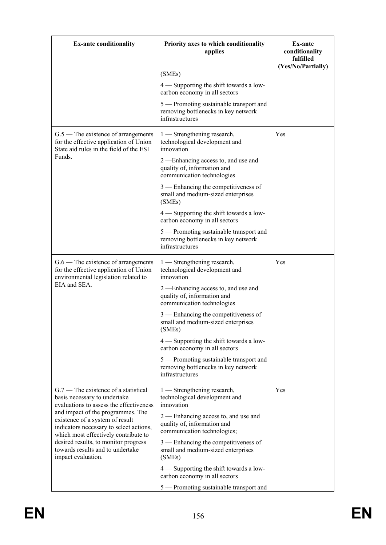| <b>Ex-ante conditionality</b>                                                                                                                           | Priority axes to which conditionality<br>applies                                                     | <b>Ex-ante</b><br>conditionality<br>fulfilled<br>(Yes/No/Partially) |
|---------------------------------------------------------------------------------------------------------------------------------------------------------|------------------------------------------------------------------------------------------------------|---------------------------------------------------------------------|
|                                                                                                                                                         | (SMEs)                                                                                               |                                                                     |
|                                                                                                                                                         | 4 — Supporting the shift towards a low-<br>carbon economy in all sectors                             |                                                                     |
|                                                                                                                                                         | 5 — Promoting sustainable transport and<br>removing bottlenecks in key network<br>infrastructures    |                                                                     |
| $G.5$ — The existence of arrangements<br>for the effective application of Union<br>State aid rules in the field of the ESI                              | 1 — Strengthening research,<br>technological development and<br>innovation                           | Yes                                                                 |
| Funds.                                                                                                                                                  | 2 -Enhancing access to, and use and<br>quality of, information and<br>communication technologies     |                                                                     |
|                                                                                                                                                         | 3 — Enhancing the competitiveness of<br>small and medium-sized enterprises<br>(SMEs)                 |                                                                     |
|                                                                                                                                                         | $4$ — Supporting the shift towards a low-<br>carbon economy in all sectors                           |                                                                     |
|                                                                                                                                                         | 5 - Promoting sustainable transport and<br>removing bottlenecks in key network<br>infrastructures    |                                                                     |
| $G.6$ — The existence of arrangements<br>for the effective application of Union<br>environmental legislation related to                                 | 1 — Strengthening research,<br>technological development and<br>innovation                           | Yes                                                                 |
| EIA and SEA.                                                                                                                                            | 2 — Enhancing access to, and use and<br>quality of, information and<br>communication technologies    |                                                                     |
|                                                                                                                                                         | 3 — Enhancing the competitiveness of<br>small and medium-sized enterprises<br>(SMEs)                 |                                                                     |
|                                                                                                                                                         | $4$ — Supporting the shift towards a low-<br>carbon economy in all sectors                           |                                                                     |
|                                                                                                                                                         | 5 — Promoting sustainable transport and<br>removing bottlenecks in key network<br>infrastructures    |                                                                     |
| $G.7$ — The existence of a statistical<br>basis necessary to undertake<br>evaluations to assess the effectiveness                                       | 1 — Strengthening research,<br>technological development and<br>innovation                           | Yes                                                                 |
| and impact of the programmes. The<br>existence of a system of result<br>indicators necessary to select actions,<br>which most effectively contribute to | $2$ — Enhancing access to, and use and<br>quality of, information and<br>communication technologies; |                                                                     |
| desired results, to monitor progress<br>towards results and to undertake<br>impact evaluation.                                                          | 3 — Enhancing the competitiveness of<br>small and medium-sized enterprises<br>(SMEs)                 |                                                                     |
|                                                                                                                                                         | $4$ — Supporting the shift towards a low-<br>carbon economy in all sectors                           |                                                                     |
|                                                                                                                                                         | 5 — Promoting sustainable transport and                                                              |                                                                     |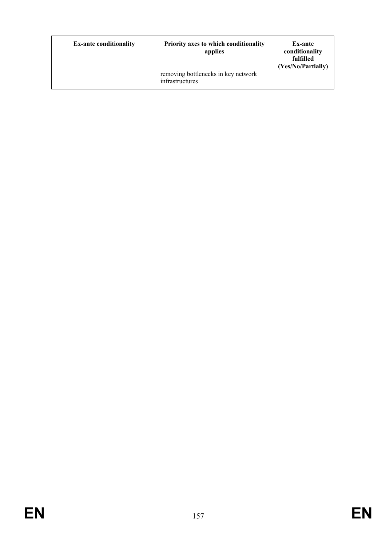| <b>Ex-ante conditionality</b> | Priority axes to which conditionality<br>applies       | <b>Ex-ante</b><br>conditionality<br>fulfilled<br>(Yes/No/Partially) |
|-------------------------------|--------------------------------------------------------|---------------------------------------------------------------------|
|                               | removing bottlenecks in key network<br>infrastructures |                                                                     |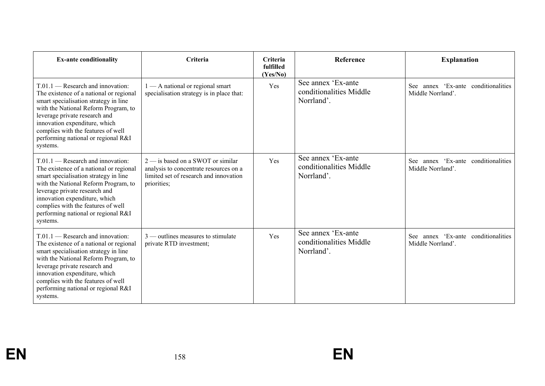| <b>Ex-ante conditionality</b>                                                                                                                                                                                                                                                                                              | Criteria                                                                                                                               | Criteria<br>fulfilled<br>(Yes/No) | <b>Reference</b>                                            | <b>Explanation</b>                                          |
|----------------------------------------------------------------------------------------------------------------------------------------------------------------------------------------------------------------------------------------------------------------------------------------------------------------------------|----------------------------------------------------------------------------------------------------------------------------------------|-----------------------------------|-------------------------------------------------------------|-------------------------------------------------------------|
| $T.01.1$ — Research and innovation:<br>The existence of a national or regional<br>smart specialisation strategy in line<br>with the National Reform Program, to<br>leverage private research and<br>innovation expenditure, which<br>complies with the features of well<br>performing national or regional R&I<br>systems. | $1 - A$ national or regional smart<br>specialisation strategy is in place that:                                                        | Yes                               | See annex 'Ex-ante<br>conditionalities Middle<br>Norrland'. | annex 'Ex-ante conditionalities<br>See<br>Middle Norrland'. |
| $T.01.1$ — Research and innovation:<br>The existence of a national or regional<br>smart specialisation strategy in line<br>with the National Reform Program, to<br>leverage private research and<br>innovation expenditure, which<br>complies with the features of well<br>performing national or regional R&I<br>systems. | $2$ — is based on a SWOT or similar<br>analysis to concentrate resources on a<br>limited set of research and innovation<br>priorities; | Yes                               | See annex 'Ex-ante<br>conditionalities Middle<br>Norrland'. | annex 'Ex-ante conditionalities<br>See<br>Middle Norrland'. |
| $T.01.1$ - Research and innovation:<br>The existence of a national or regional<br>smart specialisation strategy in line<br>with the National Reform Program, to<br>leverage private research and<br>innovation expenditure, which<br>complies with the features of well<br>performing national or regional R&I<br>systems. | $3$ — outlines measures to stimulate<br>private RTD investment;                                                                        | Yes                               | See annex 'Ex-ante<br>conditionalities Middle<br>Norrland'. | See annex 'Ex-ante conditionalities<br>Middle Norrland'.    |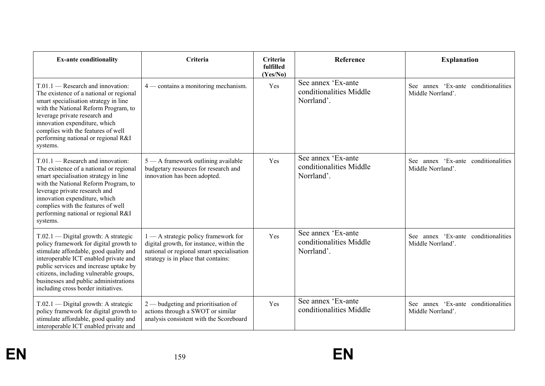| <b>Ex-ante conditionality</b>                                                                                                                                                                                                                                                                                                         | Criteria                                                                                                                                                             | Criteria<br>fulfilled<br>(Yes/No) | Reference                                                   | <b>Explanation</b>                                       |
|---------------------------------------------------------------------------------------------------------------------------------------------------------------------------------------------------------------------------------------------------------------------------------------------------------------------------------------|----------------------------------------------------------------------------------------------------------------------------------------------------------------------|-----------------------------------|-------------------------------------------------------------|----------------------------------------------------------|
| $T.01.1$ - Research and innovation:<br>The existence of a national or regional<br>smart specialisation strategy in line<br>with the National Reform Program, to<br>leverage private research and<br>innovation expenditure, which<br>complies with the features of well<br>performing national or regional R&I<br>systems.            | 4 — contains a monitoring mechanism.                                                                                                                                 | Yes                               | See annex 'Ex-ante<br>conditionalities Middle<br>Norrland'. | See annex 'Ex-ante conditionalities<br>Middle Norrland'. |
| $T.01.1$ - Research and innovation:<br>The existence of a national or regional<br>smart specialisation strategy in line<br>with the National Reform Program, to<br>leverage private research and<br>innovation expenditure, which<br>complies with the features of well<br>performing national or regional R&I<br>systems.            | 5 - A framework outlining available<br>budgetary resources for research and<br>innovation has been adopted.                                                          | Yes                               | See annex 'Ex-ante<br>conditionalities Middle<br>Norrland'. | See annex 'Ex-ante conditionalities<br>Middle Norrland'. |
| T.02.1 - Digital growth: A strategic<br>policy framework for digital growth to<br>stimulate affordable, good quality and<br>interoperable ICT enabled private and<br>public services and increase uptake by<br>citizens, including vulnerable groups,<br>businesses and public administrations<br>including cross border initiatives. | 1 - A strategic policy framework for<br>digital growth, for instance, within the<br>national or regional smart specialisation<br>strategy is in place that contains: | Yes                               | See annex 'Ex-ante<br>conditionalities Middle<br>Norrland'. | See annex 'Ex-ante conditionalities<br>Middle Norrland'. |
| $T.02.1$ — Digital growth: A strategic<br>policy framework for digital growth to<br>stimulate affordable, good quality and<br>interoperable ICT enabled private and                                                                                                                                                                   | $2$ — budgeting and prioritisation of<br>actions through a SWOT or similar<br>analysis consistent with the Scoreboard                                                | Yes                               | See annex 'Ex-ante<br>conditionalities Middle               | See annex 'Ex-ante conditionalities<br>Middle Norrland'. |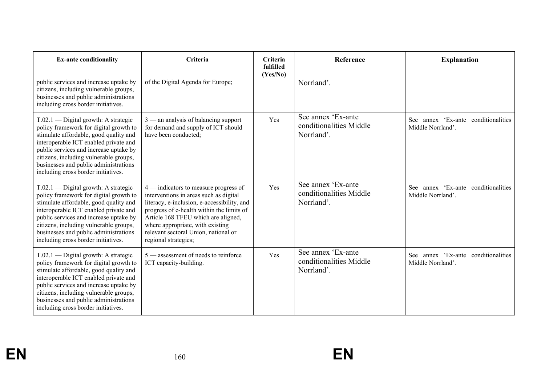| <b>Ex-ante conditionality</b>                                                                                                                                                                                                                                                                                                           | Criteria                                                                                                                                                                                                                                                                                                                 | Criteria<br>fulfilled<br>(Yes/No) | Reference                                                   | <b>Explanation</b>                                          |
|-----------------------------------------------------------------------------------------------------------------------------------------------------------------------------------------------------------------------------------------------------------------------------------------------------------------------------------------|--------------------------------------------------------------------------------------------------------------------------------------------------------------------------------------------------------------------------------------------------------------------------------------------------------------------------|-----------------------------------|-------------------------------------------------------------|-------------------------------------------------------------|
| public services and increase uptake by<br>citizens, including vulnerable groups,<br>businesses and public administrations<br>including cross border initiatives.                                                                                                                                                                        | of the Digital Agenda for Europe;                                                                                                                                                                                                                                                                                        |                                   | Norrland'.                                                  |                                                             |
| $T.02.1$ — Digital growth: A strategic<br>policy framework for digital growth to<br>stimulate affordable, good quality and<br>interoperable ICT enabled private and<br>public services and increase uptake by<br>citizens, including vulnerable groups,<br>businesses and public administrations<br>including cross border initiatives. | $3$ — an analysis of balancing support<br>for demand and supply of ICT should<br>have been conducted;                                                                                                                                                                                                                    | Yes                               | See annex 'Ex-ante<br>conditionalities Middle<br>Norrland'. | annex 'Ex-ante conditionalities<br>See<br>Middle Norrland'. |
| $T.02.1$ — Digital growth: A strategic<br>policy framework for digital growth to<br>stimulate affordable, good quality and<br>interoperable ICT enabled private and<br>public services and increase uptake by<br>citizens, including vulnerable groups,<br>businesses and public administrations<br>including cross border initiatives. | $4$ — indicators to measure progress of<br>interventions in areas such as digital<br>literacy, e-inclusion, e-accessibility, and<br>progress of e-health within the limits of<br>Article 168 TFEU which are aligned,<br>where appropriate, with existing<br>relevant sectoral Union, national or<br>regional strategies; | Yes                               | See annex 'Ex-ante<br>conditionalities Middle<br>Norrland'. | See annex 'Ex-ante conditionalities<br>Middle Norrland'.    |
| $T.02.1$ — Digital growth: A strategic<br>policy framework for digital growth to<br>stimulate affordable, good quality and<br>interoperable ICT enabled private and<br>public services and increase uptake by<br>citizens, including vulnerable groups,<br>businesses and public administrations<br>including cross border initiatives. | $5$ — assessment of needs to reinforce<br>ICT capacity-building.                                                                                                                                                                                                                                                         | Yes                               | See annex 'Ex-ante<br>conditionalities Middle<br>Norrland'. | See annex 'Ex-ante conditionalities<br>Middle Norrland'.    |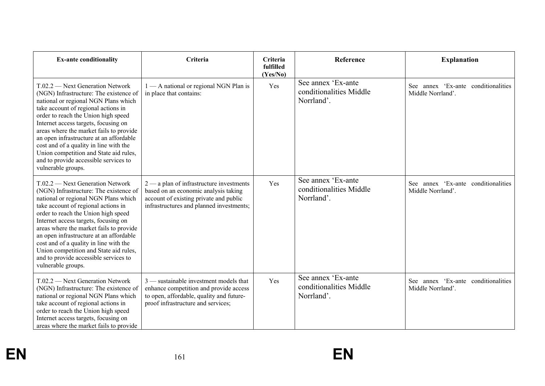| <b>Ex-ante conditionality</b>                                                                                                                                                                                                                                                                                                                                                                                                                                                       | Criteria                                                                                                                                                                 | Criteria<br>fulfilled<br>(Yes/No) | Reference                                                   | <b>Explanation</b>                                       |
|-------------------------------------------------------------------------------------------------------------------------------------------------------------------------------------------------------------------------------------------------------------------------------------------------------------------------------------------------------------------------------------------------------------------------------------------------------------------------------------|--------------------------------------------------------------------------------------------------------------------------------------------------------------------------|-----------------------------------|-------------------------------------------------------------|----------------------------------------------------------|
| T.02.2 — Next Generation Network<br>(NGN) Infrastructure: The existence of<br>national or regional NGN Plans which<br>take account of regional actions in<br>order to reach the Union high speed<br>Internet access targets, focusing on<br>areas where the market fails to provide<br>an open infrastructure at an affordable<br>cost and of a quality in line with the<br>Union competition and State aid rules,<br>and to provide accessible services to<br>vulnerable groups.   | 1 - A national or regional NGN Plan is<br>in place that contains:                                                                                                        | Yes                               | See annex 'Ex-ante<br>conditionalities Middle<br>Norrland'. | See annex 'Ex-ante conditionalities<br>Middle Norrland'. |
| $T.02.2$ — Next Generation Network<br>(NGN) Infrastructure: The existence of<br>national or regional NGN Plans which<br>take account of regional actions in<br>order to reach the Union high speed<br>Internet access targets, focusing on<br>areas where the market fails to provide<br>an open infrastructure at an affordable<br>cost and of a quality in line with the<br>Union competition and State aid rules,<br>and to provide accessible services to<br>vulnerable groups. | $2$ — a plan of infrastructure investments<br>based on an economic analysis taking<br>account of existing private and public<br>infrastructures and planned investments; | Yes                               | See annex 'Ex-ante<br>conditionalities Middle<br>Norrland'. | See annex 'Ex-ante conditionalities<br>Middle Norrland'. |
| $T.02.2$ — Next Generation Network<br>(NGN) Infrastructure: The existence of<br>national or regional NGN Plans which<br>take account of regional actions in<br>order to reach the Union high speed<br>Internet access targets, focusing on<br>areas where the market fails to provide                                                                                                                                                                                               | $3$ — sustainable investment models that<br>enhance competition and provide access<br>to open, affordable, quality and future-<br>proof infrastructure and services;     | Yes                               | See annex 'Ex-ante<br>conditionalities Middle<br>Norrland'. | See annex 'Ex-ante conditionalities<br>Middle Norrland'. |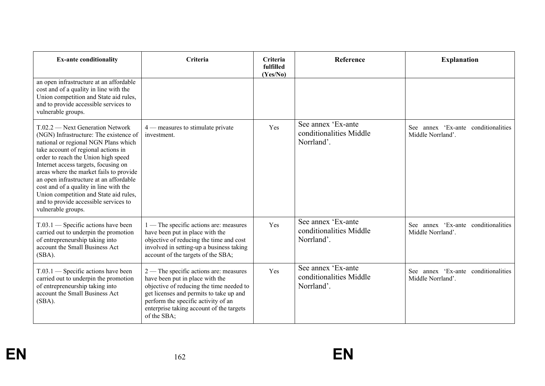| <b>Ex-ante conditionality</b>                                                                                                                                                                                                                                                                                                                                                                                                                                                       | Criteria                                                                                                                                                                                                                                                           | Criteria<br>fulfilled<br>(Yes/No) | Reference                                                   | <b>Explanation</b>                                          |
|-------------------------------------------------------------------------------------------------------------------------------------------------------------------------------------------------------------------------------------------------------------------------------------------------------------------------------------------------------------------------------------------------------------------------------------------------------------------------------------|--------------------------------------------------------------------------------------------------------------------------------------------------------------------------------------------------------------------------------------------------------------------|-----------------------------------|-------------------------------------------------------------|-------------------------------------------------------------|
| an open infrastructure at an affordable<br>cost and of a quality in line with the<br>Union competition and State aid rules,<br>and to provide accessible services to<br>vulnerable groups.                                                                                                                                                                                                                                                                                          |                                                                                                                                                                                                                                                                    |                                   |                                                             |                                                             |
| $T.02.2$ — Next Generation Network<br>(NGN) Infrastructure: The existence of<br>national or regional NGN Plans which<br>take account of regional actions in<br>order to reach the Union high speed<br>Internet access targets, focusing on<br>areas where the market fails to provide<br>an open infrastructure at an affordable<br>cost and of a quality in line with the<br>Union competition and State aid rules,<br>and to provide accessible services to<br>vulnerable groups. | $4$ — measures to stimulate private<br>investment.                                                                                                                                                                                                                 | Yes                               | See annex 'Ex-ante<br>conditionalities Middle<br>Norrland'. | annex 'Ex-ante conditionalities<br>See<br>Middle Norrland'. |
| T.03.1 — Specific actions have been<br>carried out to underpin the promotion<br>of entrepreneurship taking into<br>account the Small Business Act<br>$(SBA)$ .                                                                                                                                                                                                                                                                                                                      | 1 — The specific actions are: measures<br>have been put in place with the<br>objective of reducing the time and cost<br>involved in setting-up a business taking<br>account of the targets of the SBA;                                                             | Yes                               | See annex 'Ex-ante<br>conditionalities Middle<br>Norrland'. | See annex 'Ex-ante conditionalities<br>Middle Norrland'.    |
| $T.03.1$ - Specific actions have been<br>carried out to underpin the promotion<br>of entrepreneurship taking into<br>account the Small Business Act<br>$(SBA)$ .                                                                                                                                                                                                                                                                                                                    | 2 — The specific actions are: measures<br>have been put in place with the<br>objective of reducing the time needed to<br>get licenses and permits to take up and<br>perform the specific activity of an<br>enterprise taking account of the targets<br>of the SBA; | Yes                               | See annex 'Ex-ante<br>conditionalities Middle<br>Norrland'. | annex 'Ex-ante conditionalities<br>See<br>Middle Norrland'. |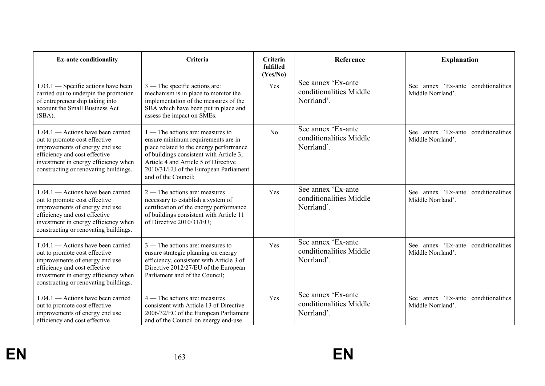| <b>Ex-ante conditionality</b>                                                                                                                                                                                             | Criteria                                                                                                                                                                                                                                                               | Criteria<br>fulfilled<br>(Yes/No) | Reference                                                   | <b>Explanation</b>                                       |
|---------------------------------------------------------------------------------------------------------------------------------------------------------------------------------------------------------------------------|------------------------------------------------------------------------------------------------------------------------------------------------------------------------------------------------------------------------------------------------------------------------|-----------------------------------|-------------------------------------------------------------|----------------------------------------------------------|
| $T.03.1$ - Specific actions have been<br>carried out to underpin the promotion<br>of entrepreneurship taking into<br>account the Small Business Act<br>(SBA).                                                             | $3$ — The specific actions are:<br>mechanism is in place to monitor the<br>implementation of the measures of the<br>SBA which have been put in place and<br>assess the impact on SMEs.                                                                                 | Yes                               | See annex 'Ex-ante<br>conditionalities Middle<br>Norrland'. | See annex 'Ex-ante conditionalities<br>Middle Norrland'. |
| $T.04.1$ - Actions have been carried<br>out to promote cost effective<br>improvements of energy end use<br>efficiency and cost effective<br>investment in energy efficiency when<br>constructing or renovating buildings. | $1$ — The actions are: measures to<br>ensure minimum requirements are in<br>place related to the energy performance<br>of buildings consistent with Article 3,<br>Article 4 and Article 5 of Directive<br>2010/31/EU of the European Parliament<br>and of the Council; | N <sub>o</sub>                    | See annex 'Ex-ante<br>conditionalities Middle<br>Norrland'. | See annex 'Ex-ante conditionalities<br>Middle Norrland'. |
| $T.04.1$ - Actions have been carried<br>out to promote cost effective<br>improvements of energy end use<br>efficiency and cost effective<br>investment in energy efficiency when<br>constructing or renovating buildings. | $2$ — The actions are: measures<br>necessary to establish a system of<br>certification of the energy performance<br>of buildings consistent with Article 11<br>of Directive 2010/31/EU;                                                                                | Yes                               | See annex 'Ex-ante<br>conditionalities Middle<br>Norrland'. | See annex 'Ex-ante conditionalities<br>Middle Norrland'. |
| $T.04.1$ - Actions have been carried<br>out to promote cost effective<br>improvements of energy end use<br>efficiency and cost effective<br>investment in energy efficiency when<br>constructing or renovating buildings. | 3 — The actions are: measures to<br>ensure strategic planning on energy<br>efficiency, consistent with Article 3 of<br>Directive 2012/27/EU of the European<br>Parliament and of the Council;                                                                          | Yes                               | See annex 'Ex-ante<br>conditionalities Middle<br>Norrland'. | See annex 'Ex-ante conditionalities<br>Middle Norrland'. |
| $T.04.1$ — Actions have been carried<br>out to promote cost effective<br>improvements of energy end use<br>efficiency and cost effective                                                                                  | $4 -$ The actions are: measures<br>consistent with Article 13 of Directive<br>2006/32/EC of the European Parliament<br>and of the Council on energy end-use                                                                                                            | Yes                               | See annex 'Ex-ante<br>conditionalities Middle<br>Norrland'. | See annex 'Ex-ante conditionalities<br>Middle Norrland'. |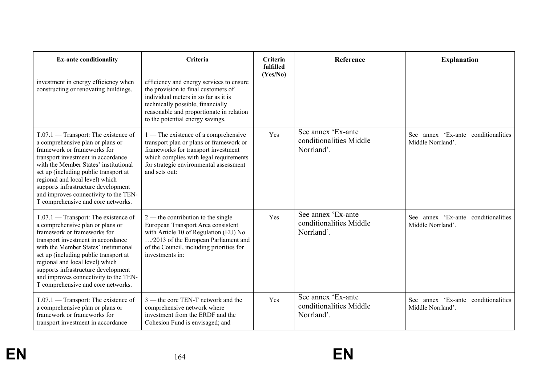| <b>Ex-ante conditionality</b>                                                                                                                                                                                                                                                                                                                                                              | Criteria                                                                                                                                                                                                                                     | Criteria<br>fulfilled<br>(Yes/No) | <b>Reference</b>                                            | <b>Explanation</b>                                                 |
|--------------------------------------------------------------------------------------------------------------------------------------------------------------------------------------------------------------------------------------------------------------------------------------------------------------------------------------------------------------------------------------------|----------------------------------------------------------------------------------------------------------------------------------------------------------------------------------------------------------------------------------------------|-----------------------------------|-------------------------------------------------------------|--------------------------------------------------------------------|
| investment in energy efficiency when<br>constructing or renovating buildings.                                                                                                                                                                                                                                                                                                              | efficiency and energy services to ensure<br>the provision to final customers of<br>individual meters in so far as it is<br>technically possible, financially<br>reasonable and proportionate in relation<br>to the potential energy savings. |                                   |                                                             |                                                                    |
| $T.07.1$ — Transport: The existence of<br>a comprehensive plan or plans or<br>framework or frameworks for<br>transport investment in accordance<br>with the Member States' institutional<br>set up (including public transport at<br>regional and local level) which<br>supports infrastructure development<br>and improves connectivity to the TEN-<br>T comprehensive and core networks. | $1$ — The existence of a comprehensive<br>transport plan or plans or framework or<br>frameworks for transport investment<br>which complies with legal requirements<br>for strategic environmental assessment<br>and sets out:                | Yes                               | See annex 'Ex-ante<br>conditionalities Middle<br>Norrland'. | annex 'Ex-ante conditionalities<br><b>See</b><br>Middle Norrland'. |
| $T.07.1$ — Transport: The existence of<br>a comprehensive plan or plans or<br>framework or frameworks for<br>transport investment in accordance<br>with the Member States' institutional<br>set up (including public transport at<br>regional and local level) which<br>supports infrastructure development<br>and improves connectivity to the TEN-<br>T comprehensive and core networks. | $2$ — the contribution to the single<br>European Transport Area consistent<br>with Article 10 of Regulation (EU) No<br>/2013 of the European Parliament and<br>of the Council, including priorities for<br>investments in:                   | Yes                               | See annex 'Ex-ante<br>conditionalities Middle<br>Norrland'. | See annex 'Ex-ante conditionalities<br>Middle Norrland'.           |
| T.07.1 — Transport: The existence of<br>a comprehensive plan or plans or<br>framework or frameworks for<br>transport investment in accordance                                                                                                                                                                                                                                              | 3 — the core TEN-T network and the<br>comprehensive network where<br>investment from the ERDF and the<br>Cohesion Fund is envisaged; and                                                                                                     | Yes                               | See annex 'Ex-ante<br>conditionalities Middle<br>Norrland'. | See annex 'Ex-ante conditionalities<br>Middle Norrland'.           |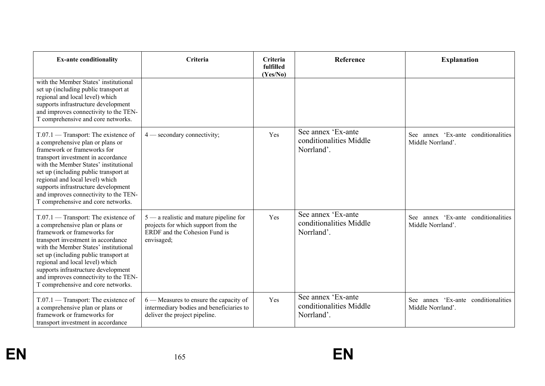| <b>Ex-ante conditionality</b>                                                                                                                                                                                                                                                                                                                                                              | Criteria                                                                                                                        | Criteria<br>fulfilled<br>(Yes/No) | Reference                                                   | <b>Explanation</b>                                       |
|--------------------------------------------------------------------------------------------------------------------------------------------------------------------------------------------------------------------------------------------------------------------------------------------------------------------------------------------------------------------------------------------|---------------------------------------------------------------------------------------------------------------------------------|-----------------------------------|-------------------------------------------------------------|----------------------------------------------------------|
| with the Member States' institutional<br>set up (including public transport at<br>regional and local level) which<br>supports infrastructure development<br>and improves connectivity to the TEN-<br>T comprehensive and core networks.                                                                                                                                                    |                                                                                                                                 |                                   |                                                             |                                                          |
| T.07.1 — Transport: The existence of<br>a comprehensive plan or plans or<br>framework or frameworks for<br>transport investment in accordance<br>with the Member States' institutional<br>set up (including public transport at<br>regional and local level) which<br>supports infrastructure development<br>and improves connectivity to the TEN-<br>T comprehensive and core networks.   | $4$ — secondary connectivity;                                                                                                   | Yes                               | See annex 'Ex-ante<br>conditionalities Middle<br>Norrland'. | See annex 'Ex-ante conditionalities<br>Middle Norrland'. |
| $T.07.1$ — Transport: The existence of<br>a comprehensive plan or plans or<br>framework or frameworks for<br>transport investment in accordance<br>with the Member States' institutional<br>set up (including public transport at<br>regional and local level) which<br>supports infrastructure development<br>and improves connectivity to the TEN-<br>T comprehensive and core networks. | $5$ — a realistic and mature pipeline for<br>projects for which support from the<br>ERDF and the Cohesion Fund is<br>envisaged; | Yes                               | See annex 'Ex-ante<br>conditionalities Middle<br>Norrland'. | See annex 'Ex-ante conditionalities<br>Middle Norrland'. |
| T.07.1 — Transport: The existence of<br>a comprehensive plan or plans or<br>framework or frameworks for<br>transport investment in accordance                                                                                                                                                                                                                                              | $6$ — Measures to ensure the capacity of<br>intermediary bodies and beneficiaries to<br>deliver the project pipeline.           | Yes                               | See annex 'Ex-ante<br>conditionalities Middle<br>Norrland'. | See annex 'Ex-ante conditionalities<br>Middle Norrland'. |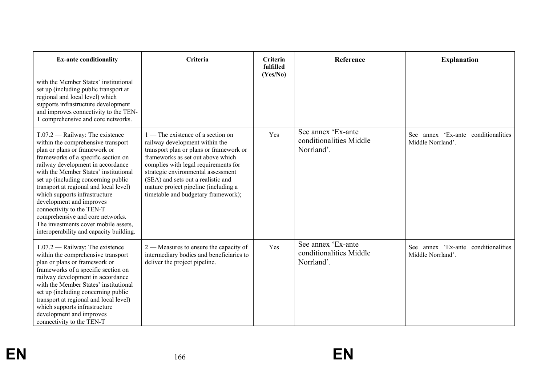| <b>Ex-ante conditionality</b>                                                                                                                                                                                                                                                                                                                                                                                                                                                                                                   | Criteria                                                                                                                                                                                                                                                                                                                                                 | <b>Criteria</b><br>fulfilled<br>(Yes/No) | Reference                                                   | <b>Explanation</b>                                       |
|---------------------------------------------------------------------------------------------------------------------------------------------------------------------------------------------------------------------------------------------------------------------------------------------------------------------------------------------------------------------------------------------------------------------------------------------------------------------------------------------------------------------------------|----------------------------------------------------------------------------------------------------------------------------------------------------------------------------------------------------------------------------------------------------------------------------------------------------------------------------------------------------------|------------------------------------------|-------------------------------------------------------------|----------------------------------------------------------|
| with the Member States' institutional<br>set up (including public transport at<br>regional and local level) which<br>supports infrastructure development<br>and improves connectivity to the TEN-<br>T comprehensive and core networks.                                                                                                                                                                                                                                                                                         |                                                                                                                                                                                                                                                                                                                                                          |                                          |                                                             |                                                          |
| $T.07.2$ - Railway: The existence<br>within the comprehensive transport<br>plan or plans or framework or<br>frameworks of a specific section on<br>railway development in accordance<br>with the Member States' institutional<br>set up (including concerning public<br>transport at regional and local level)<br>which supports infrastructure<br>development and improves<br>connectivity to the TEN-T<br>comprehensive and core networks.<br>The investments cover mobile assets,<br>interoperability and capacity building. | $1$ — The existence of a section on<br>railway development within the<br>transport plan or plans or framework or<br>frameworks as set out above which<br>complies with legal requirements for<br>strategic environmental assessment<br>(SEA) and sets out a realistic and<br>mature project pipeline (including a<br>timetable and budgetary framework); | Yes                                      | See annex 'Ex-ante<br>conditionalities Middle<br>Norrland'. | See annex 'Ex-ante conditionalities<br>Middle Norrland'. |
| $T.07.2$ - Railway: The existence<br>within the comprehensive transport<br>plan or plans or framework or<br>frameworks of a specific section on<br>railway development in accordance<br>with the Member States' institutional<br>set up (including concerning public<br>transport at regional and local level)<br>which supports infrastructure<br>development and improves<br>connectivity to the TEN-T                                                                                                                        | $2$ — Measures to ensure the capacity of<br>intermediary bodies and beneficiaries to<br>deliver the project pipeline.                                                                                                                                                                                                                                    | Yes                                      | See annex 'Ex-ante<br>conditionalities Middle<br>Norrland'. | See annex 'Ex-ante conditionalities<br>Middle Norrland'. |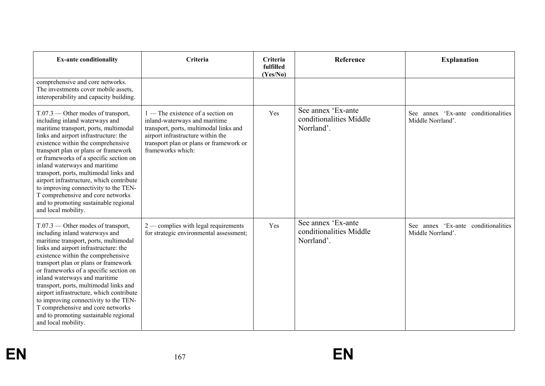| <b>Ex-ante conditionality</b>                                                                                                                                                                                                                                                                                                                                                                                                                                                                                                                         | Criteria                                                                                                                                                                                                            | Criteria<br>fulfilled<br>(Yes/No) | Reference                                                   | <b>Explanation</b>                                          |
|-------------------------------------------------------------------------------------------------------------------------------------------------------------------------------------------------------------------------------------------------------------------------------------------------------------------------------------------------------------------------------------------------------------------------------------------------------------------------------------------------------------------------------------------------------|---------------------------------------------------------------------------------------------------------------------------------------------------------------------------------------------------------------------|-----------------------------------|-------------------------------------------------------------|-------------------------------------------------------------|
| comprehensive and core networks.<br>The investments cover mobile assets,<br>interoperability and capacity building.                                                                                                                                                                                                                                                                                                                                                                                                                                   |                                                                                                                                                                                                                     |                                   |                                                             |                                                             |
| $T.07.3$ — Other modes of transport,<br>including inland waterways and<br>maritime transport, ports, multimodal<br>links and airport infrastructure: the<br>existence within the comprehensive<br>transport plan or plans or framework<br>or frameworks of a specific section on<br>inland waterways and maritime<br>transport, ports, multimodal links and<br>airport infrastructure, which contribute<br>to improving connectivity to the TEN-<br>T comprehensive and core networks<br>and to promoting sustainable regional<br>and local mobility. | $1$ — The existence of a section on<br>inland-waterways and maritime<br>transport, ports, multimodal links and<br>airport infrastructure within the<br>transport plan or plans or framework or<br>frameworks which: | Yes                               | See annex 'Ex-ante<br>conditionalities Middle<br>Norrland'. | annex 'Ex-ante conditionalities<br>See<br>Middle Norrland'. |
| $T.07.3$ — Other modes of transport,<br>including inland waterways and<br>maritime transport, ports, multimodal<br>links and airport infrastructure: the<br>existence within the comprehensive<br>transport plan or plans or framework<br>or frameworks of a specific section on<br>inland waterways and maritime<br>transport, ports, multimodal links and<br>airport infrastructure, which contribute<br>to improving connectivity to the TEN-<br>T comprehensive and core networks<br>and to promoting sustainable regional<br>and local mobility. | $2$ — complies with legal requirements<br>for strategic environmental assessment;                                                                                                                                   | Yes                               | See annex 'Ex-ante<br>conditionalities Middle<br>Norrland'. | See annex 'Ex-ante conditionalities<br>Middle Norrland'.    |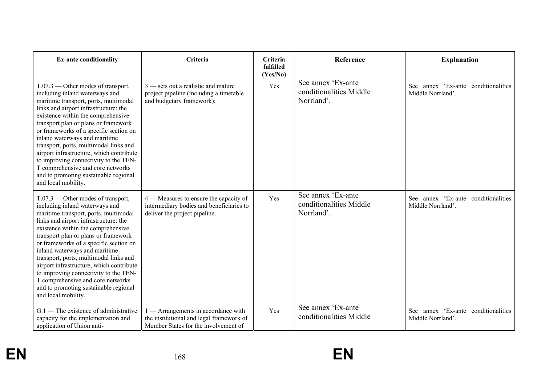| <b>Ex-ante conditionality</b>                                                                                                                                                                                                                                                                                                                                                                                                                                                                                                                         | Criteria                                                                                                              | Criteria<br>fulfilled<br>(Yes/No) | Reference                                                   | <b>Explanation</b>                                       |
|-------------------------------------------------------------------------------------------------------------------------------------------------------------------------------------------------------------------------------------------------------------------------------------------------------------------------------------------------------------------------------------------------------------------------------------------------------------------------------------------------------------------------------------------------------|-----------------------------------------------------------------------------------------------------------------------|-----------------------------------|-------------------------------------------------------------|----------------------------------------------------------|
| $T.07.3$ — Other modes of transport,<br>including inland waterways and<br>maritime transport, ports, multimodal<br>links and airport infrastructure: the<br>existence within the comprehensive<br>transport plan or plans or framework<br>or frameworks of a specific section on<br>inland waterways and maritime<br>transport, ports, multimodal links and<br>airport infrastructure, which contribute<br>to improving connectivity to the TEN-<br>T comprehensive and core networks<br>and to promoting sustainable regional<br>and local mobility. | $3$ — sets out a realistic and mature<br>project pipeline (including a timetable<br>and budgetary framework);         | Yes                               | See annex 'Ex-ante<br>conditionalities Middle<br>Norrland'. | See annex 'Ex-ante conditionalities<br>Middle Norrland'. |
| $T.07.3$ — Other modes of transport,<br>including inland waterways and<br>maritime transport, ports, multimodal<br>links and airport infrastructure: the<br>existence within the comprehensive<br>transport plan or plans or framework<br>or frameworks of a specific section on<br>inland waterways and maritime<br>transport, ports, multimodal links and<br>airport infrastructure, which contribute<br>to improving connectivity to the TEN-<br>T comprehensive and core networks<br>and to promoting sustainable regional<br>and local mobility. | 4 — Measures to ensure the capacity of<br>intermediary bodies and beneficiaries to<br>deliver the project pipeline.   | Yes                               | See annex 'Ex-ante<br>conditionalities Middle<br>Norrland'. | See annex 'Ex-ante conditionalities<br>Middle Norrland'. |
| $G.1$ — The existence of administrative<br>capacity for the implementation and<br>application of Union anti-                                                                                                                                                                                                                                                                                                                                                                                                                                          | - Arrangements in accordance with<br>the institutional and legal framework of<br>Member States for the involvement of | Yes                               | See annex 'Ex-ante<br>conditionalities Middle               | See annex 'Ex-ante conditionalities<br>Middle Norrland'. |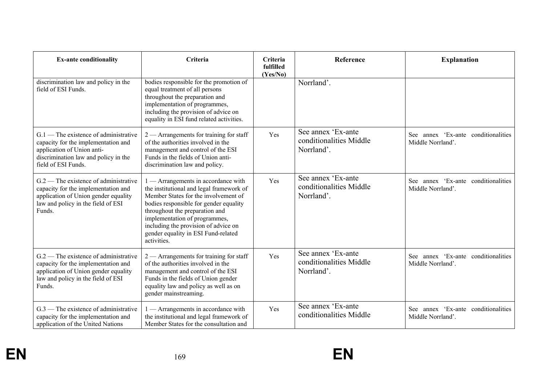| <b>Ex-ante conditionality</b>                                                                                                                                               | Criteria                                                                                                                                                                                                                                                                                                                         | Criteria<br>fulfilled<br>(Yes/No) | <b>Reference</b>                                            | <b>Explanation</b>                                          |
|-----------------------------------------------------------------------------------------------------------------------------------------------------------------------------|----------------------------------------------------------------------------------------------------------------------------------------------------------------------------------------------------------------------------------------------------------------------------------------------------------------------------------|-----------------------------------|-------------------------------------------------------------|-------------------------------------------------------------|
| discrimination law and policy in the<br>field of ESI Funds.                                                                                                                 | bodies responsible for the promotion of<br>equal treatment of all persons<br>throughout the preparation and<br>implementation of programmes,<br>including the provision of advice on<br>equality in ESI fund related activities.                                                                                                 |                                   | Norrland'.                                                  |                                                             |
| $G.1$ – The existence of administrative<br>capacity for the implementation and<br>application of Union anti-<br>discrimination law and policy in the<br>field of ESI Funds. | $2$ — Arrangements for training for staff<br>of the authorities involved in the<br>management and control of the ESI<br>Funds in the fields of Union anti-<br>discrimination law and policy.                                                                                                                                     | Yes                               | See annex 'Ex-ante<br>conditionalities Middle<br>Norrland'. | annex 'Ex-ante conditionalities<br>See<br>Middle Norrland'. |
| $G.2$ – The existence of administrative<br>capacity for the implementation and<br>application of Union gender equality<br>law and policy in the field of ESI<br>Funds.      | - Arrangements in accordance with<br>the institutional and legal framework of<br>Member States for the involvement of<br>bodies responsible for gender equality<br>throughout the preparation and<br>implementation of programmes,<br>including the provision of advice on<br>gender equality in ESI Fund-related<br>activities. | Yes                               | See annex 'Ex-ante<br>conditionalities Middle<br>Norrland'. | See annex 'Ex-ante conditionalities<br>Middle Norrland'.    |
| $G.2$ – The existence of administrative<br>capacity for the implementation and<br>application of Union gender equality<br>law and policy in the field of ESI<br>Funds.      | $2$ — Arrangements for training for staff<br>of the authorities involved in the<br>management and control of the ESI<br>Funds in the fields of Union gender<br>equality law and policy as well as on<br>gender mainstreaming.                                                                                                    | Yes                               | See annex 'Ex-ante<br>conditionalities Middle<br>Norrland'. | See annex 'Ex-ante conditionalities<br>Middle Norrland'.    |
| $G.3$ — The existence of administrative<br>capacity for the implementation and<br>application of the United Nations                                                         | $1 -$ Arrangements in accordance with<br>the institutional and legal framework of<br>Member States for the consultation and                                                                                                                                                                                                      | Yes                               | See annex 'Ex-ante<br>conditionalities Middle               | See annex 'Ex-ante conditionalities<br>Middle Norrland'.    |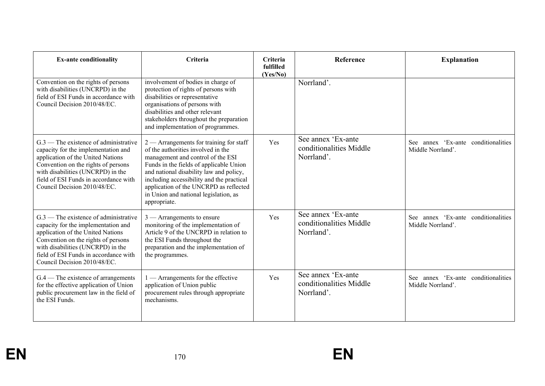| <b>Ex-ante conditionality</b>                                                                                                                                                                                                                                            | <b>Criteria</b>                                                                                                                                                                                                                                                                                                                                            | <b>Criteria</b><br>fulfilled<br>(Yes/No) | Reference                                                   | <b>Explanation</b>                                          |
|--------------------------------------------------------------------------------------------------------------------------------------------------------------------------------------------------------------------------------------------------------------------------|------------------------------------------------------------------------------------------------------------------------------------------------------------------------------------------------------------------------------------------------------------------------------------------------------------------------------------------------------------|------------------------------------------|-------------------------------------------------------------|-------------------------------------------------------------|
| Convention on the rights of persons<br>with disabilities (UNCRPD) in the<br>field of ESI Funds in accordance with<br>Council Decision 2010/48/EC.                                                                                                                        | involvement of bodies in charge of<br>protection of rights of persons with<br>disabilities or representative<br>organisations of persons with<br>disabilities and other relevant<br>stakeholders throughout the preparation<br>and implementation of programmes.                                                                                           |                                          | Norrland'.                                                  |                                                             |
| $G0$ The existence of administrative<br>capacity for the implementation and<br>application of the United Nations<br>Convention on the rights of persons<br>with disabilities (UNCRPD) in the<br>field of ESI Funds in accordance with<br>Council Decision 2010/48/EC.    | $2$ — Arrangements for training for staff<br>of the authorities involved in the<br>management and control of the ESI<br>Funds in the fields of applicable Union<br>and national disability law and policy,<br>including accessibility and the practical<br>application of the UNCRPD as reflected<br>in Union and national legislation, as<br>appropriate. | Yes                                      | See annex 'Ex-ante<br>conditionalities Middle<br>Norrland'. | See annex 'Ex-ante conditionalities<br>Middle Norrland'.    |
| $G.3$ — The existence of administrative<br>capacity for the implementation and<br>application of the United Nations<br>Convention on the rights of persons<br>with disabilities (UNCRPD) in the<br>field of ESI Funds in accordance with<br>Council Decision 2010/48/EC. | $3$ — Arrangements to ensure<br>monitoring of the implementation of<br>Article 9 of the UNCRPD in relation to<br>the ESI Funds throughout the<br>preparation and the implementation of<br>the programmes.                                                                                                                                                  | Yes                                      | See annex 'Ex-ante<br>conditionalities Middle<br>Norrland'. | annex 'Ex-ante conditionalities<br>See<br>Middle Norrland'. |
| $G.4$ – The existence of arrangements<br>for the effective application of Union<br>public procurement law in the field of<br>the ESI Funds.                                                                                                                              | 1 - Arrangements for the effective<br>application of Union public<br>procurement rules through appropriate<br>mechanisms.                                                                                                                                                                                                                                  | Yes                                      | See annex 'Ex-ante<br>conditionalities Middle<br>Norrland'. | See annex 'Ex-ante conditionalities<br>Middle Norrland'.    |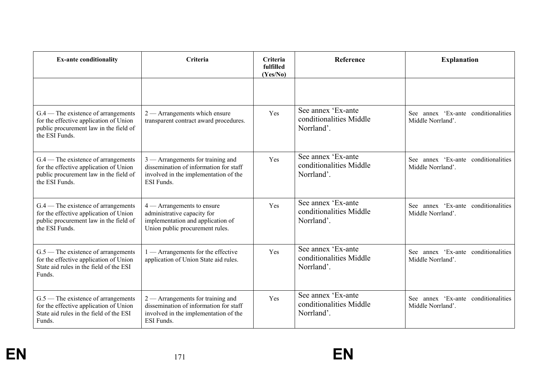| <b>Ex-ante conditionality</b>                                                                                                               | Criteria                                                                                                                                    | Criteria<br>fulfilled<br>(Yes/No) | Reference                                                   | <b>Explanation</b>                                          |
|---------------------------------------------------------------------------------------------------------------------------------------------|---------------------------------------------------------------------------------------------------------------------------------------------|-----------------------------------|-------------------------------------------------------------|-------------------------------------------------------------|
|                                                                                                                                             |                                                                                                                                             |                                   |                                                             |                                                             |
| $G.4$ – The existence of arrangements<br>for the effective application of Union<br>public procurement law in the field of<br>the ESI Funds. | $2$ — Arrangements which ensure<br>transparent contract award procedures.                                                                   | Yes                               | See annex 'Ex-ante<br>conditionalities Middle<br>Norrland'. | See annex 'Ex-ante conditionalities<br>Middle Norrland'.    |
| $G.4$ – The existence of arrangements<br>for the effective application of Union<br>public procurement law in the field of<br>the ESI Funds. | $3$ — Arrangements for training and<br>dissemination of information for staff<br>involved in the implementation of the<br><b>ESI</b> Funds. | Yes                               | See annex 'Ex-ante<br>conditionalities Middle<br>Norrland'. | See annex 'Ex-ante conditionalities<br>Middle Norrland'.    |
| G.4 — The existence of arrangements<br>for the effective application of Union<br>public procurement law in the field of<br>the ESI Funds.   | $4 -$ Arrangements to ensure<br>administrative capacity for<br>implementation and application of<br>Union public procurement rules.         | Yes                               | See annex 'Ex-ante<br>conditionalities Middle<br>Norrland'. | See annex 'Ex-ante conditionalities<br>Middle Norrland'.    |
| $G.5$ — The existence of arrangements<br>for the effective application of Union<br>State aid rules in the field of the ESI<br>Funds.        | 1 — Arrangements for the effective<br>application of Union State aid rules.                                                                 | Yes                               | See annex 'Ex-ante<br>conditionalities Middle<br>Norrland'. | annex 'Ex-ante conditionalities<br>See<br>Middle Norrland'. |
| $G.5$ — The existence of arrangements<br>for the effective application of Union<br>State aid rules in the field of the ESI<br>Funds.        | $2$ — Arrangements for training and<br>dissemination of information for staff<br>involved in the implementation of the<br>ESI Funds.        | Yes                               | See annex 'Ex-ante<br>conditionalities Middle<br>Norrland'. | See annex 'Ex-ante conditionalities<br>Middle Norrland'.    |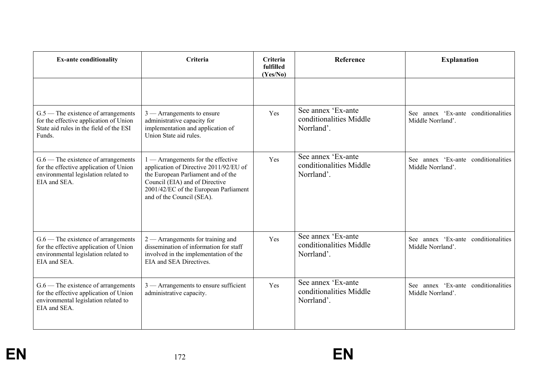| <b>Ex-ante conditionality</b>                                                                                                           | Criteria                                                                                                                                                                                                                     | Criteria<br>fulfilled<br>(Yes/No) | Reference                                                   | <b>Explanation</b>                                          |
|-----------------------------------------------------------------------------------------------------------------------------------------|------------------------------------------------------------------------------------------------------------------------------------------------------------------------------------------------------------------------------|-----------------------------------|-------------------------------------------------------------|-------------------------------------------------------------|
|                                                                                                                                         |                                                                                                                                                                                                                              |                                   |                                                             |                                                             |
| $G.5$ — The existence of arrangements<br>for the effective application of Union<br>State aid rules in the field of the ESI<br>Funds.    | $3$ — Arrangements to ensure<br>administrative capacity for<br>implementation and application of<br>Union State aid rules.                                                                                                   | Yes                               | See annex 'Ex-ante<br>conditionalities Middle<br>Norrland'. | annex 'Ex-ante conditionalities<br>See<br>Middle Norrland'. |
| $G.6$ — The existence of arrangements<br>for the effective application of Union<br>environmental legislation related to<br>EIA and SEA. | $1 -$ Arrangements for the effective<br>application of Directive 2011/92/EU of<br>the European Parliament and of the<br>Council (EIA) and of Directive<br>2001/42/EC of the European Parliament<br>and of the Council (SEA). | Yes                               | See annex 'Ex-ante<br>conditionalities Middle<br>Norrland'. | See annex 'Ex-ante conditionalities<br>Middle Norrland'.    |
| $G.6$ — The existence of arrangements<br>for the effective application of Union<br>environmental legislation related to<br>EIA and SEA. | $2$ — Arrangements for training and<br>dissemination of information for staff<br>involved in the implementation of the<br>EIA and SEA Directives.                                                                            | Yes                               | See annex 'Ex-ante<br>conditionalities Middle<br>Norrland'. | See annex 'Ex-ante conditionalities<br>Middle Norrland'.    |
| $G.6$ — The existence of arrangements<br>for the effective application of Union<br>environmental legislation related to<br>EIA and SEA. | $3$ — Arrangements to ensure sufficient<br>administrative capacity.                                                                                                                                                          | Yes                               | See annex 'Ex-ante<br>conditionalities Middle<br>Norrland'. | See annex 'Ex-ante conditionalities<br>Middle Norrland'.    |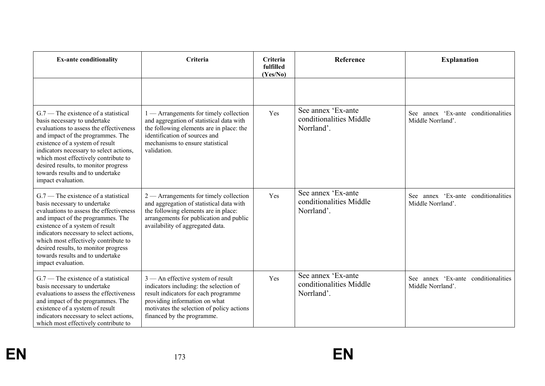| <b>Ex-ante conditionality</b>                                                                                                                                                                                                                                                                                                                                                  | Criteria                                                                                                                                                                                                                          | Criteria<br>fulfilled<br>(Yes/No) | Reference                                                   | <b>Explanation</b>                                       |
|--------------------------------------------------------------------------------------------------------------------------------------------------------------------------------------------------------------------------------------------------------------------------------------------------------------------------------------------------------------------------------|-----------------------------------------------------------------------------------------------------------------------------------------------------------------------------------------------------------------------------------|-----------------------------------|-------------------------------------------------------------|----------------------------------------------------------|
|                                                                                                                                                                                                                                                                                                                                                                                |                                                                                                                                                                                                                                   |                                   |                                                             |                                                          |
| $G.7$ — The existence of a statistical<br>basis necessary to undertake<br>evaluations to assess the effectiveness<br>and impact of the programmes. The<br>existence of a system of result<br>indicators necessary to select actions,<br>which most effectively contribute to<br>desired results, to monitor progress<br>towards results and to undertake<br>impact evaluation. | $1 -$ Arrangements for timely collection<br>and aggregation of statistical data with<br>the following elements are in place: the<br>identification of sources and<br>mechanisms to ensure statistical<br>validation.              | Yes                               | See annex 'Ex-ante<br>conditionalities Middle<br>Norrland'. | See annex 'Ex-ante conditionalities<br>Middle Norrland'. |
| $G.7$ — The existence of a statistical<br>basis necessary to undertake<br>evaluations to assess the effectiveness<br>and impact of the programmes. The<br>existence of a system of result<br>indicators necessary to select actions,<br>which most effectively contribute to<br>desired results, to monitor progress<br>towards results and to undertake<br>impact evaluation. | $2$ — Arrangements for timely collection<br>and aggregation of statistical data with<br>the following elements are in place:<br>arrangements for publication and public<br>availability of aggregated data.                       | Yes                               | See annex 'Ex-ante<br>conditionalities Middle<br>Norrland'. | See annex 'Ex-ante conditionalities<br>Middle Norrland'. |
| $G.7$ — The existence of a statistical<br>basis necessary to undertake<br>evaluations to assess the effectiveness<br>and impact of the programmes. The<br>existence of a system of result<br>indicators necessary to select actions,<br>which most effectively contribute to                                                                                                   | $3$ — An effective system of result<br>indicators including: the selection of<br>result indicators for each programme<br>providing information on what<br>motivates the selection of policy actions<br>financed by the programme. | Yes                               | See annex 'Ex-ante<br>conditionalities Middle<br>Norrland'. | See annex 'Ex-ante conditionalities<br>Middle Norrland'. |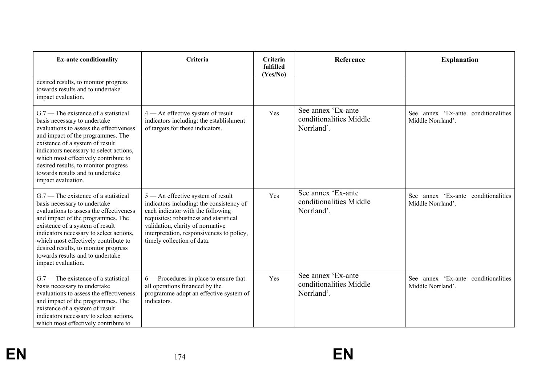| <b>Ex-ante conditionality</b>                                                                                                                                                                                                                                                                                                                                                  | Criteria                                                                                                                                                                                                                                                                    | Criteria<br>fulfilled<br>(Yes/No) | Reference                                                   | <b>Explanation</b>                                          |
|--------------------------------------------------------------------------------------------------------------------------------------------------------------------------------------------------------------------------------------------------------------------------------------------------------------------------------------------------------------------------------|-----------------------------------------------------------------------------------------------------------------------------------------------------------------------------------------------------------------------------------------------------------------------------|-----------------------------------|-------------------------------------------------------------|-------------------------------------------------------------|
| desired results, to monitor progress<br>towards results and to undertake<br>impact evaluation.                                                                                                                                                                                                                                                                                 |                                                                                                                                                                                                                                                                             |                                   |                                                             |                                                             |
| $G.7$ – The existence of a statistical<br>basis necessary to undertake<br>evaluations to assess the effectiveness<br>and impact of the programmes. The<br>existence of a system of result<br>indicators necessary to select actions,<br>which most effectively contribute to<br>desired results, to monitor progress<br>towards results and to undertake<br>impact evaluation. | 4 - An effective system of result<br>indicators including: the establishment<br>of targets for these indicators.                                                                                                                                                            | Yes                               | See annex 'Ex-ante<br>conditionalities Middle<br>Norrland'. | annex 'Ex-ante conditionalities<br>See<br>Middle Norrland'. |
| $G.7$ – The existence of a statistical<br>basis necessary to undertake<br>evaluations to assess the effectiveness<br>and impact of the programmes. The<br>existence of a system of result<br>indicators necessary to select actions,<br>which most effectively contribute to<br>desired results, to monitor progress<br>towards results and to undertake<br>impact evaluation. | 5 — An effective system of result<br>indicators including: the consistency of<br>each indicator with the following<br>requisites: robustness and statistical<br>validation, clarity of normative<br>interpretation, responsiveness to policy,<br>timely collection of data. | Yes                               | See annex 'Ex-ante<br>conditionalities Middle<br>Norrland'. | See annex 'Ex-ante conditionalities<br>Middle Norrland'.    |
| $G.7$ – The existence of a statistical<br>basis necessary to undertake<br>evaluations to assess the effectiveness<br>and impact of the programmes. The<br>existence of a system of result<br>indicators necessary to select actions,<br>which most effectively contribute to                                                                                                   | $6$ – Procedures in place to ensure that<br>all operations financed by the<br>programme adopt an effective system of<br>indicators.                                                                                                                                         | Yes                               | See annex 'Ex-ante<br>conditionalities Middle<br>Norrland'. | See annex 'Ex-ante conditionalities<br>Middle Norrland'.    |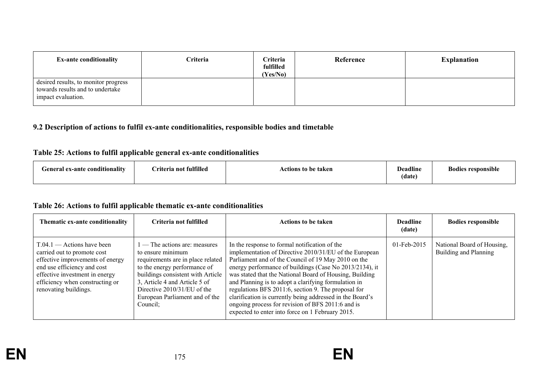| <b>Ex-ante conditionality</b>                                                                  | <b>Criteria</b> | Criteria<br>fulfilled<br>(Yes/No) | Reference | <b>Explanation</b> |
|------------------------------------------------------------------------------------------------|-----------------|-----------------------------------|-----------|--------------------|
| desired results, to monitor progress<br>towards results and to undertake<br>impact evaluation. |                 |                                   |           |                    |

## **9.2 Description of actions to fulfil ex-ante conditionalities, responsible bodies and timetable**

## **Table 25: Actions to fulfil applicable general ex-ante conditionalities**

| $\cdots$<br><br>e conditionality<br>General ex-ante | Criteria not fulfilled | Actions to be taken | Deadline<br>$\blacksquare$<br>(date | $\cdots$<br><b>Bodies responsible</b> |
|-----------------------------------------------------|------------------------|---------------------|-------------------------------------|---------------------------------------|
|-----------------------------------------------------|------------------------|---------------------|-------------------------------------|---------------------------------------|

#### **Table 26: Actions to fulfil applicable thematic ex-ante conditionalities**

| Thematic ex-ante conditionality                                                                                                                                                                                              | Criteria not fulfilled                                                                                                                                                                                                                                                   | <b>Actions to be taken</b>                                                                                                                                                                                                                                                                                                                                                                                                                                                                                                                                                | <b>Deadline</b><br>(date) | <b>Bodies responsible</b>                           |
|------------------------------------------------------------------------------------------------------------------------------------------------------------------------------------------------------------------------------|--------------------------------------------------------------------------------------------------------------------------------------------------------------------------------------------------------------------------------------------------------------------------|---------------------------------------------------------------------------------------------------------------------------------------------------------------------------------------------------------------------------------------------------------------------------------------------------------------------------------------------------------------------------------------------------------------------------------------------------------------------------------------------------------------------------------------------------------------------------|---------------------------|-----------------------------------------------------|
| $T.04.1$ — Actions have been<br>carried out to promote cost<br>effective improvements of energy<br>end use efficiency and cost<br>effective investment in energy<br>efficiency when constructing or<br>renovating buildings. | — The actions are: measures<br>to ensure minimum<br>requirements are in place related<br>to the energy performance of<br>buildings consistent with Article<br>3, Article 4 and Article 5 of<br>Directive 2010/31/EU of the<br>European Parliament and of the<br>Council; | In the response to formal notification of the<br>implementation of Directive 2010/31/EU of the European<br>Parliament and of the Council of 19 May 2010 on the<br>energy performance of buildings (Case No 2013/2134), it<br>was stated that the National Board of Housing, Building<br>and Planning is to adopt a clarifying formulation in<br>regulations BFS 2011:6, section 9. The proposal for<br>clarification is currently being addressed in the Board's<br>ongoing process for revision of BFS 2011:6 and is<br>expected to enter into force on 1 February 2015. | $01$ -Feb-2015            | National Board of Housing,<br>Building and Planning |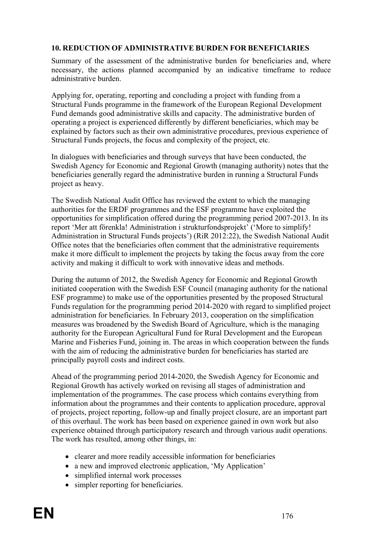### **10. REDUCTION OF ADMINISTRATIVE BURDEN FOR BENEFICIARIES**

Summary of the assessment of the administrative burden for beneficiaries and, where necessary, the actions planned accompanied by an indicative timeframe to reduce administrative burden.

Applying for, operating, reporting and concluding a project with funding from a Structural Funds programme in the framework of the European Regional Development Fund demands good administrative skills and capacity. The administrative burden of operating a project is experienced differently by different beneficiaries, which may be explained by factors such as their own administrative procedures, previous experience of Structural Funds projects, the focus and complexity of the project, etc.

In dialogues with beneficiaries and through surveys that have been conducted, the Swedish Agency for Economic and Regional Growth (managing authority) notes that the beneficiaries generally regard the administrative burden in running a Structural Funds project as heavy.

The Swedish National Audit Office has reviewed the extent to which the managing authorities for the ERDF programmes and the ESF programme have exploited the opportunities for simplification offered during the programming period 2007-2013. In its report 'Mer att förenkla! Administration i strukturfondsprojekt' ('More to simplify! Administration in Structural Funds projects') (RiR 2012:22), the Swedish National Audit Office notes that the beneficiaries often comment that the administrative requirements make it more difficult to implement the projects by taking the focus away from the core activity and making it difficult to work with innovative ideas and methods.

During the autumn of 2012, the Swedish Agency for Economic and Regional Growth initiated cooperation with the Swedish ESF Council (managing authority for the national ESF programme) to make use of the opportunities presented by the proposed Structural Funds regulation for the programming period 2014-2020 with regard to simplified project administration for beneficiaries. In February 2013, cooperation on the simplification measures was broadened by the Swedish Board of Agriculture, which is the managing authority for the European Agricultural Fund for Rural Development and the European Marine and Fisheries Fund, joining in. The areas in which cooperation between the funds with the aim of reducing the administrative burden for beneficiaries has started are principally payroll costs and indirect costs.

Ahead of the programming period 2014-2020, the Swedish Agency for Economic and Regional Growth has actively worked on revising all stages of administration and implementation of the programmes. The case process which contains everything from information about the programmes and their contents to application procedure, approval of projects, project reporting, follow-up and finally project closure, are an important part of this overhaul. The work has been based on experience gained in own work but also experience obtained through participatory research and through various audit operations. The work has resulted, among other things, in:

- clearer and more readily accessible information for beneficiaries
- a new and improved electronic application, 'My Application'
- simplified internal work processes
- simpler reporting for beneficiaries.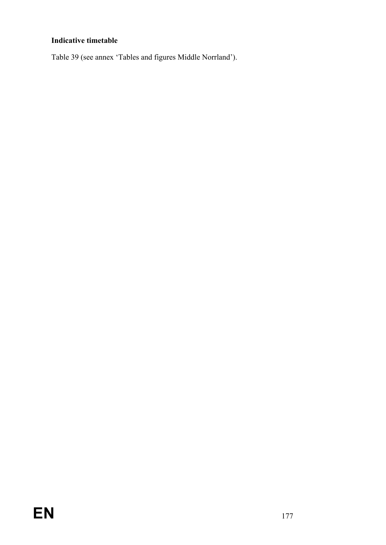# **Indicative timetable**

Table 39 (see annex 'Tables and figures Middle Norrland').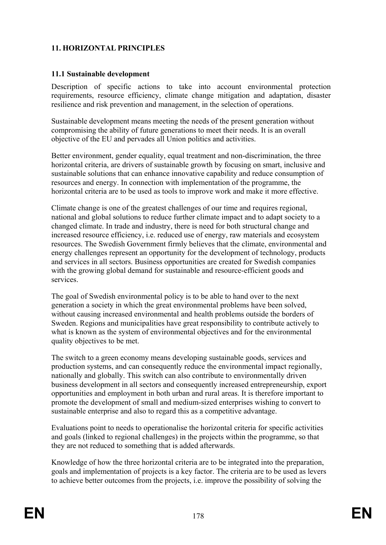# **11. HORIZONTAL PRINCIPLES**

### **11.1 Sustainable development**

Description of specific actions to take into account environmental protection requirements, resource efficiency, climate change mitigation and adaptation, disaster resilience and risk prevention and management, in the selection of operations.

Sustainable development means meeting the needs of the present generation without compromising the ability of future generations to meet their needs. It is an overall objective of the EU and pervades all Union politics and activities.

Better environment, gender equality, equal treatment and non-discrimination, the three horizontal criteria, are drivers of sustainable growth by focusing on smart, inclusive and sustainable solutions that can enhance innovative capability and reduce consumption of resources and energy. In connection with implementation of the programme, the horizontal criteria are to be used as tools to improve work and make it more effective.

Climate change is one of the greatest challenges of our time and requires regional, national and global solutions to reduce further climate impact and to adapt society to a changed climate. In trade and industry, there is need for both structural change and increased resource efficiency, i.e. reduced use of energy, raw materials and ecosystem resources. The Swedish Government firmly believes that the climate, environmental and energy challenges represent an opportunity for the development of technology, products and services in all sectors. Business opportunities are created for Swedish companies with the growing global demand for sustainable and resource-efficient goods and services.

The goal of Swedish environmental policy is to be able to hand over to the next generation a society in which the great environmental problems have been solved, without causing increased environmental and health problems outside the borders of Sweden. Regions and municipalities have great responsibility to contribute actively to what is known as the system of environmental objectives and for the environmental quality objectives to be met.

The switch to a green economy means developing sustainable goods, services and production systems, and can consequently reduce the environmental impact regionally, nationally and globally. This switch can also contribute to environmentally driven business development in all sectors and consequently increased entrepreneurship, export opportunities and employment in both urban and rural areas. It is therefore important to promote the development of small and medium-sized enterprises wishing to convert to sustainable enterprise and also to regard this as a competitive advantage.

Evaluations point to needs to operationalise the horizontal criteria for specific activities and goals (linked to regional challenges) in the projects within the programme, so that they are not reduced to something that is added afterwards.

Knowledge of how the three horizontal criteria are to be integrated into the preparation, goals and implementation of projects is a key factor. The criteria are to be used as levers to achieve better outcomes from the projects, i.e. improve the possibility of solving the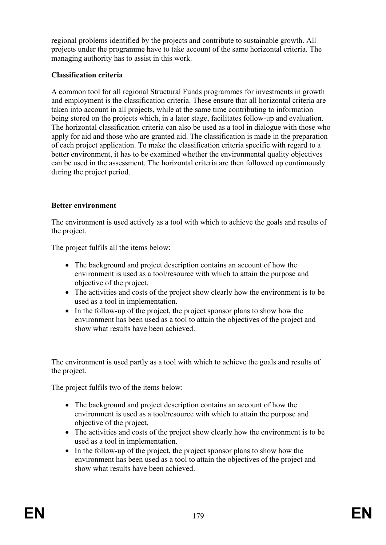regional problems identified by the projects and contribute to sustainable growth. All projects under the programme have to take account of the same horizontal criteria. The managing authority has to assist in this work.

## **Classification criteria**

A common tool for all regional Structural Funds programmes for investments in growth and employment is the classification criteria. These ensure that all horizontal criteria are taken into account in all projects, while at the same time contributing to information being stored on the projects which, in a later stage, facilitates follow-up and evaluation. The horizontal classification criteria can also be used as a tool in dialogue with those who apply for aid and those who are granted aid. The classification is made in the preparation of each project application. To make the classification criteria specific with regard to a better environment, it has to be examined whether the environmental quality objectives can be used in the assessment. The horizontal criteria are then followed up continuously during the project period.

# **Better environment**

The environment is used actively as a tool with which to achieve the goals and results of the project.

The project fulfils all the items below:

- The background and project description contains an account of how the environment is used as a tool/resource with which to attain the purpose and objective of the project.
- The activities and costs of the project show clearly how the environment is to be used as a tool in implementation.
- In the follow-up of the project, the project sponsor plans to show how the environment has been used as a tool to attain the objectives of the project and show what results have been achieved.

The environment is used partly as a tool with which to achieve the goals and results of the project.

The project fulfils two of the items below:

- The background and project description contains an account of how the environment is used as a tool/resource with which to attain the purpose and objective of the project.
- The activities and costs of the project show clearly how the environment is to be used as a tool in implementation.
- In the follow-up of the project, the project sponsor plans to show how the environment has been used as a tool to attain the objectives of the project and show what results have been achieved.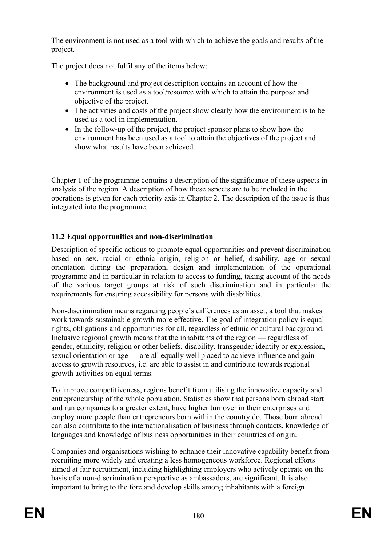The environment is not used as a tool with which to achieve the goals and results of the project.

The project does not fulfil any of the items below:

- The background and project description contains an account of how the environment is used as a tool/resource with which to attain the purpose and objective of the project.
- The activities and costs of the project show clearly how the environment is to be used as a tool in implementation.
- In the follow-up of the project, the project sponsor plans to show how the environment has been used as a tool to attain the objectives of the project and show what results have been achieved.

Chapter 1 of the programme contains a description of the significance of these aspects in analysis of the region. A description of how these aspects are to be included in the operations is given for each priority axis in Chapter 2. The description of the issue is thus integrated into the programme.

### **11.2 Equal opportunities and non-discrimination**

Description of specific actions to promote equal opportunities and prevent discrimination based on sex, racial or ethnic origin, religion or belief, disability, age or sexual orientation during the preparation, design and implementation of the operational programme and in particular in relation to access to funding, taking account of the needs of the various target groups at risk of such discrimination and in particular the requirements for ensuring accessibility for persons with disabilities.

Non-discrimination means regarding people's differences as an asset, a tool that makes work towards sustainable growth more effective. The goal of integration policy is equal rights, obligations and opportunities for all, regardless of ethnic or cultural background. Inclusive regional growth means that the inhabitants of the region — regardless of gender, ethnicity, religion or other beliefs, disability, transgender identity or expression, sexual orientation or age — are all equally well placed to achieve influence and gain access to growth resources, i.e. are able to assist in and contribute towards regional growth activities on equal terms.

To improve competitiveness, regions benefit from utilising the innovative capacity and entrepreneurship of the whole population. Statistics show that persons born abroad start and run companies to a greater extent, have higher turnover in their enterprises and employ more people than entrepreneurs born within the country do. Those born abroad can also contribute to the internationalisation of business through contacts, knowledge of languages and knowledge of business opportunities in their countries of origin.

Companies and organisations wishing to enhance their innovative capability benefit from recruiting more widely and creating a less homogeneous workforce. Regional efforts aimed at fair recruitment, including highlighting employers who actively operate on the basis of a non-discrimination perspective as ambassadors, are significant. It is also important to bring to the fore and develop skills among inhabitants with a foreign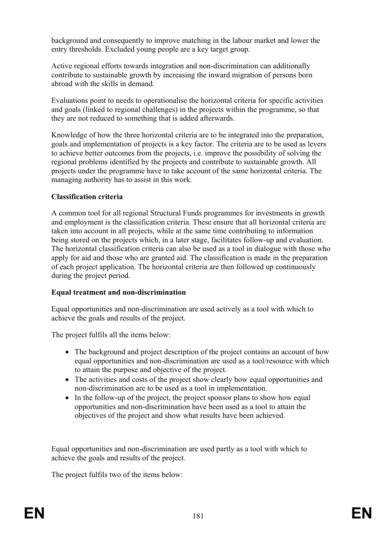background and consequently to improve matching in the labour market and lower the entry thresholds. Excluded young people are a key target group.

Active regional efforts towards integration and non-discrimination can additionally contribute to sustainable growth by increasing the inward migration of persons born abroad with the skills in demand.

Evaluations point to needs to operationalise the horizontal criteria for specific activities and goals (linked to regional challenges) in the projects within the programme, so that they are not reduced to something that is added afterwards.

Knowledge of how the three horizontal criteria are to be integrated into the preparation, goals and implementation of projects is a key factor. The criteria are to be used as levers to achieve better outcomes from the projects, i.e. improve the possibility of solving the regional problems identified by the projects and contribute to sustainable growth. All projects under the programme have to take account of the same horizontal criteria. The managing authority has to assist in this work.

### **Classification criteria**

A common tool for all regional Structural Funds programmes for investments in growth and employment is the classification criteria. These ensure that all horizontal criteria are taken into account in all projects, while at the same time contributing to information being stored on the projects which, in a later stage, facilitates follow-up and evaluation. The horizontal classification criteria can also be used as a tool in dialogue with those who apply for aid and those who are granted aid. The classification is made in the preparation of each project application. The horizontal criteria are then followed up continuously during the project period.

### **Equal treatment and non-discrimination**

Equal opportunities and non-discrimination are used actively as a tool with which to achieve the goals and results of the project.

The project fulfils all the items below:

- The background and project description of the project contains an account of how equal opportunities and non-discrimination are used as a tool/resource with which to attain the purpose and objective of the project.
- The activities and costs of the project show clearly how equal opportunities and non-discrimination are to be used as a tool in implementation.
- In the follow-up of the project, the project sponsor plans to show how equal opportunities and non-discrimination have been used as a tool to attain the objectives of the project and show what results have been achieved.

Equal opportunities and non-discrimination are used partly as a tool with which to achieve the goals and results of the project.

The project fulfils two of the items below: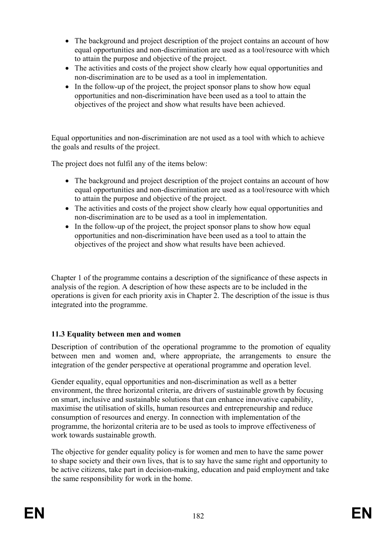- The background and project description of the project contains an account of how equal opportunities and non-discrimination are used as a tool/resource with which to attain the purpose and objective of the project.
- The activities and costs of the project show clearly how equal opportunities and non-discrimination are to be used as a tool in implementation.
- In the follow-up of the project, the project sponsor plans to show how equal opportunities and non-discrimination have been used as a tool to attain the objectives of the project and show what results have been achieved.

Equal opportunities and non-discrimination are not used as a tool with which to achieve the goals and results of the project.

The project does not fulfil any of the items below:

- The background and project description of the project contains an account of how equal opportunities and non-discrimination are used as a tool/resource with which to attain the purpose and objective of the project.
- The activities and costs of the project show clearly how equal opportunities and non-discrimination are to be used as a tool in implementation.
- In the follow-up of the project, the project sponsor plans to show how equal opportunities and non-discrimination have been used as a tool to attain the objectives of the project and show what results have been achieved.

Chapter 1 of the programme contains a description of the significance of these aspects in analysis of the region. A description of how these aspects are to be included in the operations is given for each priority axis in Chapter 2. The description of the issue is thus integrated into the programme.

### **11.3 Equality between men and women**

Description of contribution of the operational programme to the promotion of equality between men and women and, where appropriate, the arrangements to ensure the integration of the gender perspective at operational programme and operation level.

Gender equality, equal opportunities and non-discrimination as well as a better environment, the three horizontal criteria, are drivers of sustainable growth by focusing on smart, inclusive and sustainable solutions that can enhance innovative capability, maximise the utilisation of skills, human resources and entrepreneurship and reduce consumption of resources and energy. In connection with implementation of the programme, the horizontal criteria are to be used as tools to improve effectiveness of work towards sustainable growth.

The objective for gender equality policy is for women and men to have the same power to shape society and their own lives, that is to say have the same right and opportunity to be active citizens, take part in decision-making, education and paid employment and take the same responsibility for work in the home.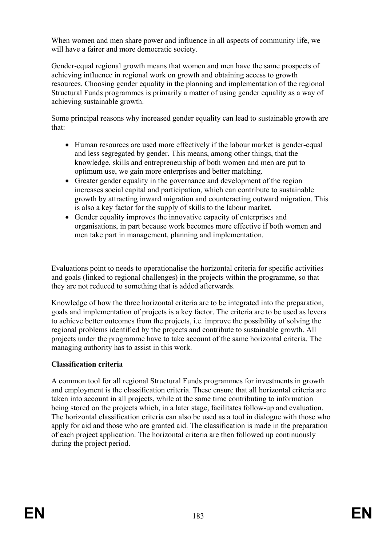When women and men share power and influence in all aspects of community life, we will have a fairer and more democratic society.

Gender-equal regional growth means that women and men have the same prospects of achieving influence in regional work on growth and obtaining access to growth resources. Choosing gender equality in the planning and implementation of the regional Structural Funds programmes is primarily a matter of using gender equality as a way of achieving sustainable growth.

Some principal reasons why increased gender equality can lead to sustainable growth are that:

- Human resources are used more effectively if the labour market is gender-equal and less segregated by gender. This means, among other things, that the knowledge, skills and entrepreneurship of both women and men are put to optimum use, we gain more enterprises and better matching.
- Greater gender equality in the governance and development of the region increases social capital and participation, which can contribute to sustainable growth by attracting inward migration and counteracting outward migration. This is also a key factor for the supply of skills to the labour market.
- Gender equality improves the innovative capacity of enterprises and organisations, in part because work becomes more effective if both women and men take part in management, planning and implementation.

Evaluations point to needs to operationalise the horizontal criteria for specific activities and goals (linked to regional challenges) in the projects within the programme, so that they are not reduced to something that is added afterwards.

Knowledge of how the three horizontal criteria are to be integrated into the preparation, goals and implementation of projects is a key factor. The criteria are to be used as levers to achieve better outcomes from the projects, i.e. improve the possibility of solving the regional problems identified by the projects and contribute to sustainable growth. All projects under the programme have to take account of the same horizontal criteria. The managing authority has to assist in this work.

### **Classification criteria**

A common tool for all regional Structural Funds programmes for investments in growth and employment is the classification criteria. These ensure that all horizontal criteria are taken into account in all projects, while at the same time contributing to information being stored on the projects which, in a later stage, facilitates follow-up and evaluation. The horizontal classification criteria can also be used as a tool in dialogue with those who apply for aid and those who are granted aid. The classification is made in the preparation of each project application. The horizontal criteria are then followed up continuously during the project period.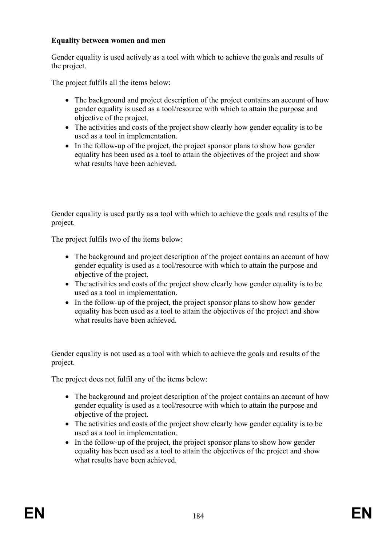### **Equality between women and men**

Gender equality is used actively as a tool with which to achieve the goals and results of the project.

The project fulfils all the items below:

- The background and project description of the project contains an account of how gender equality is used as a tool/resource with which to attain the purpose and objective of the project.
- The activities and costs of the project show clearly how gender equality is to be used as a tool in implementation.
- In the follow-up of the project, the project sponsor plans to show how gender equality has been used as a tool to attain the objectives of the project and show what results have been achieved.

Gender equality is used partly as a tool with which to achieve the goals and results of the project.

The project fulfils two of the items below:

- The background and project description of the project contains an account of how gender equality is used as a tool/resource with which to attain the purpose and objective of the project.
- The activities and costs of the project show clearly how gender equality is to be used as a tool in implementation.
- In the follow-up of the project, the project sponsor plans to show how gender equality has been used as a tool to attain the objectives of the project and show what results have been achieved.

Gender equality is not used as a tool with which to achieve the goals and results of the project.

The project does not fulfil any of the items below:

- The background and project description of the project contains an account of how gender equality is used as a tool/resource with which to attain the purpose and objective of the project.
- The activities and costs of the project show clearly how gender equality is to be used as a tool in implementation.
- In the follow-up of the project, the project sponsor plans to show how gender equality has been used as a tool to attain the objectives of the project and show what results have been achieved.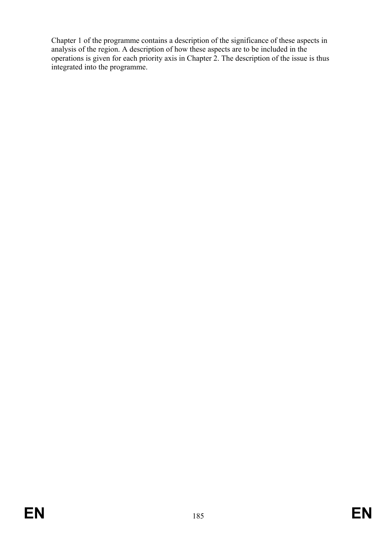Chapter 1 of the programme contains a description of the significance of these aspects in analysis of the region. A description of how these aspects are to be included in the operations is given for each priority axis in Chapter 2. The description of the issue is thus integrated into the programme.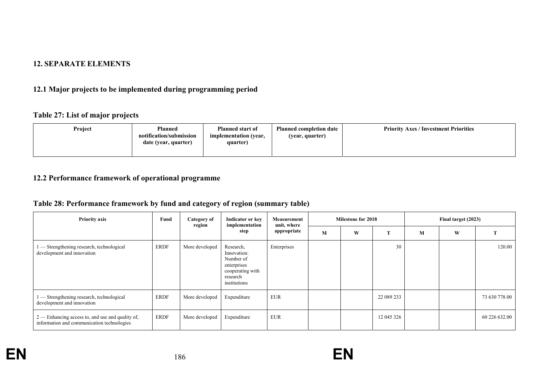#### **12. SEPARATE ELEMENTS**

## **12.1 Major projects to be implemented during programming period**

### **Table 27: List of major projects**

| Project<br><b>Planned</b><br>notification/submission<br>date (year, quarter) | <b>Planned start of</b><br>implementation (year,<br>quarter) | <b>Planned completion date</b><br>(year, quarter) | <b>Priority Axes / Investment Priorities</b> |
|------------------------------------------------------------------------------|--------------------------------------------------------------|---------------------------------------------------|----------------------------------------------|
|------------------------------------------------------------------------------|--------------------------------------------------------------|---------------------------------------------------|----------------------------------------------|

### **12.2 Performance framework of operational programme**

# **Table 28: Performance framework by fund and category of region (summary table)**

| <b>Priority axis</b>                                                                             | Fund | Category of<br>region | Indicator or key                                                                                     | implementation |   | Measurement<br>unit, where | <b>Milestone for 2018</b> |   |   | Final target (2023) |  |  |
|--------------------------------------------------------------------------------------------------|------|-----------------------|------------------------------------------------------------------------------------------------------|----------------|---|----------------------------|---------------------------|---|---|---------------------|--|--|
|                                                                                                  |      |                       | step                                                                                                 | appropriate    | M | W                          | m                         | M | W |                     |  |  |
| - Strengthening research, technological<br>development and innovation                            | ERDF | More developed        | Research,<br>Innovation:<br>Number of<br>enterprises<br>cooperating with<br>research<br>institutions | Enterprises    |   |                            | 30                        |   |   | 120.00              |  |  |
| - Strengthening research, technological<br>development and innovation                            | ERDF | More developed        | Expenditure                                                                                          | <b>EUR</b>     |   |                            | 22 089 233                |   |   | 73 630 778.00       |  |  |
| $2$ — Enhancing access to, and use and quality of,<br>information and communication technologies | ERDF | More developed        | Expenditure                                                                                          | <b>EUR</b>     |   |                            | 12 045 326                |   |   | 60 226 632.00       |  |  |

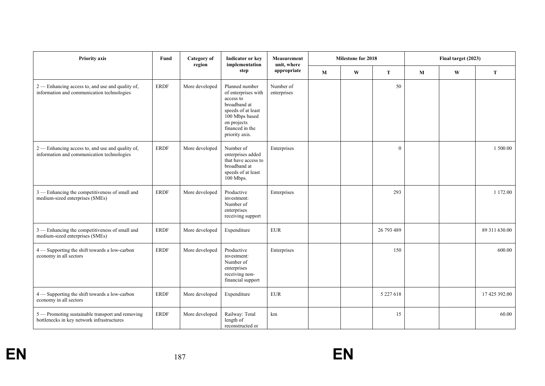| <b>Priority axis</b>                                                                           | Fund        | <b>Category</b> of<br>region | <b>Indicator or key</b><br>implementation                                                                                                                      | <b>Measurement</b><br>unit, where |  | Milestone for 2018 |               | Final target (2023) |              |               |
|------------------------------------------------------------------------------------------------|-------------|------------------------------|----------------------------------------------------------------------------------------------------------------------------------------------------------------|-----------------------------------|--|--------------------|---------------|---------------------|--------------|---------------|
|                                                                                                |             |                              | step                                                                                                                                                           | appropriate                       |  | $\mathbf{W}$       | $\mathbf T$   | $\mathbf M$         | $\mathbf{W}$ | T             |
| 2 — Enhancing access to, and use and quality of,<br>information and communication technologies | <b>ERDF</b> | More developed               | Planned number<br>of enterprises with<br>access to<br>broadband at<br>speeds of at least<br>100 Mbps based<br>on projects<br>financed in the<br>priority axis. | Number of<br>enterprises          |  |                    | 50            |                     |              |               |
| 2 — Enhancing access to, and use and quality of,<br>information and communication technologies | <b>ERDF</b> | More developed               | Number of<br>enterprises added<br>that have access to<br>broadband at<br>speeds of at least<br>100 Mbps.                                                       | Enterprises                       |  |                    | $\theta$      |                     |              | 1 500.00      |
| 3 — Enhancing the competitiveness of small and<br>medium-sized enterprises (SMEs)              | <b>ERDF</b> | More developed               | Productive<br>investment:<br>Number of<br>enterprises<br>receiving support                                                                                     | Enterprises                       |  |                    | 293           |                     |              | 1 172.00      |
| 3 - Enhancing the competitiveness of small and<br>medium-sized enterprises (SMEs)              | <b>ERDF</b> | More developed               | Expenditure                                                                                                                                                    | <b>EUR</b>                        |  |                    | 26 793 489    |                     |              | 89 311 630.00 |
| 4 - Supporting the shift towards a low-carbon<br>economy in all sectors                        | <b>ERDF</b> | More developed               | Productive<br>investment:<br>Number of<br>enterprises<br>receiving non-<br>financial support                                                                   | Enterprises                       |  |                    | 150           |                     |              | 600.00        |
| 4 - Supporting the shift towards a low-carbon<br>economy in all sectors                        | <b>ERDF</b> | More developed               | Expenditure                                                                                                                                                    | <b>EUR</b>                        |  |                    | 5 2 2 7 6 1 8 |                     |              | 17 425 392.00 |
| 5 - Promoting sustainable transport and removing<br>bottlenecks in key network infrastructures | <b>ERDF</b> | More developed               | Railway: Total<br>length of<br>reconstructed or                                                                                                                | km                                |  |                    | 15            |                     |              | 60.00         |

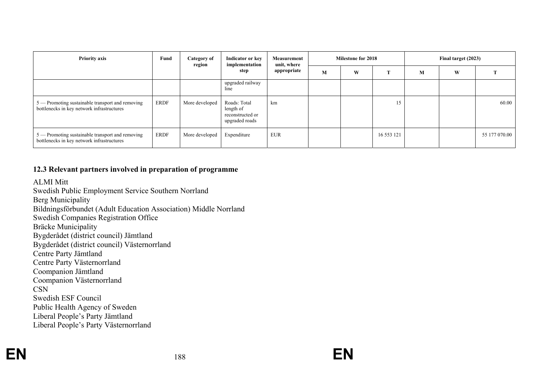| <b>Priority axis</b>                                                                           | Fund        | <b>Category of</b><br>region | Indicator or key<br>implementation<br>step                      |             | Measurement<br>unit, where |   | <b>Milestone for 2018</b> |   | Final target (2023) |               |  |
|------------------------------------------------------------------------------------------------|-------------|------------------------------|-----------------------------------------------------------------|-------------|----------------------------|---|---------------------------|---|---------------------|---------------|--|
|                                                                                                |             |                              |                                                                 | appropriate | M                          | W |                           | M | W                   |               |  |
|                                                                                                |             |                              | upgraded railway<br>line                                        |             |                            |   |                           |   |                     |               |  |
| 5 — Promoting sustainable transport and removing<br>bottlenecks in key network infrastructures | <b>ERDF</b> | More developed               | Roads: Total<br>length of<br>reconstructed or<br>upgraded roads | km          |                            |   | 15                        |   |                     | 60.00         |  |
| 5 — Promoting sustainable transport and removing<br>bottlenecks in key network infrastructures | ERDF        | More developed               | Expenditure                                                     | <b>EUR</b>  |                            |   | 16 553 121                |   |                     | 55 177 070.00 |  |

### **12.3 Relevant partners involved in preparation of programme**

### ALMI Mitt

Swedish Public Employment Service Southern Norrland Berg Municipality Bildningsförbundet (Adult Education Association) Middle Norrland Swedish Companies Registration Office Bräcke Municipality Bygderådet (district council) Jämtland Bygderådet (district council) Västernorrland Centre Party Jämtland Centre Party Västernorrland Coompanion Jämtland Coompanion Västernorrland CSN Swedish ESF Council Public Health Agency of Sweden Liberal People's Party Jämtland Liberal People's Party Västernorrland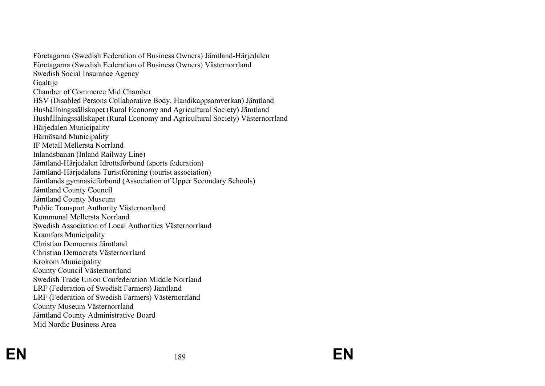Företagarna (Swedish Federation of Business Owners) Jämtland-Härjedalen Företagarna (Swedish Federation of Business Owners) Västernorrland Swedish Social Insurance Agency Gaaltije Chamber of Commerce Mid Chamber HSV (Disabled Persons Collaborative Body, Handikappsamverkan) Jämtland Hushållningssällskapet (Rural Economy and Agricultural Society) Jämtland Hushållningssällskapet (Rural Economy and Agricultural Society) Västernorrland Härjedalen Municipality Härnösand Municipality IF Metall Mellersta Norrland Inlandsbanan (Inland Railway Line) Jämtland-Härjedalen Idrottsförbund (sports federation) Jämtland-Härjedalens Turistförening (tourist association) Jämtlands gymnasieförbund (Association of Upper Secondary Schools) Jämtland County Council Jämtland County Museum Public Transport Authority Västernorrland Kommunal Mellersta Norrland Swedish Association of Local Authorities Västernorrland Kramfors Municipality Christian Democrats Jämtland Christian Democrats Västernorrland Krokom Municipality County Council Västernorrland Swedish Trade Union Confederation Middle Norrland LRF (Federation of Swedish Farmers) Jämtland LRF (Federation of Swedish Farmers) Västernorrland County Museum Västernorrland Jämtland County Administrative Board Mid Nordic Business Area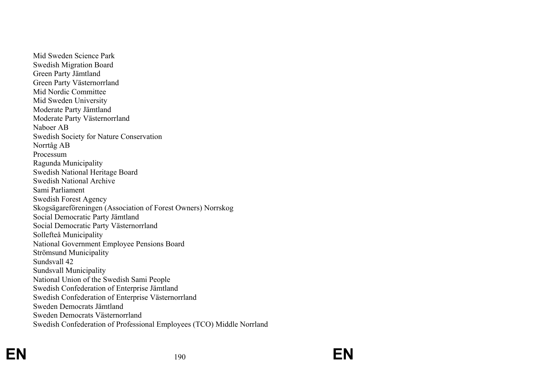Mid Sweden Science Park Swedish Migration Board Green Party Jämtland Green Party Västernorrland Mid Nordic Committee Mid Sweden University Moderate Party Jämtland Moderate Party Västernorrland Naboer AB Swedish Society for Nature Conservation Norrtåg AB Processum Ragunda Municipality Swedish National Heritage Board Swedish National Archive Sami Parliament Swedish Forest Agency Skogsägareföreningen (Association of Forest Owners) Norrskog Social Democratic Party Jämtland Social Democratic Party Västernorrland Sollefteå Municipality National Government Employee Pensions Board Strömsund Municipality Sundsvall 42 Sundsvall Municipality National Union of the Swedish Sami People Swedish Confederation of Enterprise Jämtland Swedish Confederation of Enterprise Västernorrland Sweden Democrats Jämtland Sweden Democrats Västernorrland Swedish Confederation of Professional Employees (TCO) Middle Norrland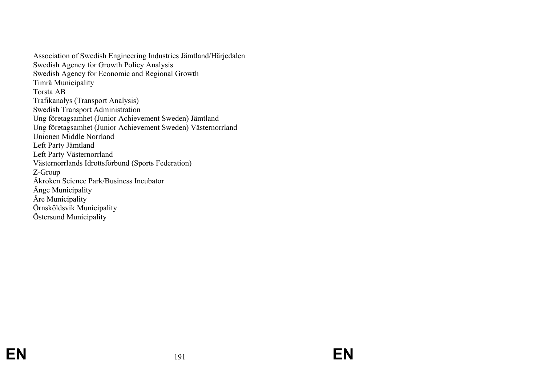Association of Swedish Engineering Industries Jämtland/Härjedalen Swedish Agency for Growth Policy Analysis Swedish Agency for Economic and Regional Growth Timrå Municipality Torsta AB Trafikanalys (Transport Analysis) Swedish Transport Administration Ung företagsamhet (Junior Achievement Sweden) Jämtland Ung företagsamhet (Junior Achievement Sweden) Västernorrland Unionen Middle Norrland Left Party Jämtland Left Party Västernorrland Västernorrlands Idrottsförbund (Sports Federation) Z-Group Åkroken Science Park/Business Incubator Ånge Municipality Åre Municipality Örnsköldsvik Municipality Östersund Municipality